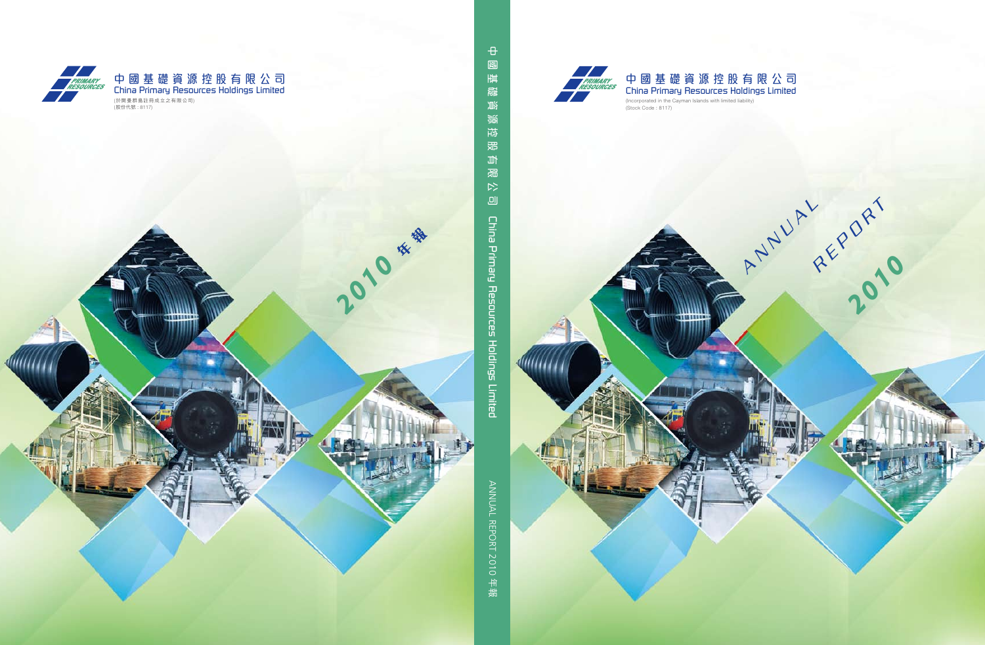



mmu

**ANNAL REPORT** 

*2010*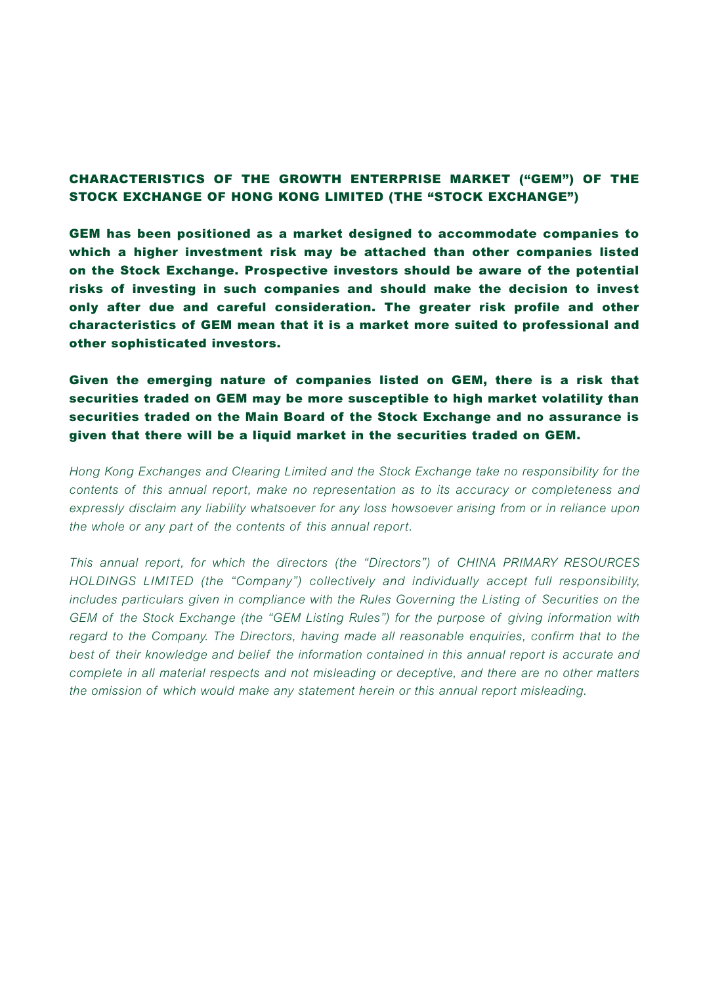#### CHARACTERISTICS OF THE GROWTH ENTERPRISE MARKET ("GEM") OF THE STOCK EXCHANGE OF HONG KONG LIMITED (THE "STOCK EXCHANGE")

GEM has been positioned as a market designed to accommodate companies to which a higher investment risk may be attached than other companies listed on the Stock Exchange. Prospective investors should be aware of the potential risks of investing in such companies and should make the decision to invest only after due and careful consideration. The greater risk profile and other characteristics of GEM mean that it is a market more suited to professional and other sophisticated investors.

Given the emerging nature of companies listed on GEM, there is a risk that securities traded on GEM may be more susceptible to high market volatility than securities traded on the Main Board of the Stock Exchange and no assurance is given that there will be a liquid market in the securities traded on GEM.

*Hong Kong Exchanges and Clearing Limited and the Stock Exchange take no responsibility for the contents of this annual report, make no representation as to its accuracy or completeness and expressly disclaim any liability whatsoever for any loss howsoever arising from or in reliance upon the whole or any part of the contents of this annual report.*

*This annual report, for which the directors (the "Directors") of CHINA PRIMARY RESOURCES HOLDINGS LIMITED (the "Company") collectively and individually accept full responsibility, includes particulars given in compliance with the Rules Governing the Listing of Securities on the GEM of the Stock Exchange (the "GEM Listing Rules") for the purpose of giving information with regard to the Company. The Directors, having made all reasonable enquiries, confirm that to the best of their knowledge and belief the information contained in this annual report is accurate and complete in all material respects and not misleading or deceptive, and there are no other matters the omission of which would make any statement herein or this annual report misleading.*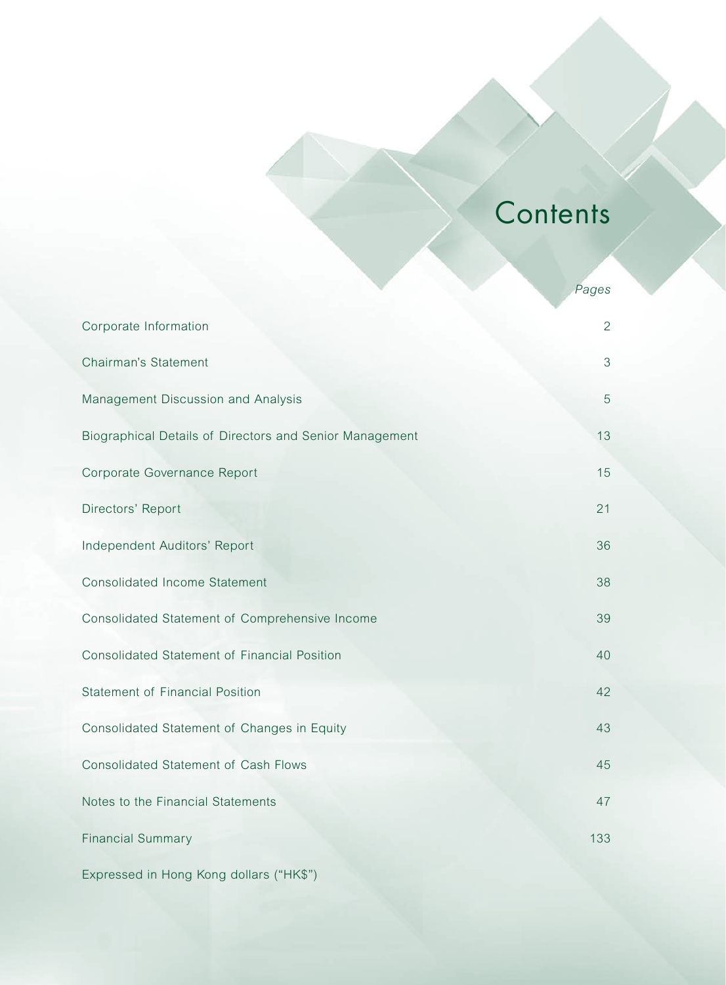# **Contents**

|                                                         | Pages          |
|---------------------------------------------------------|----------------|
| Corporate Information                                   | $\overline{2}$ |
| Chairman's Statement                                    | 3              |
| Management Discussion and Analysis                      | 5              |
| Biographical Details of Directors and Senior Management | 13             |
| Corporate Governance Report                             | 15             |
| Directors' Report                                       | 21             |
| Independent Auditors' Report                            | 36             |
| <b>Consolidated Income Statement</b>                    | 38             |
| Consolidated Statement of Comprehensive Income          | 39             |
| Consolidated Statement of Financial Position            | 40             |
| <b>Statement of Financial Position</b>                  | 42             |
| Consolidated Statement of Changes in Equity             | 43             |
| <b>Consolidated Statement of Cash Flows</b>             | 45             |
| Notes to the Financial Statements                       | 47             |
| <b>Financial Summary</b>                                | 133            |
| Expressed in Hong Kong dollars ("HK\$")                 |                |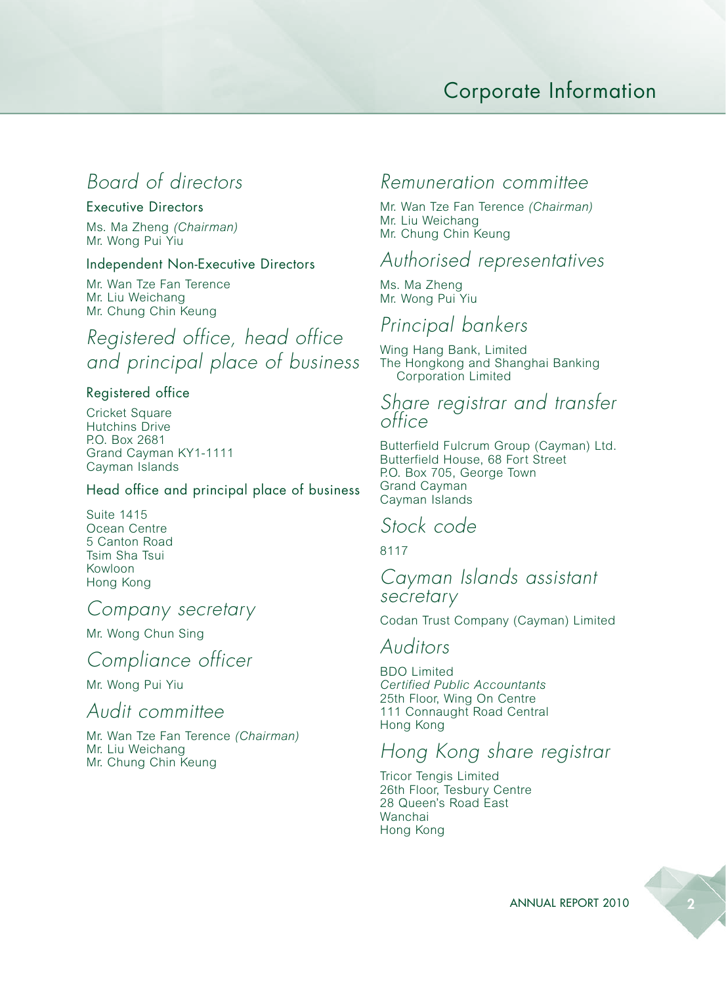# Corporate Information

# *Board of directors*

#### Executive Directors

Ms. Ma Zheng *(Chairman)* Mr. Wong Pui Yiu

#### Independent Non-Executive Directors

Mr. Wan Tze Fan Terence Mr. Liu Weichang Mr. Chung Chin Keung

*Registered office, head office and principal place of business*

#### Registered office

Cricket Square Hutchins Drive P.O. Box 2681 Grand Cayman KY1-1111 Cayman Islands

#### Head office and principal place of business

Suite 1415 Ocean Centre 5 Canton Road Tsim Sha Tsui Kowloon Hong Kong

#### *Company secretary*

Mr. Wong Chun Sing

# *Compliance officer*

Mr. Wong Pui Yiu

#### *Audit committee*

Mr. Wan Tze Fan Terence *(Chairman)* Mr. Liu Weichang Mr. Chung Chin Keung

#### *Remuneration committee*

Mr. Wan Tze Fan Terence *(Chairman)* Mr. Liu Weichang Mr. Chung Chin Keung

#### *Authorised representatives*

Ms. Ma Zheng Mr. Wong Pui Yiu

### *Principal bankers*

Wing Hang Bank, Limited The Hongkong and Shanghai Banking Corporation Limited

#### *Share registrar and transfer office*

Butterfield Fulcrum Group (Cayman) Ltd. Butterfield House, 68 Fort Street P.O. Box 705, George Town Grand Cayman Cayman Islands

#### *Stock code*

8117

#### *Cayman Islands assistant secretary*

Codan Trust Company (Cayman) Limited

#### *Auditors*

BDO Limited *Certified Public Accountants* 25th Floor, Wing On Centre 111 Connaught Road Central Hong Kong

### *Hong Kong share registrar*

Tricor Tengis Limited 26th Floor, Tesbury Centre 28 Queen's Road East Wanchai Hong Kong

ANNUAL REPORT 2010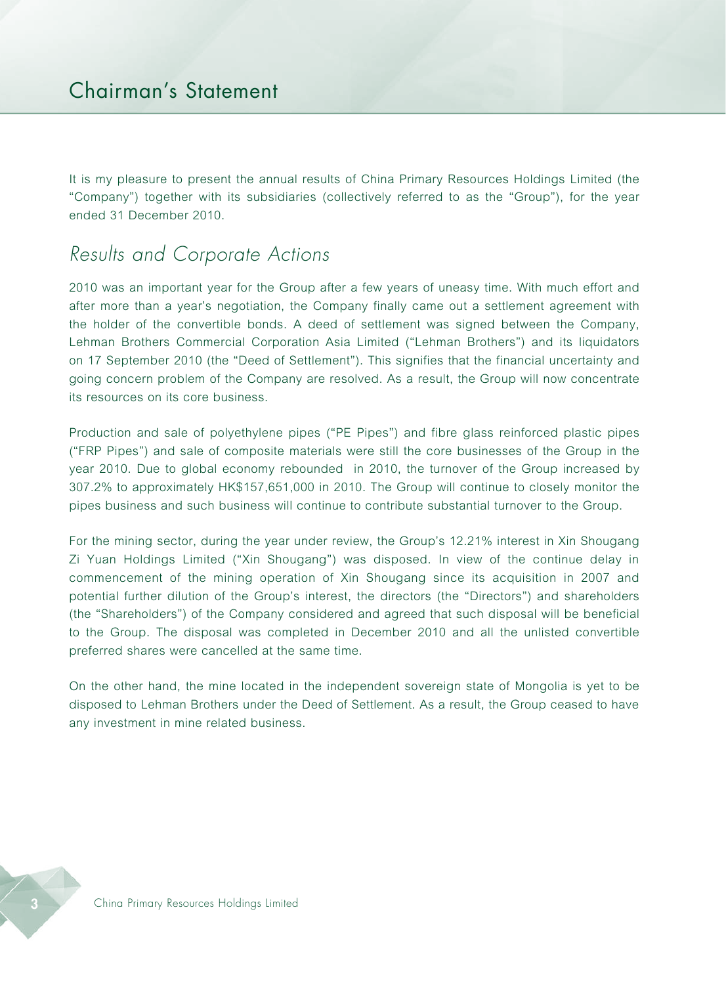It is my pleasure to present the annual results of China Primary Resources Holdings Limited (the "Company") together with its subsidiaries (collectively referred to as the "Group"), for the year ended 31 December 2010.

# *Results and Corporate Actions*

2010 was an important year for the Group after a few years of uneasy time. With much effort and after more than a year's negotiation, the Company finally came out a settlement agreement with the holder of the convertible bonds. A deed of settlement was signed between the Company, Lehman Brothers Commercial Corporation Asia Limited ("Lehman Brothers") and its liquidators on 17 September 2010 (the "Deed of Settlement"). This signifies that the financial uncertainty and going concern problem of the Company are resolved. As a result, the Group will now concentrate its resources on its core business.

Production and sale of polyethylene pipes ("PE Pipes") and fibre glass reinforced plastic pipes ("FRP Pipes") and sale of composite materials were still the core businesses of the Group in the year 2010. Due to global economy rebounded in 2010, the turnover of the Group increased by 307.2% to approximately HK\$157,651,000 in 2010. The Group will continue to closely monitor the pipes business and such business will continue to contribute substantial turnover to the Group.

For the mining sector, during the year under review, the Group's 12.21% interest in Xin Shougang Zi Yuan Holdings Limited ("Xin Shougang") was disposed. In view of the continue delay in commencement of the mining operation of Xin Shougang since its acquisition in 2007 and potential further dilution of the Group's interest, the directors (the "Directors") and shareholders (the "Shareholders") of the Company considered and agreed that such disposal will be beneficial to the Group. The disposal was completed in December 2010 and all the unlisted convertible preferred shares were cancelled at the same time.

On the other hand, the mine located in the independent sovereign state of Mongolia is yet to be disposed to Lehman Brothers under the Deed of Settlement. As a result, the Group ceased to have any investment in mine related business.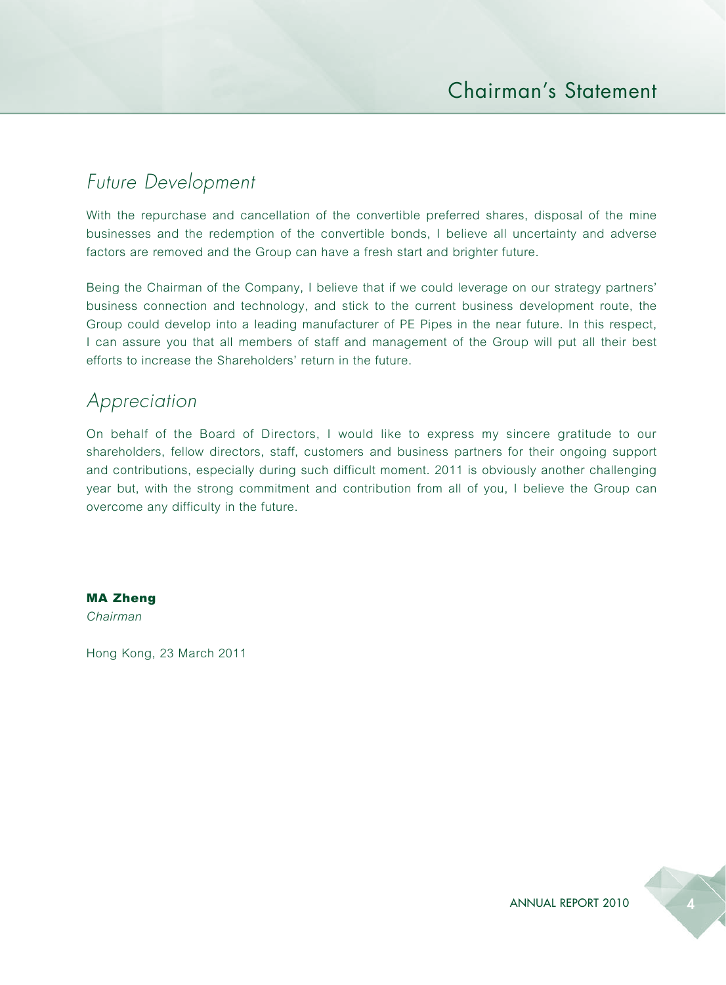# *Future Development*

With the repurchase and cancellation of the convertible preferred shares, disposal of the mine businesses and the redemption of the convertible bonds, I believe all uncertainty and adverse factors are removed and the Group can have a fresh start and brighter future.

Being the Chairman of the Company, I believe that if we could leverage on our strategy partners' business connection and technology, and stick to the current business development route, the Group could develop into a leading manufacturer of PE Pipes in the near future. In this respect, I can assure you that all members of staff and management of the Group will put all their best efforts to increase the Shareholders' return in the future.

### *Appreciation*

On behalf of the Board of Directors, I would like to express my sincere gratitude to our shareholders, fellow directors, staff, customers and business partners for their ongoing support and contributions, especially during such difficult moment. 2011 is obviously another challenging year but, with the strong commitment and contribution from all of you, I believe the Group can overcome any difficulty in the future.

MA Zheng *Chairman*

Hong Kong, 23 March 2011

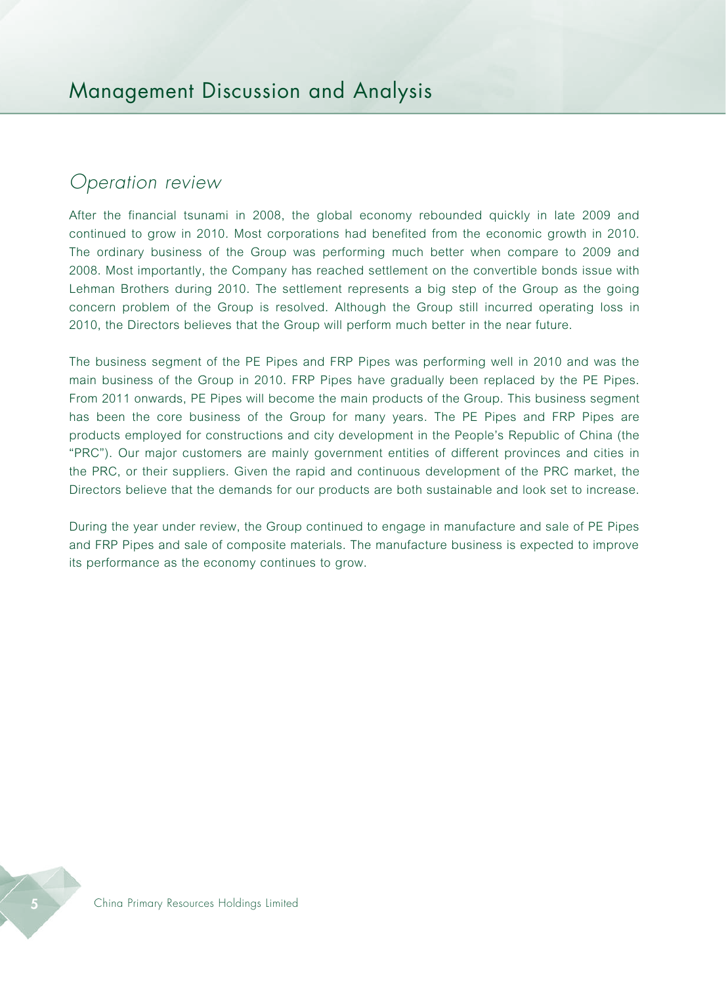### *Operation review*

After the financial tsunami in 2008, the global economy rebounded quickly in late 2009 and continued to grow in 2010. Most corporations had benefited from the economic growth in 2010. The ordinary business of the Group was performing much better when compare to 2009 and 2008. Most importantly, the Company has reached settlement on the convertible bonds issue with Lehman Brothers during 2010. The settlement represents a big step of the Group as the going concern problem of the Group is resolved. Although the Group still incurred operating loss in 2010, the Directors believes that the Group will perform much better in the near future.

The business segment of the PE Pipes and FRP Pipes was performing well in 2010 and was the main business of the Group in 2010. FRP Pipes have gradually been replaced by the PE Pipes. From 2011 onwards, PE Pipes will become the main products of the Group. This business segment has been the core business of the Group for many years. The PE Pipes and FRP Pipes are products employed for constructions and city development in the People's Republic of China (the "PRC"). Our major customers are mainly government entities of different provinces and cities in the PRC, or their suppliers. Given the rapid and continuous development of the PRC market, the Directors believe that the demands for our products are both sustainable and look set to increase.

During the year under review, the Group continued to engage in manufacture and sale of PE Pipes and FRP Pipes and sale of composite materials. The manufacture business is expected to improve its performance as the economy continues to grow.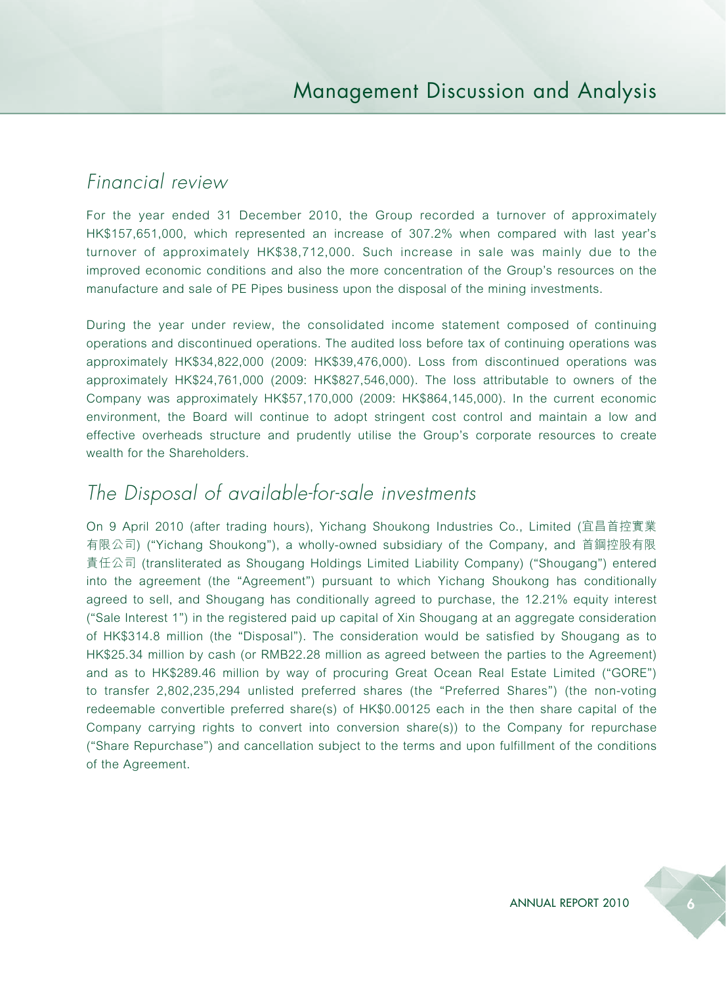# *Financial review*

For the year ended 31 December 2010, the Group recorded a turnover of approximately HK\$157,651,000, which represented an increase of 307.2% when compared with last year's turnover of approximately HK\$38,712,000. Such increase in sale was mainly due to the improved economic conditions and also the more concentration of the Group's resources on the manufacture and sale of PE Pipes business upon the disposal of the mining investments.

During the year under review, the consolidated income statement composed of continuing operations and discontinued operations. The audited loss before tax of continuing operations was approximately HK\$34,822,000 (2009: HK\$39,476,000). Loss from discontinued operations was approximately HK\$24,761,000 (2009: HK\$827,546,000). The loss attributable to owners of the Company was approximately HK\$57,170,000 (2009: HK\$864,145,000). In the current economic environment, the Board will continue to adopt stringent cost control and maintain a low and effective overheads structure and prudently utilise the Group's corporate resources to create wealth for the Shareholders.

# *The Disposal of available-for-sale investments*

On 9 April 2010 (after trading hours), Yichang Shoukong Industries Co., Limited (宜昌首控實業 有限公司) ("Yichang Shoukong"), a wholly-owned subsidiary of the Company, and 首鋼控股有限 責任公司 (transliterated as Shougang Holdings Limited Liability Company) ("Shougang") entered into the agreement (the "Agreement") pursuant to which Yichang Shoukong has conditionally agreed to sell, and Shougang has conditionally agreed to purchase, the 12.21% equity interest ("Sale Interest 1") in the registered paid up capital of Xin Shougang at an aggregate consideration of HK\$314.8 million (the "Disposal"). The consideration would be satisfied by Shougang as to HK\$25.34 million by cash (or RMB22.28 million as agreed between the parties to the Agreement) and as to HK\$289.46 million by way of procuring Great Ocean Real Estate Limited ("GORE") to transfer 2,802,235,294 unlisted preferred shares (the "Preferred Shares") (the non-voting redeemable convertible preferred share(s) of HK\$0.00125 each in the then share capital of the Company carrying rights to convert into conversion share(s)) to the Company for repurchase ("Share Repurchase") and cancellation subject to the terms and upon fulfillment of the conditions of the Agreement.

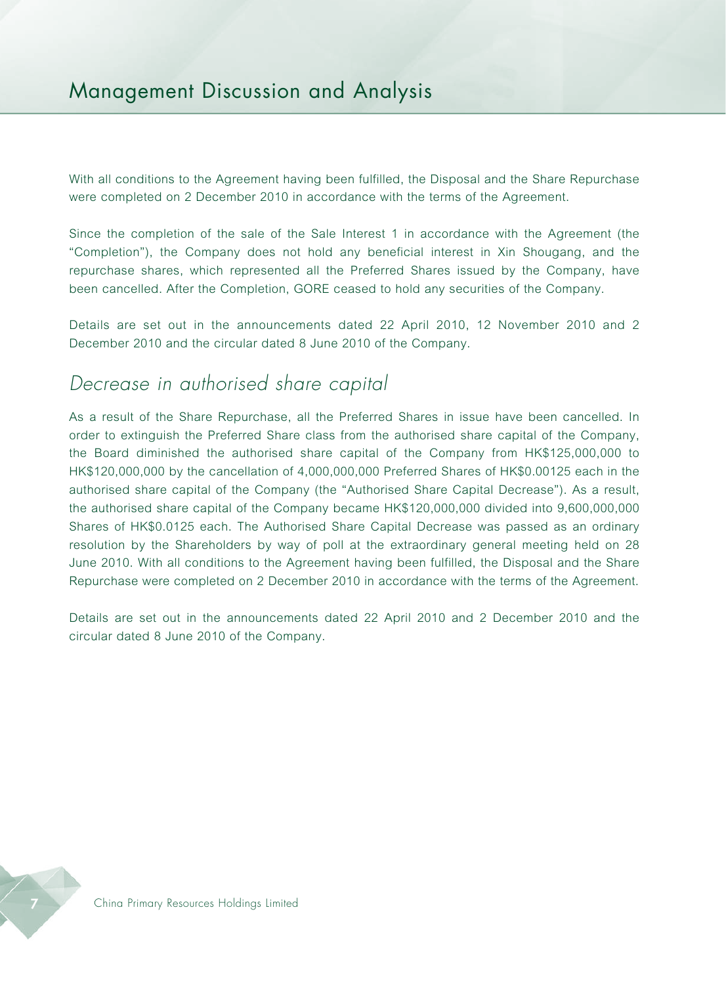# Management Discussion and Analysis

With all conditions to the Agreement having been fulfilled, the Disposal and the Share Repurchase were completed on 2 December 2010 in accordance with the terms of the Agreement.

Since the completion of the sale of the Sale Interest 1 in accordance with the Agreement (the "Completion"), the Company does not hold any beneficial interest in Xin Shougang, and the repurchase shares, which represented all the Preferred Shares issued by the Company, have been cancelled. After the Completion, GORE ceased to hold any securities of the Company.

Details are set out in the announcements dated 22 April 2010, 12 November 2010 and 2 December 2010 and the circular dated 8 June 2010 of the Company.

### *Decrease in authorised share capital*

As a result of the Share Repurchase, all the Preferred Shares in issue have been cancelled. In order to extinguish the Preferred Share class from the authorised share capital of the Company, the Board diminished the authorised share capital of the Company from HK\$125,000,000 to HK\$120,000,000 by the cancellation of 4,000,000,000 Preferred Shares of HK\$0.00125 each in the authorised share capital of the Company (the "Authorised Share Capital Decrease"). As a result, the authorised share capital of the Company became HK\$120,000,000 divided into 9,600,000,000 Shares of HK\$0.0125 each. The Authorised Share Capital Decrease was passed as an ordinary resolution by the Shareholders by way of poll at the extraordinary general meeting held on 28 June 2010. With all conditions to the Agreement having been fulfilled, the Disposal and the Share Repurchase were completed on 2 December 2010 in accordance with the terms of the Agreement.

Details are set out in the announcements dated 22 April 2010 and 2 December 2010 and the circular dated 8 June 2010 of the Company.

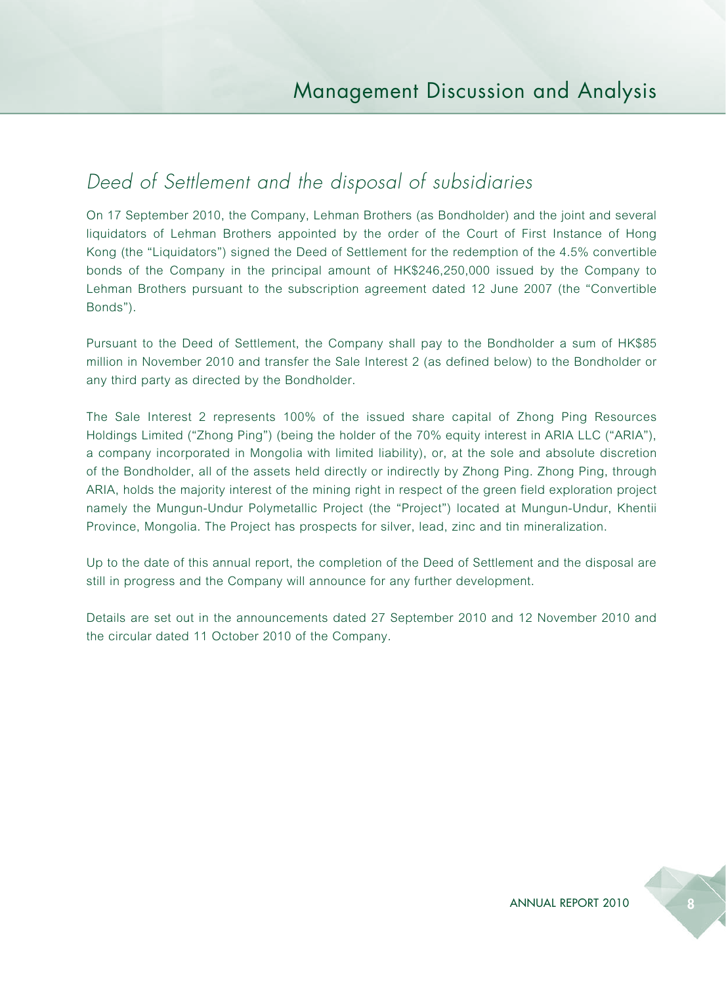# *Deed of Settlement and the disposal of subsidiaries*

On 17 September 2010, the Company, Lehman Brothers (as Bondholder) and the joint and several liquidators of Lehman Brothers appointed by the order of the Court of First Instance of Hong Kong (the "Liquidators") signed the Deed of Settlement for the redemption of the 4.5% convertible bonds of the Company in the principal amount of HK\$246,250,000 issued by the Company to Lehman Brothers pursuant to the subscription agreement dated 12 June 2007 (the "Convertible Bonds").

Pursuant to the Deed of Settlement, the Company shall pay to the Bondholder a sum of HK\$85 million in November 2010 and transfer the Sale Interest 2 (as defined below) to the Bondholder or any third party as directed by the Bondholder.

The Sale Interest 2 represents 100% of the issued share capital of Zhong Ping Resources Holdings Limited ("Zhong Ping") (being the holder of the 70% equity interest in ARIA LLC ("ARIA"), a company incorporated in Mongolia with limited liability), or, at the sole and absolute discretion of the Bondholder, all of the assets held directly or indirectly by Zhong Ping. Zhong Ping, through ARIA, holds the majority interest of the mining right in respect of the green field exploration project namely the Mungun-Undur Polymetallic Project (the "Project") located at Mungun-Undur, Khentii Province, Mongolia. The Project has prospects for silver, lead, zinc and tin mineralization.

Up to the date of this annual report, the completion of the Deed of Settlement and the disposal are still in progress and the Company will announce for any further development.

Details are set out in the announcements dated 27 September 2010 and 12 November 2010 and the circular dated 11 October 2010 of the Company.

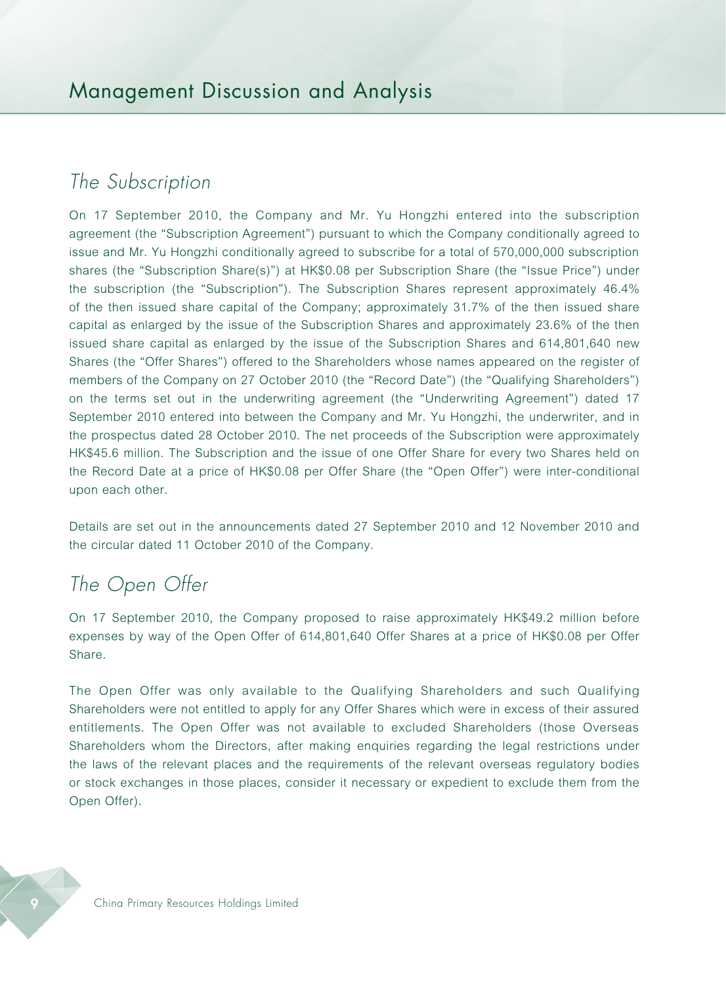# *The Subscription*

On 17 September 2010, the Company and Mr. Yu Hongzhi entered into the subscription agreement (the "Subscription Agreement") pursuant to which the Company conditionally agreed to issue and Mr. Yu Hongzhi conditionally agreed to subscribe for a total of 570,000,000 subscription shares (the "Subscription Share(s)") at HK\$0.08 per Subscription Share (the "Issue Price") under the subscription (the "Subscription"). The Subscription Shares represent approximately 46.4% of the then issued share capital of the Company; approximately 31.7% of the then issued share capital as enlarged by the issue of the Subscription Shares and approximately 23.6% of the then issued share capital as enlarged by the issue of the Subscription Shares and 614,801,640 new Shares (the "Offer Shares") offered to the Shareholders whose names appeared on the register of members of the Company on 27 October 2010 (the "Record Date") (the "Qualifying Shareholders") on the terms set out in the underwriting agreement (the "Underwriting Agreement") dated 17 September 2010 entered into between the Company and Mr. Yu Hongzhi, the underwriter, and in the prospectus dated 28 October 2010. The net proceeds of the Subscription were approximately HK\$45.6 million. The Subscription and the issue of one Offer Share for every two Shares held on the Record Date at a price of HK\$0.08 per Offer Share (the "Open Offer") were inter-conditional upon each other.

Details are set out in the announcements dated 27 September 2010 and 12 November 2010 and the circular dated 11 October 2010 of the Company.

# *The Open Offer*

On 17 September 2010, the Company proposed to raise approximately HK\$49.2 million before expenses by way of the Open Offer of 614,801,640 Offer Shares at a price of HK\$0.08 per Offer Share.

The Open Offer was only available to the Qualifying Shareholders and such Qualifying Shareholders were not entitled to apply for any Offer Shares which were in excess of their assured entitlements. The Open Offer was not available to excluded Shareholders (those Overseas Shareholders whom the Directors, after making enquiries regarding the legal restrictions under the laws of the relevant places and the requirements of the relevant overseas regulatory bodies or stock exchanges in those places, consider it necessary or expedient to exclude them from the Open Offer).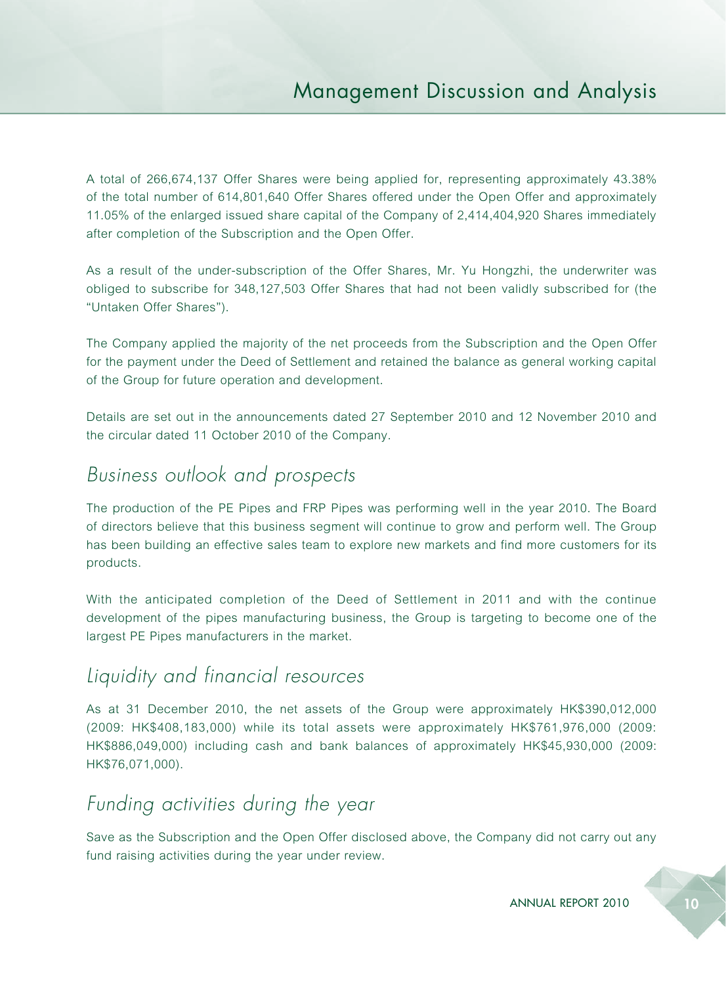A total of 266,674,137 Offer Shares were being applied for, representing approximately 43.38% of the total number of 614,801,640 Offer Shares offered under the Open Offer and approximately 11.05% of the enlarged issued share capital of the Company of 2,414,404,920 Shares immediately after completion of the Subscription and the Open Offer.

As a result of the under-subscription of the Offer Shares, Mr. Yu Hongzhi, the underwriter was obliged to subscribe for 348,127,503 Offer Shares that had not been validly subscribed for (the "Untaken Offer Shares").

The Company applied the majority of the net proceeds from the Subscription and the Open Offer for the payment under the Deed of Settlement and retained the balance as general working capital of the Group for future operation and development.

Details are set out in the announcements dated 27 September 2010 and 12 November 2010 and the circular dated 11 October 2010 of the Company.

# *Business outlook and prospects*

The production of the PE Pipes and FRP Pipes was performing well in the year 2010. The Board of directors believe that this business segment will continue to grow and perform well. The Group has been building an effective sales team to explore new markets and find more customers for its products.

With the anticipated completion of the Deed of Settlement in 2011 and with the continue development of the pipes manufacturing business, the Group is targeting to become one of the largest PE Pipes manufacturers in the market.

# *Liquidity and financial resources*

As at 31 December 2010, the net assets of the Group were approximately HK\$390,012,000 (2009: HK\$408,183,000) while its total assets were approximately HK\$761,976,000 (2009: HK\$886,049,000) including cash and bank balances of approximately HK\$45,930,000 (2009: HK\$76,071,000).

# *Funding activities during the year*

Save as the Subscription and the Open Offer disclosed above, the Company did not carry out any fund raising activities during the year under review.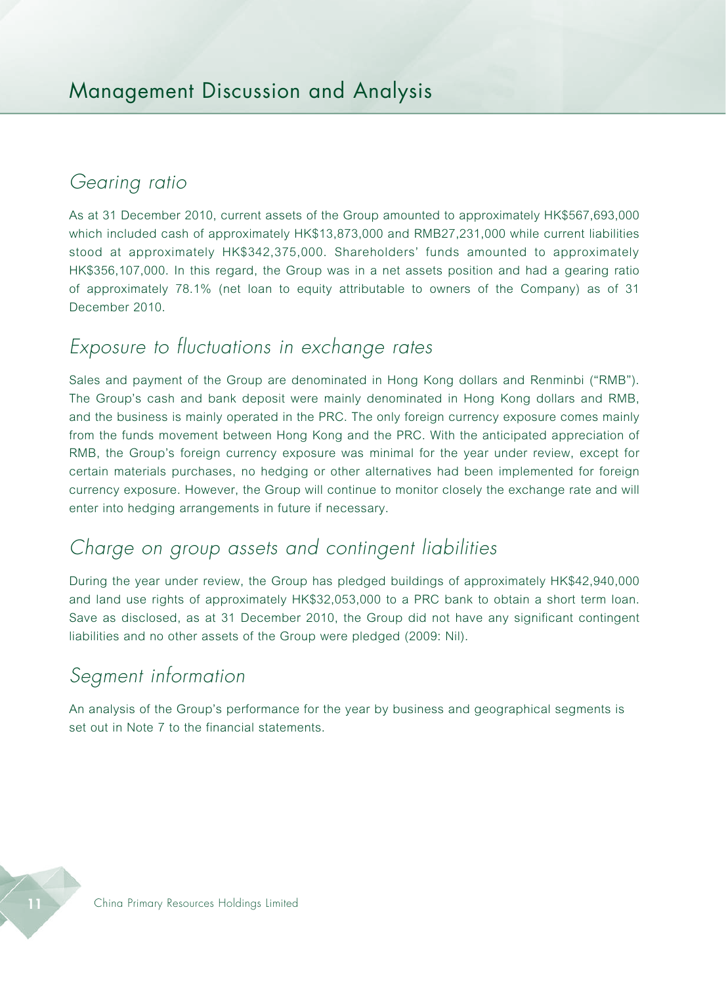### *Gearing ratio*

As at 31 December 2010, current assets of the Group amounted to approximately HK\$567,693,000 which included cash of approximately HK\$13,873,000 and RMB27,231,000 while current liabilities stood at approximately HK\$342,375,000. Shareholders' funds amounted to approximately HK\$356,107,000. In this regard, the Group was in a net assets position and had a gearing ratio of approximately 78.1% (net loan to equity attributable to owners of the Company) as of 31 December 2010.

# *Exposure to fluctuations in exchange rates*

Sales and payment of the Group are denominated in Hong Kong dollars and Renminbi ("RMB"). The Group's cash and bank deposit were mainly denominated in Hong Kong dollars and RMB, and the business is mainly operated in the PRC. The only foreign currency exposure comes mainly from the funds movement between Hong Kong and the PRC. With the anticipated appreciation of RMB, the Group's foreign currency exposure was minimal for the year under review, except for certain materials purchases, no hedging or other alternatives had been implemented for foreign currency exposure. However, the Group will continue to monitor closely the exchange rate and will enter into hedging arrangements in future if necessary.

# *Charge on group assets and contingent liabilities*

During the year under review, the Group has pledged buildings of approximately HK\$42,940,000 and land use rights of approximately HK\$32,053,000 to a PRC bank to obtain a short term loan. Save as disclosed, as at 31 December 2010, the Group did not have any significant contingent liabilities and no other assets of the Group were pledged (2009: Nil).

# *Segment information*

An analysis of the Group's performance for the year by business and geographical segments is set out in Note 7 to the financial statements.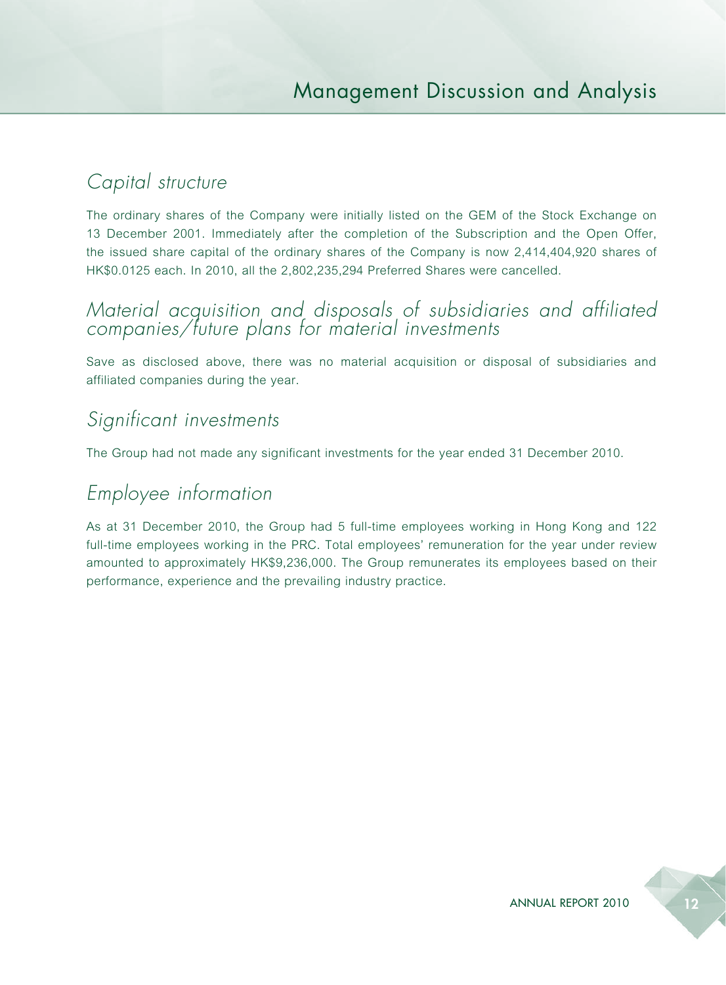# *Capital structure*

The ordinary shares of the Company were initially listed on the GEM of the Stock Exchange on 13 December 2001. Immediately after the completion of the Subscription and the Open Offer, the issued share capital of the ordinary shares of the Company is now 2,414,404,920 shares of HK\$0.0125 each. In 2010, all the 2,802,235,294 Preferred Shares were cancelled.

### *Material acquisition and disposals of subsidiaries and affiliated companies/future plans for material investments*

Save as disclosed above, there was no material acquisition or disposal of subsidiaries and affiliated companies during the year.

# *Significant investments*

The Group had not made any significant investments for the year ended 31 December 2010.

# *Employee information*

As at 31 December 2010, the Group had 5 full-time employees working in Hong Kong and 122 full-time employees working in the PRC. Total employees' remuneration for the year under review amounted to approximately HK\$9,236,000. The Group remunerates its employees based on their performance, experience and the prevailing industry practice.

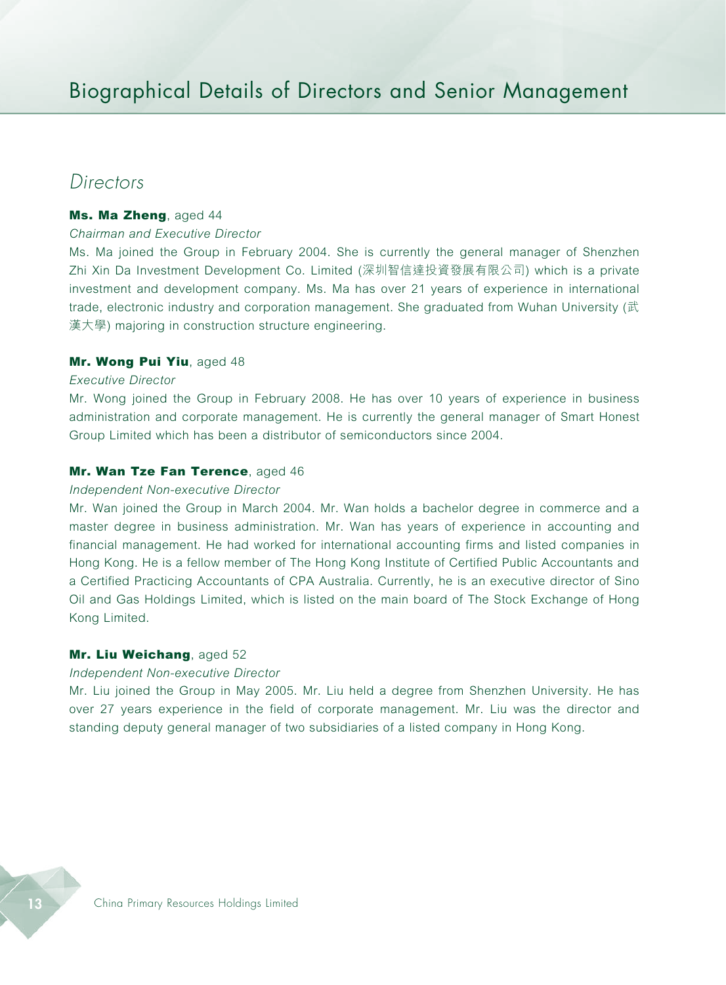### *Directors*

#### Ms. Ma Zheng, aged 44

#### *Chairman and Executive Director*

Ms. Ma joined the Group in February 2004. She is currently the general manager of Shenzhen Zhi Xin Da Investment Development Co. Limited (深圳智信達投資發展有限公司) which is a private investment and development company. Ms. Ma has over 21 years of experience in international trade, electronic industry and corporation management. She graduated from Wuhan University (武 漢大學) majoring in construction structure engineering.

#### Mr. Wong Pui Yiu, aged 48

#### *Executive Director*

Mr. Wong joined the Group in February 2008. He has over 10 years of experience in business administration and corporate management. He is currently the general manager of Smart Honest Group Limited which has been a distributor of semiconductors since 2004.

#### Mr. Wan Tze Fan Terence, aged 46

#### *Independent Non-executive Director*

Mr. Wan joined the Group in March 2004. Mr. Wan holds a bachelor degree in commerce and a master degree in business administration. Mr. Wan has years of experience in accounting and financial management. He had worked for international accounting firms and listed companies in Hong Kong. He is a fellow member of The Hong Kong Institute of Certified Public Accountants and a Certified Practicing Accountants of CPA Australia. Currently, he is an executive director of Sino Oil and Gas Holdings Limited, which is listed on the main board of The Stock Exchange of Hong Kong Limited.

#### Mr. Liu Weichang, aged 52

#### *Independent Non-executive Director*

Mr. Liu joined the Group in May 2005. Mr. Liu held a degree from Shenzhen University. He has over 27 years experience in the field of corporate management. Mr. Liu was the director and standing deputy general manager of two subsidiaries of a listed company in Hong Kong.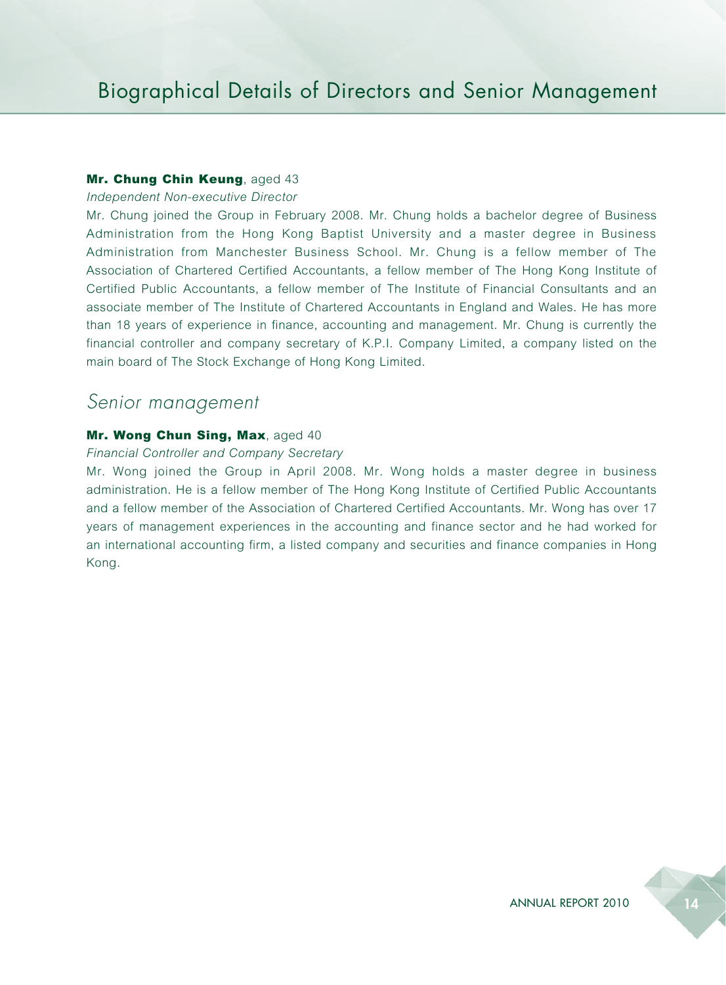#### Mr. Chung Chin Keung, aged 43

*Independent Non-executive Director*

Mr. Chung joined the Group in February 2008. Mr. Chung holds a bachelor degree of Business Administration from the Hong Kong Baptist University and a master degree in Business Administration from Manchester Business School. Mr. Chung is a fellow member of The Association of Chartered Certified Accountants, a fellow member of The Hong Kong Institute of Certified Public Accountants, a fellow member of The Institute of Financial Consultants and an associate member of The Institute of Chartered Accountants in England and Wales. He has more than 18 years of experience in finance, accounting and management. Mr. Chung is currently the financial controller and company secretary of K.P.I. Company Limited, a company listed on the main board of The Stock Exchange of Hong Kong Limited.

#### *Senior management*

#### Mr. Wong Chun Sing, Max, aged 40

#### *Financial Controller and Company Secretary*

Mr. Wong joined the Group in April 2008. Mr. Wong holds a master degree in business administration. He is a fellow member of The Hong Kong Institute of Certified Public Accountants and a fellow member of the Association of Chartered Certified Accountants. Mr. Wong has over 17 years of management experiences in the accounting and finance sector and he had worked for an international accounting firm, a listed company and securities and finance companies in Hong Kong.

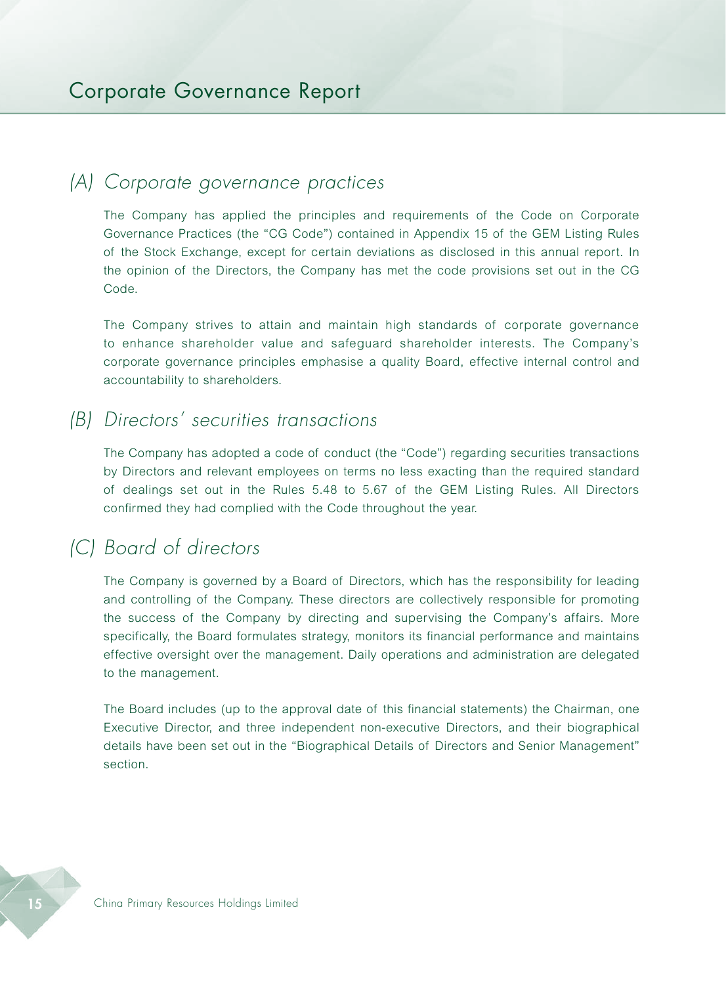### *(A) Corporate governance practices*

The Company has applied the principles and requirements of the Code on Corporate Governance Practices (the "CG Code") contained in Appendix 15 of the GEM Listing Rules of the Stock Exchange, except for certain deviations as disclosed in this annual report. In the opinion of the Directors, the Company has met the code provisions set out in the CG Code.

The Company strives to attain and maintain high standards of corporate governance to enhance shareholder value and safeguard shareholder interests. The Company's corporate governance principles emphasise a quality Board, effective internal control and accountability to shareholders.

### *(B) Directors' securities transactions*

The Company has adopted a code of conduct (the "Code") regarding securities transactions by Directors and relevant employees on terms no less exacting than the required standard of dealings set out in the Rules 5.48 to 5.67 of the GEM Listing Rules. All Directors confirmed they had complied with the Code throughout the year.

# *(C) Board of directors*

The Company is governed by a Board of Directors, which has the responsibility for leading and controlling of the Company. These directors are collectively responsible for promoting the success of the Company by directing and supervising the Company's affairs. More specifically, the Board formulates strategy, monitors its financial performance and maintains effective oversight over the management. Daily operations and administration are delegated to the management.

The Board includes (up to the approval date of this financial statements) the Chairman, one Executive Director, and three independent non-executive Directors, and their biographical details have been set out in the "Biographical Details of Directors and Senior Management" section.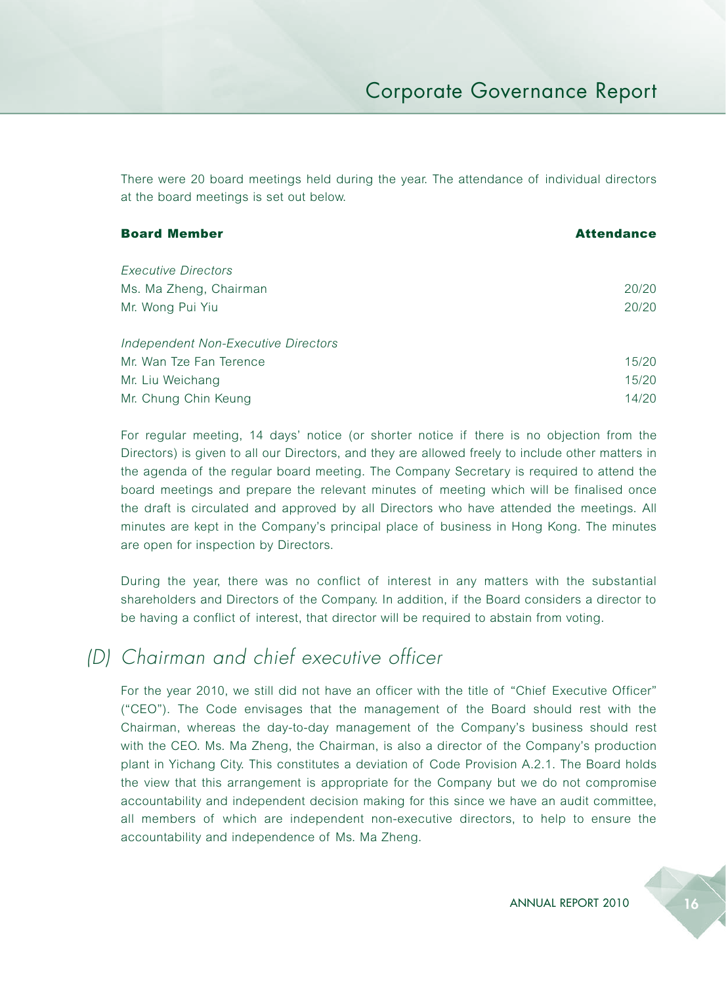There were 20 board meetings held during the year. The attendance of individual directors at the board meetings is set out below.

| <b>Board Member</b>                 | <b>Attendance</b> |
|-------------------------------------|-------------------|
| Executive Directors                 |                   |
| Ms. Ma Zheng, Chairman              | 20/20             |
| Mr. Wong Pui Yiu                    | 20/20             |
| Independent Non-Executive Directors |                   |
| Mr. Wan Tze Fan Terence             | 15/20             |
| Mr. Liu Weichang                    | 15/20             |
| Mr. Chung Chin Keung                | 14/20             |

For regular meeting, 14 days' notice (or shorter notice if there is no objection from the Directors) is given to all our Directors, and they are allowed freely to include other matters in the agenda of the regular board meeting. The Company Secretary is required to attend the board meetings and prepare the relevant minutes of meeting which will be finalised once the draft is circulated and approved by all Directors who have attended the meetings. All minutes are kept in the Company's principal place of business in Hong Kong. The minutes are open for inspection by Directors.

During the year, there was no conflict of interest in any matters with the substantial shareholders and Directors of the Company. In addition, if the Board considers a director to be having a conflict of interest, that director will be required to abstain from voting.

# *(D) Chairman and chief executive officer*

For the year 2010, we still did not have an officer with the title of "Chief Executive Officer" ("CEO"). The Code envisages that the management of the Board should rest with the Chairman, whereas the day-to-day management of the Company's business should rest with the CEO. Ms. Ma Zheng, the Chairman, is also a director of the Company's production plant in Yichang City. This constitutes a deviation of Code Provision A.2.1. The Board holds the view that this arrangement is appropriate for the Company but we do not compromise accountability and independent decision making for this since we have an audit committee, all members of which are independent non-executive directors, to help to ensure the accountability and independence of Ms. Ma Zheng.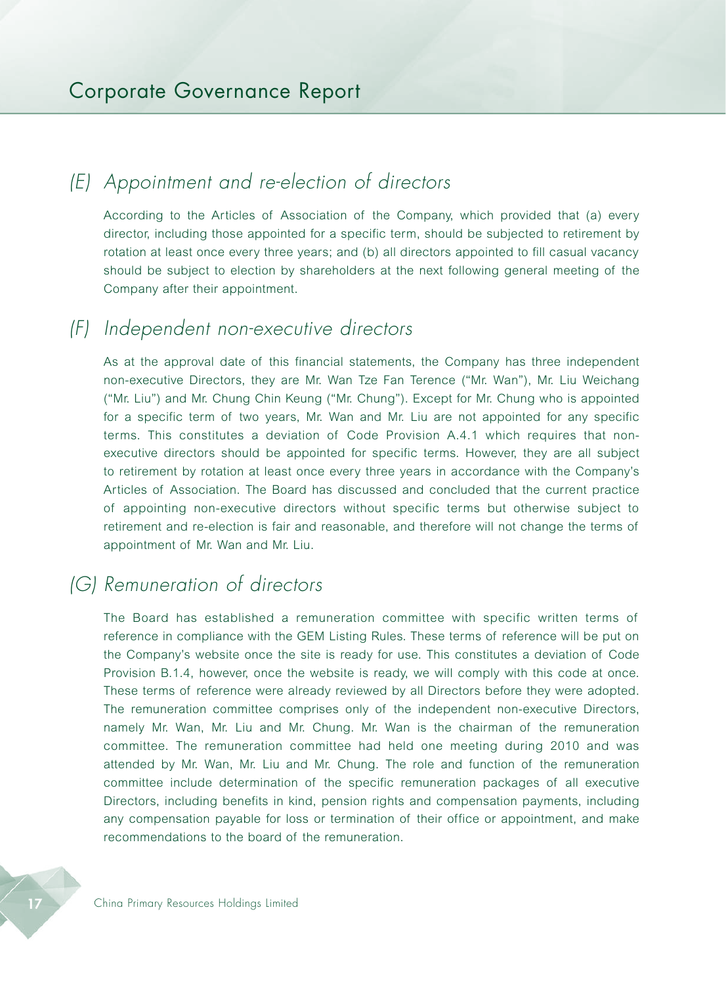# *(E) Appointment and re-election of directors*

According to the Articles of Association of the Company, which provided that (a) every director, including those appointed for a specific term, should be subjected to retirement by rotation at least once every three years; and (b) all directors appointed to fill casual vacancy should be subject to election by shareholders at the next following general meeting of the Company after their appointment.

### *(F) Independent non-executive directors*

As at the approval date of this financial statements, the Company has three independent non-executive Directors, they are Mr. Wan Tze Fan Terence ("Mr. Wan"), Mr. Liu Weichang ("Mr. Liu") and Mr. Chung Chin Keung ("Mr. Chung"). Except for Mr. Chung who is appointed for a specific term of two years, Mr. Wan and Mr. Liu are not appointed for any specific terms. This constitutes a deviation of Code Provision A.4.1 which requires that nonexecutive directors should be appointed for specific terms. However, they are all subject to retirement by rotation at least once every three years in accordance with the Company's Articles of Association. The Board has discussed and concluded that the current practice of appointing non-executive directors without specific terms but otherwise subject to retirement and re-election is fair and reasonable, and therefore will not change the terms of appointment of Mr. Wan and Mr. Liu.

# *(G) Remuneration of directors*

The Board has established a remuneration committee with specific written terms of reference in compliance with the GEM Listing Rules. These terms of reference will be put on the Company's website once the site is ready for use. This constitutes a deviation of Code Provision B.1.4, however, once the website is ready, we will comply with this code at once. These terms of reference were already reviewed by all Directors before they were adopted. The remuneration committee comprises only of the independent non-executive Directors, namely Mr. Wan, Mr. Liu and Mr. Chung. Mr. Wan is the chairman of the remuneration committee. The remuneration committee had held one meeting during 2010 and was attended by Mr. Wan, Mr. Liu and Mr. Chung. The role and function of the remuneration committee include determination of the specific remuneration packages of all executive Directors, including benefits in kind, pension rights and compensation payments, including any compensation payable for loss or termination of their office or appointment, and make recommendations to the board of the remuneration.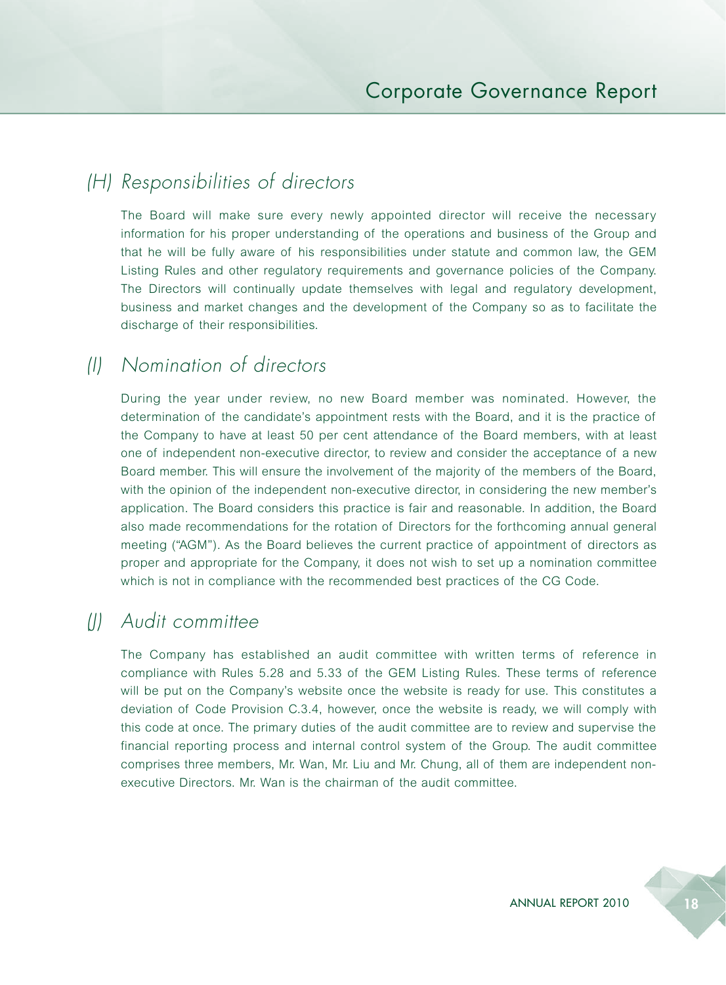# *(H) Responsibilities of directors*

The Board will make sure every newly appointed director will receive the necessary information for his proper understanding of the operations and business of the Group and that he will be fully aware of his responsibilities under statute and common law, the GEM Listing Rules and other regulatory requirements and governance policies of the Company. The Directors will continually update themselves with legal and regulatory development, business and market changes and the development of the Company so as to facilitate the discharge of their responsibilities.

# *(I) Nomination of directors*

During the year under review, no new Board member was nominated. However, the determination of the candidate's appointment rests with the Board, and it is the practice of the Company to have at least 50 per cent attendance of the Board members, with at least one of independent non-executive director, to review and consider the acceptance of a new Board member. This will ensure the involvement of the majority of the members of the Board, with the opinion of the independent non-executive director, in considering the new member's application. The Board considers this practice is fair and reasonable. In addition, the Board also made recommendations for the rotation of Directors for the forthcoming annual general meeting ("AGM"). As the Board believes the current practice of appointment of directors as proper and appropriate for the Company, it does not wish to set up a nomination committee which is not in compliance with the recommended best practices of the CG Code.

# *(J) Audit committee*

The Company has established an audit committee with written terms of reference in compliance with Rules 5.28 and 5.33 of the GEM Listing Rules. These terms of reference will be put on the Company's website once the website is ready for use. This constitutes a deviation of Code Provision C.3.4, however, once the website is ready, we will comply with this code at once. The primary duties of the audit committee are to review and supervise the financial reporting process and internal control system of the Group. The audit committee comprises three members, Mr. Wan, Mr. Liu and Mr. Chung, all of them are independent nonexecutive Directors. Mr. Wan is the chairman of the audit committee.

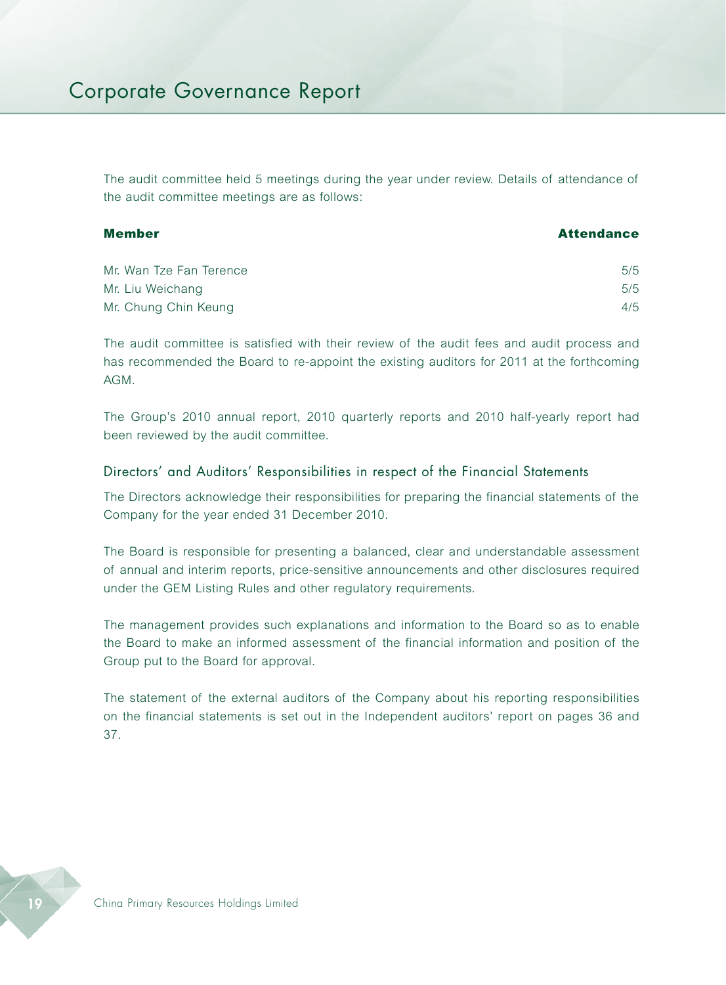The audit committee held 5 meetings during the year under review. Details of attendance of the audit committee meetings are as follows:

| Member | <b>Attendance</b> |
|--------|-------------------|
|        |                   |

| Mr. Wan Tze Fan Terence | 5/5 |
|-------------------------|-----|
| Mr. Liu Weichang        | 5/5 |
| Mr. Chung Chin Keung    | 4/5 |

The audit committee is satisfied with their review of the audit fees and audit process and has recommended the Board to re-appoint the existing auditors for 2011 at the forthcoming AGM.

The Group's 2010 annual report, 2010 quarterly reports and 2010 half-yearly report had been reviewed by the audit committee.

#### Directors' and Auditors' Responsibilities in respect of the Financial Statements

The Directors acknowledge their responsibilities for preparing the financial statements of the Company for the year ended 31 December 2010.

The Board is responsible for presenting a balanced, clear and understandable assessment of annual and interim reports, price-sensitive announcements and other disclosures required under the GEM Listing Rules and other regulatory requirements.

The management provides such explanations and information to the Board so as to enable the Board to make an informed assessment of the financial information and position of the Group put to the Board for approval.

The statement of the external auditors of the Company about his reporting responsibilities on the financial statements is set out in the Independent auditors' report on pages 36 and 37.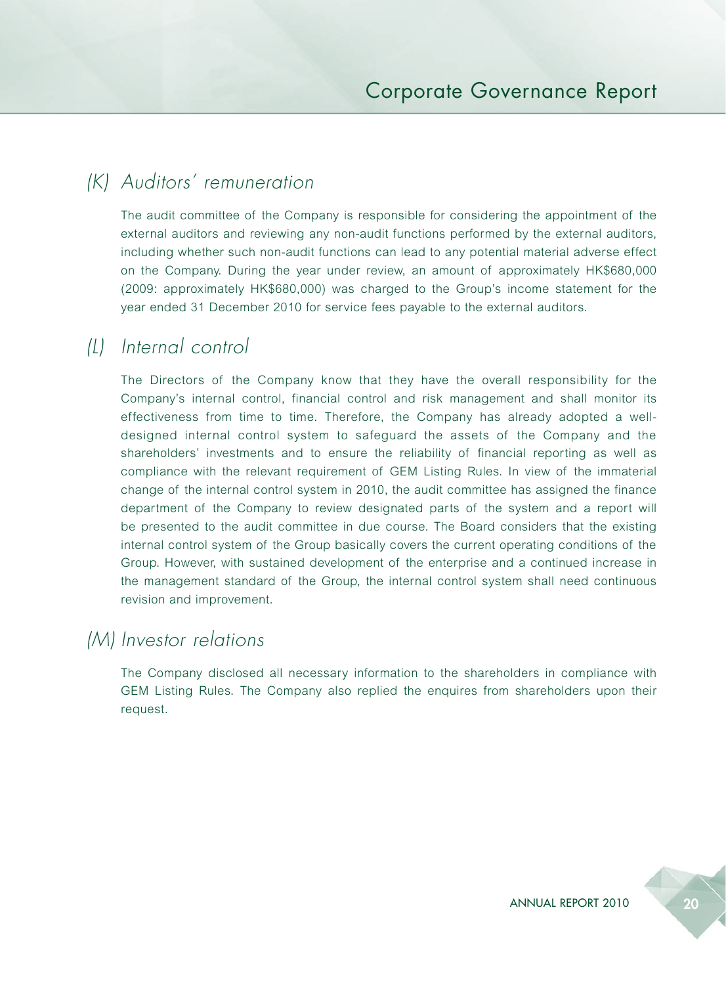# *(K) Auditors' remuneration*

The audit committee of the Company is responsible for considering the appointment of the external auditors and reviewing any non-audit functions performed by the external auditors, including whether such non-audit functions can lead to any potential material adverse effect on the Company. During the year under review, an amount of approximately HK\$680,000 (2009: approximately HK\$680,000) was charged to the Group's income statement for the year ended 31 December 2010 for service fees payable to the external auditors.

### *(L) Internal control*

The Directors of the Company know that they have the overall responsibility for the Company's internal control, financial control and risk management and shall monitor its effectiveness from time to time. Therefore, the Company has already adopted a welldesigned internal control system to safeguard the assets of the Company and the shareholders' investments and to ensure the reliability of financial reporting as well as compliance with the relevant requirement of GEM Listing Rules. In view of the immaterial change of the internal control system in 2010, the audit committee has assigned the finance department of the Company to review designated parts of the system and a report will be presented to the audit committee in due course. The Board considers that the existing internal control system of the Group basically covers the current operating conditions of the Group. However, with sustained development of the enterprise and a continued increase in the management standard of the Group, the internal control system shall need continuous revision and improvement.

### *(M) Investor relations*

The Company disclosed all necessary information to the shareholders in compliance with GEM Listing Rules. The Company also replied the enquires from shareholders upon their request.

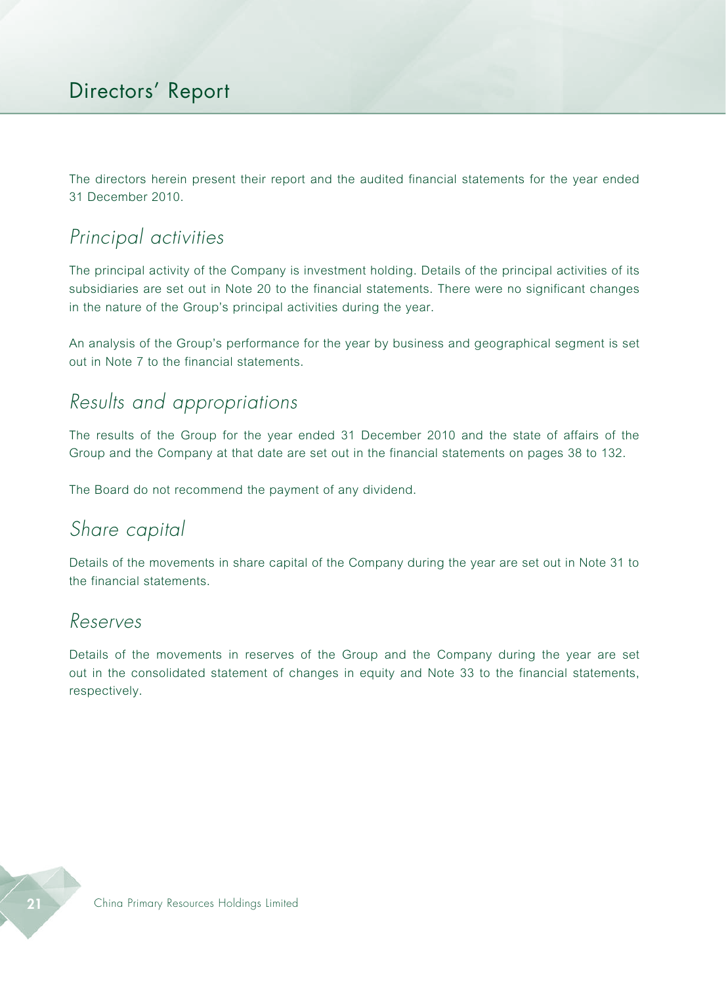The directors herein present their report and the audited financial statements for the year ended 31 December 2010.

# *Principal activities*

The principal activity of the Company is investment holding. Details of the principal activities of its subsidiaries are set out in Note 20 to the financial statements. There were no significant changes in the nature of the Group's principal activities during the year.

An analysis of the Group's performance for the year by business and geographical segment is set out in Note 7 to the financial statements.

# *Results and appropriations*

The results of the Group for the year ended 31 December 2010 and the state of affairs of the Group and the Company at that date are set out in the financial statements on pages 38 to 132.

The Board do not recommend the payment of any dividend.

### *Share capital*

Details of the movements in share capital of the Company during the year are set out in Note 31 to the financial statements.

#### *Reserves*

Details of the movements in reserves of the Group and the Company during the year are set out in the consolidated statement of changes in equity and Note 33 to the financial statements, respectively.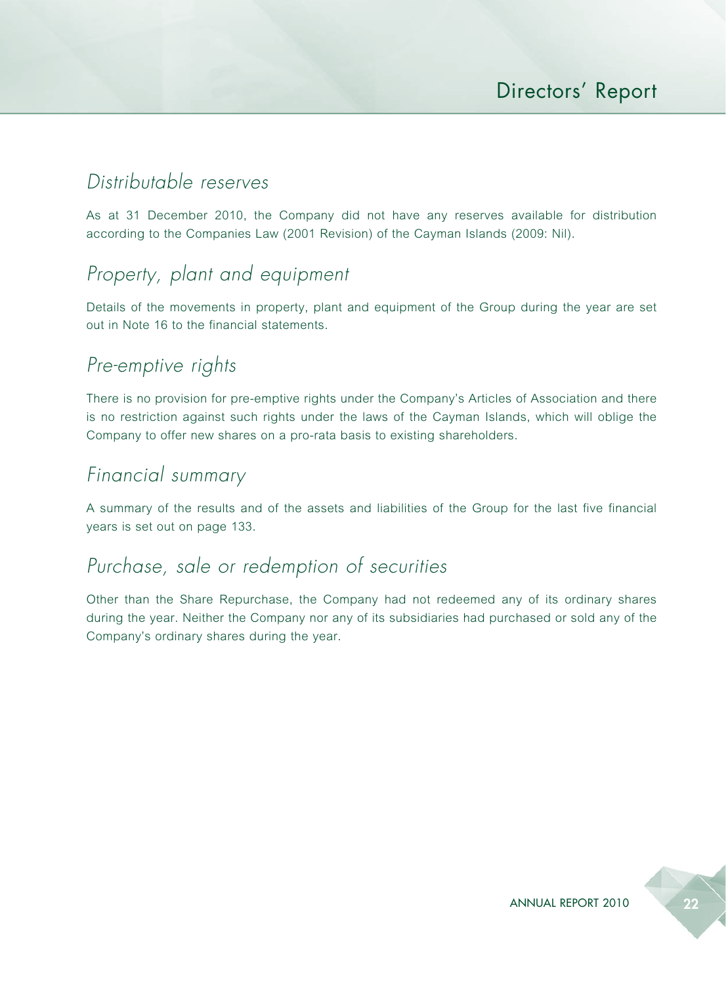# *Distributable reserves*

As at 31 December 2010, the Company did not have any reserves available for distribution according to the Companies Law (2001 Revision) of the Cayman Islands (2009: Nil).

# *Property, plant and equipment*

Details of the movements in property, plant and equipment of the Group during the year are set out in Note 16 to the financial statements.

# *Pre-emptive rights*

There is no provision for pre-emptive rights under the Company's Articles of Association and there is no restriction against such rights under the laws of the Cayman Islands, which will oblige the Company to offer new shares on a pro-rata basis to existing shareholders.

# *Financial summary*

A summary of the results and of the assets and liabilities of the Group for the last five financial years is set out on page 133.

### *Purchase, sale or redemption of securities*

Other than the Share Repurchase, the Company had not redeemed any of its ordinary shares during the year. Neither the Company nor any of its subsidiaries had purchased or sold any of the Company's ordinary shares during the year.

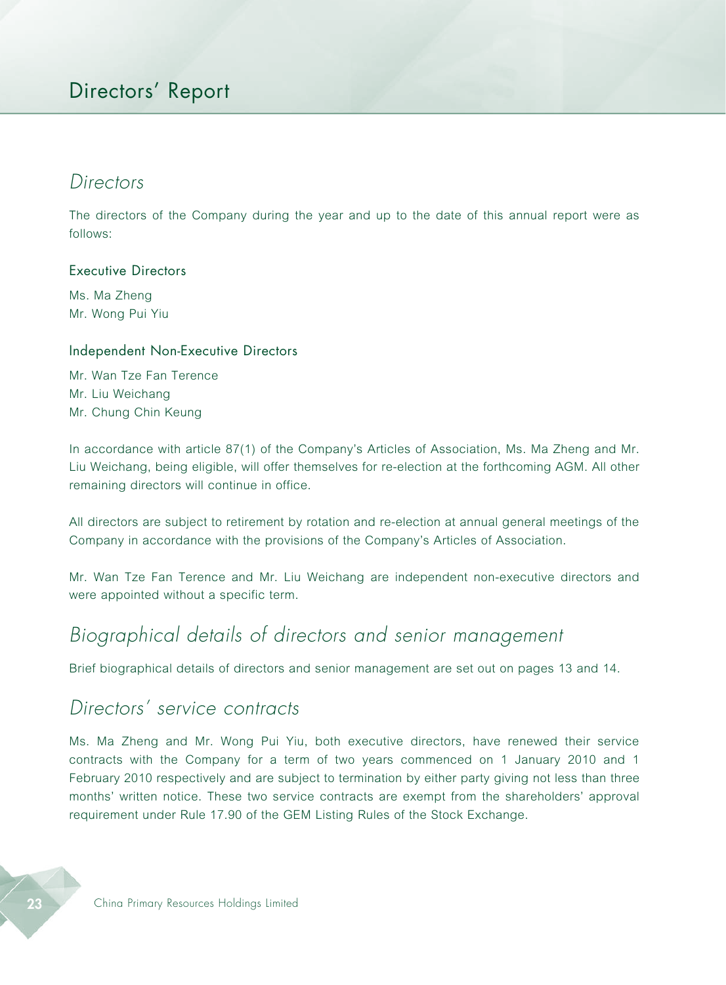### Directors' Report

#### *Directors*

The directors of the Company during the year and up to the date of this annual report were as follows:

#### Executive Directors

Ms. Ma Zheng Mr. Wong Pui Yiu

#### Independent Non-Executive Directors

Mr. Wan Tze Fan Terence Mr. Liu Weichang Mr. Chung Chin Keung

In accordance with article 87(1) of the Company's Articles of Association, Ms. Ma Zheng and Mr. Liu Weichang, being eligible, will offer themselves for re-election at the forthcoming AGM. All other remaining directors will continue in office.

All directors are subject to retirement by rotation and re-election at annual general meetings of the Company in accordance with the provisions of the Company's Articles of Association.

Mr. Wan Tze Fan Terence and Mr. Liu Weichang are independent non-executive directors and were appointed without a specific term.

# *Biographical details of directors and senior management*

Brief biographical details of directors and senior management are set out on pages 13 and 14.

### *Directors' service contracts*

Ms. Ma Zheng and Mr. Wong Pui Yiu, both executive directors, have renewed their service contracts with the Company for a term of two years commenced on 1 January 2010 and 1 February 2010 respectively and are subject to termination by either party giving not less than three months' written notice. These two service contracts are exempt from the shareholders' approval requirement under Rule 17.90 of the GEM Listing Rules of the Stock Exchange.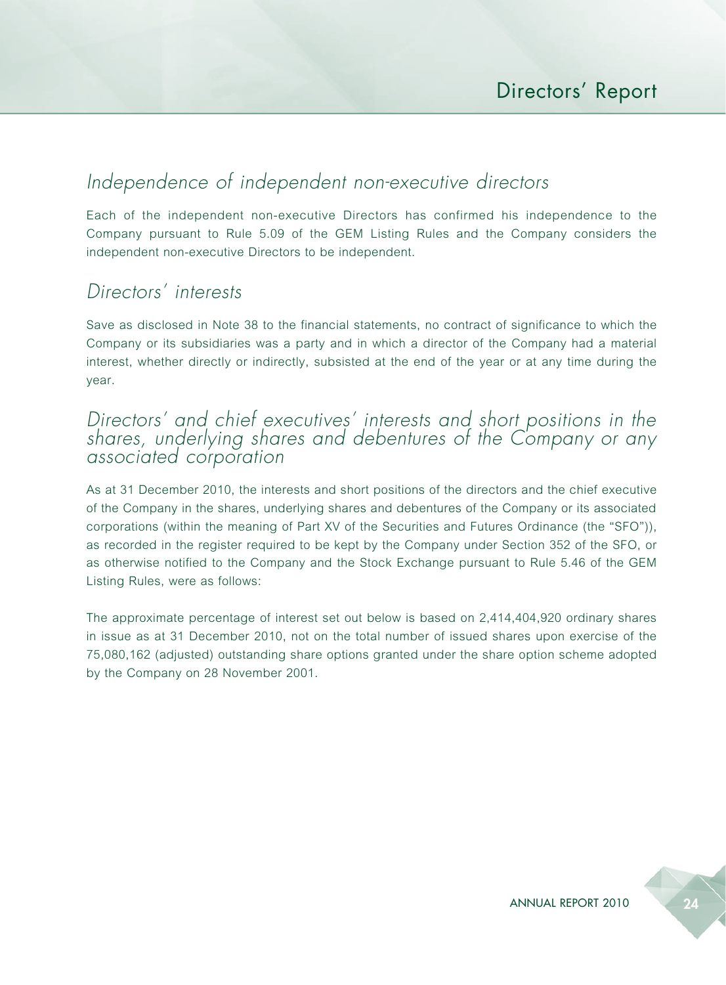# *Independence of independent non-executive directors*

Each of the independent non-executive Directors has confirmed his independence to the Company pursuant to Rule 5.09 of the GEM Listing Rules and the Company considers the independent non-executive Directors to be independent.

### *Directors' interests*

Save as disclosed in Note 38 to the financial statements, no contract of significance to which the Company or its subsidiaries was a party and in which a director of the Company had a material interest, whether directly or indirectly, subsisted at the end of the year or at any time during the year.

#### *Directors' and chief executives' interests and short positions in the shares, underlying shares and debentures of the Company or any associated corporation*

As at 31 December 2010, the interests and short positions of the directors and the chief executive of the Company in the shares, underlying shares and debentures of the Company or its associated corporations (within the meaning of Part XV of the Securities and Futures Ordinance (the "SFO")), as recorded in the register required to be kept by the Company under Section 352 of the SFO, or as otherwise notified to the Company and the Stock Exchange pursuant to Rule 5.46 of the GEM Listing Rules, were as follows:

The approximate percentage of interest set out below is based on 2,414,404,920 ordinary shares in issue as at 31 December 2010, not on the total number of issued shares upon exercise of the 75,080,162 (adjusted) outstanding share options granted under the share option scheme adopted by the Company on 28 November 2001.

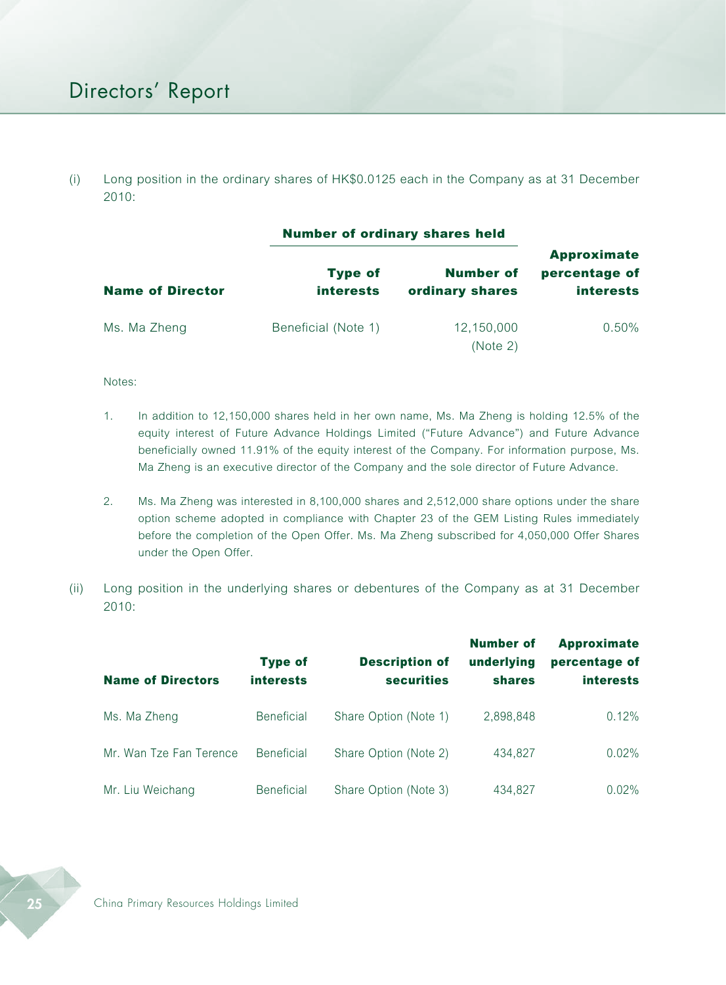(i) Long position in the ordinary shares of HK\$0.0125 each in the Company as at 31 December 2010:

|                         |                                    | <b>Number of ordinary shares held</b> |                                                         |  |  |
|-------------------------|------------------------------------|---------------------------------------|---------------------------------------------------------|--|--|
| <b>Name of Director</b> | <b>Type of</b><br><b>interests</b> | <b>Number of</b><br>ordinary shares   | <b>Approximate</b><br>percentage of<br><b>interests</b> |  |  |
| Ms. Ma Zheng            | Beneficial (Note 1)                | 12,150,000<br>(Note 2)                | 0.50%                                                   |  |  |

Notes:

- 1. In addition to 12,150,000 shares held in her own name, Ms. Ma Zheng is holding 12.5% of the equity interest of Future Advance Holdings Limited ("Future Advance") and Future Advance beneficially owned 11.91% of the equity interest of the Company. For information purpose, Ms. Ma Zheng is an executive director of the Company and the sole director of Future Advance.
- 2. Ms. Ma Zheng was interested in 8,100,000 shares and 2,512,000 share options under the share option scheme adopted in compliance with Chapter 23 of the GEM Listing Rules immediately before the completion of the Open Offer. Ms. Ma Zheng subscribed for 4,050,000 Offer Shares under the Open Offer.
- (ii) Long position in the underlying shares or debentures of the Company as at 31 December 2010:

| <b>Name of Directors</b> | <b>Type of</b><br><b>interests</b> | <b>Description of</b><br><b>securities</b> | <b>Number of</b><br>underlying<br><b>shares</b> | <b>Approximate</b><br>percentage of<br><b>interests</b> |
|--------------------------|------------------------------------|--------------------------------------------|-------------------------------------------------|---------------------------------------------------------|
| Ms. Ma Zheng             | <b>Beneficial</b>                  | Share Option (Note 1)                      | 2,898,848                                       | 0.12%                                                   |
| Mr. Wan Tze Fan Terence  | <b>Beneficial</b>                  | Share Option (Note 2)                      | 434.827                                         | 0.02%                                                   |
| Mr. Liu Weichang         | <b>Beneficial</b>                  | Share Option (Note 3)                      | 434,827                                         | $0.02\%$                                                |

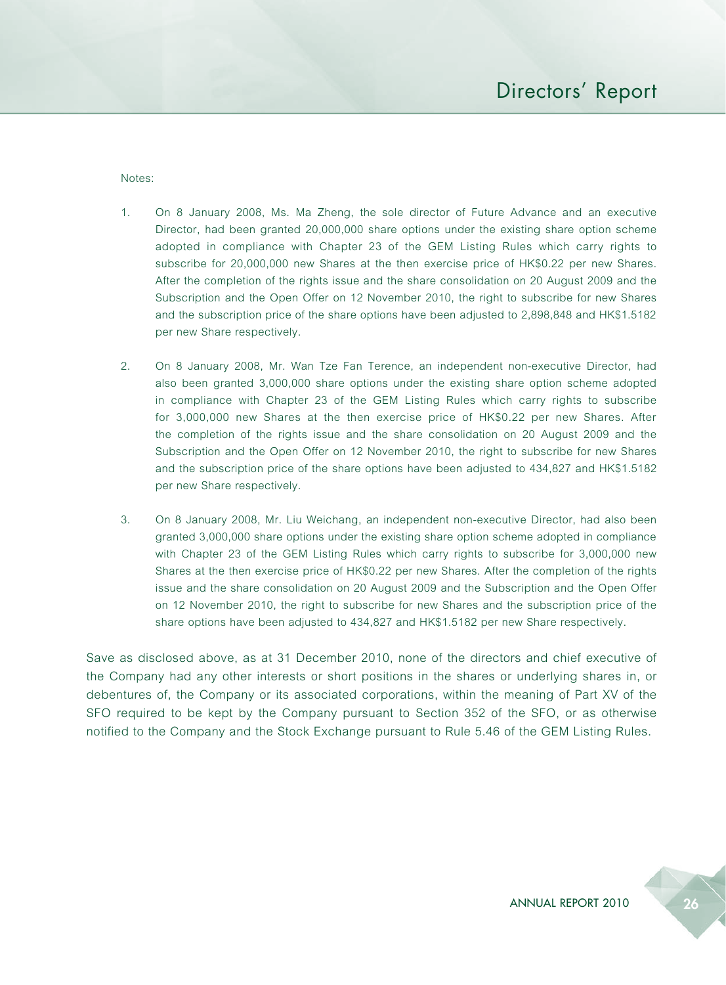Notes:

- 1. On 8 January 2008, Ms. Ma Zheng, the sole director of Future Advance and an executive Director, had been granted 20,000,000 share options under the existing share option scheme adopted in compliance with Chapter 23 of the GEM Listing Rules which carry rights to subscribe for 20,000,000 new Shares at the then exercise price of HK\$0.22 per new Shares. After the completion of the rights issue and the share consolidation on 20 August 2009 and the Subscription and the Open Offer on 12 November 2010, the right to subscribe for new Shares and the subscription price of the share options have been adjusted to 2,898,848 and HK\$1.5182 per new Share respectively.
- 2. On 8 January 2008, Mr. Wan Tze Fan Terence, an independent non-executive Director, had also been granted 3,000,000 share options under the existing share option scheme adopted in compliance with Chapter 23 of the GEM Listing Rules which carry rights to subscribe for 3,000,000 new Shares at the then exercise price of HK\$0.22 per new Shares. After the completion of the rights issue and the share consolidation on 20 August 2009 and the Subscription and the Open Offer on 12 November 2010, the right to subscribe for new Shares and the subscription price of the share options have been adjusted to 434,827 and HK\$1.5182 per new Share respectively.
- 3. On 8 January 2008, Mr. Liu Weichang, an independent non-executive Director, had also been granted 3,000,000 share options under the existing share option scheme adopted in compliance with Chapter 23 of the GEM Listing Rules which carry rights to subscribe for 3,000,000 new Shares at the then exercise price of HK\$0.22 per new Shares. After the completion of the rights issue and the share consolidation on 20 August 2009 and the Subscription and the Open Offer on 12 November 2010, the right to subscribe for new Shares and the subscription price of the share options have been adjusted to 434,827 and HK\$1.5182 per new Share respectively.

Save as disclosed above, as at 31 December 2010, none of the directors and chief executive of the Company had any other interests or short positions in the shares or underlying shares in, or debentures of, the Company or its associated corporations, within the meaning of Part XV of the SFO required to be kept by the Company pursuant to Section 352 of the SFO, or as otherwise notified to the Company and the Stock Exchange pursuant to Rule 5.46 of the GEM Listing Rules.

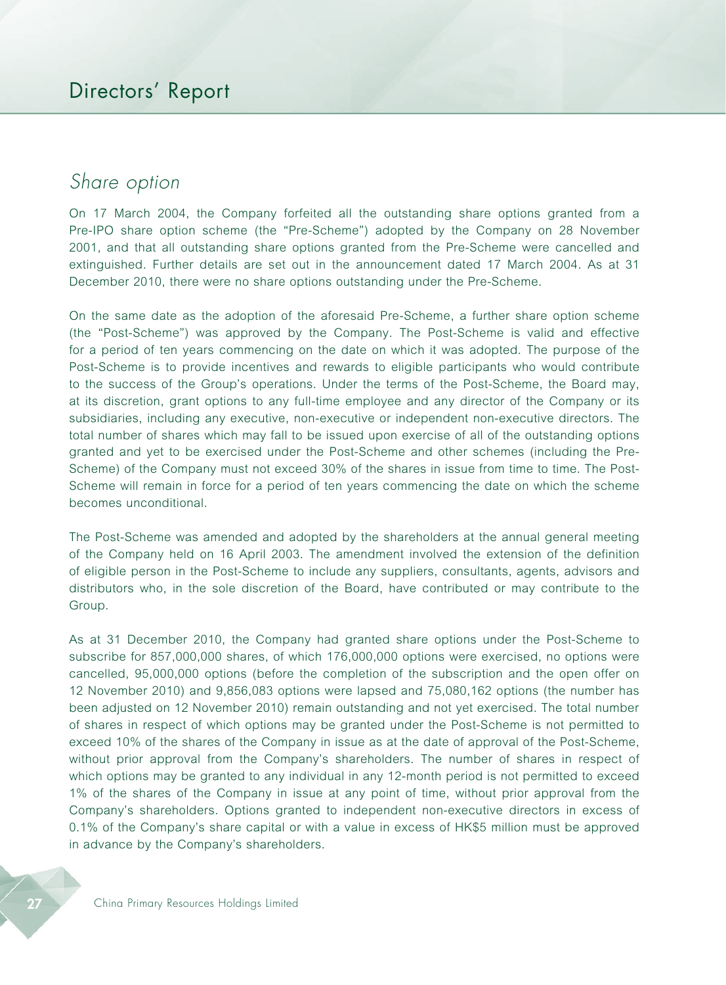# *Share option*

On 17 March 2004, the Company forfeited all the outstanding share options granted from a Pre-IPO share option scheme (the "Pre-Scheme") adopted by the Company on 28 November 2001, and that all outstanding share options granted from the Pre-Scheme were cancelled and extinguished. Further details are set out in the announcement dated 17 March 2004. As at 31 December 2010, there were no share options outstanding under the Pre-Scheme.

On the same date as the adoption of the aforesaid Pre-Scheme, a further share option scheme (the "Post-Scheme") was approved by the Company. The Post-Scheme is valid and effective for a period of ten years commencing on the date on which it was adopted. The purpose of the Post-Scheme is to provide incentives and rewards to eligible participants who would contribute to the success of the Group's operations. Under the terms of the Post-Scheme, the Board may, at its discretion, grant options to any full-time employee and any director of the Company or its subsidiaries, including any executive, non-executive or independent non-executive directors. The total number of shares which may fall to be issued upon exercise of all of the outstanding options granted and yet to be exercised under the Post-Scheme and other schemes (including the Pre-Scheme) of the Company must not exceed 30% of the shares in issue from time to time. The Post-Scheme will remain in force for a period of ten years commencing the date on which the scheme becomes unconditional.

The Post-Scheme was amended and adopted by the shareholders at the annual general meeting of the Company held on 16 April 2003. The amendment involved the extension of the definition of eligible person in the Post-Scheme to include any suppliers, consultants, agents, advisors and distributors who, in the sole discretion of the Board, have contributed or may contribute to the Group.

As at 31 December 2010, the Company had granted share options under the Post-Scheme to subscribe for 857,000,000 shares, of which 176,000,000 options were exercised, no options were cancelled, 95,000,000 options (before the completion of the subscription and the open offer on 12 November 2010) and 9,856,083 options were lapsed and 75,080,162 options (the number has been adjusted on 12 November 2010) remain outstanding and not yet exercised. The total number of shares in respect of which options may be granted under the Post-Scheme is not permitted to exceed 10% of the shares of the Company in issue as at the date of approval of the Post-Scheme, without prior approval from the Company's shareholders. The number of shares in respect of which options may be granted to any individual in any 12-month period is not permitted to exceed 1% of the shares of the Company in issue at any point of time, without prior approval from the Company's shareholders. Options granted to independent non-executive directors in excess of 0.1% of the Company's share capital or with a value in excess of HK\$5 million must be approved in advance by the Company's shareholders.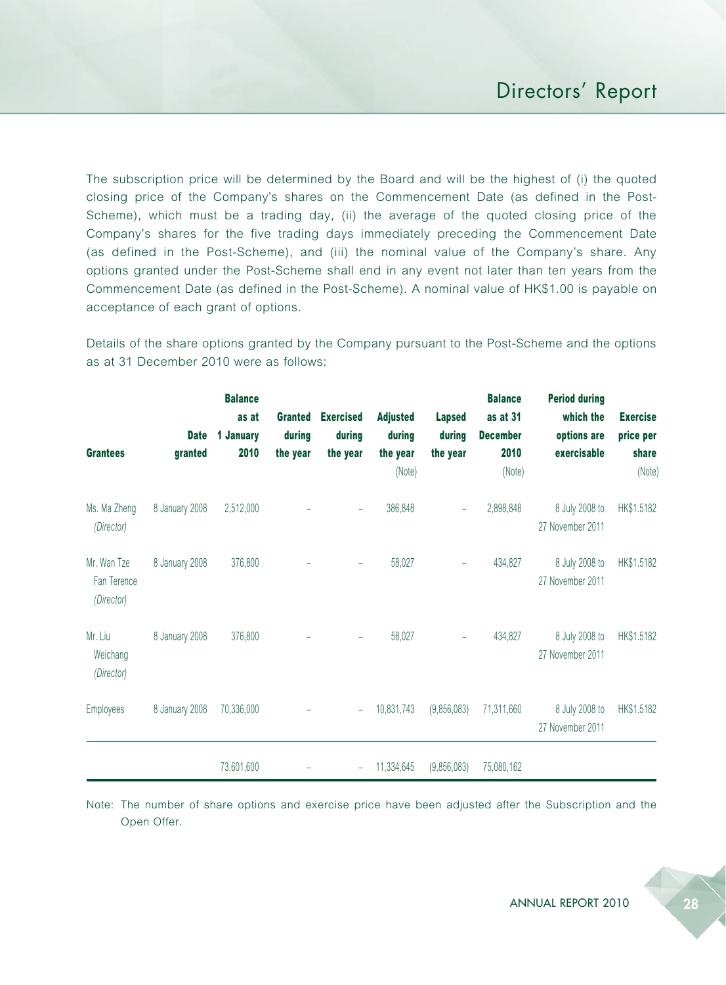The subscription price will be determined by the Board and will be the highest of (i) the quoted closing price of the Company's shares on the Commencement Date (as defined in the Post-Scheme), which must be a trading day, (ii) the average of the quoted closing price of the Company's shares for the five trading days immediately preceding the Commencement Date (as defined in the Post-Scheme), and (iii) the nominal value of the Company's share. Any options granted under the Post-Scheme shall end in any event not later than ten years from the Commencement Date (as defined in the Post-Scheme). A nominal value of HK\$1.00 is payable on acceptance of each grant of options.

Details of the share options granted by the Company pursuant to the Post-Scheme and the options as at 31 December 2010 were as follows:

| <b>Grantees</b>                          | <b>Date</b><br>granted | <b>Balance</b><br>as at<br>1 January<br>2010 | <b>Granted</b><br>during<br>the year | <b>Exercised</b><br>during<br>the year | <b>Adjusted</b><br>during<br>the year<br>(Note) | <b>Lapsed</b><br>during<br>the year | <b>Balance</b><br>as at 31<br><b>December</b><br>2010<br>(Note) | <b>Period during</b><br>which the<br>options are<br>exercisable | <b>Exercise</b><br>price per<br>share<br>(Note) |
|------------------------------------------|------------------------|----------------------------------------------|--------------------------------------|----------------------------------------|-------------------------------------------------|-------------------------------------|-----------------------------------------------------------------|-----------------------------------------------------------------|-------------------------------------------------|
| Ms. Ma Zheng<br>(Director)               | 8 January 2008         | 2,512,000                                    |                                      |                                        | 386,848                                         |                                     | 2,898,848                                                       | 8 July 2008 to<br>27 November 2011                              | HK\$1.5182                                      |
| Mr. Wan Tze<br>Fan Terence<br>(Director) | 8 January 2008         | 376,800                                      |                                      |                                        | 58,027                                          | $\overline{\phantom{0}}$            | 434,827                                                         | 8 July 2008 to<br>27 November 2011                              | HK\$1.5182                                      |
| Mr. Liu<br>Weichang<br>(Director)        | 8 January 2008         | 376,800                                      |                                      |                                        | 58,027                                          | $\overline{\phantom{0}}$            | 434,827                                                         | 8 July 2008 to<br>27 November 2011                              | HK\$1.5182                                      |
| <b>Employees</b>                         | 8 January 2008         | 70,336,000                                   |                                      |                                        | 10,831,743                                      | (9,856,083)                         | 71,311,660                                                      | 8 July 2008 to<br>27 November 2011                              | HK\$1.5182                                      |
|                                          |                        | 73,601,600                                   |                                      |                                        | 11,334,645                                      | (9,856,083)                         | 75,080,162                                                      |                                                                 |                                                 |

Note: The number of share options and exercise price have been adjusted after the Subscription and the Open Offer.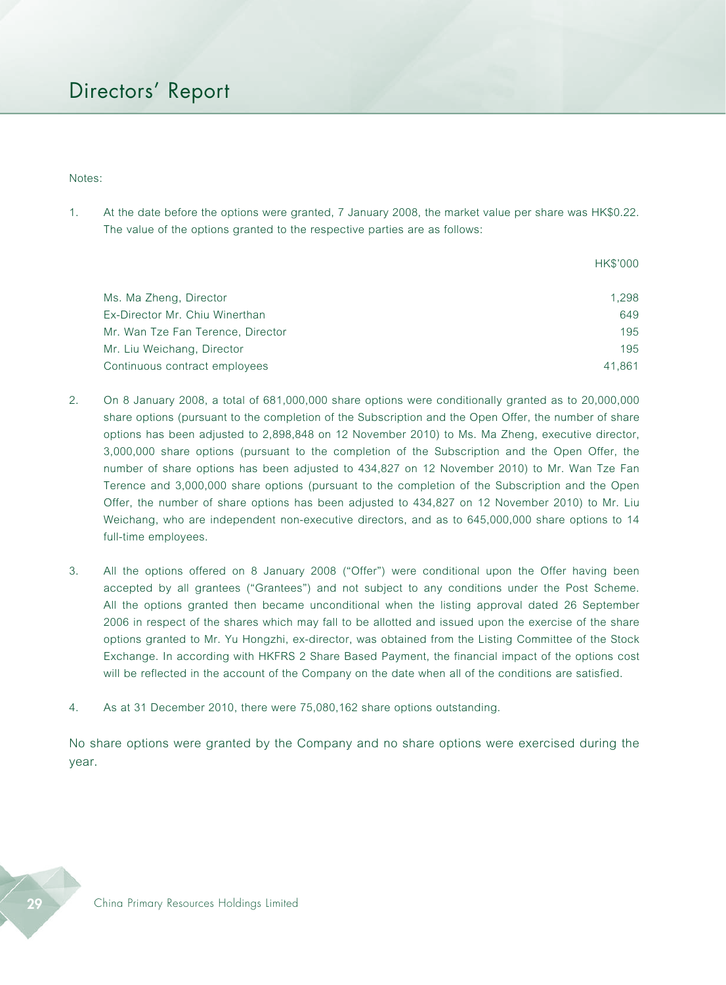#### Notes:

1. At the date before the options were granted, 7 January 2008, the market value per share was HK\$0.22. The value of the options granted to the respective parties are as follows:

|                                   | <b>HK\$'000</b> |
|-----------------------------------|-----------------|
| Ms. Ma Zheng, Director            | 1.298           |
| Ex-Director Mr. Chiu Winerthan    | 649             |
| Mr. Wan Tze Fan Terence, Director | 195             |
| Mr. Liu Weichang, Director        | 195             |
| Continuous contract employees     | 41.861          |

- 2. On 8 January 2008, a total of 681,000,000 share options were conditionally granted as to 20,000,000 share options (pursuant to the completion of the Subscription and the Open Offer, the number of share options has been adjusted to 2,898,848 on 12 November 2010) to Ms. Ma Zheng, executive director, 3,000,000 share options (pursuant to the completion of the Subscription and the Open Offer, the number of share options has been adjusted to 434,827 on 12 November 2010) to Mr. Wan Tze Fan Terence and 3,000,000 share options (pursuant to the completion of the Subscription and the Open Offer, the number of share options has been adjusted to 434,827 on 12 November 2010) to Mr. Liu Weichang, who are independent non-executive directors, and as to 645,000,000 share options to 14 full-time employees.
- 3. All the options offered on 8 January 2008 ("Offer") were conditional upon the Offer having been accepted by all grantees ("Grantees") and not subject to any conditions under the Post Scheme. All the options granted then became unconditional when the listing approval dated 26 September 2006 in respect of the shares which may fall to be allotted and issued upon the exercise of the share options granted to Mr. Yu Hongzhi, ex-director, was obtained from the Listing Committee of the Stock Exchange. In according with HKFRS 2 Share Based Payment, the financial impact of the options cost will be reflected in the account of the Company on the date when all of the conditions are satisfied.
- 4. As at 31 December 2010, there were 75,080,162 share options outstanding.

No share options were granted by the Company and no share options were exercised during the year.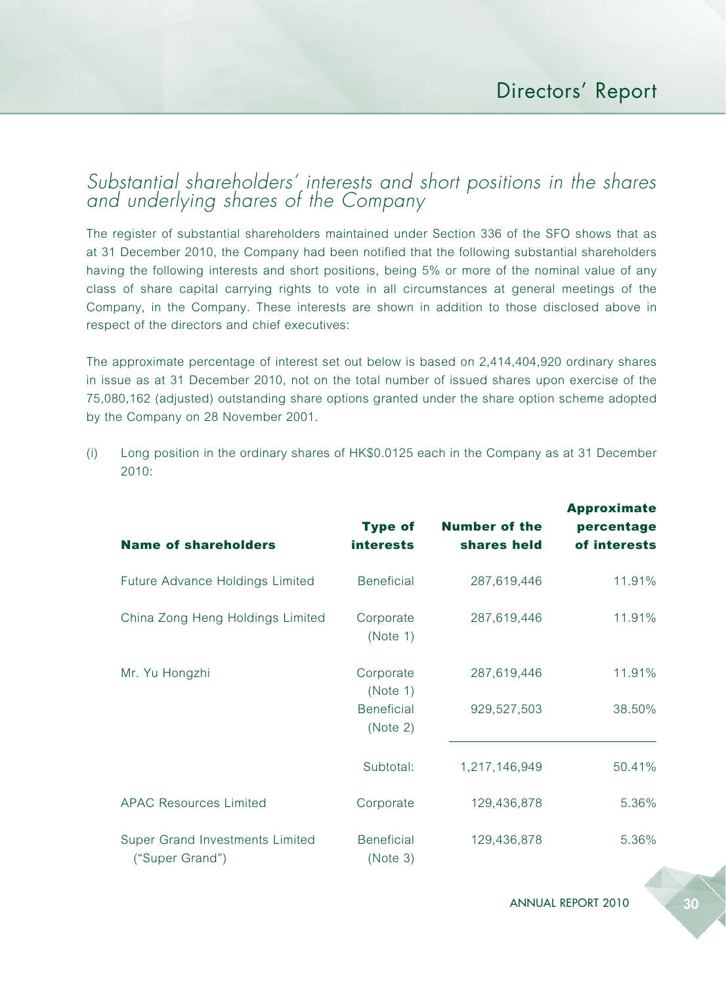### *Substantial shareholders' interests and short positions in the shares and underlying shares of the Company*

The register of substantial shareholders maintained under Section 336 of the SFO shows that as at 31 December 2010, the Company had been notified that the following substantial shareholders having the following interests and short positions, being 5% or more of the nominal value of any class of share capital carrying rights to vote in all circumstances at general meetings of the Company, in the Company. These interests are shown in addition to those disclosed above in respect of the directors and chief executives:

The approximate percentage of interest set out below is based on 2,414,404,920 ordinary shares in issue as at 31 December 2010, not on the total number of issued shares upon exercise of the 75,080,162 (adjusted) outstanding share options granted under the share option scheme adopted by the Company on 28 November 2001.

(i) Long position in the ordinary shares of HK\$0.0125 each in the Company as at 31 December 2010:

| <b>Name of shareholders</b>                        | <b>Type of</b><br><b>interests</b>                     | <b>Number of the</b><br>shares held | <b>Approximate</b><br>percentage<br>of interests |
|----------------------------------------------------|--------------------------------------------------------|-------------------------------------|--------------------------------------------------|
| Future Advance Holdings Limited                    | <b>Beneficial</b>                                      | 287,619,446                         | 11.91%                                           |
| China Zong Heng Holdings Limited                   | Corporate<br>(Note 1)                                  | 287,619,446                         | 11.91%                                           |
| Mr. Yu Hongzhi                                     | Corporate<br>(Note 1)<br><b>Beneficial</b><br>(Note 2) | 287,619,446<br>929,527,503          | 11.91%<br>38.50%                                 |
|                                                    | Subtotal:                                              | 1,217,146,949                       | 50.41%                                           |
| <b>APAC Resources Limited</b>                      | Corporate                                              | 129,436,878                         | 5.36%                                            |
| Super Grand Investments Limited<br>("Super Grand") | <b>Beneficial</b><br>(Note 3)                          | 129,436,878                         | 5.36%                                            |

ANNUAL REPORT 2010 30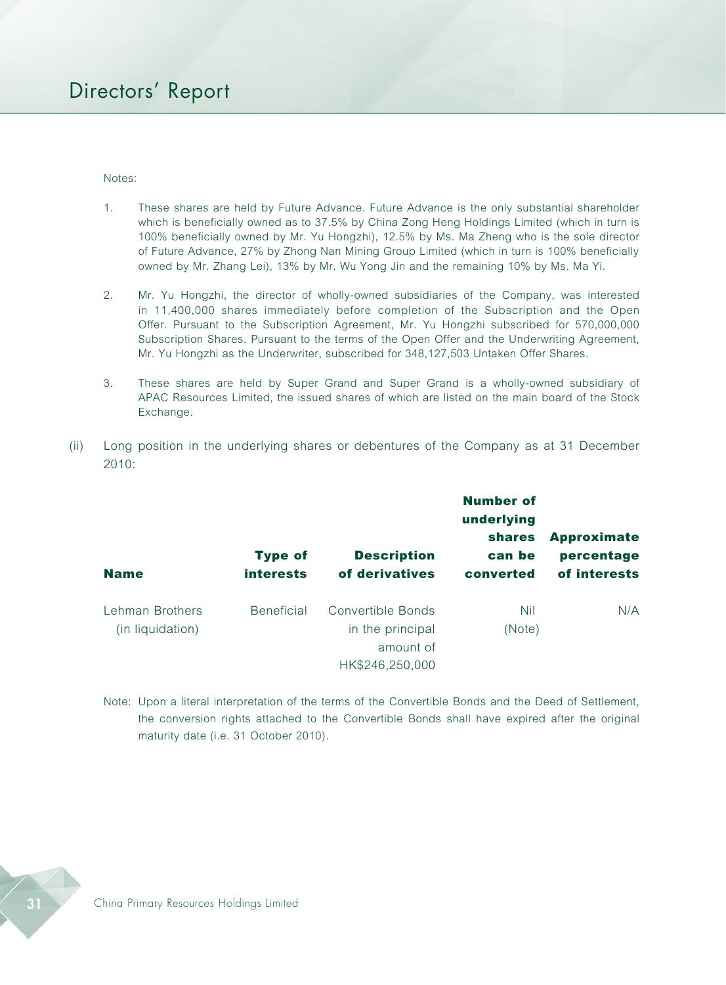Notes:

- 1. These shares are held by Future Advance. Future Advance is the only substantial shareholder which is beneficially owned as to 37.5% by China Zong Heng Holdings Limited (which in turn is 100% beneficially owned by Mr. Yu Hongzhi), 12.5% by Ms. Ma Zheng who is the sole director of Future Advance, 27% by Zhong Nan Mining Group Limited (which in turn is 100% beneficially owned by Mr. Zhang Lei), 13% by Mr. Wu Yong Jin and the remaining 10% by Ms. Ma Yi.
- 2. Mr. Yu Hongzhi, the director of wholly-owned subsidiaries of the Company, was interested in 11,400,000 shares immediately before completion of the Subscription and the Open Offer. Pursuant to the Subscription Agreement, Mr. Yu Hongzhi subscribed for 570,000,000 Subscription Shares. Pursuant to the terms of the Open Offer and the Underwriting Agreement, Mr. Yu Hongzhi as the Underwriter, subscribed for 348,127,503 Untaken Offer Shares.
- 3. These shares are held by Super Grand and Super Grand is a wholly-owned subsidiary of APAC Resources Limited, the issued shares of which are listed on the main board of the Stock Exchange.
- (ii) Long position in the underlying shares or debentures of the Company as at 31 December 2010:

|                                     | <b>Type of</b>    | <b>Description</b>                    | <b>Number of</b><br>underlying<br><b>shares</b><br>can be | <b>Approximate</b><br>percentage |
|-------------------------------------|-------------------|---------------------------------------|-----------------------------------------------------------|----------------------------------|
| <b>Name</b>                         | <i>interests</i>  | of derivatives                        | converted                                                 | of interests                     |
| Lehman Brothers<br>(in liquidation) | <b>Beneficial</b> | Convertible Bonds<br>in the principal | Nil<br>(Note)                                             | N/A                              |
|                                     |                   | amount of<br>HK\$246,250,000          |                                                           |                                  |

Note: Upon a literal interpretation of the terms of the Convertible Bonds and the Deed of Settlement, the conversion rights attached to the Convertible Bonds shall have expired after the original maturity date (i.e. 31 October 2010).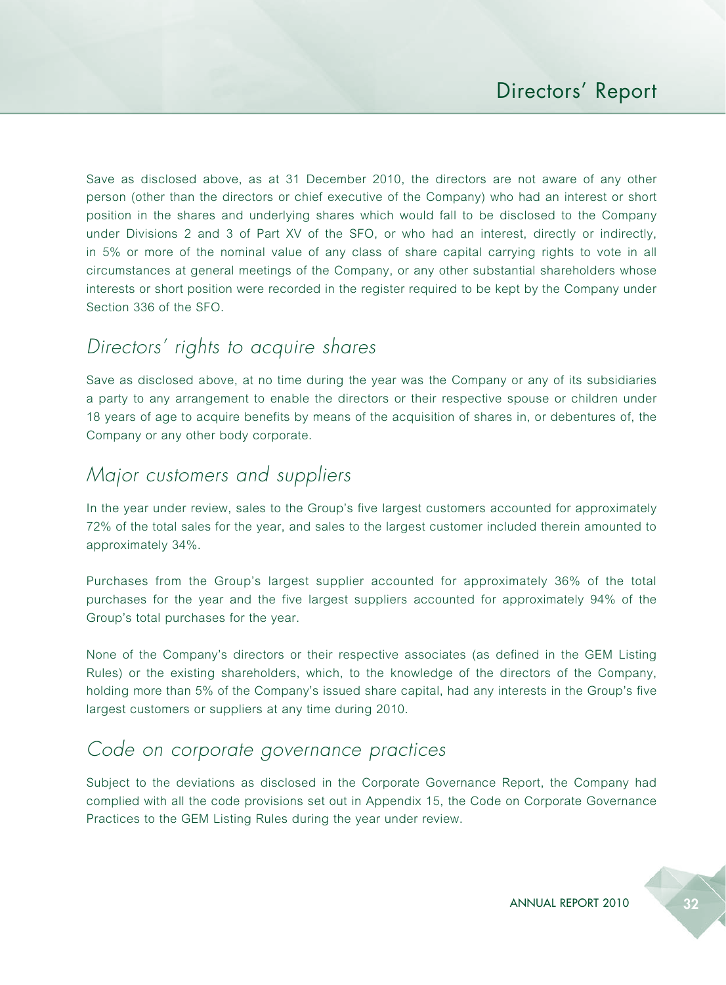Save as disclosed above, as at 31 December 2010, the directors are not aware of any other person (other than the directors or chief executive of the Company) who had an interest or short position in the shares and underlying shares which would fall to be disclosed to the Company under Divisions 2 and 3 of Part XV of the SFO, or who had an interest, directly or indirectly, in 5% or more of the nominal value of any class of share capital carrying rights to vote in all circumstances at general meetings of the Company, or any other substantial shareholders whose interests or short position were recorded in the register required to be kept by the Company under Section 336 of the SFO.

# *Directors' rights to acquire shares*

Save as disclosed above, at no time during the year was the Company or any of its subsidiaries a party to any arrangement to enable the directors or their respective spouse or children under 18 years of age to acquire benefits by means of the acquisition of shares in, or debentures of, the Company or any other body corporate.

# *Major customers and suppliers*

In the year under review, sales to the Group's five largest customers accounted for approximately 72% of the total sales for the year, and sales to the largest customer included therein amounted to approximately 34%.

Purchases from the Group's largest supplier accounted for approximately 36% of the total purchases for the year and the five largest suppliers accounted for approximately 94% of the Group's total purchases for the year.

None of the Company's directors or their respective associates (as defined in the GEM Listing Rules) or the existing shareholders, which, to the knowledge of the directors of the Company, holding more than 5% of the Company's issued share capital, had any interests in the Group's five largest customers or suppliers at any time during 2010.

### *Code on corporate governance practices*

Subject to the deviations as disclosed in the Corporate Governance Report, the Company had complied with all the code provisions set out in Appendix 15, the Code on Corporate Governance Practices to the GEM Listing Rules during the year under review.

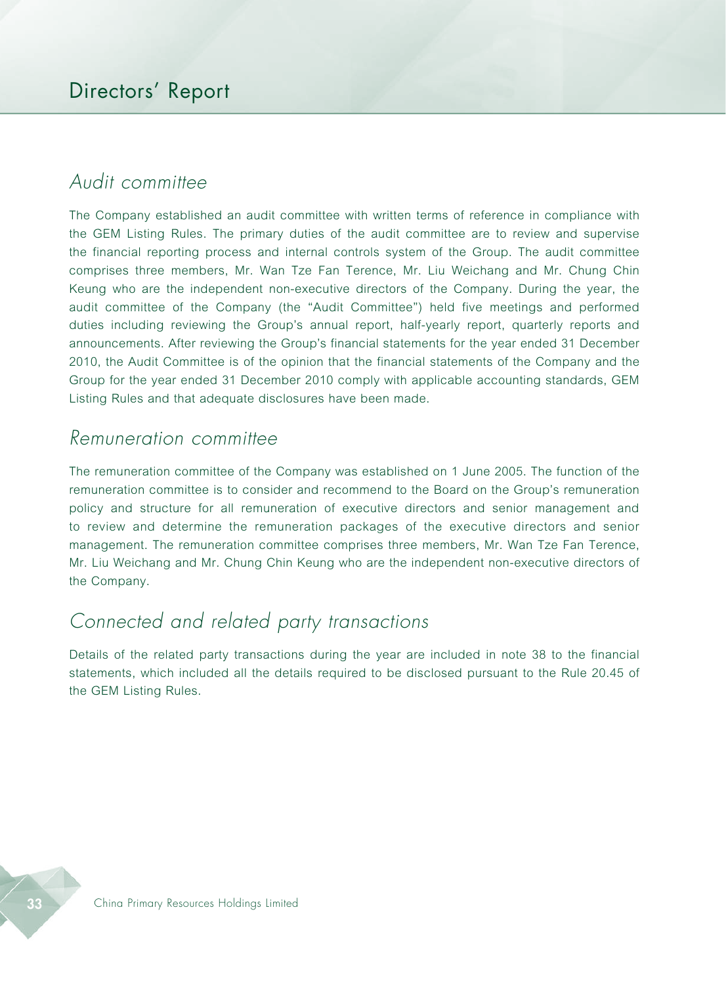# *Audit committee*

The Company established an audit committee with written terms of reference in compliance with the GEM Listing Rules. The primary duties of the audit committee are to review and supervise the financial reporting process and internal controls system of the Group. The audit committee comprises three members, Mr. Wan Tze Fan Terence, Mr. Liu Weichang and Mr. Chung Chin Keung who are the independent non-executive directors of the Company. During the year, the audit committee of the Company (the "Audit Committee") held five meetings and performed duties including reviewing the Group's annual report, half-yearly report, quarterly reports and announcements. After reviewing the Group's financial statements for the year ended 31 December 2010, the Audit Committee is of the opinion that the financial statements of the Company and the Group for the year ended 31 December 2010 comply with applicable accounting standards, GEM Listing Rules and that adequate disclosures have been made.

### *Remuneration committee*

The remuneration committee of the Company was established on 1 June 2005. The function of the remuneration committee is to consider and recommend to the Board on the Group's remuneration policy and structure for all remuneration of executive directors and senior management and to review and determine the remuneration packages of the executive directors and senior management. The remuneration committee comprises three members, Mr. Wan Tze Fan Terence, Mr. Liu Weichang and Mr. Chung Chin Keung who are the independent non-executive directors of the Company.

# *Connected and related party transactions*

Details of the related party transactions during the year are included in note 38 to the financial statements, which included all the details required to be disclosed pursuant to the Rule 20.45 of the GEM Listing Rules.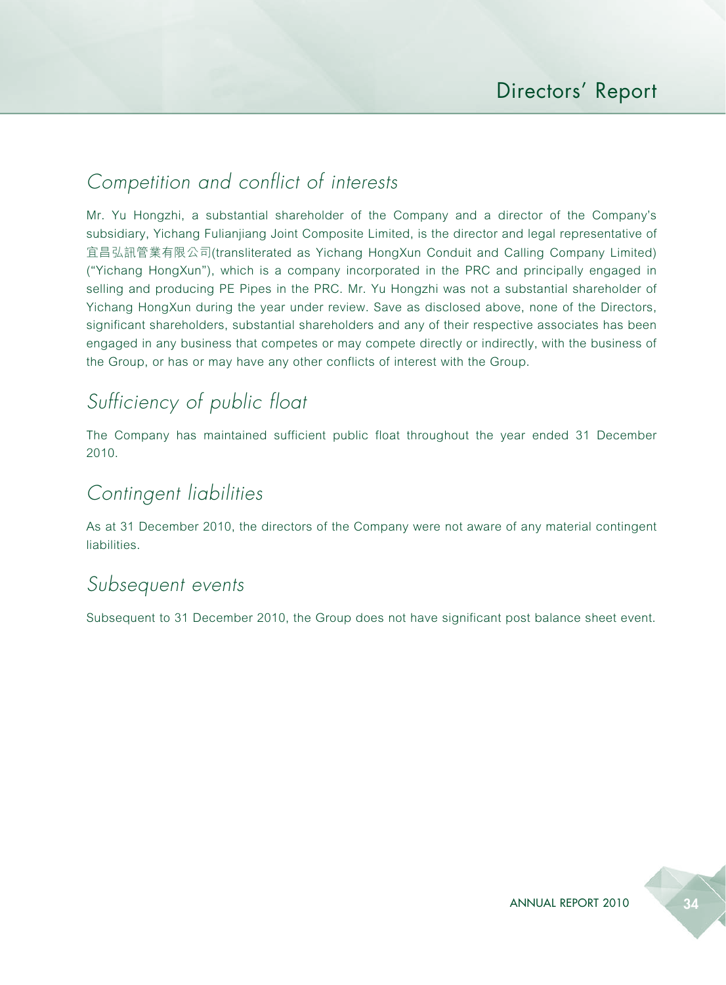# *Competition and conflict of interests*

Mr. Yu Hongzhi, a substantial shareholder of the Company and a director of the Company's subsidiary, Yichang Fulianjiang Joint Composite Limited, is the director and legal representative of 宜昌弘訊管業有限公司(transliterated as Yichang HongXun Conduit and Calling Company Limited) ("Yichang HongXun"), which is a company incorporated in the PRC and principally engaged in selling and producing PE Pipes in the PRC. Mr. Yu Hongzhi was not a substantial shareholder of Yichang HongXun during the year under review. Save as disclosed above, none of the Directors, significant shareholders, substantial shareholders and any of their respective associates has been engaged in any business that competes or may compete directly or indirectly, with the business of the Group, or has or may have any other conflicts of interest with the Group.

# *Sufficiency of public float*

The Company has maintained sufficient public float throughout the year ended 31 December 2010.

# *Contingent liabilities*

As at 31 December 2010, the directors of the Company were not aware of any material contingent liabilities.

### *Subsequent events*

Subsequent to 31 December 2010, the Group does not have significant post balance sheet event.

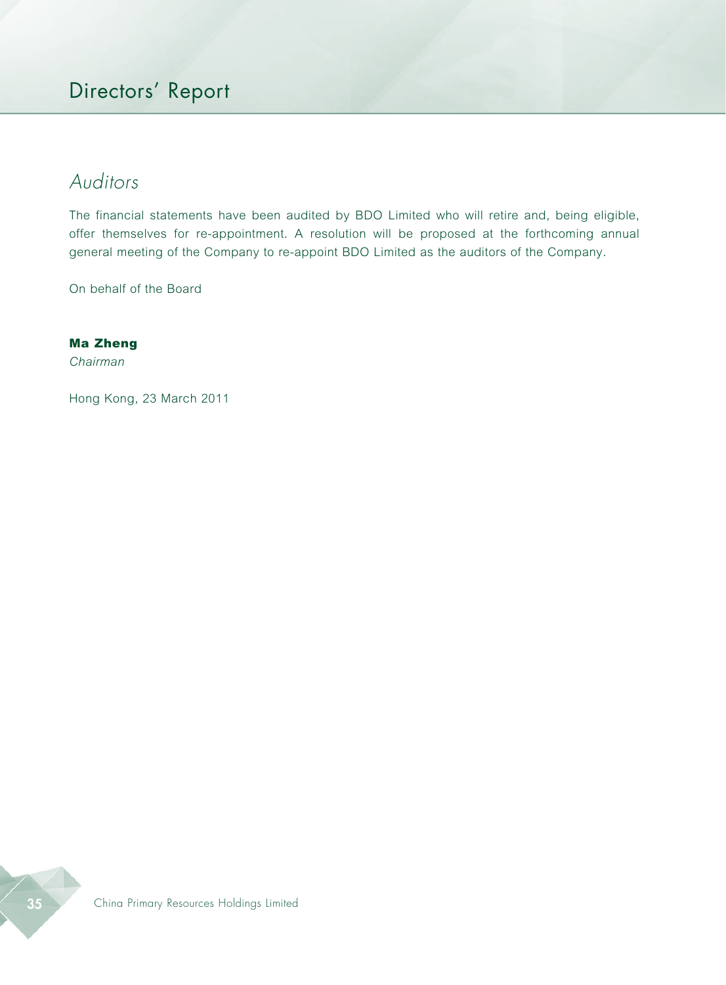# *Auditors*

The financial statements have been audited by BDO Limited who will retire and, being eligible, offer themselves for re-appointment. A resolution will be proposed at the forthcoming annual general meeting of the Company to re-appoint BDO Limited as the auditors of the Company.

On behalf of the Board

#### Ma Zheng

*Chairman*

Hong Kong, 23 March 2011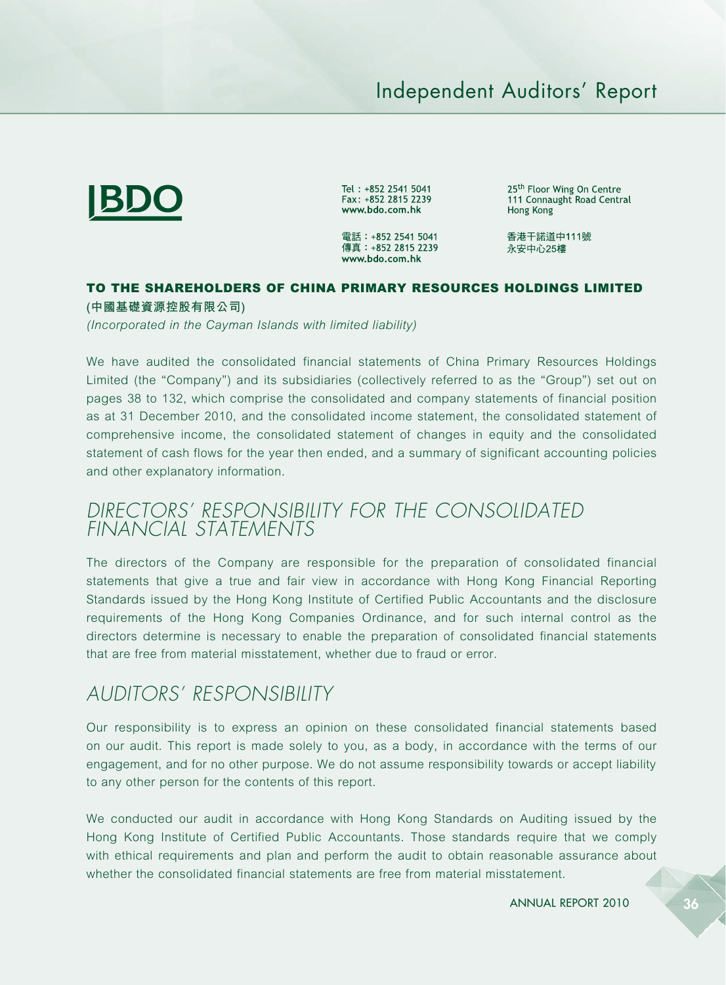## Independent Auditors' Report



Tel: +852 2541 5041 Fax: +852 2815 2239 www.bdo.com.hk

電話: +852 2541 5041 傳真: +852 2815 2239 www.bdo.com.hk

25<sup>th</sup> Floor Wing On Centre 111 Connaught Road Central Hong Kong

香港干諾道中111號 永安中心25樓

### TO THE SHAREHOLDERS OF CHINA PRIMARY RESOURCES HOLDINGS LIMITED

**(中國基礎資源控股有限公司)**

*(Incorporated in the Cayman Islands with limited liability)*

We have audited the consolidated financial statements of China Primary Resources Holdings Limited (the "Company") and its subsidiaries (collectively referred to as the "Group") set out on pages 38 to 132, which comprise the consolidated and company statements of financial position as at 31 December 2010, and the consolidated income statement, the consolidated statement of comprehensive income, the consolidated statement of changes in equity and the consolidated statement of cash flows for the year then ended, and a summary of significant accounting policies and other explanatory information.

### *DIRECTORS' RESPONSIBILITY FOR THE CONSOLIDATED FINANCIAL STATEMENTS*

The directors of the Company are responsible for the preparation of consolidated financial statements that give a true and fair view in accordance with Hong Kong Financial Reporting Standards issued by the Hong Kong Institute of Certified Public Accountants and the disclosure requirements of the Hong Kong Companies Ordinance, and for such internal control as the directors determine is necessary to enable the preparation of consolidated financial statements that are free from material misstatement, whether due to fraud or error.

### *AUDITORS' RESPONSIBILITY*

Our responsibility is to express an opinion on these consolidated financial statements based on our audit. This report is made solely to you, as a body, in accordance with the terms of our engagement, and for no other purpose. We do not assume responsibility towards or accept liability to any other person for the contents of this report.

We conducted our audit in accordance with Hong Kong Standards on Auditing issued by the Hong Kong Institute of Certified Public Accountants. Those standards require that we comply with ethical requirements and plan and perform the audit to obtain reasonable assurance about whether the consolidated financial statements are free from material misstatement.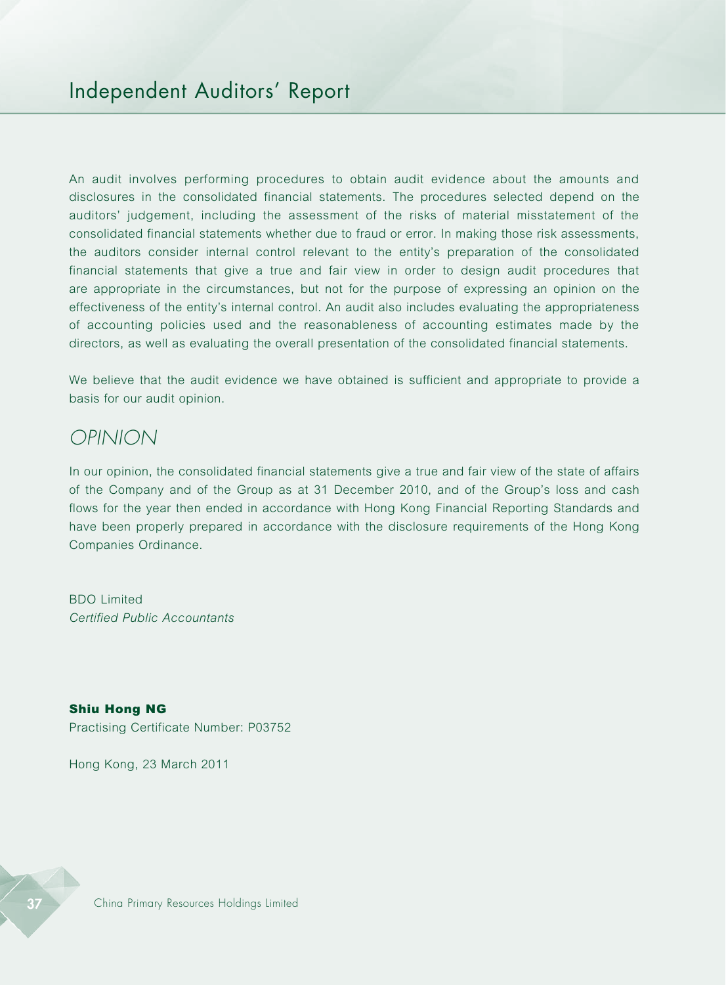An audit involves performing procedures to obtain audit evidence about the amounts and disclosures in the consolidated financial statements. The procedures selected depend on the auditors' judgement, including the assessment of the risks of material misstatement of the consolidated financial statements whether due to fraud or error. In making those risk assessments, the auditors consider internal control relevant to the entity's preparation of the consolidated financial statements that give a true and fair view in order to design audit procedures that are appropriate in the circumstances, but not for the purpose of expressing an opinion on the effectiveness of the entity's internal control. An audit also includes evaluating the appropriateness of accounting policies used and the reasonableness of accounting estimates made by the directors, as well as evaluating the overall presentation of the consolidated financial statements.

We believe that the audit evidence we have obtained is sufficient and appropriate to provide a basis for our audit opinion.

### *OPINION*

In our opinion, the consolidated financial statements give a true and fair view of the state of affairs of the Company and of the Group as at 31 December 2010, and of the Group's loss and cash flows for the year then ended in accordance with Hong Kong Financial Reporting Standards and have been properly prepared in accordance with the disclosure requirements of the Hong Kong Companies Ordinance.

BDO Limited *Certified Public Accountants*

Shiu Hong NG Practising Certificate Number: P03752

Hong Kong, 23 March 2011

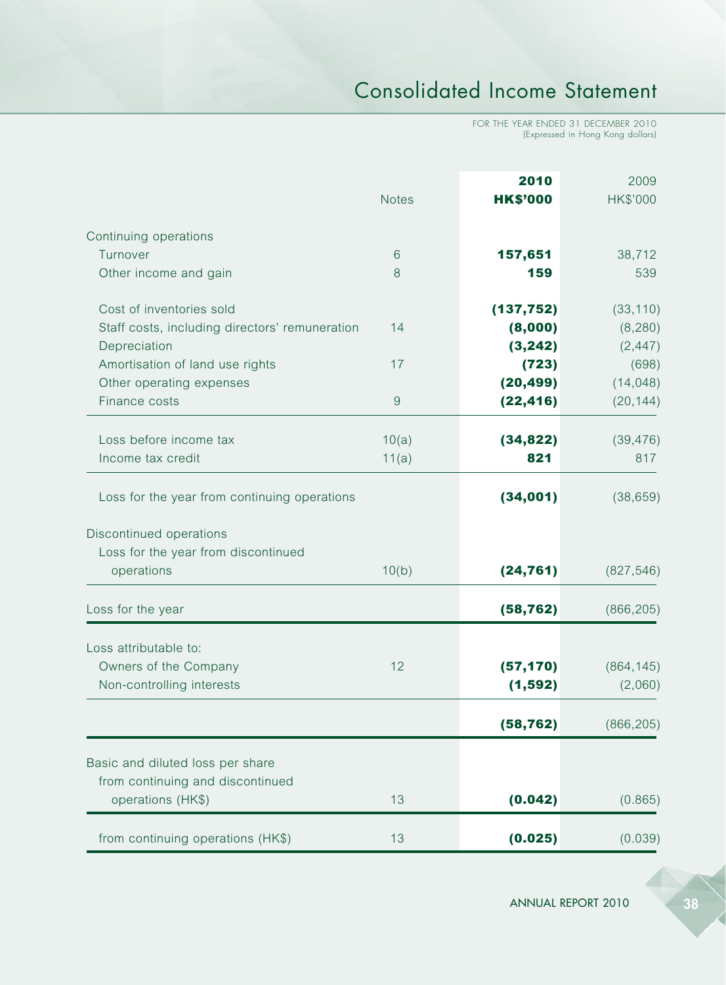# Consolidated Income Statement

FOR THE YEAR ENDED 31 DECEMBER 2010 (Expressed in Hong Kong dollars)

|                                                                | <b>Notes</b> | 2010<br><b>HK\$'000</b> | 2009<br>HK\$'000     |
|----------------------------------------------------------------|--------------|-------------------------|----------------------|
| Continuing operations                                          |              |                         |                      |
| Turnover                                                       | 6            | 157,651                 | 38,712               |
| Other income and gain                                          | 8            | 159                     | 539                  |
| Cost of inventories sold                                       |              | (137, 752)              | (33, 110)            |
| Staff costs, including directors' remuneration<br>Depreciation | 14           | (8,000)<br>(3, 242)     | (8, 280)<br>(2, 447) |
| Amortisation of land use rights                                | 17           | (723)                   | (698)                |
| Other operating expenses                                       |              | (20, 499)               | (14, 048)            |
| Finance costs                                                  | 9            | (22, 416)               | (20, 144)            |
| Loss before income tax                                         | 10(a)        | (34, 822)               | (39, 476)            |
| Income tax credit                                              | 11(a)        | 821                     | 817                  |
| Loss for the year from continuing operations                   |              | (34,001)                | (38, 659)            |
| Discontinued operations                                        |              |                         |                      |
| Loss for the year from discontinued                            |              |                         |                      |
| operations                                                     | 10(b)        | (24, 761)               | (827, 546)           |
| Loss for the year                                              |              | (58, 762)               | (866, 205)           |
| Loss attributable to:                                          |              |                         |                      |
| Owners of the Company                                          | 12           | (57, 170)               | (864, 145)           |
| Non-controlling interests                                      |              | (1, 592)                | (2,060)              |
|                                                                |              | (58, 762)               | (866, 205)           |
| Basic and diluted loss per share                               |              |                         |                      |
| from continuing and discontinued                               |              |                         |                      |
| operations (HK\$)                                              | 13           | (0.042)                 | (0.865)              |
| from continuing operations (HK\$)                              | 13           | (0.025)                 | (0.039)              |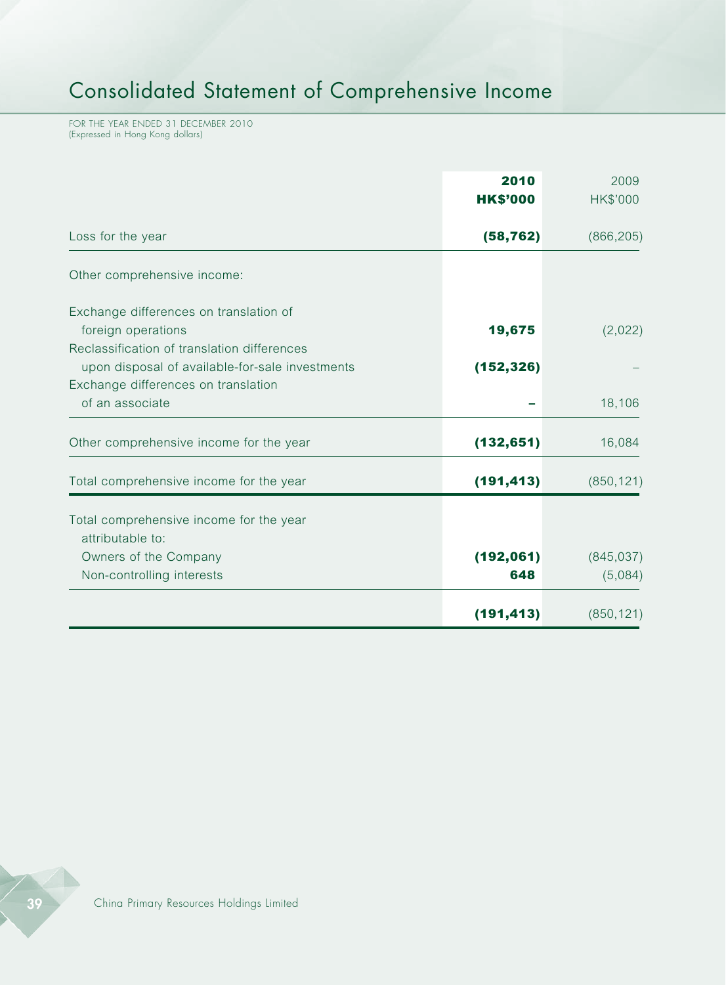# Consolidated Statement of Comprehensive Income

FOR THE YEAR ENDED 31 DECEMBER 2010 (Expressed in Hong Kong dollars)

|                                                                                                                                       | 2010<br><b>HK\$'000</b> | 2009<br><b>HK\$'000</b> |
|---------------------------------------------------------------------------------------------------------------------------------------|-------------------------|-------------------------|
| Loss for the year                                                                                                                     | (58, 762)               | (866, 205)              |
| Other comprehensive income:                                                                                                           |                         |                         |
| Exchange differences on translation of<br>foreign operations                                                                          | 19,675                  | (2,022)                 |
| Reclassification of translation differences<br>upon disposal of available-for-sale investments<br>Exchange differences on translation | (152, 326)              |                         |
| of an associate                                                                                                                       |                         | 18,106                  |
| Other comprehensive income for the year                                                                                               | (132, 651)              | 16,084                  |
| Total comprehensive income for the year                                                                                               | (191, 413)              | (850, 121)              |
| Total comprehensive income for the year<br>attributable to:                                                                           |                         |                         |
| Owners of the Company<br>Non-controlling interests                                                                                    | (192,061)<br>648        | (845, 037)<br>(5,084)   |
|                                                                                                                                       | (191, 413)              | (850, 121)              |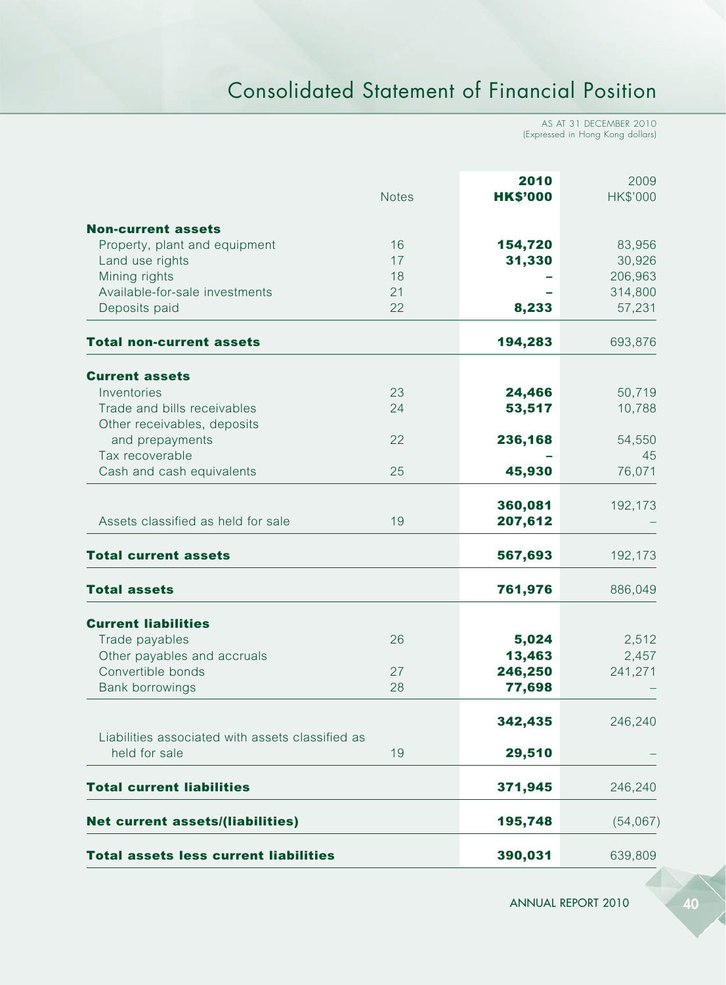# Consolidated Statement of Financial Position

AS AT 31 DECEMBER 2010 (Expressed in Hong Kong dollars)

|                                                  | <b>Notes</b> | 2010<br><b>HK\$'000</b> | 2009<br>HK\$'000 |
|--------------------------------------------------|--------------|-------------------------|------------------|
| <b>Non-current assets</b>                        |              |                         |                  |
| Property, plant and equipment                    | 16           | 154,720                 | 83,956           |
| Land use rights                                  | 17           | 31,330                  | 30,926           |
| Mining rights                                    | 18           |                         | 206,963          |
| Available-for-sale investments                   | 21           |                         | 314,800          |
| Deposits paid                                    | 22           | 8,233                   | 57,231           |
| <b>Total non-current assets</b>                  |              | 194,283                 | 693,876          |
| <b>Current assets</b>                            |              |                         |                  |
| Inventories                                      | 23           | 24,466                  | 50,719           |
| Trade and bills receivables                      | 24           | 53,517                  | 10,788           |
| Other receivables, deposits                      |              |                         |                  |
| and prepayments                                  | 22           | 236,168                 | 54,550           |
| Tax recoverable                                  |              |                         | 45               |
| Cash and cash equivalents                        | 25           | 45,930                  | 76,071           |
|                                                  |              | 360,081                 | 192,173          |
| Assets classified as held for sale               | 19           | 207,612                 |                  |
| <b>Total current assets</b>                      |              | 567,693                 | 192,173          |
| <b>Total assets</b>                              |              | 761,976                 | 886,049          |
| <b>Current liabilities</b>                       |              |                         |                  |
| Trade payables                                   | 26           | 5,024                   | 2,512            |
| Other payables and accruals                      |              | 13,463                  | 2,457            |
| Convertible bonds                                | 27           | 246,250                 | 241,271          |
| <b>Bank borrowings</b>                           | 28           | 77,698                  |                  |
|                                                  |              | 342,435                 | 246,240          |
| Liabilities associated with assets classified as |              |                         |                  |
| held for sale                                    | 19           | 29,510                  |                  |
| <b>Total current liabilities</b>                 |              | 371,945                 | 246,240          |
| <b>Net current assets/(liabilities)</b>          |              | 195,748                 | (54,067)         |
| <b>Total assets less current liabilities</b>     |              | 390,031                 | 639,809          |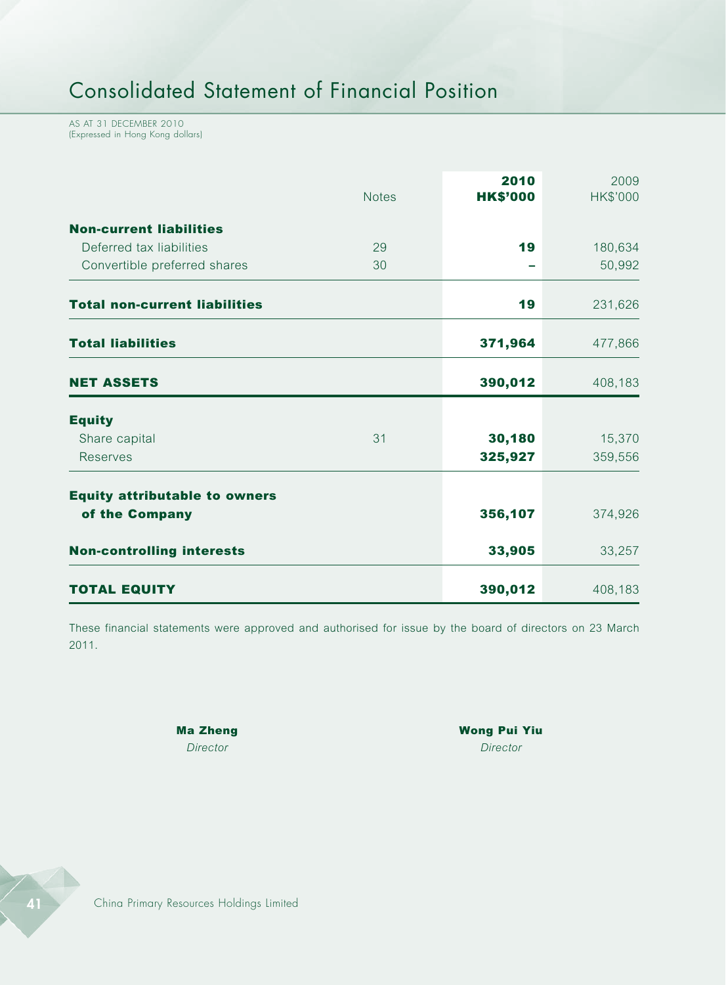AS AT 31 DECEMBER 2010 (Expressed in Hong Kong dollars)

|                                      | <b>Notes</b> | 2010<br><b>HK\$'000</b> | 2009<br>HK\$'000 |
|--------------------------------------|--------------|-------------------------|------------------|
| <b>Non-current liabilities</b>       |              |                         |                  |
| Deferred tax liabilities             | 29           | 19                      | 180,634          |
| Convertible preferred shares         | 30           |                         | 50,992           |
| <b>Total non-current liabilities</b> |              | 19                      | 231,626          |
| <b>Total liabilities</b>             |              | 371,964                 | 477,866          |
| <b>NET ASSETS</b>                    |              | 390,012                 | 408,183          |
| <b>Equity</b>                        |              |                         |                  |
| Share capital                        | 31           | 30,180                  | 15,370           |
| <b>Reserves</b>                      |              | 325,927                 | 359,556          |
| <b>Equity attributable to owners</b> |              |                         |                  |
| of the Company                       |              | 356,107                 | 374,926          |
| <b>Non-controlling interests</b>     |              | 33,905                  | 33,257           |
| <b>TOTAL EQUITY</b>                  |              | 390,012                 | 408,183          |

These financial statements were approved and authorised for issue by the board of directors on 23 March 2011.

Ma Zheng Wong Pui Yiu *Director Director*

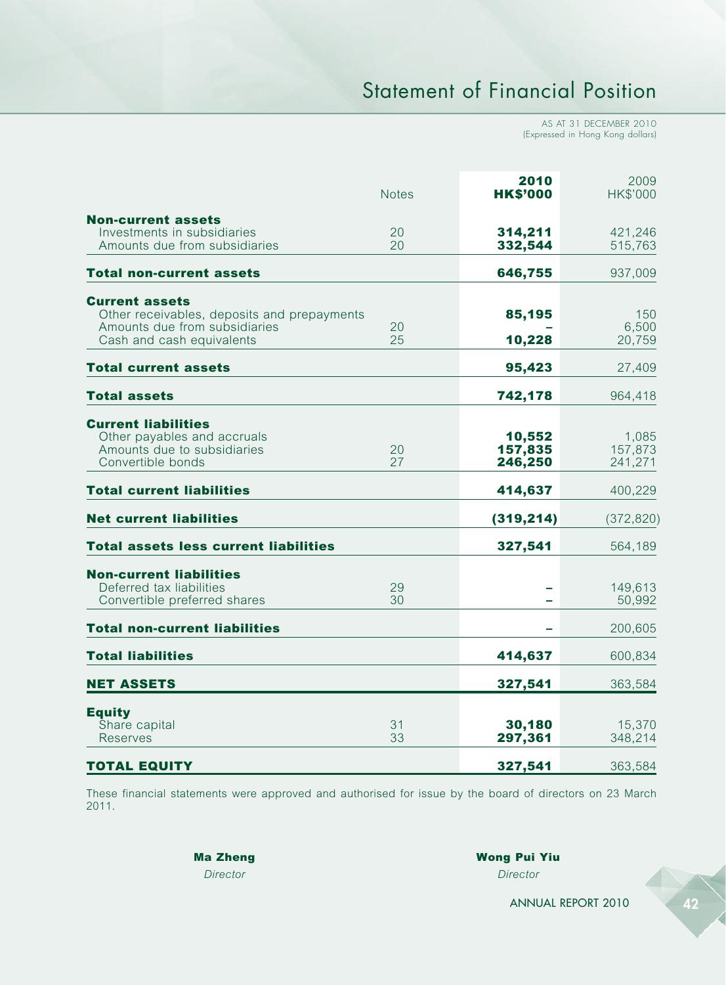# Statement of Financial Position

AS AT 31 DECEMBER 2010 (Expressed in Hong Kong dollars)

|                                                                                                                                    | Notes    | 2010<br><b>HK\$'000</b>      | 2009<br><b>HK\$'000</b>     |
|------------------------------------------------------------------------------------------------------------------------------------|----------|------------------------------|-----------------------------|
| <b>Non-current assets</b><br>Investments in subsidiaries<br>Amounts due from subsidiaries                                          | 20<br>20 | 314,211<br>332,544           | 421,246<br>515,763          |
| <b>Total non-current assets</b>                                                                                                    |          | 646,755                      | 937,009                     |
| <b>Current assets</b><br>Other receivables, deposits and prepayments<br>Amounts due from subsidiaries<br>Cash and cash equivalents | 20<br>25 | 85,195<br>10,228             | 150<br>6,500<br>20,759      |
| <b>Total current assets</b>                                                                                                        |          | 95,423                       | 27,409                      |
| <b>Total assets</b>                                                                                                                |          | 742,178                      | 964,418                     |
| <b>Current liabilities</b><br>Other payables and accruals<br>Amounts due to subsidiaries<br>Convertible bonds                      | 20<br>27 | 10,552<br>157,835<br>246,250 | 1,085<br>157,873<br>241,271 |
| <b>Total current liabilities</b>                                                                                                   |          | 414,637                      | 400,229                     |
| <b>Net current liabilities</b>                                                                                                     |          | (319, 214)                   | (372, 820)                  |
| <b>Total assets less current liabilities</b>                                                                                       |          | 327,541                      | 564,189                     |
| <b>Non-current liabilities</b><br>Deferred tax liabilities<br>Convertible preferred shares                                         | 29<br>30 |                              | 149,613<br>50,992           |
| <b>Total non-current liabilities</b>                                                                                               |          |                              | 200,605                     |
| <b>Total liabilities</b>                                                                                                           |          | 414,637                      | 600,834                     |
| <b>NET ASSETS</b>                                                                                                                  |          | 327,541                      | 363,584                     |
| <b>Equity</b><br>Share capital<br>Reserves                                                                                         | 31<br>33 | 30,180<br>297,361            | 15,370<br>348,214           |
| <b>TOTAL EQUITY</b>                                                                                                                |          | 327,541                      | 363,584                     |

These financial statements were approved and authorised for issue by the board of directors on 23 March 2011.

Ma Zheng Wong Pui Yiu *Director Director*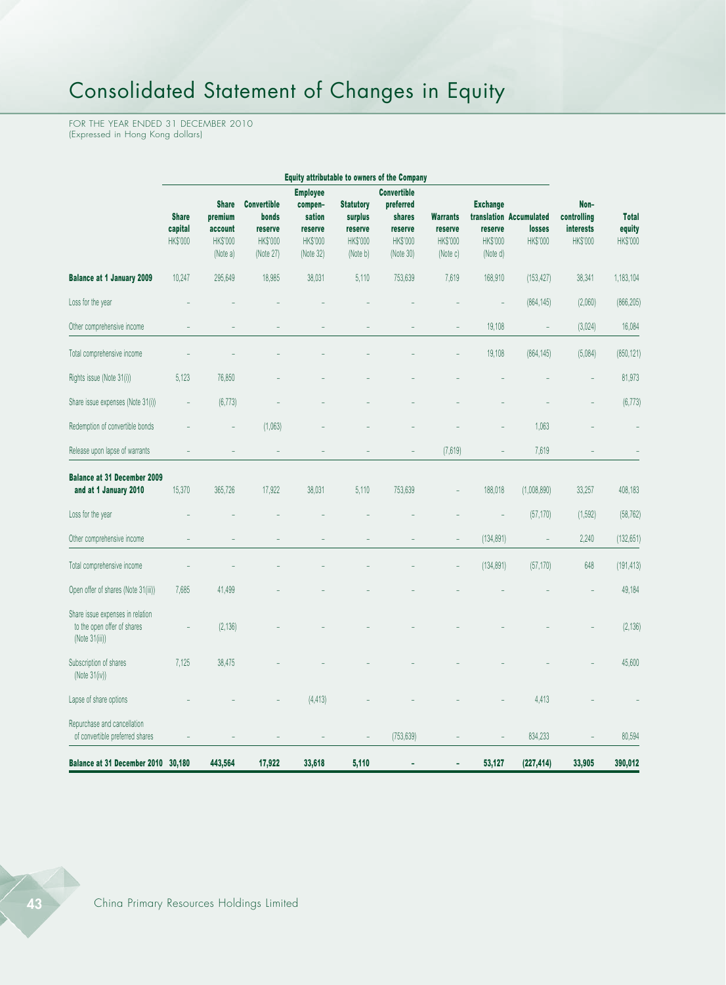# Consolidated Statement of Changes in Equity

FOR THE YEAR ENDED 31 DECEMBER 2010 (Expressed in Hong Kong dollars)

| Equity attributable to owners of the Company                                      |                                     |                                                            |                                                                 |                                                                          |                                                                |                                                                               |                                                    |                                                    |                                               |                                              |                                    |
|-----------------------------------------------------------------------------------|-------------------------------------|------------------------------------------------------------|-----------------------------------------------------------------|--------------------------------------------------------------------------|----------------------------------------------------------------|-------------------------------------------------------------------------------|----------------------------------------------------|----------------------------------------------------|-----------------------------------------------|----------------------------------------------|------------------------------------|
|                                                                                   | <b>Share</b><br>capital<br>HK\$'000 | <b>Share</b><br>premium<br>account<br>HK\$'000<br>(Note a) | <b>Convertible</b><br>bonds<br>reserve<br>HK\$'000<br>(Note 27) | <b>Employee</b><br>compen-<br>sation<br>reserve<br>HK\$'000<br>(Note 32) | <b>Statutory</b><br>surplus<br>reserve<br>HK\$'000<br>(Note b) | <b>Convertible</b><br>preferred<br>shares<br>reserve<br>HK\$'000<br>(Note 30) | <b>Warrants</b><br>reserve<br>HK\$'000<br>(Note c) | <b>Exchange</b><br>reserve<br>HK\$'000<br>(Note d) | translation Accumulated<br>losses<br>HK\$'000 | Non-<br>controlling<br>interests<br>HK\$'000 | <b>Total</b><br>equity<br>HK\$'000 |
| <b>Balance at 1 January 2009</b>                                                  | 10,247                              | 295,649                                                    | 18,985                                                          | 38,031                                                                   | 5,110                                                          | 753,639                                                                       | 7,619                                              | 168,910                                            | (153, 427)                                    | 38,341                                       | 1,183,104                          |
| Loss for the year                                                                 |                                     |                                                            |                                                                 |                                                                          |                                                                |                                                                               |                                                    |                                                    | (864, 145)                                    | (2,060)                                      | (866, 205)                         |
| Other comprehensive income                                                        |                                     |                                                            |                                                                 |                                                                          |                                                                |                                                                               |                                                    | 19,108                                             | $\qquad \qquad -$                             | (3,024)                                      | 16,084                             |
| Total comprehensive income                                                        |                                     |                                                            |                                                                 |                                                                          |                                                                |                                                                               |                                                    | 19,108                                             | (864, 145)                                    | (5,084)                                      | (850, 121)                         |
| Rights issue (Note 31(i))                                                         | 5,123                               | 76,850                                                     |                                                                 |                                                                          |                                                                |                                                                               |                                                    |                                                    |                                               |                                              | 81,973                             |
| Share issue expenses (Note 31(i))                                                 |                                     | (6, 773)                                                   |                                                                 |                                                                          |                                                                |                                                                               |                                                    |                                                    |                                               |                                              | (6, 773)                           |
| Redemption of convertible bonds                                                   |                                     |                                                            | (1,063)                                                         |                                                                          |                                                                |                                                                               |                                                    |                                                    | 1,063                                         |                                              |                                    |
| Release upon lapse of warrants                                                    |                                     |                                                            |                                                                 |                                                                          |                                                                |                                                                               | (7,619)                                            |                                                    | 7,619                                         |                                              |                                    |
| <b>Balance at 31 December 2009</b><br>and at 1 January 2010                       | 15,370                              | 365,726                                                    | 17,922                                                          | 38,031                                                                   | 5,110                                                          | 753,639                                                                       |                                                    | 188,018                                            | (1,008,890)                                   | 33,257                                       | 408,183                            |
| Loss for the year                                                                 |                                     |                                                            |                                                                 |                                                                          |                                                                |                                                                               |                                                    |                                                    | (57, 170)                                     | (1,592)                                      | (58, 762)                          |
| Other comprehensive income                                                        |                                     |                                                            |                                                                 |                                                                          |                                                                |                                                                               |                                                    | (134, 891)                                         |                                               | 2,240                                        | (132, 651)                         |
| Total comprehensive income                                                        |                                     |                                                            |                                                                 |                                                                          |                                                                |                                                                               |                                                    | (134, 891)                                         | (57, 170)                                     | 648                                          | (191, 413)                         |
| Open offer of shares (Note 31(iii))                                               | 7,685                               | 41,499                                                     |                                                                 |                                                                          |                                                                |                                                                               |                                                    |                                                    |                                               |                                              | 49,184                             |
| Share issue expenses in relation<br>to the open offer of shares<br>(Note 31(iii)) |                                     | (2, 136)                                                   |                                                                 |                                                                          |                                                                |                                                                               |                                                    |                                                    |                                               |                                              | (2, 136)                           |
| Subscription of shares<br>(Note $31(iv)$ )                                        | 7,125                               | 38,475                                                     |                                                                 |                                                                          |                                                                |                                                                               |                                                    |                                                    |                                               |                                              | 45,600                             |
| Lapse of share options                                                            |                                     |                                                            |                                                                 | (4, 413)                                                                 |                                                                |                                                                               |                                                    |                                                    | 4,413                                         |                                              |                                    |
| Repurchase and cancellation<br>of convertible preferred shares                    |                                     |                                                            |                                                                 |                                                                          |                                                                | (753, 639)                                                                    |                                                    |                                                    | 834,233                                       |                                              | 80,594                             |
| <b>Balance at 31 December 2010</b>                                                | 30,180                              | 443,564                                                    | 17,922                                                          | 33,618                                                                   | 5,110                                                          |                                                                               |                                                    | 53,127                                             | (227, 414)                                    | 33,905                                       | 390,012                            |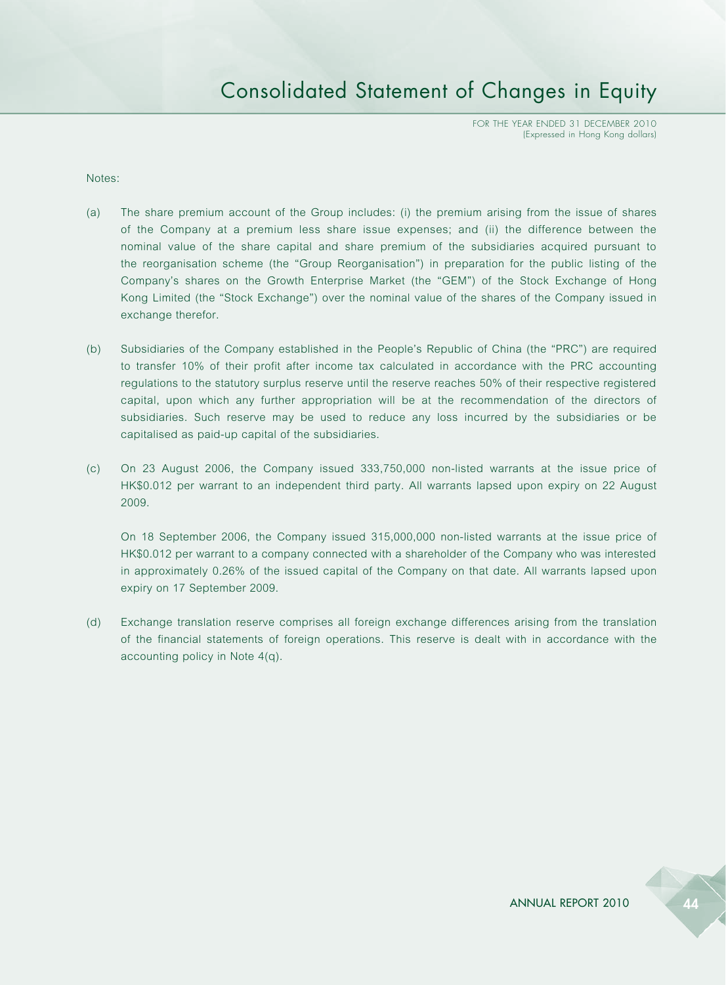## Consolidated Statement of Changes in Equity

FOR THE YEAR ENDED 31 DECEMBER 2010 (Expressed in Hong Kong dollars)

#### Notes:

- (a) The share premium account of the Group includes: (i) the premium arising from the issue of shares of the Company at a premium less share issue expenses; and (ii) the difference between the nominal value of the share capital and share premium of the subsidiaries acquired pursuant to the reorganisation scheme (the "Group Reorganisation") in preparation for the public listing of the Company's shares on the Growth Enterprise Market (the "GEM") of the Stock Exchange of Hong Kong Limited (the "Stock Exchange") over the nominal value of the shares of the Company issued in exchange therefor.
- (b) Subsidiaries of the Company established in the People's Republic of China (the "PRC") are required to transfer 10% of their profit after income tax calculated in accordance with the PRC accounting regulations to the statutory surplus reserve until the reserve reaches 50% of their respective registered capital, upon which any further appropriation will be at the recommendation of the directors of subsidiaries. Such reserve may be used to reduce any loss incurred by the subsidiaries or be capitalised as paid-up capital of the subsidiaries.
- (c) On 23 August 2006, the Company issued 333,750,000 non-listed warrants at the issue price of HK\$0.012 per warrant to an independent third party. All warrants lapsed upon expiry on 22 August 2009.

On 18 September 2006, the Company issued 315,000,000 non-listed warrants at the issue price of HK\$0.012 per warrant to a company connected with a shareholder of the Company who was interested in approximately 0.26% of the issued capital of the Company on that date. All warrants lapsed upon expiry on 17 September 2009.

(d) Exchange translation reserve comprises all foreign exchange differences arising from the translation of the financial statements of foreign operations. This reserve is dealt with in accordance with the accounting policy in Note 4(q).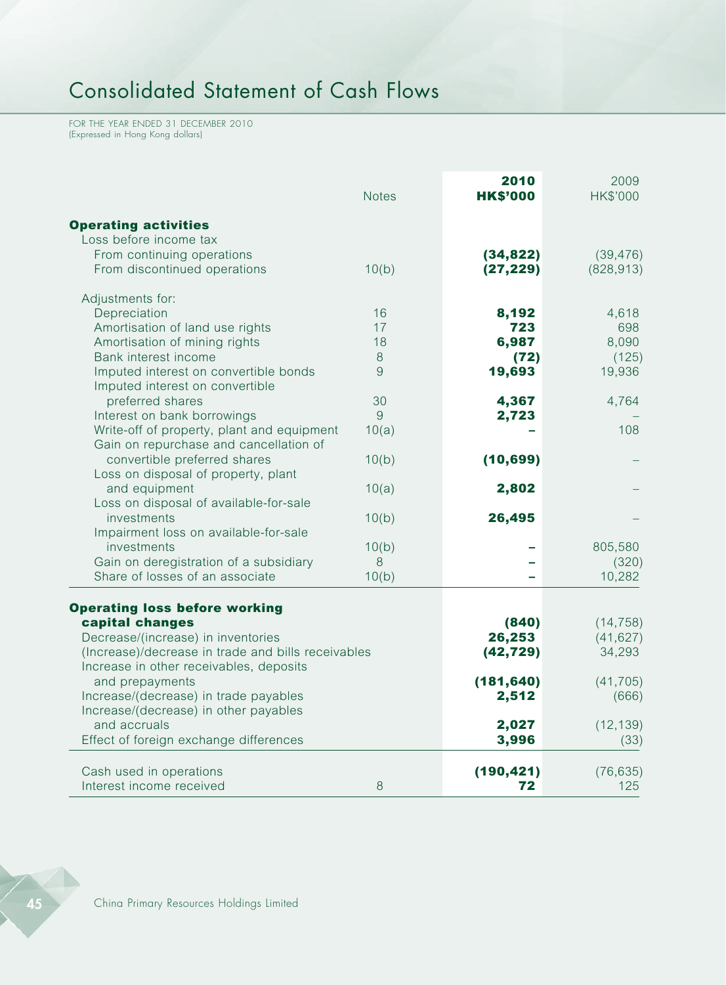# Consolidated Statement of Cash Flows

FOR THE YEAR ENDED 31 DECEMBER 2010 (Expressed in Hong Kong dollars)

|                                                                                                                                                                                                                                                                                                                                                               | <b>Notes</b>             | 2010<br><b>HK\$'000</b>                                               | 2009<br>HK\$'000                                                            |
|---------------------------------------------------------------------------------------------------------------------------------------------------------------------------------------------------------------------------------------------------------------------------------------------------------------------------------------------------------------|--------------------------|-----------------------------------------------------------------------|-----------------------------------------------------------------------------|
| <b>Operating activities</b><br>Loss before income tax<br>From continuing operations<br>From discontinued operations                                                                                                                                                                                                                                           | 10(b)                    | (34, 822)<br>(27, 229)                                                | (39, 476)<br>(828, 913)                                                     |
| Adjustments for:<br>Depreciation<br>Amortisation of land use rights<br>Amortisation of mining rights<br>Bank interest income<br>Imputed interest on convertible bonds<br>Imputed interest on convertible                                                                                                                                                      | 16<br>17<br>18<br>8<br>9 | 8,192<br>723<br>6,987<br>(72)<br>19,693                               | 4,618<br>698<br>8,090<br>(125)<br>19,936                                    |
| preferred shares<br>Interest on bank borrowings<br>Write-off of property, plant and equipment<br>Gain on repurchase and cancellation of                                                                                                                                                                                                                       | 30<br>9<br>10(a)         | 4,367<br>2,723                                                        | 4,764<br>108                                                                |
| convertible preferred shares<br>Loss on disposal of property, plant<br>and equipment<br>Loss on disposal of available-for-sale<br>investments                                                                                                                                                                                                                 | 10(b)<br>10(a)<br>10(b)  | (10, 699)<br>2,802<br>26,495                                          |                                                                             |
| Impairment loss on available-for-sale<br>investments<br>Gain on deregistration of a subsidiary<br>Share of losses of an associate                                                                                                                                                                                                                             | 10(b)<br>8<br>10(b)      |                                                                       | 805,580<br>(320)<br>10,282                                                  |
| <b>Operating loss before working</b><br>capital changes<br>Decrease/(increase) in inventories<br>(Increase)/decrease in trade and bills receivables<br>Increase in other receivables, deposits<br>and prepayments<br>Increase/(decrease) in trade payables<br>Increase/(decrease) in other payables<br>and accruals<br>Effect of foreign exchange differences |                          | (840)<br>26,253<br>(42, 729)<br>(181, 640)<br>2,512<br>2,027<br>3,996 | (14, 758)<br>(41, 627)<br>34,293<br>(41, 705)<br>(666)<br>(12, 139)<br>(33) |
| Cash used in operations<br>Interest income received                                                                                                                                                                                                                                                                                                           | 8                        | (190, 421)<br>72                                                      | (76, 635)<br>125                                                            |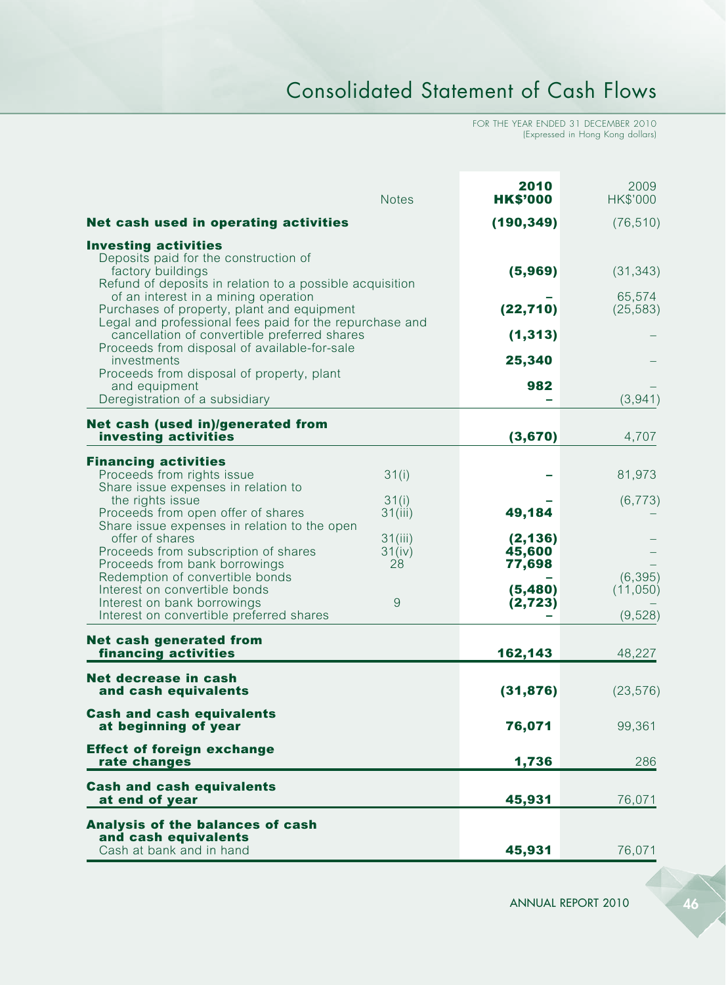# Consolidated Statement of Cash Flows

FOR THE YEAR ENDED 31 DECEMBER 2010 (Expressed in Hong Kong dollars)

|                                                                                                                                                                                               | <b>Notes</b>            | 2010<br><b>HK\$'000</b>      | 2009<br>HK\$'000                 |
|-----------------------------------------------------------------------------------------------------------------------------------------------------------------------------------------------|-------------------------|------------------------------|----------------------------------|
| Net cash used in operating activities                                                                                                                                                         |                         | (190, 349)                   | (76, 510)                        |
| <b>Investing activities</b><br>Deposits paid for the construction of<br>factory buildings<br>Refund of deposits in relation to a possible acquisition<br>of an interest in a mining operation |                         | (5,969)                      | (31, 343)<br>65,574              |
| Purchases of property, plant and equipment<br>Legal and professional fees paid for the repurchase and                                                                                         |                         | (22, 710)                    | (25, 583)                        |
| cancellation of convertible preferred shares<br>Proceeds from disposal of available-for-sale<br>investments                                                                                   |                         | (1, 313)<br>25,340           |                                  |
| Proceeds from disposal of property, plant<br>and equipment<br>Deregistration of a subsidiary                                                                                                  |                         | 982                          | (3,941)                          |
| Net cash (used in)/generated from<br>investing activities                                                                                                                                     |                         | (3,670)                      | 4,707                            |
| <b>Financing activities</b><br>Proceeds from rights issue<br>Share issue expenses in relation to                                                                                              | 31(i)                   |                              | 81,973                           |
| the rights issue<br>Proceeds from open offer of shares<br>Share issue expenses in relation to the open                                                                                        | 31(i)<br>31(iii)        | 49,184                       | (6, 773)                         |
| offer of shares<br>Proceeds from subscription of shares<br>Proceeds from bank borrowings                                                                                                      | 31(iii)<br>31(iv)<br>28 | (2, 136)<br>45,600<br>77,698 |                                  |
| Redemption of convertible bonds<br>Interest on convertible bonds<br>Interest on bank borrowings<br>Interest on convertible preferred shares                                                   | 9                       | (5,480)<br>(2, 723)          | (6, 395)<br>(11,050)<br>(9, 528) |
| <b>Net cash generated from</b><br>financing activities                                                                                                                                        |                         | 162,143                      | 48,227                           |
| Net decrease in cash<br>and cash equivalents                                                                                                                                                  |                         | (31, 876)                    | (23, 576)                        |
| <b>Cash and cash equivalents</b><br>at beginning of year                                                                                                                                      |                         | 76,071                       | 99,361                           |
| <b>Effect of foreign exchange</b><br>rate changes                                                                                                                                             |                         | 1,736                        | 286                              |
| <b>Cash and cash equivalents</b><br>at end of year                                                                                                                                            |                         | 45,931                       | 76,071                           |
| Analysis of the balances of cash<br>and cash equivalents<br>Cash at bank and in hand                                                                                                          |                         | 45,931                       | 76,071                           |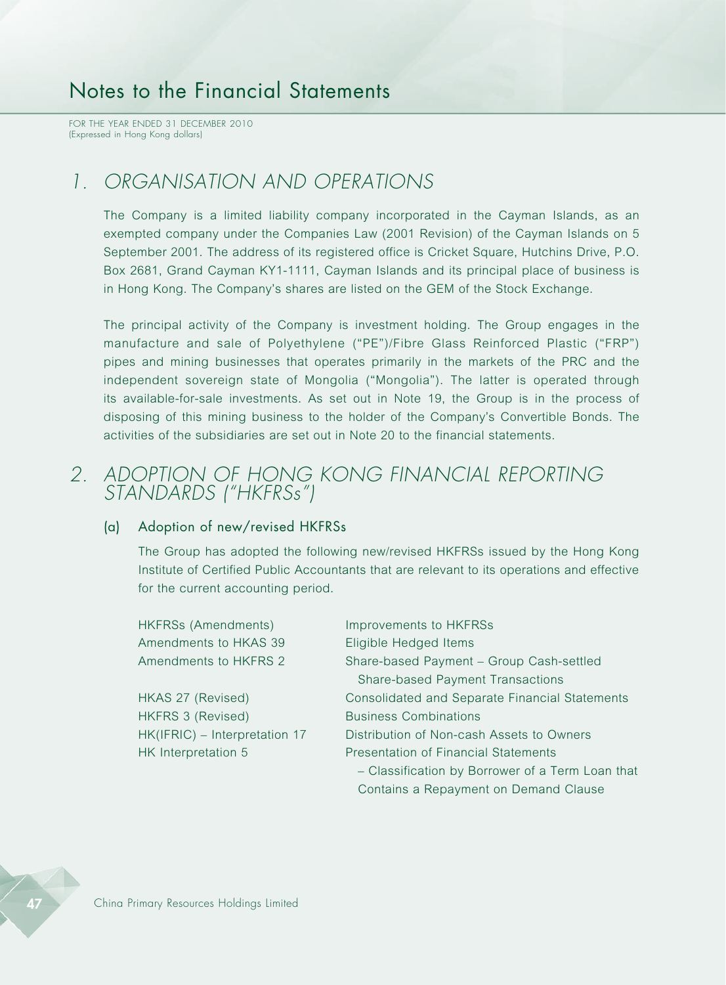FOR THE YEAR ENDED 31 DECEMBER 2010 (Expressed in Hong Kong dollars)

### *1. ORGANISATION AND OPERATIONS*

The Company is a limited liability company incorporated in the Cayman Islands, as an exempted company under the Companies Law (2001 Revision) of the Cayman Islands on 5 September 2001. The address of its registered office is Cricket Square, Hutchins Drive, P.O. Box 2681, Grand Cayman KY1-1111, Cayman Islands and its principal place of business is in Hong Kong. The Company's shares are listed on the GEM of the Stock Exchange.

The principal activity of the Company is investment holding. The Group engages in the manufacture and sale of Polyethylene ("PE")/Fibre Glass Reinforced Plastic ("FRP") pipes and mining businesses that operates primarily in the markets of the PRC and the independent sovereign state of Mongolia ("Mongolia"). The latter is operated through its available-for-sale investments. As set out in Note 19, the Group is in the process of disposing of this mining business to the holder of the Company's Convertible Bonds. The activities of the subsidiaries are set out in Note 20 to the financial statements.

### *2. ADOPTION OF HONG KONG FINANCIAL REPORTING STANDARDS ("HKFRSs")*

### (a) Adoption of new/revised HKFRSs

The Group has adopted the following new/revised HKFRSs issued by the Hong Kong Institute of Certified Public Accountants that are relevant to its operations and effective for the current accounting period.

| HKFRSs (Amendments)           | Improvements to HKFRSs                           |
|-------------------------------|--------------------------------------------------|
| Amendments to HKAS 39         | Eligible Hedged Items                            |
| Amendments to HKFRS 2         | Share-based Payment - Group Cash-settled         |
|                               | <b>Share-based Payment Transactions</b>          |
| HKAS 27 (Revised)             | Consolidated and Separate Financial Statements   |
| HKFRS 3 (Revised)             | <b>Business Combinations</b>                     |
| HK(IFRIC) - Interpretation 17 | Distribution of Non-cash Assets to Owners        |
| HK Interpretation 5           | <b>Presentation of Financial Statements</b>      |
|                               | - Classification by Borrower of a Term Loan that |
|                               | Contains a Repayment on Demand Clause            |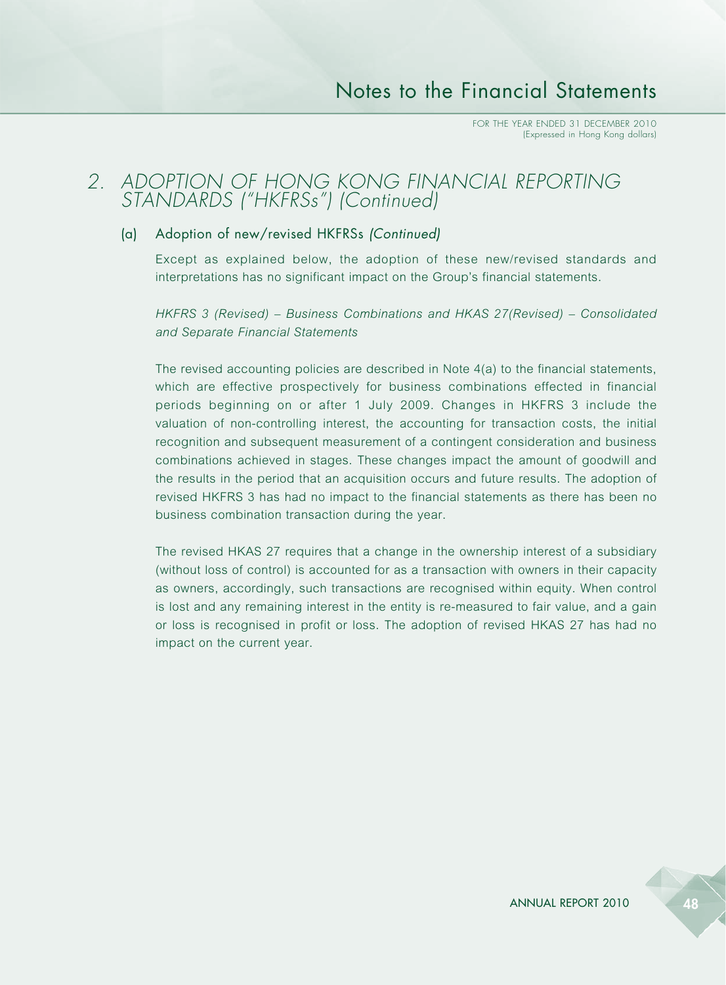### *2. ADOPTION OF HONG KONG FINANCIAL REPORTING STANDARDS ("HKFRSs") (Continued)*

### (a) Adoption of new/revised HKFRSs *(Continued)*

Except as explained below, the adoption of these new/revised standards and interpretations has no significant impact on the Group's financial statements.

*HKFRS 3 (Revised) – Business Combinations and HKAS 27(Revised) – Consolidated and Separate Financial Statements*

The revised accounting policies are described in Note 4(a) to the financial statements, which are effective prospectively for business combinations effected in financial periods beginning on or after 1 July 2009. Changes in HKFRS 3 include the valuation of non-controlling interest, the accounting for transaction costs, the initial recognition and subsequent measurement of a contingent consideration and business combinations achieved in stages. These changes impact the amount of goodwill and the results in the period that an acquisition occurs and future results. The adoption of revised HKFRS 3 has had no impact to the financial statements as there has been no business combination transaction during the year.

The revised HKAS 27 requires that a change in the ownership interest of a subsidiary (without loss of control) is accounted for as a transaction with owners in their capacity as owners, accordingly, such transactions are recognised within equity. When control is lost and any remaining interest in the entity is re-measured to fair value, and a gain or loss is recognised in profit or loss. The adoption of revised HKAS 27 has had no impact on the current year.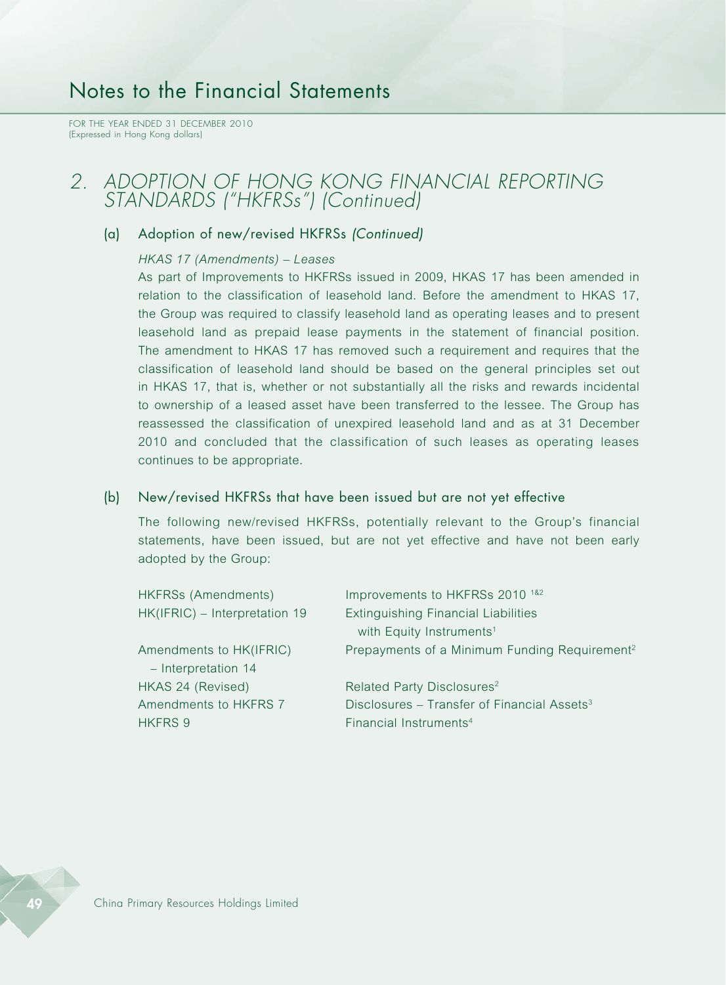FOR THE YEAR ENDED 31 DECEMBER 2010 (Expressed in Hong Kong dollars)

### *2. ADOPTION OF HONG KONG FINANCIAL REPORTING STANDARDS ("HKFRSs") (Continued)*

### (a) Adoption of new/revised HKFRSs *(Continued)*

#### *HKAS 17 (Amendments) – Leases*

As part of Improvements to HKFRSs issued in 2009, HKAS 17 has been amended in relation to the classification of leasehold land. Before the amendment to HKAS 17, the Group was required to classify leasehold land as operating leases and to present leasehold land as prepaid lease payments in the statement of financial position. The amendment to HKAS 17 has removed such a requirement and requires that the classification of leasehold land should be based on the general principles set out in HKAS 17, that is, whether or not substantially all the risks and rewards incidental to ownership of a leased asset have been transferred to the lessee. The Group has reassessed the classification of unexpired leasehold land and as at 31 December 2010 and concluded that the classification of such leases as operating leases continues to be appropriate.

#### (b) New/revised HKFRSs that have been issued but are not yet effective

The following new/revised HKFRSs, potentially relevant to the Group's financial statements, have been issued, but are not yet effective and have not been early adopted by the Group:

| HKFRSs (Amendments)           | Improvements to HKFRSs 2010 <sup>1&amp;2</sup>            |
|-------------------------------|-----------------------------------------------------------|
| HK(IFRIC) - Interpretation 19 | <b>Extinguishing Financial Liabilities</b>                |
|                               | with Equity Instruments <sup>1</sup>                      |
| Amendments to HK(IFRIC)       | Prepayments of a Minimum Funding Requirement <sup>2</sup> |
| - Interpretation 14           |                                                           |
| HKAS 24 (Revised)             | Related Party Disclosures <sup>2</sup>                    |
| Amendments to HKFRS 7         | Disclosures - Transfer of Financial Assets <sup>3</sup>   |
| HKFRS 9                       | Financial Instruments <sup>4</sup>                        |
|                               |                                                           |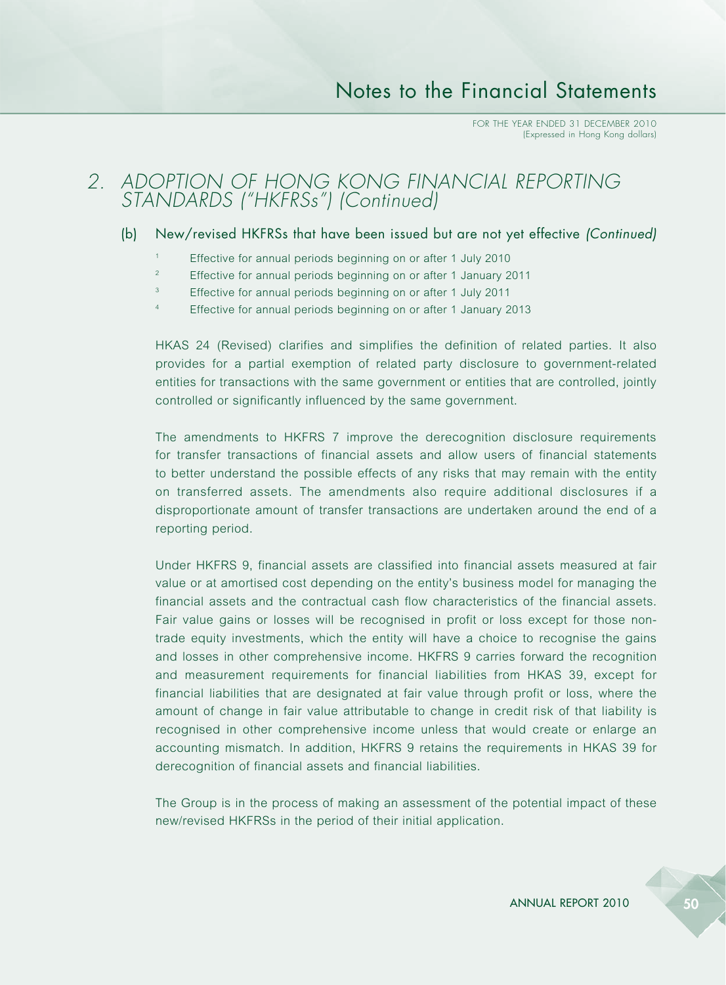### *2. ADOPTION OF HONG KONG FINANCIAL REPORTING STANDARDS ("HKFRSs") (Continued)*

### (b) New/revised HKFRSs that have been issued but are not yet effective *(Continued)*

- <sup>1</sup> Effective for annual periods beginning on or after 1 July 2010
- <sup>2</sup> Effective for annual periods beginning on or after 1 January 2011
- <sup>3</sup> Effective for annual periods beginning on or after 1 July 2011
- <sup>4</sup> Effective for annual periods beginning on or after 1 January 2013

HKAS 24 (Revised) clarifies and simplifies the definition of related parties. It also provides for a partial exemption of related party disclosure to government-related entities for transactions with the same government or entities that are controlled, jointly controlled or significantly influenced by the same government.

The amendments to HKFRS 7 improve the derecognition disclosure requirements for transfer transactions of financial assets and allow users of financial statements to better understand the possible effects of any risks that may remain with the entity on transferred assets. The amendments also require additional disclosures if a disproportionate amount of transfer transactions are undertaken around the end of a reporting period.

Under HKFRS 9, financial assets are classified into financial assets measured at fair value or at amortised cost depending on the entity's business model for managing the financial assets and the contractual cash flow characteristics of the financial assets. Fair value gains or losses will be recognised in profit or loss except for those nontrade equity investments, which the entity will have a choice to recognise the gains and losses in other comprehensive income. HKFRS 9 carries forward the recognition and measurement requirements for financial liabilities from HKAS 39, except for financial liabilities that are designated at fair value through profit or loss, where the amount of change in fair value attributable to change in credit risk of that liability is recognised in other comprehensive income unless that would create or enlarge an accounting mismatch. In addition, HKFRS 9 retains the requirements in HKAS 39 for derecognition of financial assets and financial liabilities.

The Group is in the process of making an assessment of the potential impact of these new/revised HKFRSs in the period of their initial application.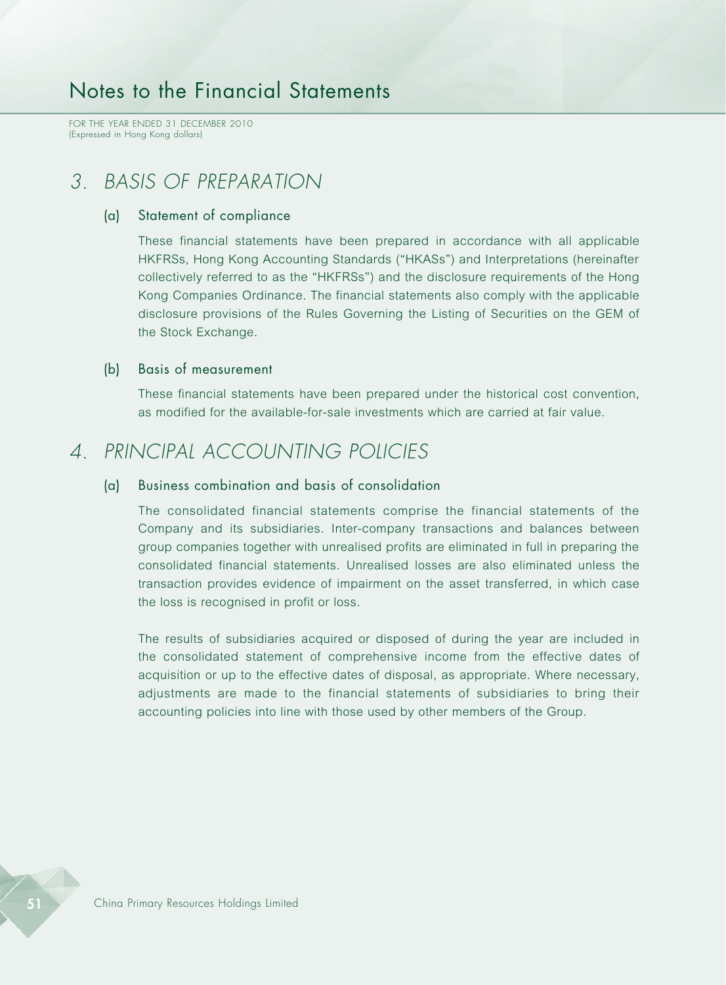FOR THE YEAR ENDED 31 DECEMBER 2010 (Expressed in Hong Kong dollars)

## *3. BASIS OF PREPARATION*

#### (a) Statement of compliance

These financial statements have been prepared in accordance with all applicable HKFRSs, Hong Kong Accounting Standards ("HKASs") and Interpretations (hereinafter collectively referred to as the "HKFRSs") and the disclosure requirements of the Hong Kong Companies Ordinance. The financial statements also comply with the applicable disclosure provisions of the Rules Governing the Listing of Securities on the GEM of the Stock Exchange.

### (b) Basis of measurement

These financial statements have been prepared under the historical cost convention, as modified for the available-for-sale investments which are carried at fair value.

## *4. PRINCIPAL ACCOUNTING POLICIES*

### (a) Business combination and basis of consolidation

The consolidated financial statements comprise the financial statements of the Company and its subsidiaries. Inter-company transactions and balances between group companies together with unrealised profits are eliminated in full in preparing the consolidated financial statements. Unrealised losses are also eliminated unless the transaction provides evidence of impairment on the asset transferred, in which case the loss is recognised in profit or loss.

The results of subsidiaries acquired or disposed of during the year are included in the consolidated statement of comprehensive income from the effective dates of acquisition or up to the effective dates of disposal, as appropriate. Where necessary, adjustments are made to the financial statements of subsidiaries to bring their accounting policies into line with those used by other members of the Group.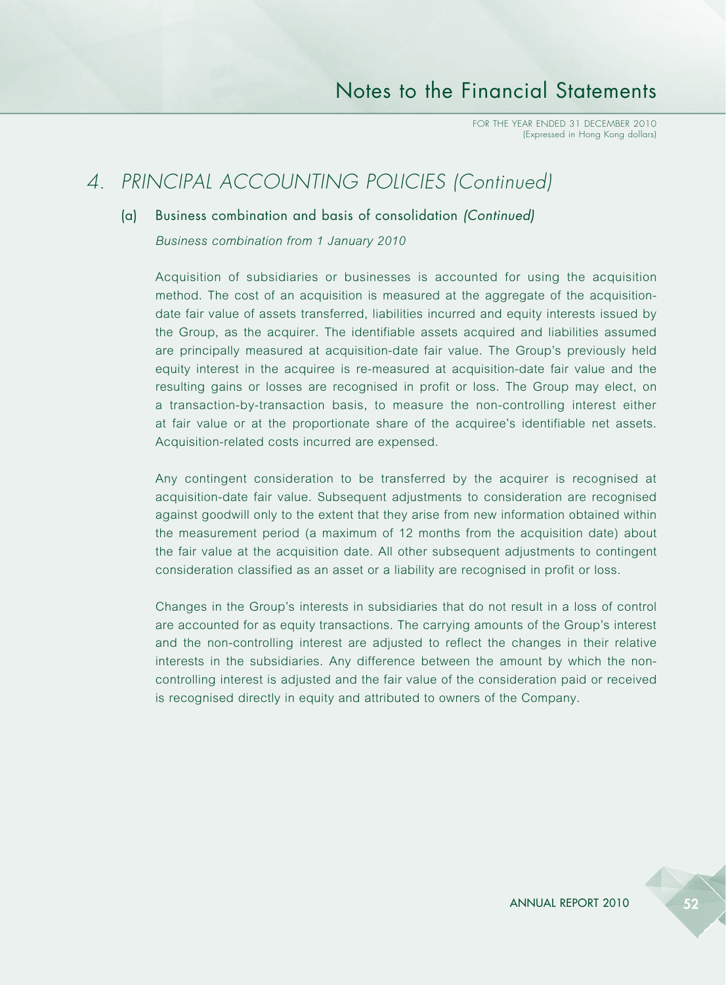## *4. PRINCIPAL ACCOUNTING POLICIES (Continued)*

### (a) Business combination and basis of consolidation *(Continued)*

*Business combination from 1 January 2010*

Acquisition of subsidiaries or businesses is accounted for using the acquisition method. The cost of an acquisition is measured at the aggregate of the acquisitiondate fair value of assets transferred, liabilities incurred and equity interests issued by the Group, as the acquirer. The identifiable assets acquired and liabilities assumed are principally measured at acquisition-date fair value. The Group's previously held equity interest in the acquiree is re-measured at acquisition-date fair value and the resulting gains or losses are recognised in profit or loss. The Group may elect, on a transaction-by-transaction basis, to measure the non-controlling interest either at fair value or at the proportionate share of the acquiree's identifiable net assets. Acquisition-related costs incurred are expensed.

Any contingent consideration to be transferred by the acquirer is recognised at acquisition-date fair value. Subsequent adjustments to consideration are recognised against goodwill only to the extent that they arise from new information obtained within the measurement period (a maximum of 12 months from the acquisition date) about the fair value at the acquisition date. All other subsequent adjustments to contingent consideration classified as an asset or a liability are recognised in profit or loss.

Changes in the Group's interests in subsidiaries that do not result in a loss of control are accounted for as equity transactions. The carrying amounts of the Group's interest and the non-controlling interest are adjusted to reflect the changes in their relative interests in the subsidiaries. Any difference between the amount by which the noncontrolling interest is adjusted and the fair value of the consideration paid or received is recognised directly in equity and attributed to owners of the Company.

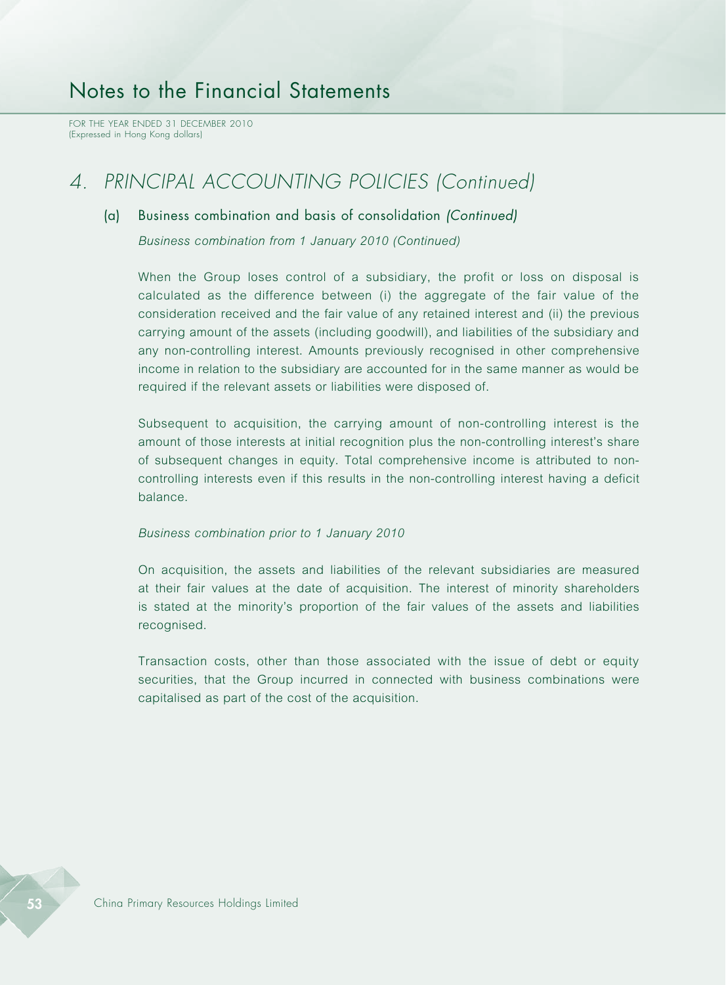FOR THE YEAR ENDED 31 DECEMBER 2010 (Expressed in Hong Kong dollars)

## *4. PRINCIPAL ACCOUNTING POLICIES (Continued)*

### (a) Business combination and basis of consolidation *(Continued)*

*Business combination from 1 January 2010 (Continued)*

When the Group loses control of a subsidiary, the profit or loss on disposal is calculated as the difference between (i) the aggregate of the fair value of the consideration received and the fair value of any retained interest and (ii) the previous carrying amount of the assets (including goodwill), and liabilities of the subsidiary and any non-controlling interest. Amounts previously recognised in other comprehensive income in relation to the subsidiary are accounted for in the same manner as would be required if the relevant assets or liabilities were disposed of.

Subsequent to acquisition, the carrying amount of non-controlling interest is the amount of those interests at initial recognition plus the non-controlling interest's share of subsequent changes in equity. Total comprehensive income is attributed to noncontrolling interests even if this results in the non-controlling interest having a deficit balance.

#### *Business combination prior to 1 January 2010*

On acquisition, the assets and liabilities of the relevant subsidiaries are measured at their fair values at the date of acquisition. The interest of minority shareholders is stated at the minority's proportion of the fair values of the assets and liabilities recognised.

Transaction costs, other than those associated with the issue of debt or equity securities, that the Group incurred in connected with business combinations were capitalised as part of the cost of the acquisition.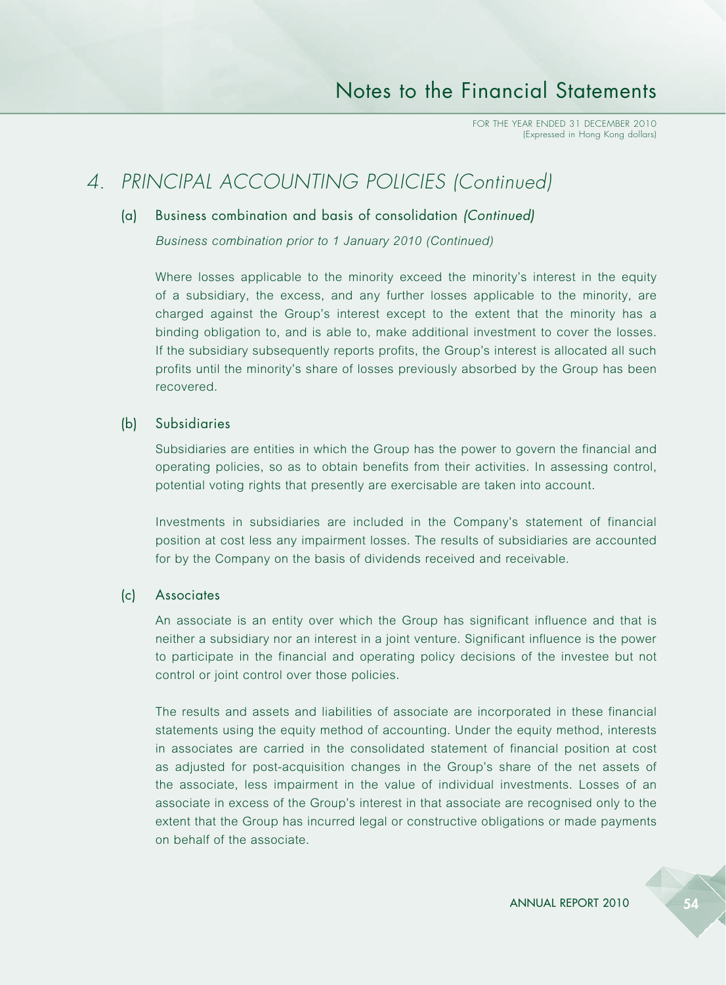## *4. PRINCIPAL ACCOUNTING POLICIES (Continued)*

### (a) Business combination and basis of consolidation *(Continued)*

*Business combination prior to 1 January 2010 (Continued)*

Where losses applicable to the minority exceed the minority's interest in the equity of a subsidiary, the excess, and any further losses applicable to the minority, are charged against the Group's interest except to the extent that the minority has a binding obligation to, and is able to, make additional investment to cover the losses. If the subsidiary subsequently reports profits, the Group's interest is allocated all such profits until the minority's share of losses previously absorbed by the Group has been recovered.

### (b) Subsidiaries

Subsidiaries are entities in which the Group has the power to govern the financial and operating policies, so as to obtain benefits from their activities. In assessing control, potential voting rights that presently are exercisable are taken into account.

Investments in subsidiaries are included in the Company's statement of financial position at cost less any impairment losses. The results of subsidiaries are accounted for by the Company on the basis of dividends received and receivable.

#### (c) Associates

An associate is an entity over which the Group has significant influence and that is neither a subsidiary nor an interest in a joint venture. Significant influence is the power to participate in the financial and operating policy decisions of the investee but not control or joint control over those policies.

The results and assets and liabilities of associate are incorporated in these financial statements using the equity method of accounting. Under the equity method, interests in associates are carried in the consolidated statement of financial position at cost as adjusted for post-acquisition changes in the Group's share of the net assets of the associate, less impairment in the value of individual investments. Losses of an associate in excess of the Group's interest in that associate are recognised only to the extent that the Group has incurred legal or constructive obligations or made payments on behalf of the associate.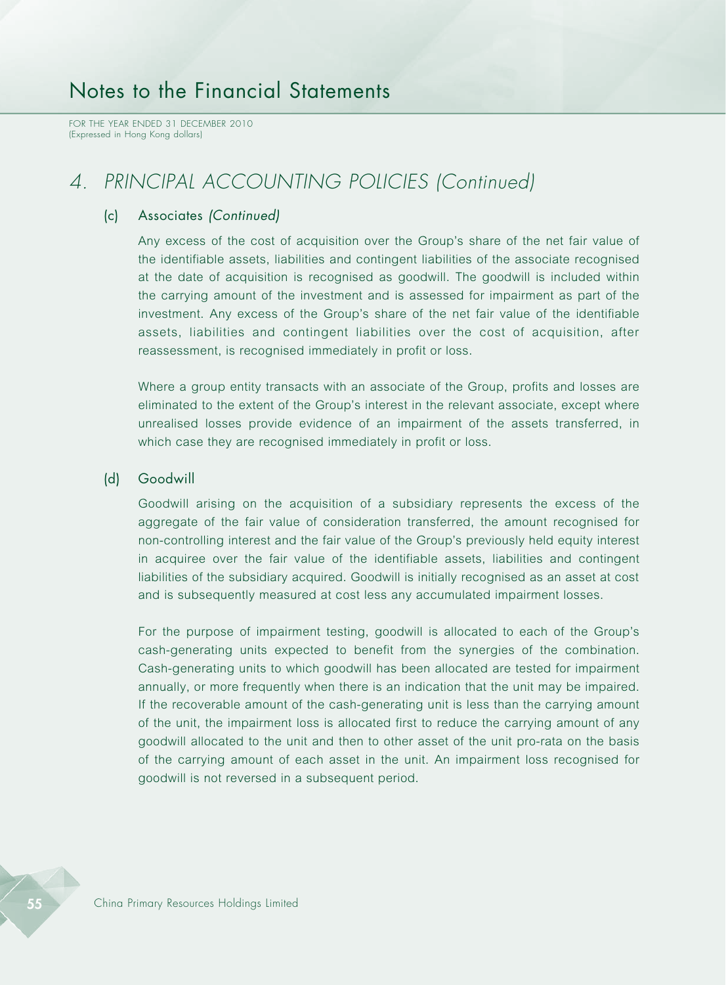FOR THE YEAR ENDED 31 DECEMBER 2010 (Expressed in Hong Kong dollars)

## *4. PRINCIPAL ACCOUNTING POLICIES (Continued)*

### (c) Associates *(Continued)*

Any excess of the cost of acquisition over the Group's share of the net fair value of the identifiable assets, liabilities and contingent liabilities of the associate recognised at the date of acquisition is recognised as goodwill. The goodwill is included within the carrying amount of the investment and is assessed for impairment as part of the investment. Any excess of the Group's share of the net fair value of the identifiable assets, liabilities and contingent liabilities over the cost of acquisition, after reassessment, is recognised immediately in profit or loss.

Where a group entity transacts with an associate of the Group, profits and losses are eliminated to the extent of the Group's interest in the relevant associate, except where unrealised losses provide evidence of an impairment of the assets transferred, in which case they are recognised immediately in profit or loss.

### (d) Goodwill

Goodwill arising on the acquisition of a subsidiary represents the excess of the aggregate of the fair value of consideration transferred, the amount recognised for non-controlling interest and the fair value of the Group's previously held equity interest in acquiree over the fair value of the identifiable assets, liabilities and contingent liabilities of the subsidiary acquired. Goodwill is initially recognised as an asset at cost and is subsequently measured at cost less any accumulated impairment losses.

For the purpose of impairment testing, goodwill is allocated to each of the Group's cash-generating units expected to benefit from the synergies of the combination. Cash-generating units to which goodwill has been allocated are tested for impairment annually, or more frequently when there is an indication that the unit may be impaired. If the recoverable amount of the cash-generating unit is less than the carrying amount of the unit, the impairment loss is allocated first to reduce the carrying amount of any goodwill allocated to the unit and then to other asset of the unit pro-rata on the basis of the carrying amount of each asset in the unit. An impairment loss recognised for goodwill is not reversed in a subsequent period.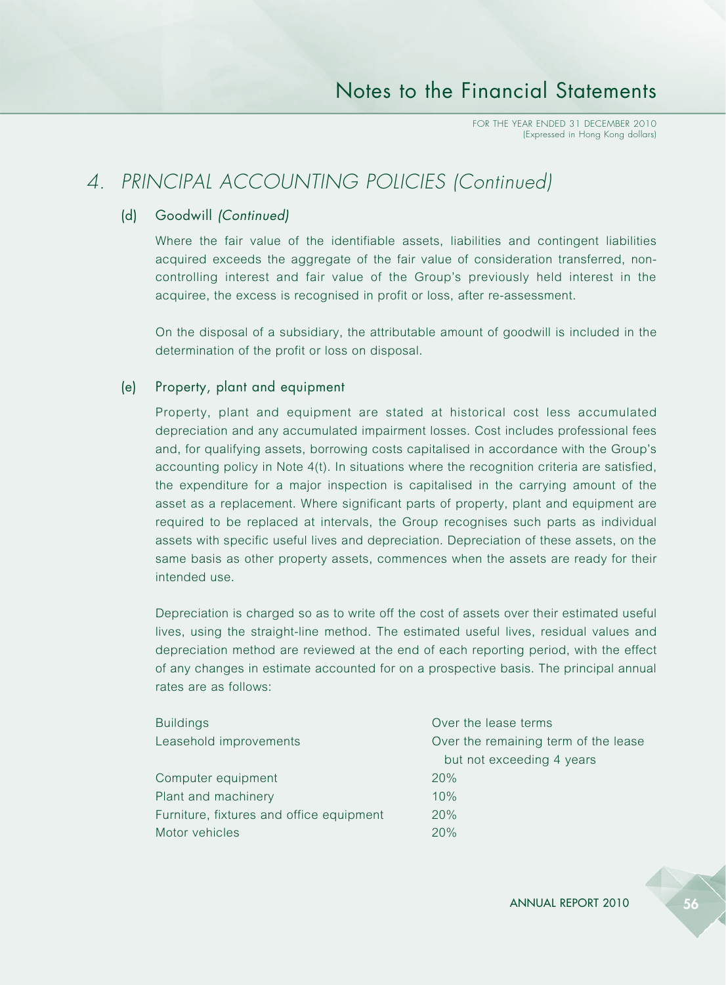## *4. PRINCIPAL ACCOUNTING POLICIES (Continued)*

### (d) Goodwill *(Continued)*

Where the fair value of the identifiable assets, liabilities and contingent liabilities acquired exceeds the aggregate of the fair value of consideration transferred, noncontrolling interest and fair value of the Group's previously held interest in the acquiree, the excess is recognised in profit or loss, after re-assessment.

On the disposal of a subsidiary, the attributable amount of goodwill is included in the determination of the profit or loss on disposal.

### (e) Property, plant and equipment

Property, plant and equipment are stated at historical cost less accumulated depreciation and any accumulated impairment losses. Cost includes professional fees and, for qualifying assets, borrowing costs capitalised in accordance with the Group's accounting policy in Note 4(t). In situations where the recognition criteria are satisfied, the expenditure for a major inspection is capitalised in the carrying amount of the asset as a replacement. Where significant parts of property, plant and equipment are required to be replaced at intervals, the Group recognises such parts as individual assets with specific useful lives and depreciation. Depreciation of these assets, on the same basis as other property assets, commences when the assets are ready for their intended use.

Depreciation is charged so as to write off the cost of assets over their estimated useful lives, using the straight-line method. The estimated useful lives, residual values and depreciation method are reviewed at the end of each reporting period, with the effect of any changes in estimate accounted for on a prospective basis. The principal annual rates are as follows:

| <b>Buildings</b>                         | Over the lease terms                 |
|------------------------------------------|--------------------------------------|
| Leasehold improvements                   | Over the remaining term of the lease |
|                                          | but not exceeding 4 years            |
| Computer equipment                       | 20%                                  |
| Plant and machinery                      | 10%                                  |
| Furniture, fixtures and office equipment | 20%                                  |
| Motor vehicles                           | 20%                                  |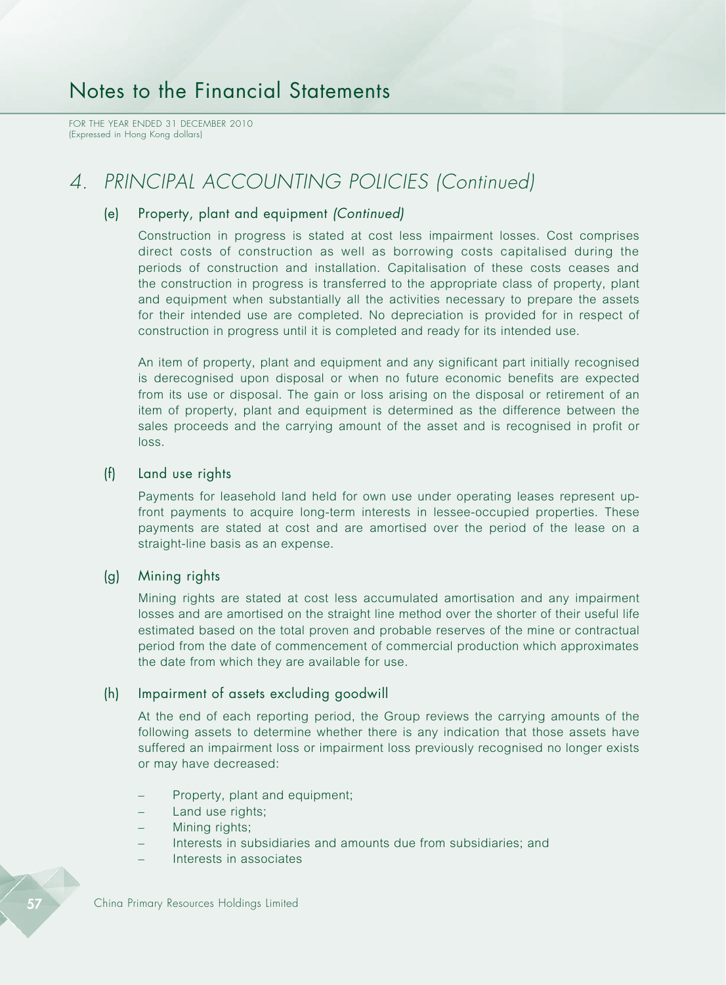FOR THE YEAR ENDED 31 DECEMBER 2010 (Expressed in Hong Kong dollars)

## *4. PRINCIPAL ACCOUNTING POLICIES (Continued)*

### (e) Property, plant and equipment *(Continued)*

Construction in progress is stated at cost less impairment losses. Cost comprises direct costs of construction as well as borrowing costs capitalised during the periods of construction and installation. Capitalisation of these costs ceases and the construction in progress is transferred to the appropriate class of property, plant and equipment when substantially all the activities necessary to prepare the assets for their intended use are completed. No depreciation is provided for in respect of construction in progress until it is completed and ready for its intended use.

An item of property, plant and equipment and any significant part initially recognised is derecognised upon disposal or when no future economic benefits are expected from its use or disposal. The gain or loss arising on the disposal or retirement of an item of property, plant and equipment is determined as the difference between the sales proceeds and the carrying amount of the asset and is recognised in profit or loss.

### (f) Land use rights

Payments for leasehold land held for own use under operating leases represent upfront payments to acquire long-term interests in lessee-occupied properties. These payments are stated at cost and are amortised over the period of the lease on a straight-line basis as an expense.

### (g) Mining rights

Mining rights are stated at cost less accumulated amortisation and any impairment losses and are amortised on the straight line method over the shorter of their useful life estimated based on the total proven and probable reserves of the mine or contractual period from the date of commencement of commercial production which approximates the date from which they are available for use.

### (h) Impairment of assets excluding goodwill

At the end of each reporting period, the Group reviews the carrying amounts of the following assets to determine whether there is any indication that those assets have suffered an impairment loss or impairment loss previously recognised no longer exists or may have decreased:

- Property, plant and equipment;
- Land use rights;
- Mining rights:
- Interests in subsidiaries and amounts due from subsidiaries; and
- Interests in associates

57 China Primary Resources Holdings Limited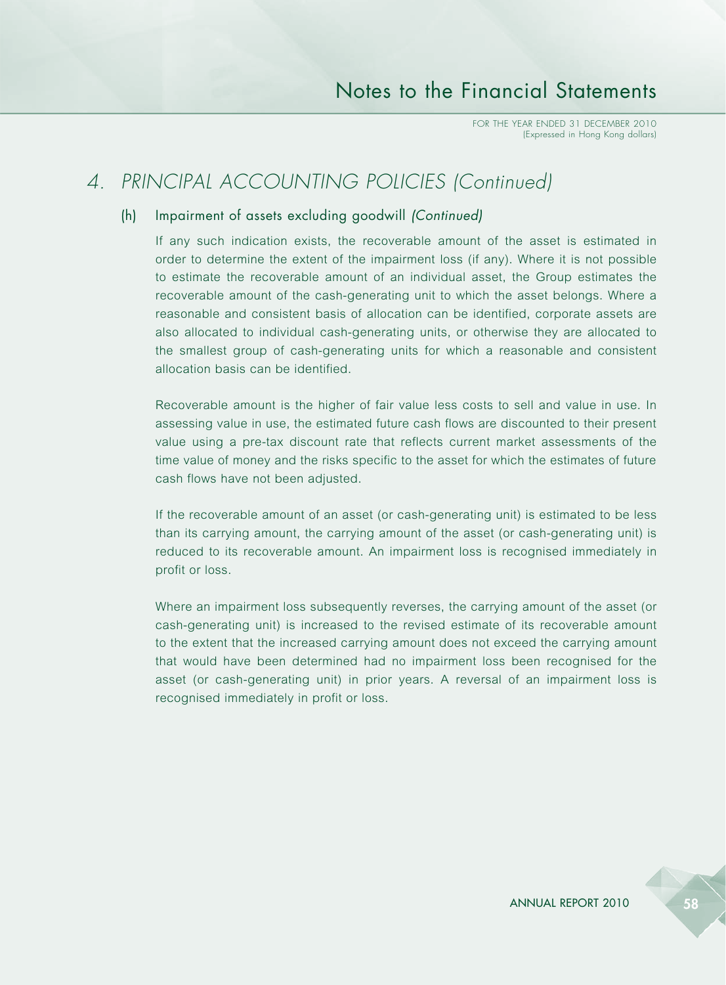## *4. PRINCIPAL ACCOUNTING POLICIES (Continued)*

### (h) Impairment of assets excluding goodwill *(Continued)*

If any such indication exists, the recoverable amount of the asset is estimated in order to determine the extent of the impairment loss (if any). Where it is not possible to estimate the recoverable amount of an individual asset, the Group estimates the recoverable amount of the cash-generating unit to which the asset belongs. Where a reasonable and consistent basis of allocation can be identified, corporate assets are also allocated to individual cash-generating units, or otherwise they are allocated to the smallest group of cash-generating units for which a reasonable and consistent allocation basis can be identified.

Recoverable amount is the higher of fair value less costs to sell and value in use. In assessing value in use, the estimated future cash flows are discounted to their present value using a pre-tax discount rate that reflects current market assessments of the time value of money and the risks specific to the asset for which the estimates of future cash flows have not been adjusted.

If the recoverable amount of an asset (or cash-generating unit) is estimated to be less than its carrying amount, the carrying amount of the asset (or cash-generating unit) is reduced to its recoverable amount. An impairment loss is recognised immediately in profit or loss.

Where an impairment loss subsequently reverses, the carrying amount of the asset (or cash-generating unit) is increased to the revised estimate of its recoverable amount to the extent that the increased carrying amount does not exceed the carrying amount that would have been determined had no impairment loss been recognised for the asset (or cash-generating unit) in prior years. A reversal of an impairment loss is recognised immediately in profit or loss.

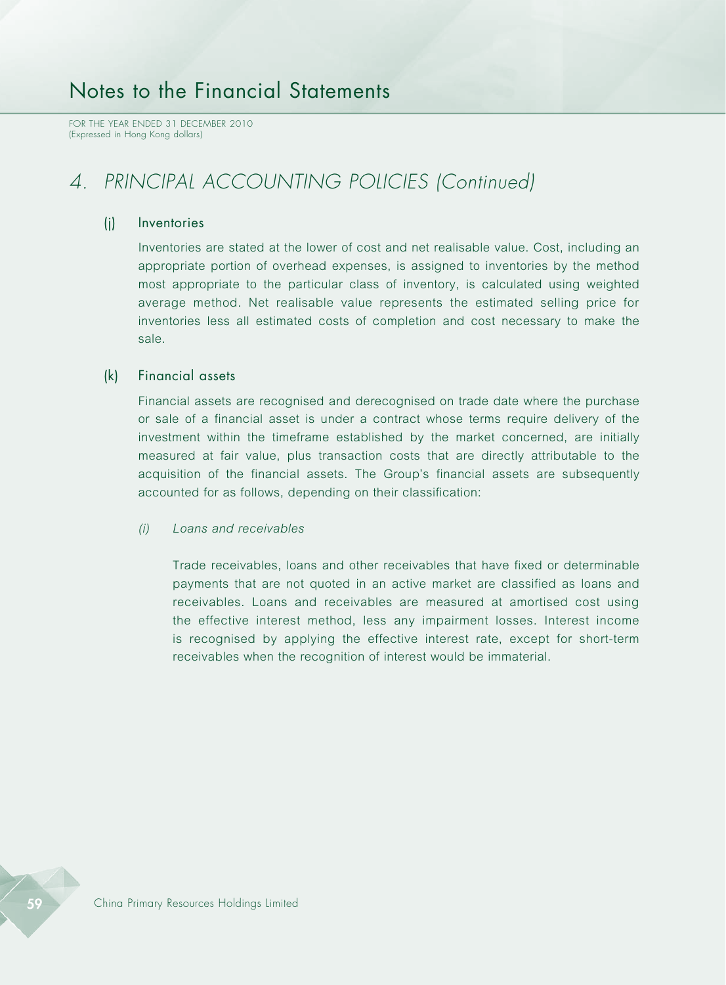FOR THE YEAR ENDED 31 DECEMBER 2010 (Expressed in Hong Kong dollars)

## *4. PRINCIPAL ACCOUNTING POLICIES (Continued)*

### (j) Inventories

Inventories are stated at the lower of cost and net realisable value. Cost, including an appropriate portion of overhead expenses, is assigned to inventories by the method most appropriate to the particular class of inventory, is calculated using weighted average method. Net realisable value represents the estimated selling price for inventories less all estimated costs of completion and cost necessary to make the sale.

### (k) Financial assets

Financial assets are recognised and derecognised on trade date where the purchase or sale of a financial asset is under a contract whose terms require delivery of the investment within the timeframe established by the market concerned, are initially measured at fair value, plus transaction costs that are directly attributable to the acquisition of the financial assets. The Group's financial assets are subsequently accounted for as follows, depending on their classification:

#### *(i) Loans and receivables*

Trade receivables, loans and other receivables that have fixed or determinable payments that are not quoted in an active market are classified as loans and receivables. Loans and receivables are measured at amortised cost using the effective interest method, less any impairment losses. Interest income is recognised by applying the effective interest rate, except for short-term receivables when the recognition of interest would be immaterial.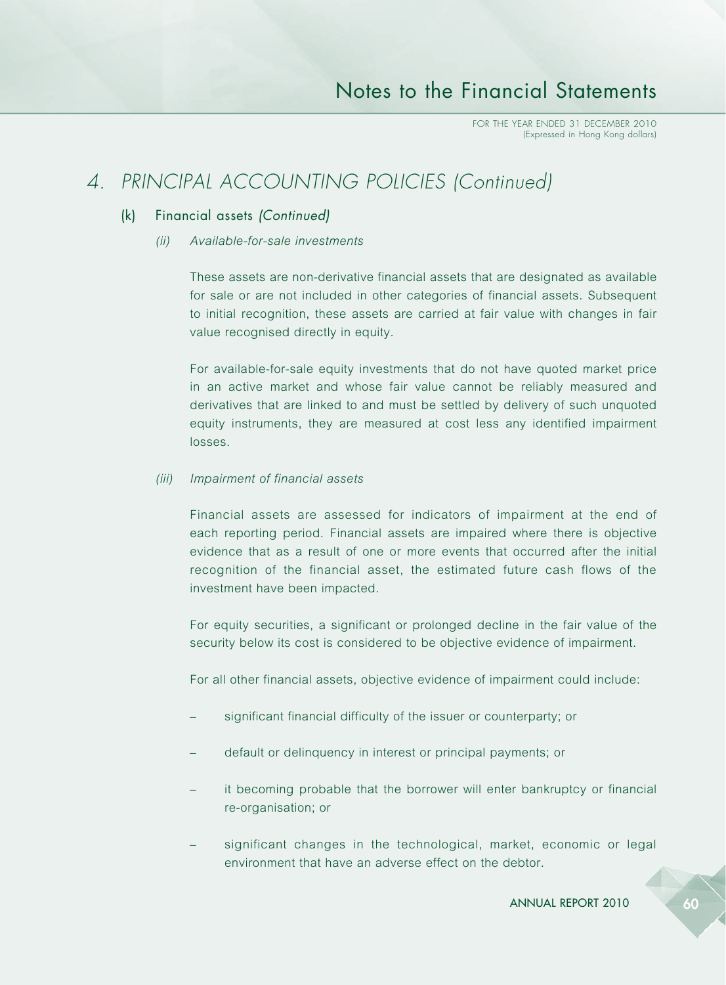## *4. PRINCIPAL ACCOUNTING POLICIES (Continued)*

### (k) Financial assets *(Continued)*

*(ii) Available-for-sale investments*

These assets are non-derivative financial assets that are designated as available for sale or are not included in other categories of financial assets. Subsequent to initial recognition, these assets are carried at fair value with changes in fair value recognised directly in equity.

For available-for-sale equity investments that do not have quoted market price in an active market and whose fair value cannot be reliably measured and derivatives that are linked to and must be settled by delivery of such unquoted equity instruments, they are measured at cost less any identified impairment losses.

### *(iii) Impairment of financial assets*

Financial assets are assessed for indicators of impairment at the end of each reporting period. Financial assets are impaired where there is objective evidence that as a result of one or more events that occurred after the initial recognition of the financial asset, the estimated future cash flows of the investment have been impacted.

For equity securities, a significant or prolonged decline in the fair value of the security below its cost is considered to be objective evidence of impairment.

For all other financial assets, objective evidence of impairment could include:

- significant financial difficulty of the issuer or counterparty; or
- default or delinquency in interest or principal payments; or
- it becoming probable that the borrower will enter bankruptcy or financial re-organisation; or
- significant changes in the technological, market, economic or legal environment that have an adverse effect on the debtor.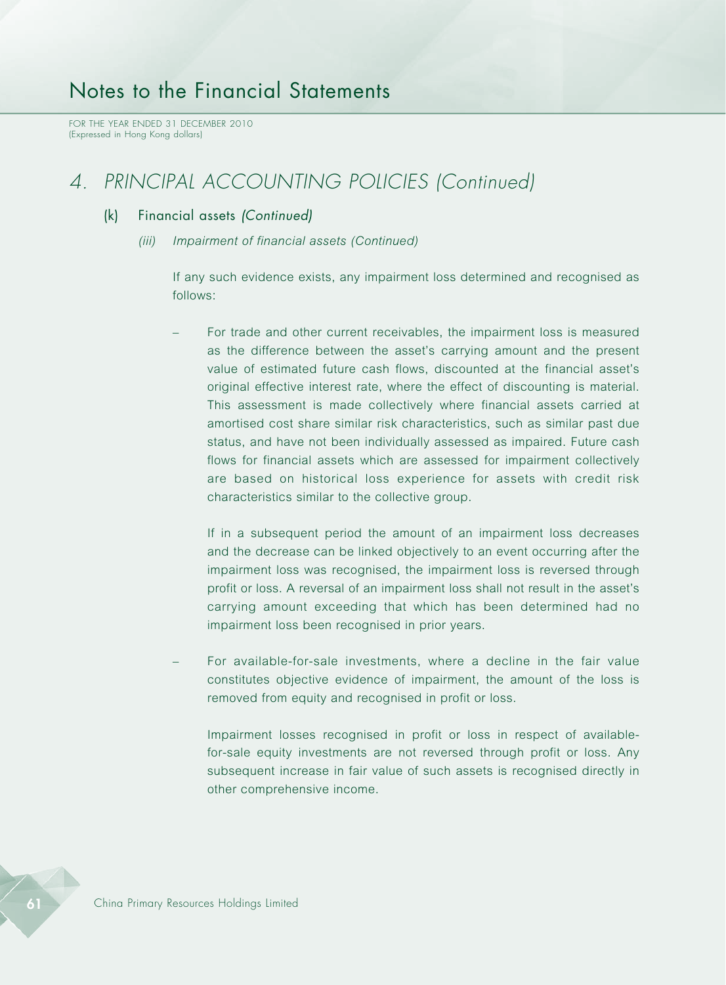FOR THE YEAR ENDED 31 DECEMBER 2010 (Expressed in Hong Kong dollars)

## *4. PRINCIPAL ACCOUNTING POLICIES (Continued)*

### (k) Financial assets *(Continued)*

*(iii) Impairment of financial assets (Continued)*

If any such evidence exists, any impairment loss determined and recognised as follows:

– For trade and other current receivables, the impairment loss is measured as the difference between the asset's carrying amount and the present value of estimated future cash flows, discounted at the financial asset's original effective interest rate, where the effect of discounting is material. This assessment is made collectively where financial assets carried at amortised cost share similar risk characteristics, such as similar past due status, and have not been individually assessed as impaired. Future cash flows for financial assets which are assessed for impairment collectively are based on historical loss experience for assets with credit risk characteristics similar to the collective group.

If in a subsequent period the amount of an impairment loss decreases and the decrease can be linked objectively to an event occurring after the impairment loss was recognised, the impairment loss is reversed through profit or loss. A reversal of an impairment loss shall not result in the asset's carrying amount exceeding that which has been determined had no impairment loss been recognised in prior years.

– For available-for-sale investments, where a decline in the fair value constitutes objective evidence of impairment, the amount of the loss is removed from equity and recognised in profit or loss.

Impairment losses recognised in profit or loss in respect of availablefor-sale equity investments are not reversed through profit or loss. Any subsequent increase in fair value of such assets is recognised directly in other comprehensive income.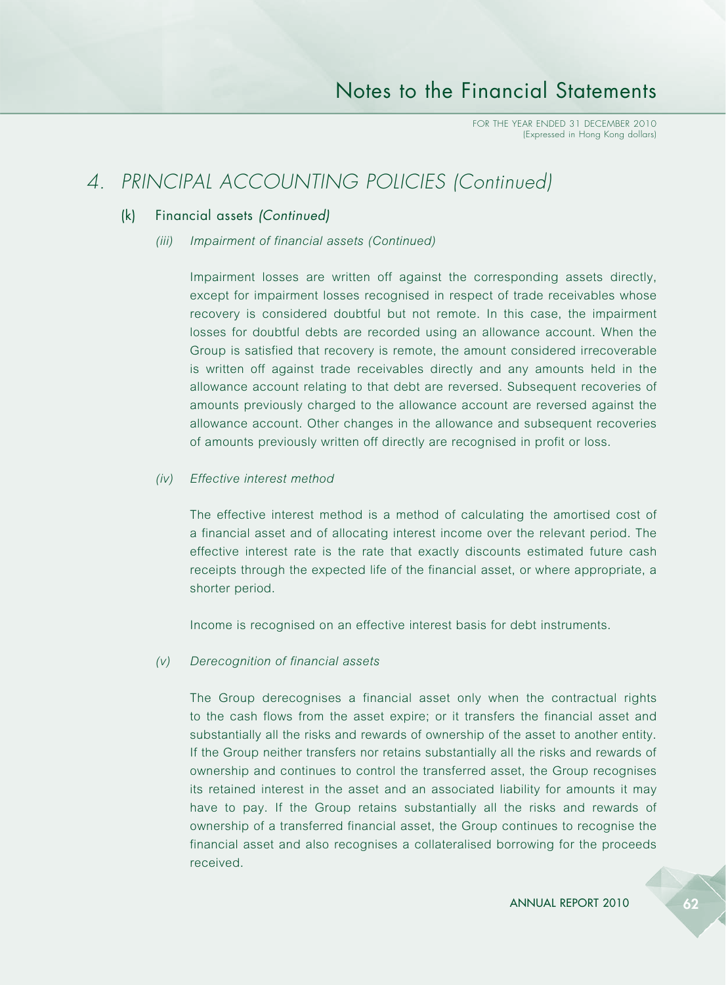## *4. PRINCIPAL ACCOUNTING POLICIES (Continued)*

### (k) Financial assets *(Continued)*

*(iii) Impairment of financial assets (Continued)*

Impairment losses are written off against the corresponding assets directly, except for impairment losses recognised in respect of trade receivables whose recovery is considered doubtful but not remote. In this case, the impairment losses for doubtful debts are recorded using an allowance account. When the Group is satisfied that recovery is remote, the amount considered irrecoverable is written off against trade receivables directly and any amounts held in the allowance account relating to that debt are reversed. Subsequent recoveries of amounts previously charged to the allowance account are reversed against the allowance account. Other changes in the allowance and subsequent recoveries of amounts previously written off directly are recognised in profit or loss.

#### *(iv) Effective interest method*

The effective interest method is a method of calculating the amortised cost of a financial asset and of allocating interest income over the relevant period. The effective interest rate is the rate that exactly discounts estimated future cash receipts through the expected life of the financial asset, or where appropriate, a shorter period.

Income is recognised on an effective interest basis for debt instruments.

#### *(v) Derecognition of financial assets*

The Group derecognises a financial asset only when the contractual rights to the cash flows from the asset expire; or it transfers the financial asset and substantially all the risks and rewards of ownership of the asset to another entity. If the Group neither transfers nor retains substantially all the risks and rewards of ownership and continues to control the transferred asset, the Group recognises its retained interest in the asset and an associated liability for amounts it may have to pay. If the Group retains substantially all the risks and rewards of ownership of a transferred financial asset, the Group continues to recognise the financial asset and also recognises a collateralised borrowing for the proceeds received.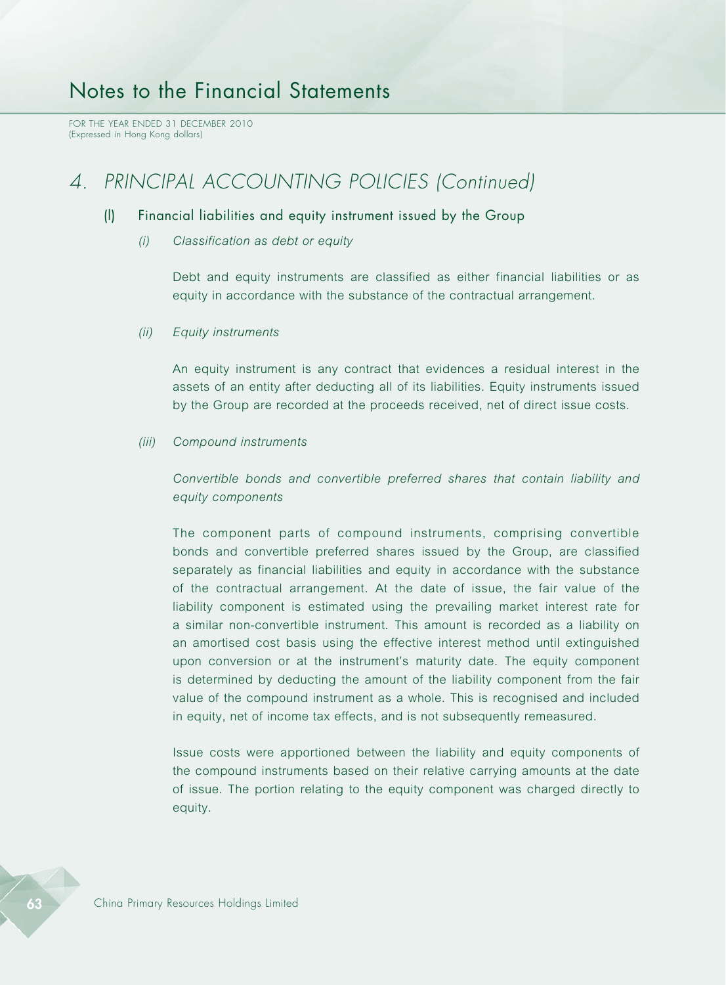FOR THE YEAR ENDED 31 DECEMBER 2010 (Expressed in Hong Kong dollars)

## *4. PRINCIPAL ACCOUNTING POLICIES (Continued)*

### (l) Financial liabilities and equity instrument issued by the Group

*(i) Classification as debt or equity*

Debt and equity instruments are classified as either financial liabilities or as equity in accordance with the substance of the contractual arrangement.

*(ii) Equity instruments*

An equity instrument is any contract that evidences a residual interest in the assets of an entity after deducting all of its liabilities. Equity instruments issued by the Group are recorded at the proceeds received, net of direct issue costs.

*(iii) Compound instruments*

*Convertible bonds and convertible preferred shares that contain liability and equity components*

The component parts of compound instruments, comprising convertible bonds and convertible preferred shares issued by the Group, are classified separately as financial liabilities and equity in accordance with the substance of the contractual arrangement. At the date of issue, the fair value of the liability component is estimated using the prevailing market interest rate for a similar non-convertible instrument. This amount is recorded as a liability on an amortised cost basis using the effective interest method until extinguished upon conversion or at the instrument's maturity date. The equity component is determined by deducting the amount of the liability component from the fair value of the compound instrument as a whole. This is recognised and included in equity, net of income tax effects, and is not subsequently remeasured.

Issue costs were apportioned between the liability and equity components of the compound instruments based on their relative carrying amounts at the date of issue. The portion relating to the equity component was charged directly to equity.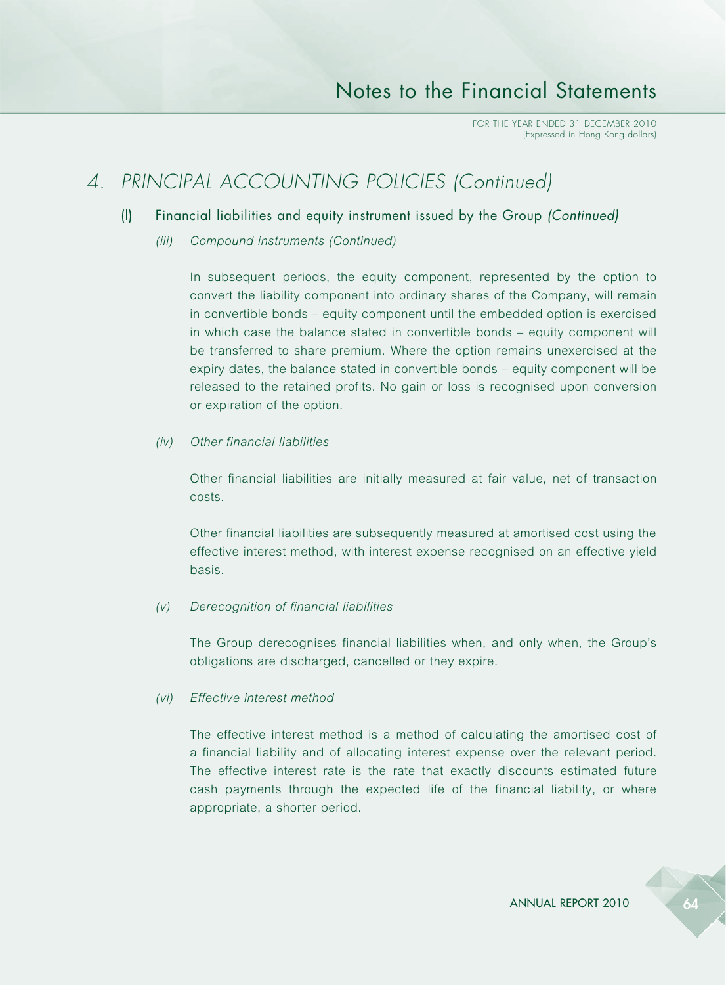## *4. PRINCIPAL ACCOUNTING POLICIES (Continued)*

### (l) Financial liabilities and equity instrument issued by the Group *(Continued)*

*(iii) Compound instruments (Continued)*

In subsequent periods, the equity component, represented by the option to convert the liability component into ordinary shares of the Company, will remain in convertible bonds – equity component until the embedded option is exercised in which case the balance stated in convertible bonds – equity component will be transferred to share premium. Where the option remains unexercised at the expiry dates, the balance stated in convertible bonds – equity component will be released to the retained profits. No gain or loss is recognised upon conversion or expiration of the option.

#### *(iv) Other financial liabilities*

Other financial liabilities are initially measured at fair value, net of transaction costs.

Other financial liabilities are subsequently measured at amortised cost using the effective interest method, with interest expense recognised on an effective yield basis.

#### *(v) Derecognition of financial liabilities*

The Group derecognises financial liabilities when, and only when, the Group's obligations are discharged, cancelled or they expire.

### *(vi) Effective interest method*

The effective interest method is a method of calculating the amortised cost of a financial liability and of allocating interest expense over the relevant period. The effective interest rate is the rate that exactly discounts estimated future cash payments through the expected life of the financial liability, or where appropriate, a shorter period.

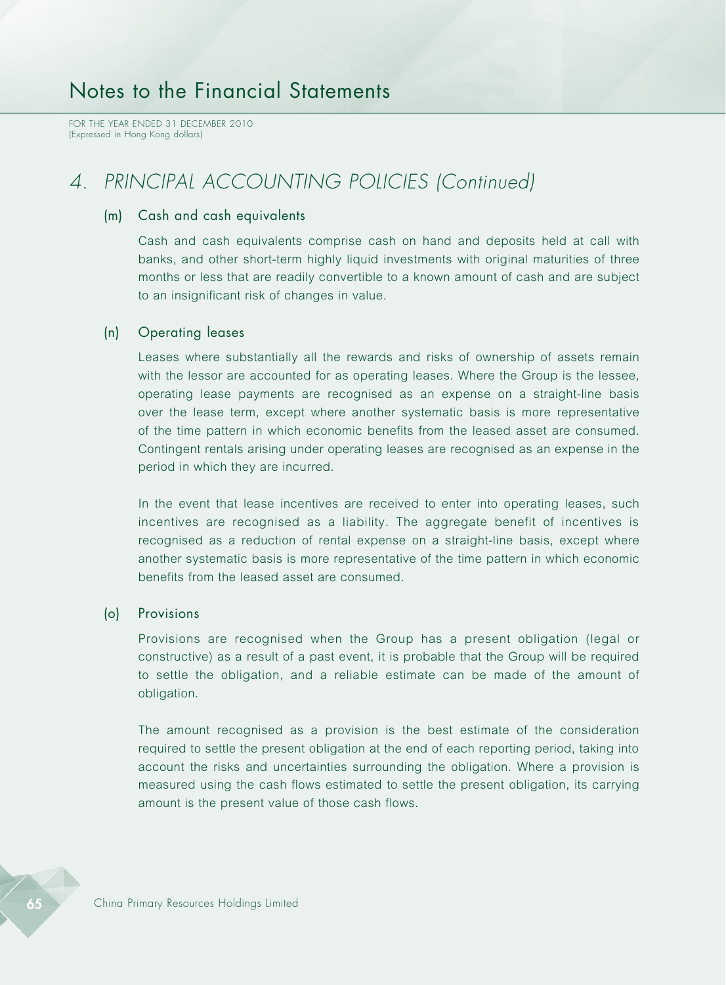FOR THE YEAR ENDED 31 DECEMBER 2010 (Expressed in Hong Kong dollars)

## *4. PRINCIPAL ACCOUNTING POLICIES (Continued)*

### (m) Cash and cash equivalents

Cash and cash equivalents comprise cash on hand and deposits held at call with banks, and other short-term highly liquid investments with original maturities of three months or less that are readily convertible to a known amount of cash and are subject to an insignificant risk of changes in value.

### (n) Operating leases

Leases where substantially all the rewards and risks of ownership of assets remain with the lessor are accounted for as operating leases. Where the Group is the lessee, operating lease payments are recognised as an expense on a straight-line basis over the lease term, except where another systematic basis is more representative of the time pattern in which economic benefits from the leased asset are consumed. Contingent rentals arising under operating leases are recognised as an expense in the period in which they are incurred.

In the event that lease incentives are received to enter into operating leases, such incentives are recognised as a liability. The aggregate benefit of incentives is recognised as a reduction of rental expense on a straight-line basis, except where another systematic basis is more representative of the time pattern in which economic benefits from the leased asset are consumed.

### (o) Provisions

Provisions are recognised when the Group has a present obligation (legal or constructive) as a result of a past event, it is probable that the Group will be required to settle the obligation, and a reliable estimate can be made of the amount of obligation.

The amount recognised as a provision is the best estimate of the consideration required to settle the present obligation at the end of each reporting period, taking into account the risks and uncertainties surrounding the obligation. Where a provision is measured using the cash flows estimated to settle the present obligation, its carrying amount is the present value of those cash flows.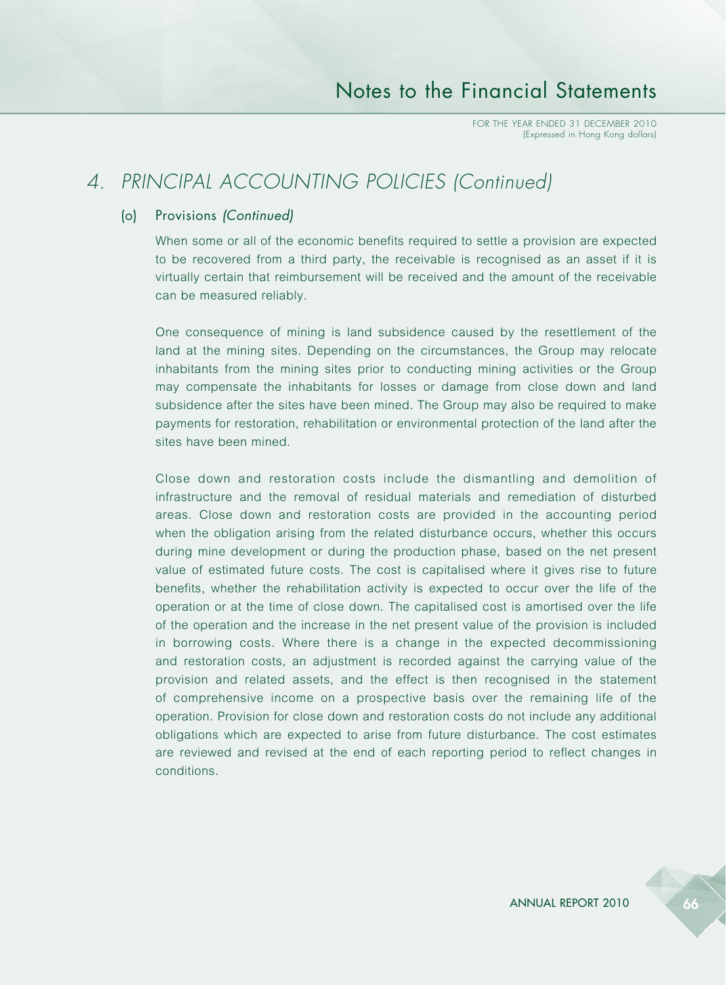## *4. PRINCIPAL ACCOUNTING POLICIES (Continued)*

### (o) Provisions *(Continued)*

When some or all of the economic benefits required to settle a provision are expected to be recovered from a third party, the receivable is recognised as an asset if it is virtually certain that reimbursement will be received and the amount of the receivable can be measured reliably.

One consequence of mining is land subsidence caused by the resettlement of the land at the mining sites. Depending on the circumstances, the Group may relocate inhabitants from the mining sites prior to conducting mining activities or the Group may compensate the inhabitants for losses or damage from close down and land subsidence after the sites have been mined. The Group may also be required to make payments for restoration, rehabilitation or environmental protection of the land after the sites have been mined.

Close down and restoration costs include the dismantling and demolition of infrastructure and the removal of residual materials and remediation of disturbed areas. Close down and restoration costs are provided in the accounting period when the obligation arising from the related disturbance occurs, whether this occurs during mine development or during the production phase, based on the net present value of estimated future costs. The cost is capitalised where it gives rise to future benefits, whether the rehabilitation activity is expected to occur over the life of the operation or at the time of close down. The capitalised cost is amortised over the life of the operation and the increase in the net present value of the provision is included in borrowing costs. Where there is a change in the expected decommissioning and restoration costs, an adjustment is recorded against the carrying value of the provision and related assets, and the effect is then recognised in the statement of comprehensive income on a prospective basis over the remaining life of the operation. Provision for close down and restoration costs do not include any additional obligations which are expected to arise from future disturbance. The cost estimates are reviewed and revised at the end of each reporting period to reflect changes in conditions.

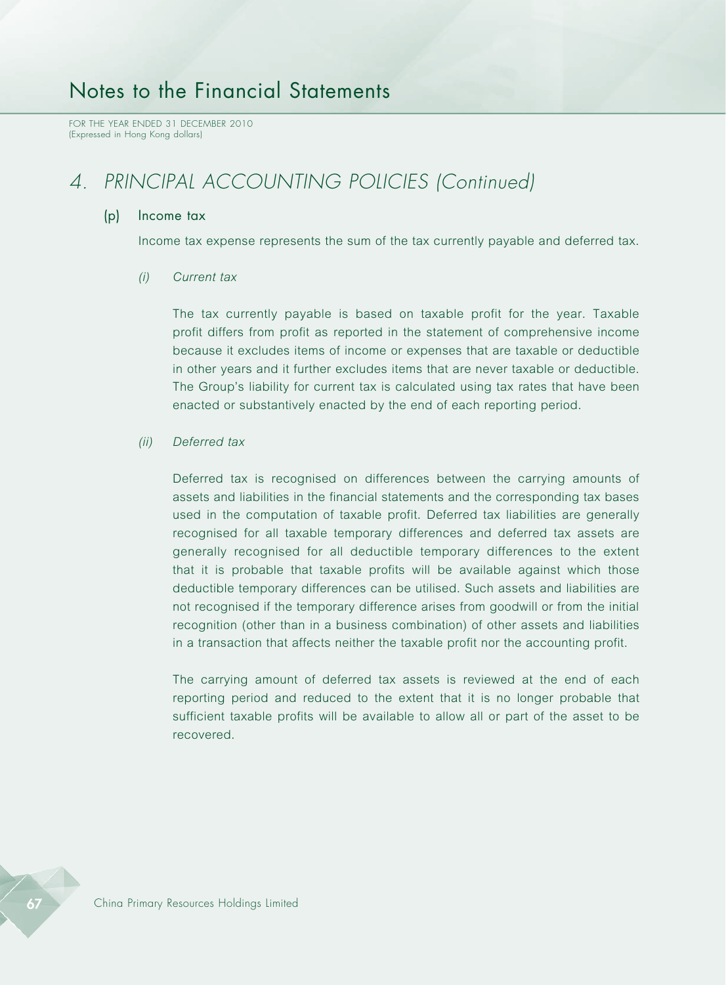FOR THE YEAR ENDED 31 DECEMBER 2010 (Expressed in Hong Kong dollars)

## *4. PRINCIPAL ACCOUNTING POLICIES (Continued)*

#### (p) Income tax

Income tax expense represents the sum of the tax currently payable and deferred tax.

#### *(i) Current tax*

The tax currently payable is based on taxable profit for the year. Taxable profit differs from profit as reported in the statement of comprehensive income because it excludes items of income or expenses that are taxable or deductible in other years and it further excludes items that are never taxable or deductible. The Group's liability for current tax is calculated using tax rates that have been enacted or substantively enacted by the end of each reporting period.

#### *(ii) Deferred tax*

Deferred tax is recognised on differences between the carrying amounts of assets and liabilities in the financial statements and the corresponding tax bases used in the computation of taxable profit. Deferred tax liabilities are generally recognised for all taxable temporary differences and deferred tax assets are generally recognised for all deductible temporary differences to the extent that it is probable that taxable profits will be available against which those deductible temporary differences can be utilised. Such assets and liabilities are not recognised if the temporary difference arises from goodwill or from the initial recognition (other than in a business combination) of other assets and liabilities in a transaction that affects neither the taxable profit nor the accounting profit.

The carrying amount of deferred tax assets is reviewed at the end of each reporting period and reduced to the extent that it is no longer probable that sufficient taxable profits will be available to allow all or part of the asset to be recovered.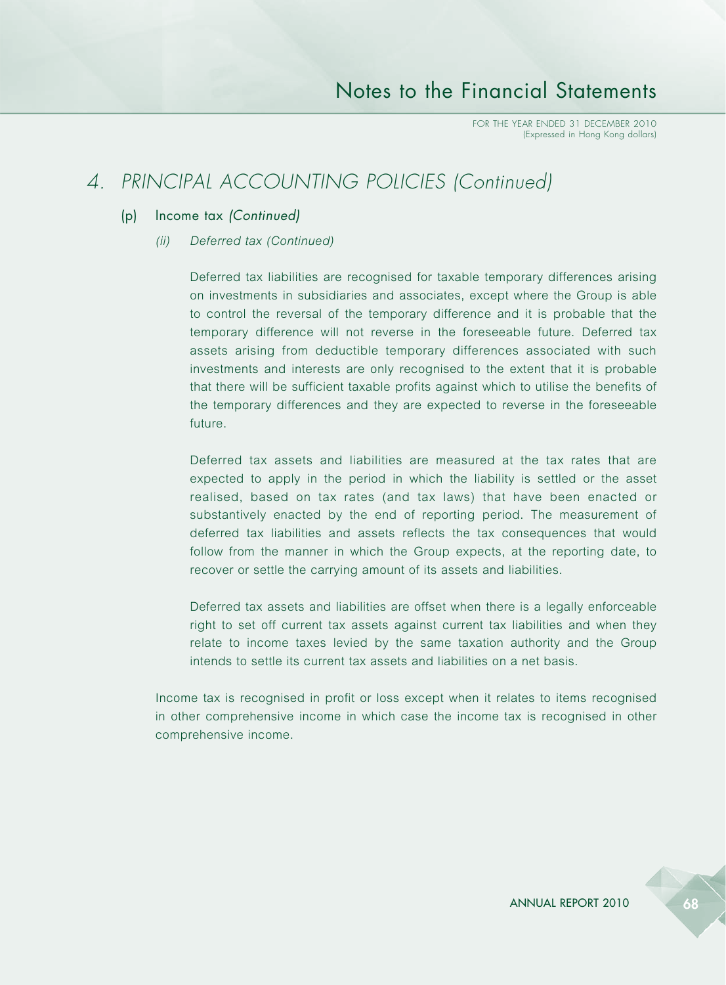## *4. PRINCIPAL ACCOUNTING POLICIES (Continued)*

### (p) Income tax *(Continued)*

*(ii) Deferred tax (Continued)*

Deferred tax liabilities are recognised for taxable temporary differences arising on investments in subsidiaries and associates, except where the Group is able to control the reversal of the temporary difference and it is probable that the temporary difference will not reverse in the foreseeable future. Deferred tax assets arising from deductible temporary differences associated with such investments and interests are only recognised to the extent that it is probable that there will be sufficient taxable profits against which to utilise the benefits of the temporary differences and they are expected to reverse in the foreseeable future.

Deferred tax assets and liabilities are measured at the tax rates that are expected to apply in the period in which the liability is settled or the asset realised, based on tax rates (and tax laws) that have been enacted or substantively enacted by the end of reporting period. The measurement of deferred tax liabilities and assets reflects the tax consequences that would follow from the manner in which the Group expects, at the reporting date, to recover or settle the carrying amount of its assets and liabilities.

Deferred tax assets and liabilities are offset when there is a legally enforceable right to set off current tax assets against current tax liabilities and when they relate to income taxes levied by the same taxation authority and the Group intends to settle its current tax assets and liabilities on a net basis.

Income tax is recognised in profit or loss except when it relates to items recognised in other comprehensive income in which case the income tax is recognised in other comprehensive income.

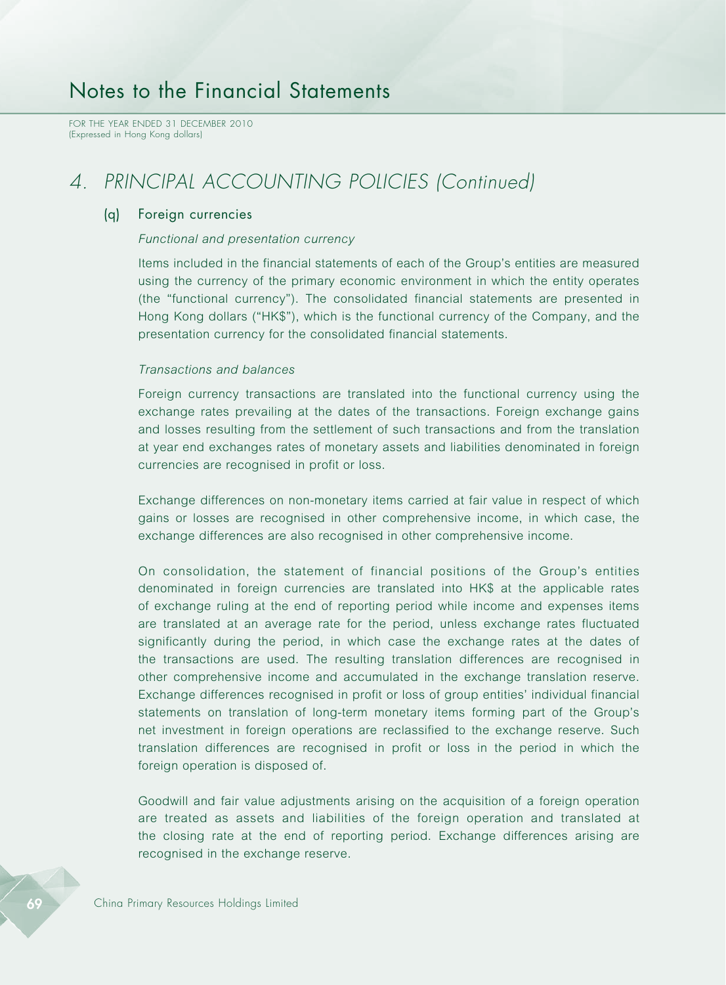FOR THE YEAR ENDED 31 DECEMBER 2010 (Expressed in Hong Kong dollars)

## *4. PRINCIPAL ACCOUNTING POLICIES (Continued)*

#### (q) Foreign currencies

#### *Functional and presentation currency*

Items included in the financial statements of each of the Group's entities are measured using the currency of the primary economic environment in which the entity operates (the "functional currency"). The consolidated financial statements are presented in Hong Kong dollars ("HK\$"), which is the functional currency of the Company, and the presentation currency for the consolidated financial statements.

#### *Transactions and balances*

Foreign currency transactions are translated into the functional currency using the exchange rates prevailing at the dates of the transactions. Foreign exchange gains and losses resulting from the settlement of such transactions and from the translation at year end exchanges rates of monetary assets and liabilities denominated in foreign currencies are recognised in profit or loss.

Exchange differences on non-monetary items carried at fair value in respect of which gains or losses are recognised in other comprehensive income, in which case, the exchange differences are also recognised in other comprehensive income.

On consolidation, the statement of financial positions of the Group's entities denominated in foreign currencies are translated into HK\$ at the applicable rates of exchange ruling at the end of reporting period while income and expenses items are translated at an average rate for the period, unless exchange rates fluctuated significantly during the period, in which case the exchange rates at the dates of the transactions are used. The resulting translation differences are recognised in other comprehensive income and accumulated in the exchange translation reserve. Exchange differences recognised in profit or loss of group entities' individual financial statements on translation of long-term monetary items forming part of the Group's net investment in foreign operations are reclassified to the exchange reserve. Such translation differences are recognised in profit or loss in the period in which the foreign operation is disposed of.

Goodwill and fair value adjustments arising on the acquisition of a foreign operation are treated as assets and liabilities of the foreign operation and translated at the closing rate at the end of reporting period. Exchange differences arising are recognised in the exchange reserve.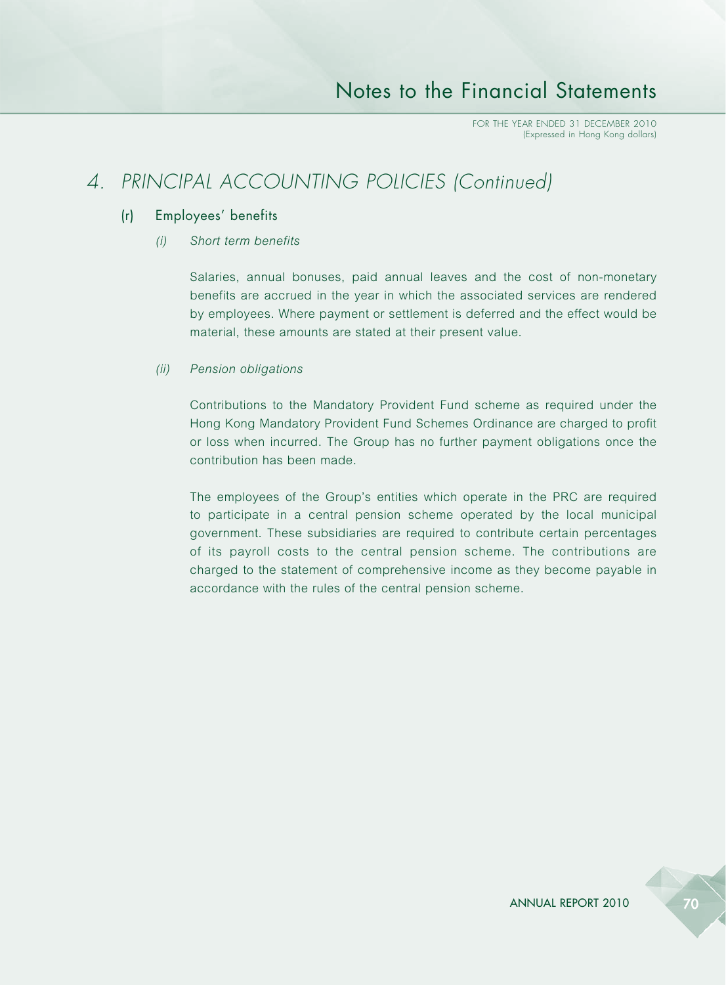## *4. PRINCIPAL ACCOUNTING POLICIES (Continued)*

### (r) Employees' benefits

### *(i) Short term benefits*

Salaries, annual bonuses, paid annual leaves and the cost of non-monetary benefits are accrued in the year in which the associated services are rendered by employees. Where payment or settlement is deferred and the effect would be material, these amounts are stated at their present value.

#### *(ii) Pension obligations*

Contributions to the Mandatory Provident Fund scheme as required under the Hong Kong Mandatory Provident Fund Schemes Ordinance are charged to profit or loss when incurred. The Group has no further payment obligations once the contribution has been made.

The employees of the Group's entities which operate in the PRC are required to participate in a central pension scheme operated by the local municipal government. These subsidiaries are required to contribute certain percentages of its payroll costs to the central pension scheme. The contributions are charged to the statement of comprehensive income as they become payable in accordance with the rules of the central pension scheme.

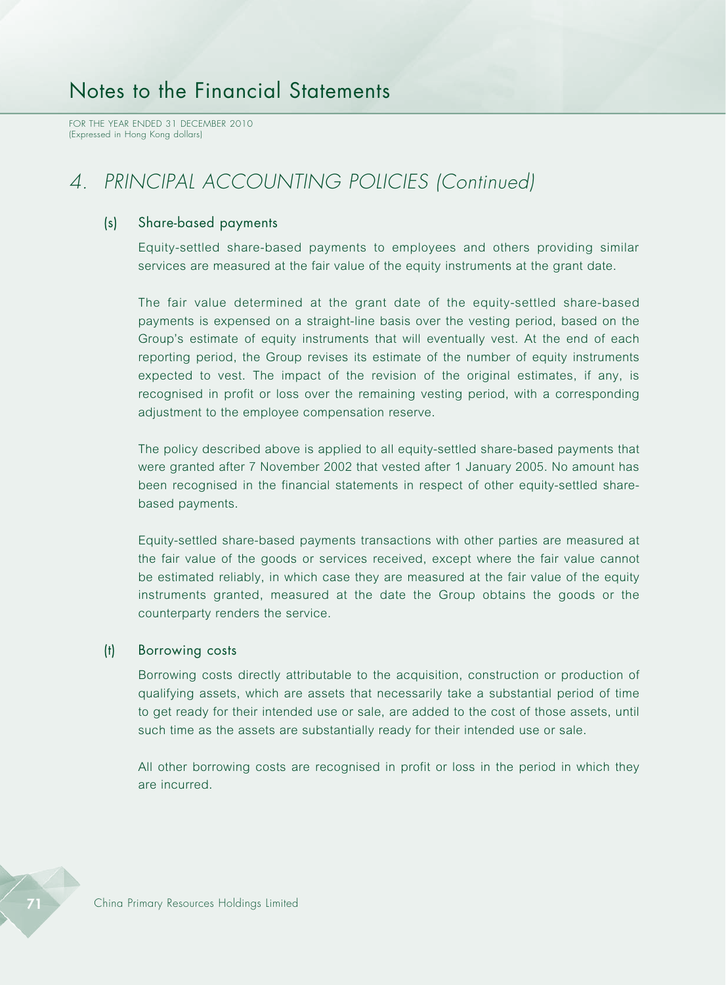# *4. PRINCIPAL ACCOUNTING POLICIES (Continued)*

#### (s) Share-based payments

Equity-settled share-based payments to employees and others providing similar services are measured at the fair value of the equity instruments at the grant date.

The fair value determined at the grant date of the equity-settled share-based payments is expensed on a straight-line basis over the vesting period, based on the Group's estimate of equity instruments that will eventually vest. At the end of each reporting period, the Group revises its estimate of the number of equity instruments expected to vest. The impact of the revision of the original estimates, if any, is recognised in profit or loss over the remaining vesting period, with a corresponding adjustment to the employee compensation reserve.

The policy described above is applied to all equity-settled share-based payments that were granted after 7 November 2002 that vested after 1 January 2005. No amount has been recognised in the financial statements in respect of other equity-settled sharebased payments.

Equity-settled share-based payments transactions with other parties are measured at the fair value of the goods or services received, except where the fair value cannot be estimated reliably, in which case they are measured at the fair value of the equity instruments granted, measured at the date the Group obtains the goods or the counterparty renders the service.

#### (t) Borrowing costs

Borrowing costs directly attributable to the acquisition, construction or production of qualifying assets, which are assets that necessarily take a substantial period of time to get ready for their intended use or sale, are added to the cost of those assets, until such time as the assets are substantially ready for their intended use or sale.

All other borrowing costs are recognised in profit or loss in the period in which they are incurred.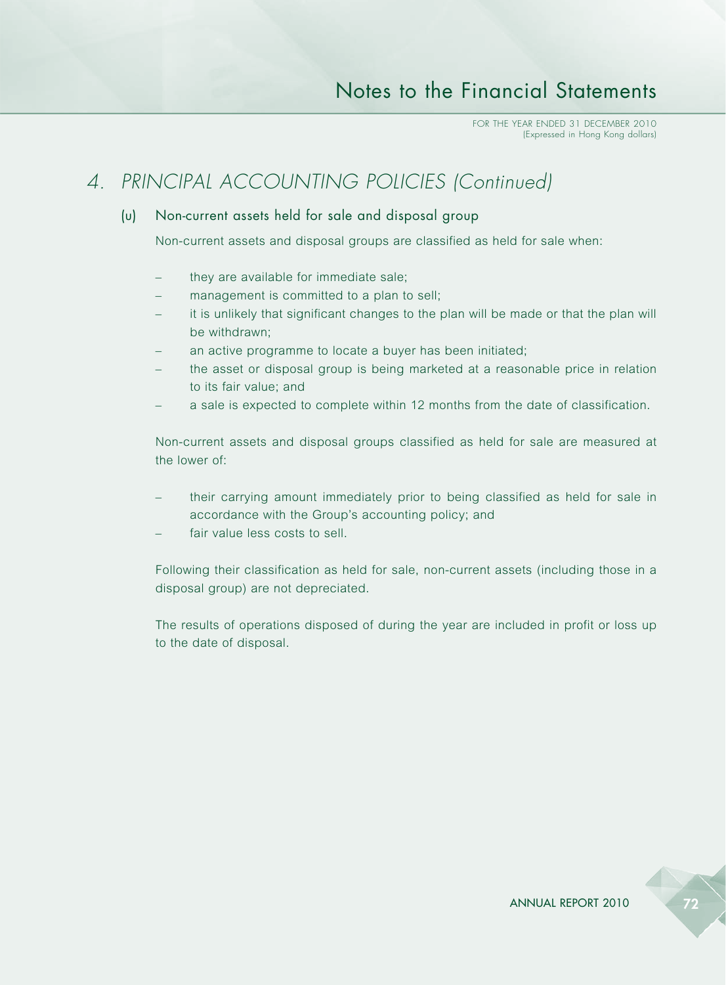# *4. PRINCIPAL ACCOUNTING POLICIES (Continued)*

### (u) Non-current assets held for sale and disposal group

Non-current assets and disposal groups are classified as held for sale when:

- they are available for immediate sale;
- management is committed to a plan to sell;
- it is unlikely that significant changes to the plan will be made or that the plan will be withdrawn;
- an active programme to locate a buyer has been initiated;
- the asset or disposal group is being marketed at a reasonable price in relation to its fair value; and
- a sale is expected to complete within 12 months from the date of classification.

Non-current assets and disposal groups classified as held for sale are measured at the lower of:

- their carrying amount immediately prior to being classified as held for sale in accordance with the Group's accounting policy; and
- fair value less costs to sell.

Following their classification as held for sale, non-current assets (including those in a disposal group) are not depreciated.

The results of operations disposed of during the year are included in profit or loss up to the date of disposal.

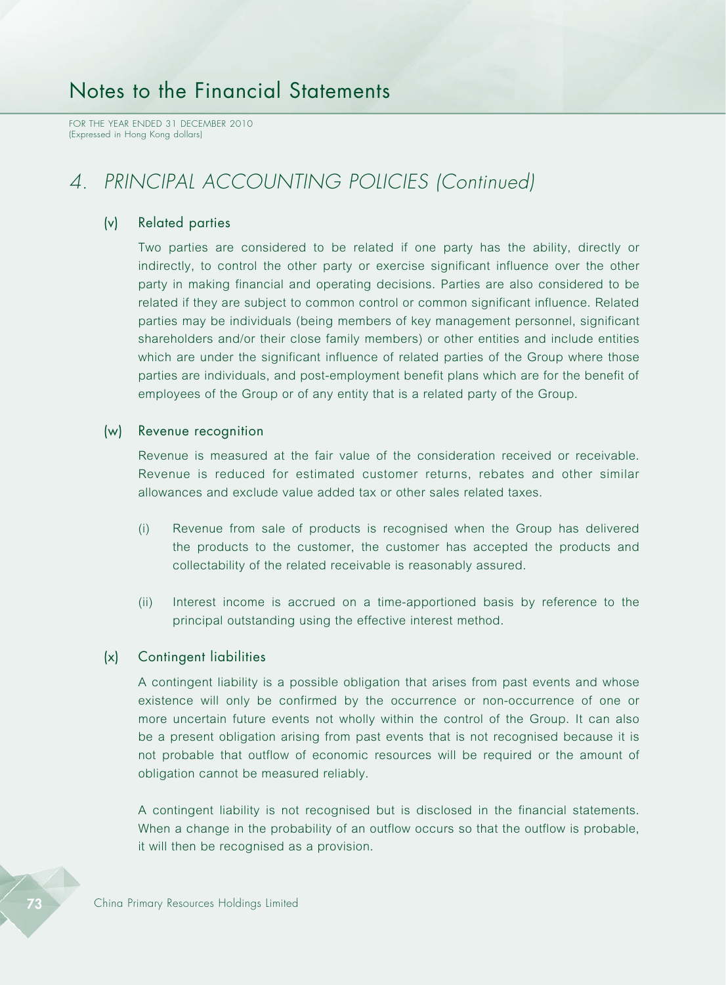FOR THE YEAR ENDED 31 DECEMBER 2010 (Expressed in Hong Kong dollars)

## *4. PRINCIPAL ACCOUNTING POLICIES (Continued)*

#### (v) Related parties

Two parties are considered to be related if one party has the ability, directly or indirectly, to control the other party or exercise significant influence over the other party in making financial and operating decisions. Parties are also considered to be related if they are subject to common control or common significant influence. Related parties may be individuals (being members of key management personnel, significant shareholders and/or their close family members) or other entities and include entities which are under the significant influence of related parties of the Group where those parties are individuals, and post-employment benefit plans which are for the benefit of employees of the Group or of any entity that is a related party of the Group.

#### (w) Revenue recognition

Revenue is measured at the fair value of the consideration received or receivable. Revenue is reduced for estimated customer returns, rebates and other similar allowances and exclude value added tax or other sales related taxes.

- (i) Revenue from sale of products is recognised when the Group has delivered the products to the customer, the customer has accepted the products and collectability of the related receivable is reasonably assured.
- (ii) Interest income is accrued on a time-apportioned basis by reference to the principal outstanding using the effective interest method.

#### (x) Contingent liabilities

A contingent liability is a possible obligation that arises from past events and whose existence will only be confirmed by the occurrence or non-occurrence of one or more uncertain future events not wholly within the control of the Group. It can also be a present obligation arising from past events that is not recognised because it is not probable that outflow of economic resources will be required or the amount of obligation cannot be measured reliably.

A contingent liability is not recognised but is disclosed in the financial statements. When a change in the probability of an outflow occurs so that the outflow is probable, it will then be recognised as a provision.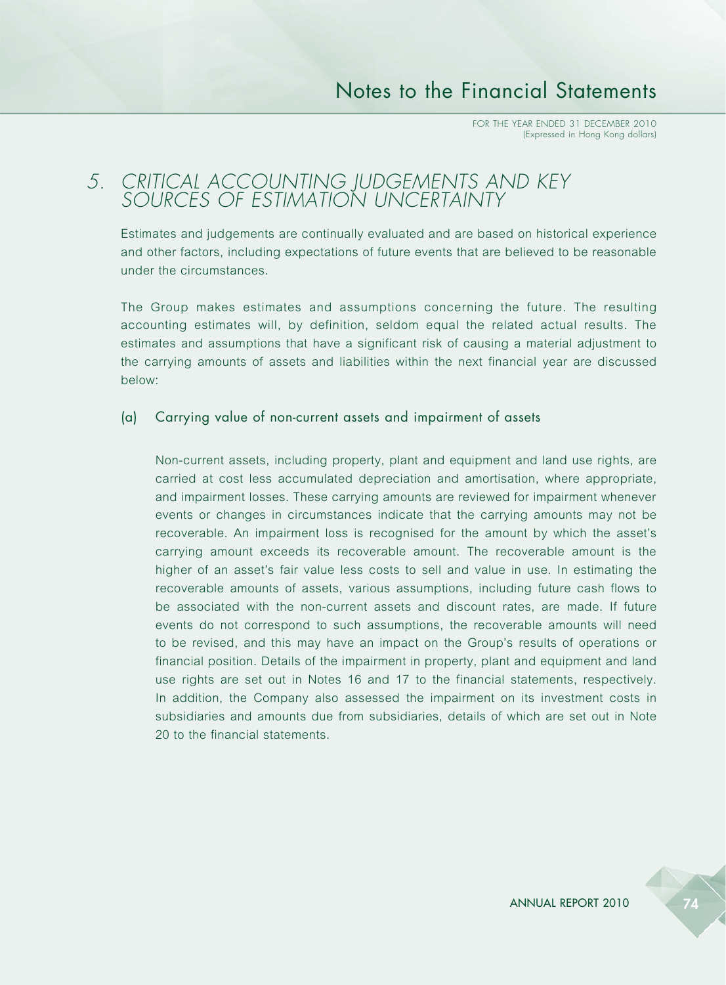### *5. CRITICAL ACCOUNTING JUDGEMENTS AND KEY SOURCES OF ESTIMATION UNCERTAINTY*

Estimates and judgements are continually evaluated and are based on historical experience and other factors, including expectations of future events that are believed to be reasonable under the circumstances.

The Group makes estimates and assumptions concerning the future. The resulting accounting estimates will, by definition, seldom equal the related actual results. The estimates and assumptions that have a significant risk of causing a material adjustment to the carrying amounts of assets and liabilities within the next financial year are discussed below:

#### (a) Carrying value of non-current assets and impairment of assets

Non-current assets, including property, plant and equipment and land use rights, are carried at cost less accumulated depreciation and amortisation, where appropriate, and impairment losses. These carrying amounts are reviewed for impairment whenever events or changes in circumstances indicate that the carrying amounts may not be recoverable. An impairment loss is recognised for the amount by which the asset's carrying amount exceeds its recoverable amount. The recoverable amount is the higher of an asset's fair value less costs to sell and value in use. In estimating the recoverable amounts of assets, various assumptions, including future cash flows to be associated with the non-current assets and discount rates, are made. If future events do not correspond to such assumptions, the recoverable amounts will need to be revised, and this may have an impact on the Group's results of operations or financial position. Details of the impairment in property, plant and equipment and land use rights are set out in Notes 16 and 17 to the financial statements, respectively. In addition, the Company also assessed the impairment on its investment costs in subsidiaries and amounts due from subsidiaries, details of which are set out in Note 20 to the financial statements.

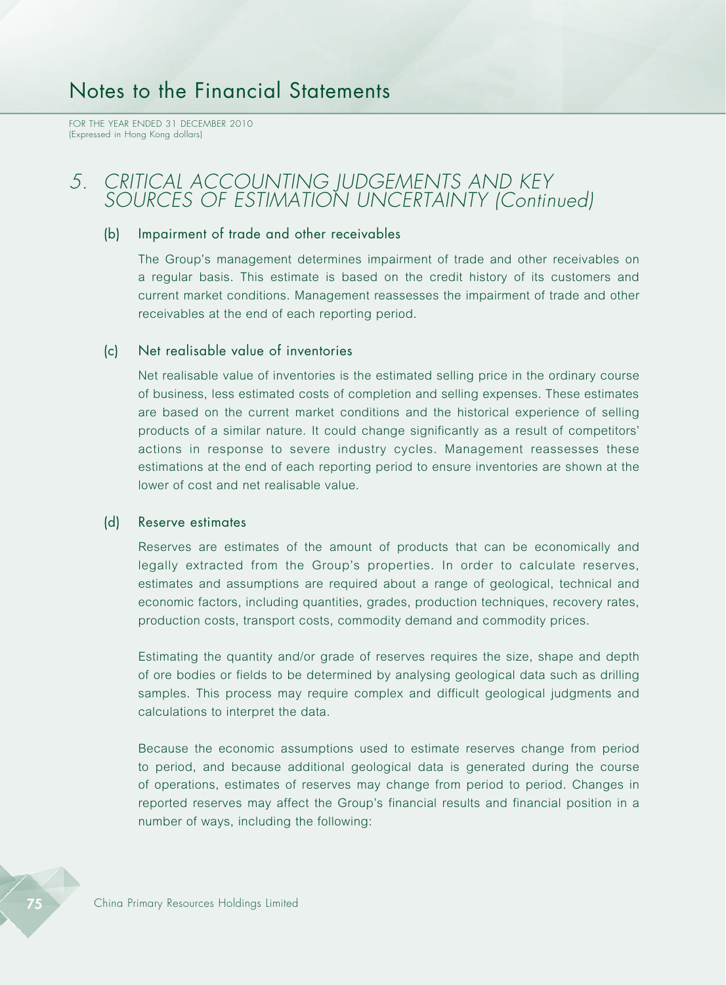FOR THE YEAR ENDED 31 DECEMBER 2010 (Expressed in Hong Kong dollars)

### *5. CRITICAL ACCOUNTING JUDGEMENTS AND KEY SOURCES OF ESTIMATION UNCERTAINTY (Continued)*

### (b) Impairment of trade and other receivables

The Group's management determines impairment of trade and other receivables on a regular basis. This estimate is based on the credit history of its customers and current market conditions. Management reassesses the impairment of trade and other receivables at the end of each reporting period.

#### (c) Net realisable value of inventories

Net realisable value of inventories is the estimated selling price in the ordinary course of business, less estimated costs of completion and selling expenses. These estimates are based on the current market conditions and the historical experience of selling products of a similar nature. It could change significantly as a result of competitors' actions in response to severe industry cycles. Management reassesses these estimations at the end of each reporting period to ensure inventories are shown at the lower of cost and net realisable value.

#### (d) Reserve estimates

Reserves are estimates of the amount of products that can be economically and legally extracted from the Group's properties. In order to calculate reserves, estimates and assumptions are required about a range of geological, technical and economic factors, including quantities, grades, production techniques, recovery rates, production costs, transport costs, commodity demand and commodity prices.

Estimating the quantity and/or grade of reserves requires the size, shape and depth of ore bodies or fields to be determined by analysing geological data such as drilling samples. This process may require complex and difficult geological judgments and calculations to interpret the data.

Because the economic assumptions used to estimate reserves change from period to period, and because additional geological data is generated during the course of operations, estimates of reserves may change from period to period. Changes in reported reserves may affect the Group's financial results and financial position in a number of ways, including the following: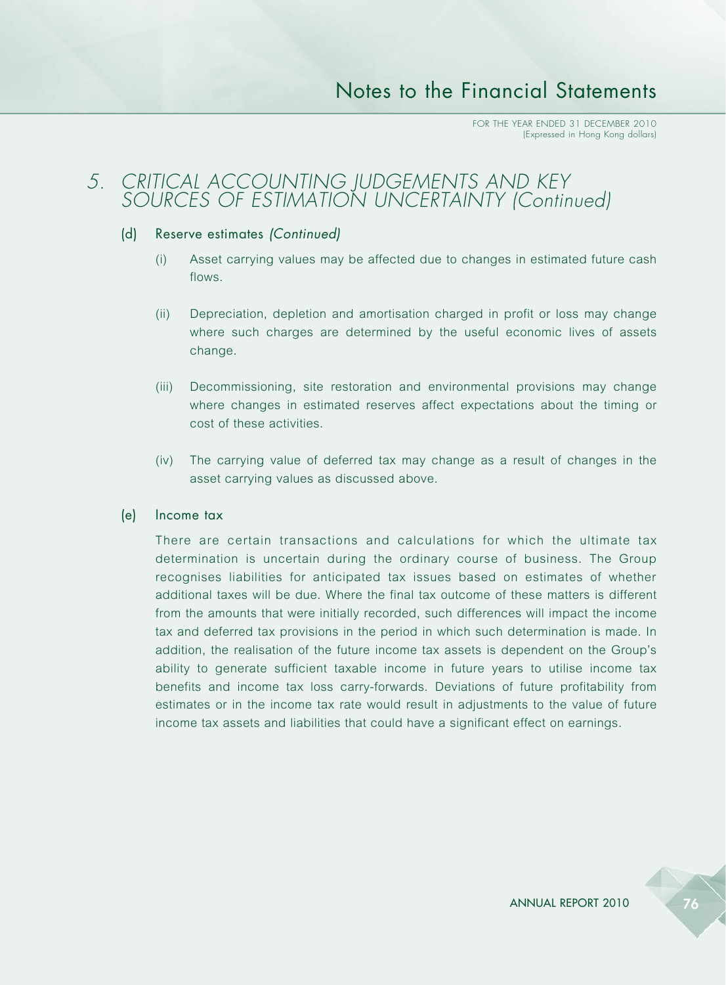### *5. CRITICAL ACCOUNTING JUDGEMENTS AND KEY SOURCES OF ESTIMATION UNCERTAINTY (Continued)*

#### (d) Reserve estimates *(Continued)*

- (i) Asset carrying values may be affected due to changes in estimated future cash flows.
- (ii) Depreciation, depletion and amortisation charged in profit or loss may change where such charges are determined by the useful economic lives of assets change.
- (iii) Decommissioning, site restoration and environmental provisions may change where changes in estimated reserves affect expectations about the timing or cost of these activities.
- (iv) The carrying value of deferred tax may change as a result of changes in the asset carrying values as discussed above.

#### (e) Income tax

There are certain transactions and calculations for which the ultimate tax determination is uncertain during the ordinary course of business. The Group recognises liabilities for anticipated tax issues based on estimates of whether additional taxes will be due. Where the final tax outcome of these matters is different from the amounts that were initially recorded, such differences will impact the income tax and deferred tax provisions in the period in which such determination is made. In addition, the realisation of the future income tax assets is dependent on the Group's ability to generate sufficient taxable income in future years to utilise income tax benefits and income tax loss carry-forwards. Deviations of future profitability from estimates or in the income tax rate would result in adjustments to the value of future income tax assets and liabilities that could have a significant effect on earnings.



ANNUAL REPORT 2010 76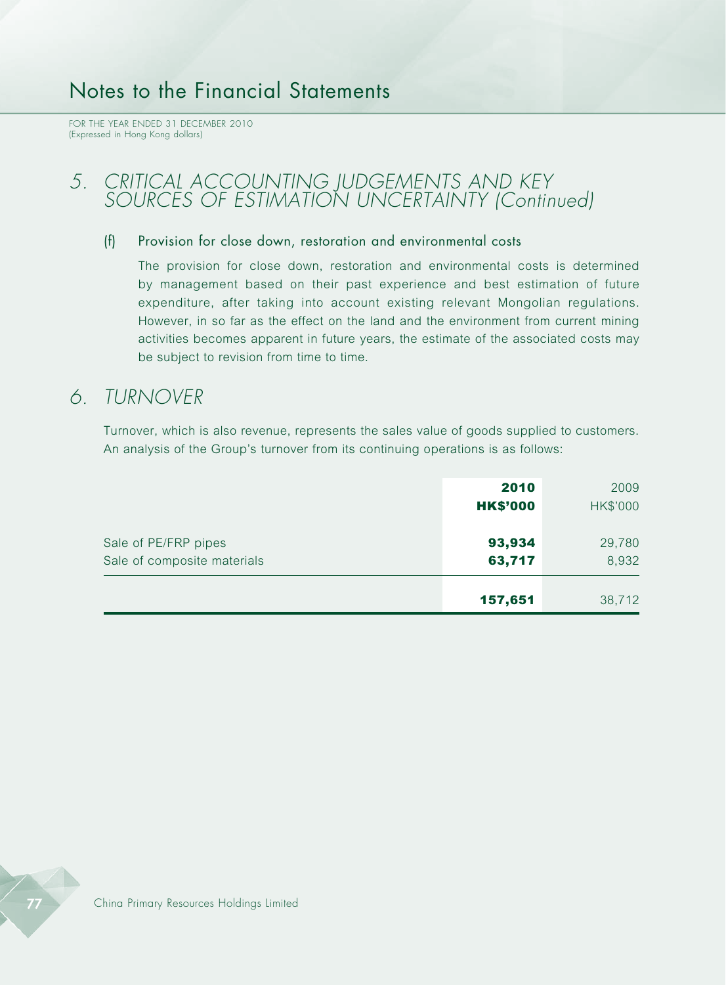FOR THE YEAR ENDED 31 DECEMBER 2010 (Expressed in Hong Kong dollars)

### *5. CRITICAL ACCOUNTING JUDGEMENTS AND KEY SOURCES OF ESTIMATION UNCERTAINTY (Continued)*

### (f) Provision for close down, restoration and environmental costs

The provision for close down, restoration and environmental costs is determined by management based on their past experience and best estimation of future expenditure, after taking into account existing relevant Mongolian regulations. However, in so far as the effect on the land and the environment from current mining activities becomes apparent in future years, the estimate of the associated costs may be subject to revision from time to time.

### *6. TURNOVER*

Turnover, which is also revenue, represents the sales value of goods supplied to customers. An analysis of the Group's turnover from its continuing operations is as follows:

|                                                     | 2010<br><b>HK\$'000</b> | 2009<br><b>HK\$'000</b> |
|-----------------------------------------------------|-------------------------|-------------------------|
| Sale of PE/FRP pipes<br>Sale of composite materials | 93,934<br>63,717        | 29,780<br>8,932         |
|                                                     | 157,651                 | 38,712                  |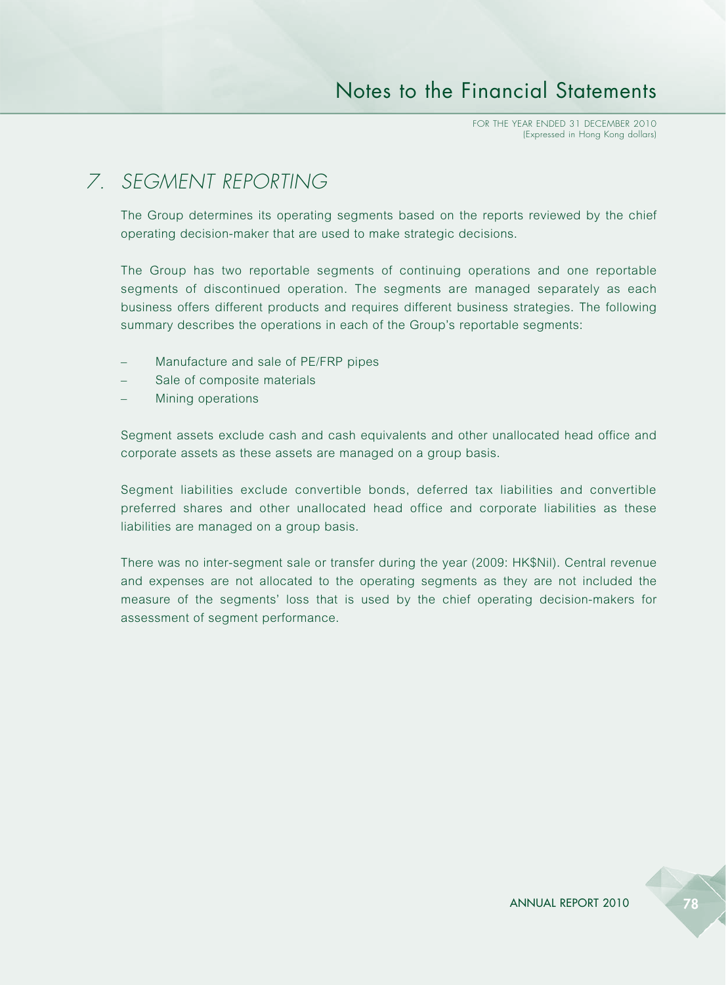# *7. SEGMENT REPORTING*

The Group determines its operating segments based on the reports reviewed by the chief operating decision-maker that are used to make strategic decisions.

The Group has two reportable segments of continuing operations and one reportable segments of discontinued operation. The segments are managed separately as each business offers different products and requires different business strategies. The following summary describes the operations in each of the Group's reportable segments:

- Manufacture and sale of PE/FRP pipes
- Sale of composite materials
- Mining operations

Segment assets exclude cash and cash equivalents and other unallocated head office and corporate assets as these assets are managed on a group basis.

Segment liabilities exclude convertible bonds, deferred tax liabilities and convertible preferred shares and other unallocated head office and corporate liabilities as these liabilities are managed on a group basis.

There was no inter-segment sale or transfer during the year (2009: HK\$Nil). Central revenue and expenses are not allocated to the operating segments as they are not included the measure of the segments' loss that is used by the chief operating decision-makers for assessment of segment performance.

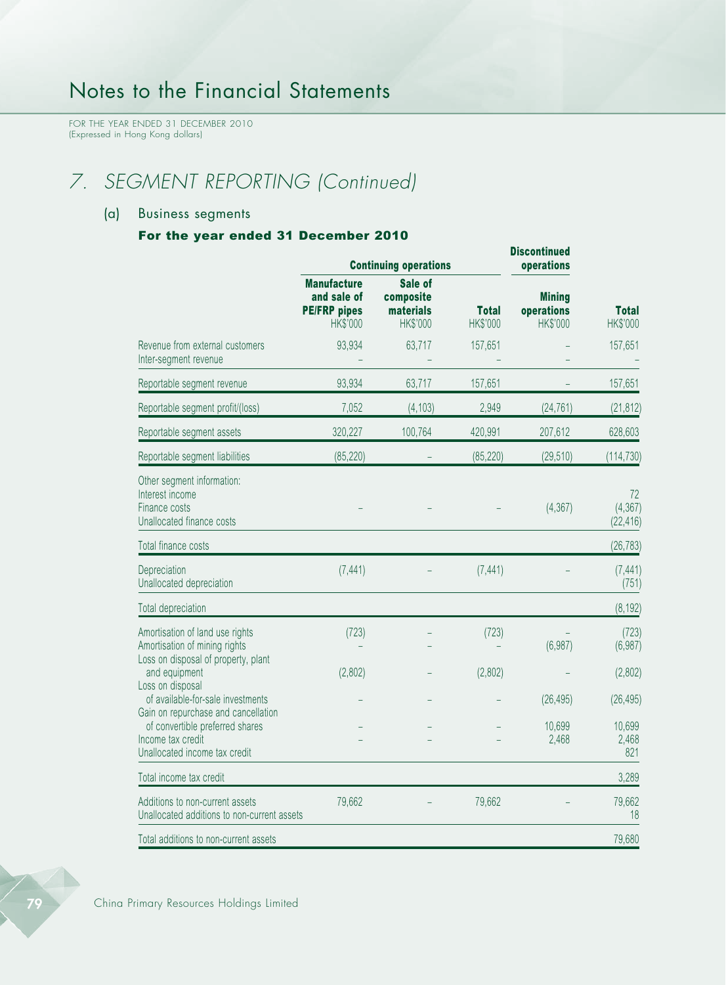FOR THE YEAR ENDED 31 DECEMBER 2010 (Expressed in Hong Kong dollars)

# *7. SEGMENT REPORTING (Continued)*

### (a) Business segments

### For the year ended 31 December 2010

|                                                                                                                              |                                                                             | <b>Continuing operations</b>                  |                          | <b>DISCONTINUEG</b><br>operations       |                             |
|------------------------------------------------------------------------------------------------------------------------------|-----------------------------------------------------------------------------|-----------------------------------------------|--------------------------|-----------------------------------------|-----------------------------|
|                                                                                                                              | <b>Manufacture</b><br>and sale of<br><b>PE/FRP</b> pipes<br><b>HK\$'000</b> | Sale of<br>composite<br>materials<br>HK\$'000 | <b>Total</b><br>HK\$'000 | <b>Mining</b><br>operations<br>HK\$'000 | <b>Total</b><br>HK\$'000    |
| Revenue from external customers<br>Inter-segment revenue                                                                     | 93,934                                                                      | 63,717                                        | 157,651                  |                                         | 157,651                     |
| Reportable segment revenue                                                                                                   | 93,934                                                                      | 63,717                                        | 157,651                  |                                         | 157,651                     |
| Reportable segment profit/(loss)                                                                                             | 7,052                                                                       | (4, 103)                                      | 2,949                    | (24, 761)                               | (21, 812)                   |
| Reportable segment assets                                                                                                    | 320,227                                                                     | 100,764                                       | 420,991                  | 207,612                                 | 628,603                     |
| Reportable segment liabilities                                                                                               | (85, 220)                                                                   |                                               | (85, 220)                | (29, 510)                               | (114, 730)                  |
| Other segment information:<br>Interest income<br>Finance costs<br>Unallocated finance costs                                  |                                                                             |                                               |                          | (4, 367)                                | 72<br>(4, 367)<br>(22, 416) |
| Total finance costs                                                                                                          |                                                                             |                                               |                          |                                         | (26, 783)                   |
| Depreciation<br>Unallocated depreciation                                                                                     | (7, 441)                                                                    |                                               | (7, 441)                 |                                         | (7, 441)<br>(751)           |
| Total depreciation                                                                                                           |                                                                             |                                               |                          |                                         | (8, 192)                    |
| Amortisation of land use rights<br>Amortisation of mining rights<br>Loss on disposal of property, plant                      | (723)                                                                       |                                               | (723)                    | (6,987)                                 | (723)<br>(6,987)            |
| and equipment                                                                                                                | (2,802)                                                                     |                                               | (2,802)                  |                                         | (2,802)                     |
| Loss on disposal<br>of available-for-sale investments                                                                        |                                                                             |                                               |                          | (26, 495)                               | (26, 495)                   |
| Gain on repurchase and cancellation<br>of convertible preferred shares<br>Income tax credit<br>Unallocated income tax credit |                                                                             |                                               |                          | 10,699<br>2,468                         | 10,699<br>2,468<br>821      |
| Total income tax credit                                                                                                      |                                                                             |                                               |                          |                                         | 3,289                       |
| Additions to non-current assets<br>Unallocated additions to non-current assets                                               | 79,662                                                                      |                                               | 79,662                   |                                         | 79,662<br>18                |
| Total additions to non-current assets                                                                                        |                                                                             |                                               |                          |                                         | 79,680                      |

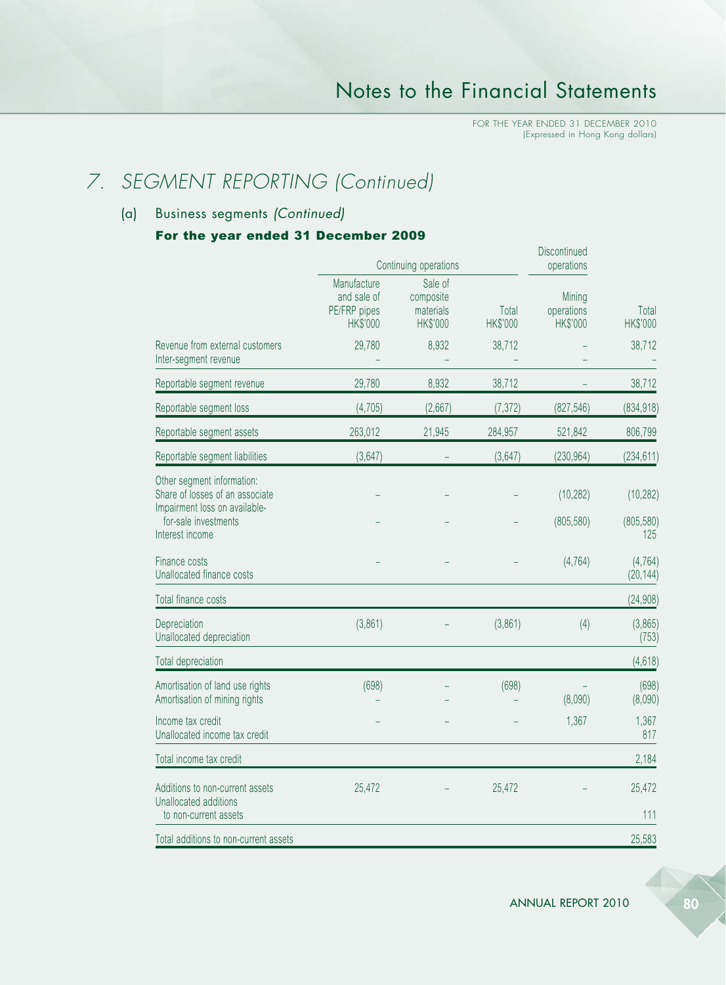# *7. SEGMENT REPORTING (Continued)*

### (a) Business segments *(Continued)*

#### For the year ended 31 December 2009

|                                                                                                |                                                        | Continuing operations                         |                   | Discontinued<br>operations       |                       |
|------------------------------------------------------------------------------------------------|--------------------------------------------------------|-----------------------------------------------|-------------------|----------------------------------|-----------------------|
|                                                                                                | Manufacture<br>and sale of<br>PE/FRP pipes<br>HK\$'000 | Sale of<br>composite<br>materials<br>HK\$'000 | Total<br>HK\$'000 | Mining<br>operations<br>HK\$'000 | Total<br>HK\$'000     |
| Revenue from external customers<br>Inter-segment revenue                                       | 29,780                                                 | 8,932                                         | 38,712            |                                  | 38,712                |
| Reportable segment revenue                                                                     | 29,780                                                 | 8,932                                         | 38,712            |                                  | 38,712                |
| Reportable segment loss                                                                        | (4, 705)                                               | (2,667)                                       | (7, 372)          | (827, 546)                       | (834, 918)            |
| Reportable segment assets                                                                      | 263,012                                                | 21,945                                        | 284,957           | 521,842                          | 806,799               |
| Reportable segment liabilities                                                                 | (3,647)                                                |                                               | (3,647)           | (230, 964)                       | (234, 611)            |
| Other segment information:<br>Share of losses of an associate<br>Impairment loss on available- |                                                        |                                               |                   | (10, 282)                        | (10, 282)             |
| for-sale investments<br>Interest income                                                        |                                                        |                                               |                   | (805, 580)                       | (805, 580)<br>125     |
| Finance costs<br>Unallocated finance costs                                                     |                                                        |                                               |                   | (4, 764)                         | (4, 764)<br>(20, 144) |
| Total finance costs                                                                            |                                                        |                                               |                   |                                  | (24, 908)             |
| Depreciation<br>Unallocated depreciation                                                       | (3,861)                                                |                                               | (3,861)           | (4)                              | (3,865)<br>(753)      |
| Total depreciation                                                                             |                                                        |                                               |                   |                                  | (4, 618)              |
| Amortisation of land use rights<br>Amortisation of mining rights                               | (698)                                                  |                                               | (698)             | (8,090)                          | (698)<br>(8,090)      |
| Income tax credit<br>Unallocated income tax credit                                             |                                                        |                                               |                   | 1,367                            | 1,367<br>817          |
| Total income tax credit                                                                        |                                                        |                                               |                   |                                  | 2,184                 |
| Additions to non-current assets<br>Unallocated additions                                       | 25,472                                                 |                                               | 25,472            |                                  | 25,472                |
| to non-current assets<br>Total additions to non-current assets                                 |                                                        |                                               |                   |                                  | 111<br>25,583         |
|                                                                                                |                                                        |                                               |                   |                                  |                       |

ANNUAL REPORT 2010 80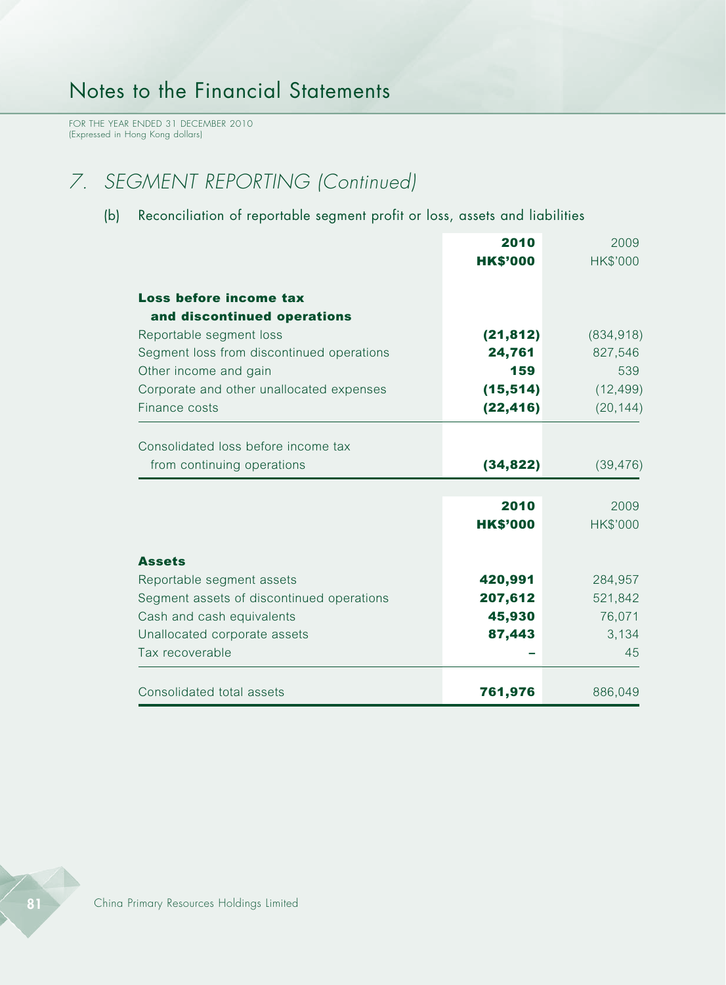FOR THE YEAR ENDED 31 DECEMBER 2010 (Expressed in Hong Kong dollars)

# *7. SEGMENT REPORTING (Continued)*

### (b) Reconciliation of reportable segment profit or loss, assets and liabilities

|                                           | 2010            | 2009            |
|-------------------------------------------|-----------------|-----------------|
|                                           | <b>HK\$'000</b> | <b>HK\$'000</b> |
|                                           |                 |                 |
| Loss before income tax                    |                 |                 |
| and discontinued operations               |                 |                 |
| Reportable segment loss                   | (21, 812)       | (834, 918)      |
| Segment loss from discontinued operations | 24,761          | 827,546         |
| Other income and gain                     | 159             | 539             |
| Corporate and other unallocated expenses  | (15, 514)       | (12, 499)       |
| Finance costs                             | (22, 416)       | (20, 144)       |
| Consolidated loss before income tax       |                 |                 |
|                                           |                 |                 |
| from continuing operations                | (34, 822)       | (39, 476)       |
|                                           | 2010            | 2009            |
|                                           |                 |                 |
|                                           | <b>HK\$'000</b> | HK\$'000        |
| <b>Assets</b>                             |                 |                 |
| Reportable segment assets                 | 420,991         | 284,957         |
| Segment assets of discontinued operations | 207,612         | 521,842         |
| Cash and cash equivalents                 | 45,930          | 76,071          |
| Unallocated corporate assets              | 87,443          | 3,134           |
| Tax recoverable                           |                 | 45              |
|                                           |                 |                 |
| Consolidated total assets                 | 761,976         | 886,049         |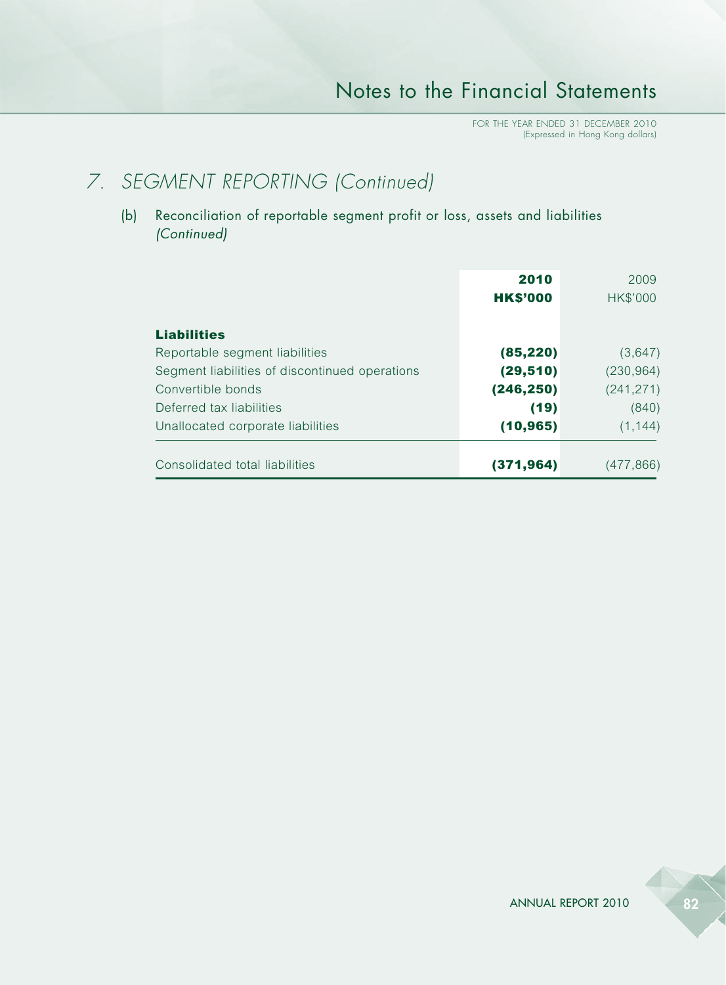# *7. SEGMENT REPORTING (Continued)*

(b) Reconciliation of reportable segment profit or loss, assets and liabilities *(Continued)*

|                                                      | 2010<br><b>HK\$'000</b> | 2009<br>HK\$'000 |
|------------------------------------------------------|-------------------------|------------------|
| <b>Liabilities</b><br>Reportable segment liabilities | (85, 220)               | (3,647)          |
| Segment liabilities of discontinued operations       | (29, 510)               | (230, 964)       |
| Convertible bonds                                    | (246, 250)              | (241, 271)       |
| Deferred tax liabilities                             | (19)                    | (840)            |
| Unallocated corporate liabilities                    | (10, 965)               | (1, 144)         |
| Consolidated total liabilities                       | (371, 964)              | (477,866)        |

ANNUAL REPORT 2010 82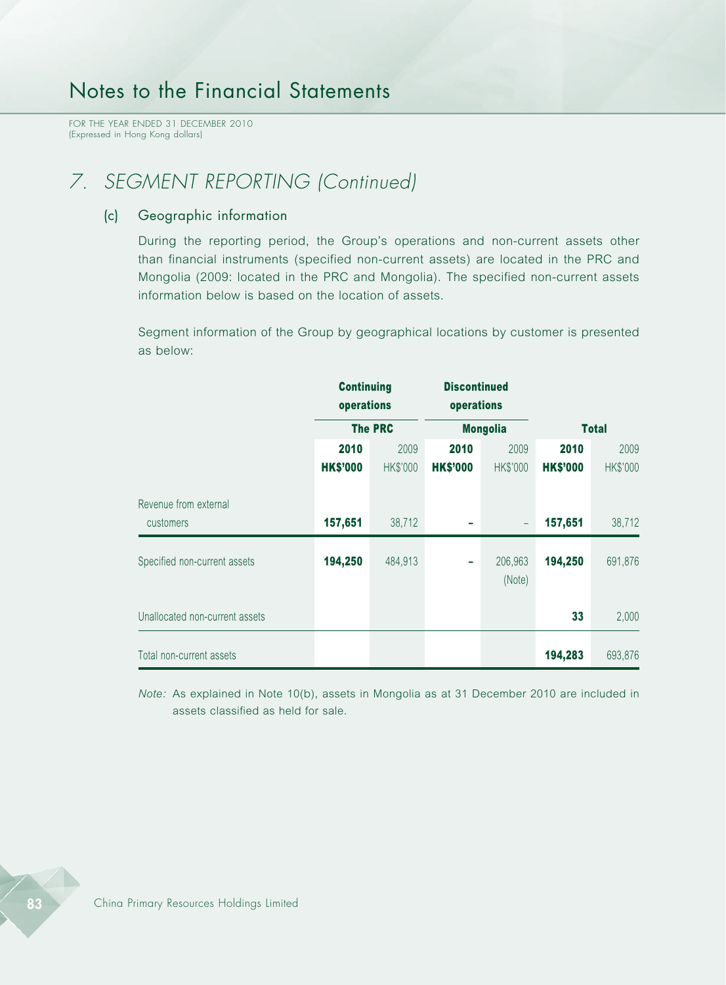FOR THE YEAR ENDED 31 DECEMBER 2010 (Expressed in Hong Kong dollars)

# *7. SEGMENT REPORTING (Continued)*

#### (c) Geographic information

During the reporting period, the Group's operations and non-current assets other than financial instruments (specified non-current assets) are located in the PRC and Mongolia (2009: located in the PRC and Mongolia). The specified non-current assets information below is based on the location of assets.

Segment information of the Group by geographical locations by customer is presented as below:

|                                    | <b>Continuing</b><br>operations |                 | <b>Discontinued</b><br>operations |                   |                 |              |
|------------------------------------|---------------------------------|-----------------|-----------------------------------|-------------------|-----------------|--------------|
|                                    |                                 | <b>The PRC</b>  |                                   | <b>Mongolia</b>   |                 | <b>Total</b> |
|                                    | 2010                            | 2009            | 2010                              | 2009              | 2010            | 2009         |
|                                    | <b>HK\$'000</b>                 | <b>HK\$'000</b> | <b>HK\$'000</b>                   | <b>HK\$'000</b>   | <b>HK\$'000</b> | HK\$'000     |
| Revenue from external<br>customers | 157,651                         | 38,712          |                                   | $\qquad \qquad -$ | 157,651         | 38,712       |
| Specified non-current assets       | 194,250                         | 484,913         | -                                 | 206,963<br>(Note) | 194,250         | 691,876      |
| Unallocated non-current assets     |                                 |                 |                                   |                   | 33              | 2,000        |
| Total non-current assets           |                                 |                 |                                   |                   | 194,283         | 693,876      |

*Note:* As explained in Note 10(b), assets in Mongolia as at 31 December 2010 are included in assets classified as held for sale.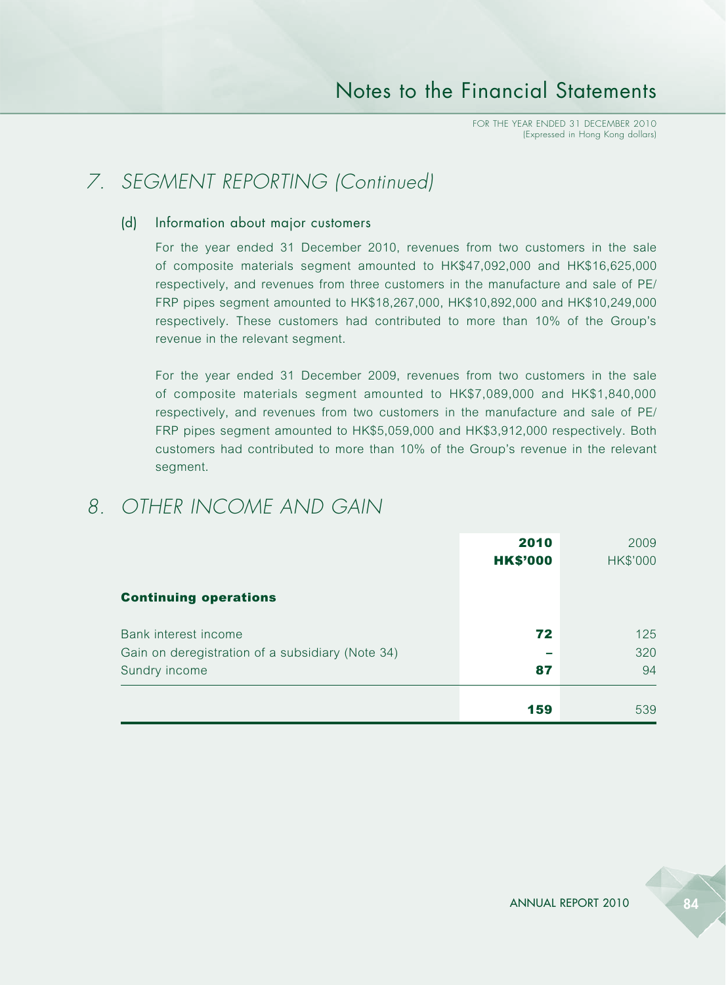# *7. SEGMENT REPORTING (Continued)*

#### (d) Information about major customers

For the year ended 31 December 2010, revenues from two customers in the sale of composite materials segment amounted to HK\$47,092,000 and HK\$16,625,000 respectively, and revenues from three customers in the manufacture and sale of PE/ FRP pipes segment amounted to HK\$18,267,000, HK\$10,892,000 and HK\$10,249,000 respectively. These customers had contributed to more than 10% of the Group's revenue in the relevant segment.

For the year ended 31 December 2009, revenues from two customers in the sale of composite materials segment amounted to HK\$7,089,000 and HK\$1,840,000 respectively, and revenues from two customers in the manufacture and sale of PE/ FRP pipes segment amounted to HK\$5,059,000 and HK\$3,912,000 respectively. Both customers had contributed to more than 10% of the Group's revenue in the relevant segment.

## *8. OTHER INCOME AND GAIN*

|                                                                                           | 2010<br><b>HK\$'000</b> | 2009<br><b>HK\$'000</b> |
|-------------------------------------------------------------------------------------------|-------------------------|-------------------------|
| <b>Continuing operations</b>                                                              |                         |                         |
| Bank interest income<br>Gain on deregistration of a subsidiary (Note 34)<br>Sundry income | 72<br>87                | 125<br>320<br>94        |
|                                                                                           | 159                     | 539                     |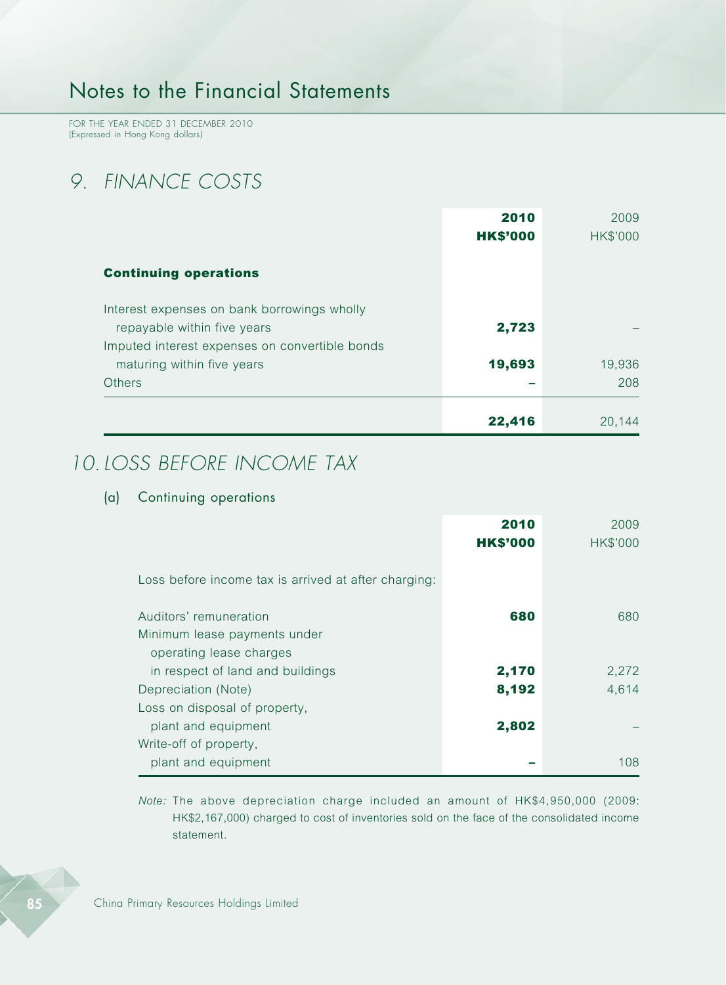FOR THE YEAR ENDED 31 DECEMBER 2010 (Expressed in Hong Kong dollars)

# *9. FINANCE COSTS*

|                                                | 2010            | 2009     |
|------------------------------------------------|-----------------|----------|
|                                                | <b>HK\$'000</b> | HK\$'000 |
| <b>Continuing operations</b>                   |                 |          |
|                                                |                 |          |
| Interest expenses on bank borrowings wholly    |                 |          |
| repayable within five years                    | 2,723           |          |
| Imputed interest expenses on convertible bonds |                 |          |
| maturing within five years                     | 19,693          | 19,936   |
| <b>Others</b>                                  |                 | 208      |
|                                                |                 |          |
|                                                | 22,416          | 20,144   |

## *10.LOSS BEFORE INCOME TAX*

### (a) Continuing operations

|                                                                                    | 2010<br><b>HK\$'000</b> | 2009<br>HK\$'000 |
|------------------------------------------------------------------------------------|-------------------------|------------------|
| Loss before income tax is arrived at after charging:                               |                         |                  |
| Auditors' remuneration<br>Minimum lease payments under                             | 680                     | 680              |
| operating lease charges<br>in respect of land and buildings<br>Depreciation (Note) | 2,170<br>8,192          | 2,272<br>4,614   |
| Loss on disposal of property,<br>plant and equipment                               | 2,802                   |                  |
| Write-off of property,<br>plant and equipment                                      |                         | 108              |

*Note:* The above depreciation charge included an amount of HK\$4,950,000 (2009: HK\$2,167,000) charged to cost of inventories sold on the face of the consolidated income statement.

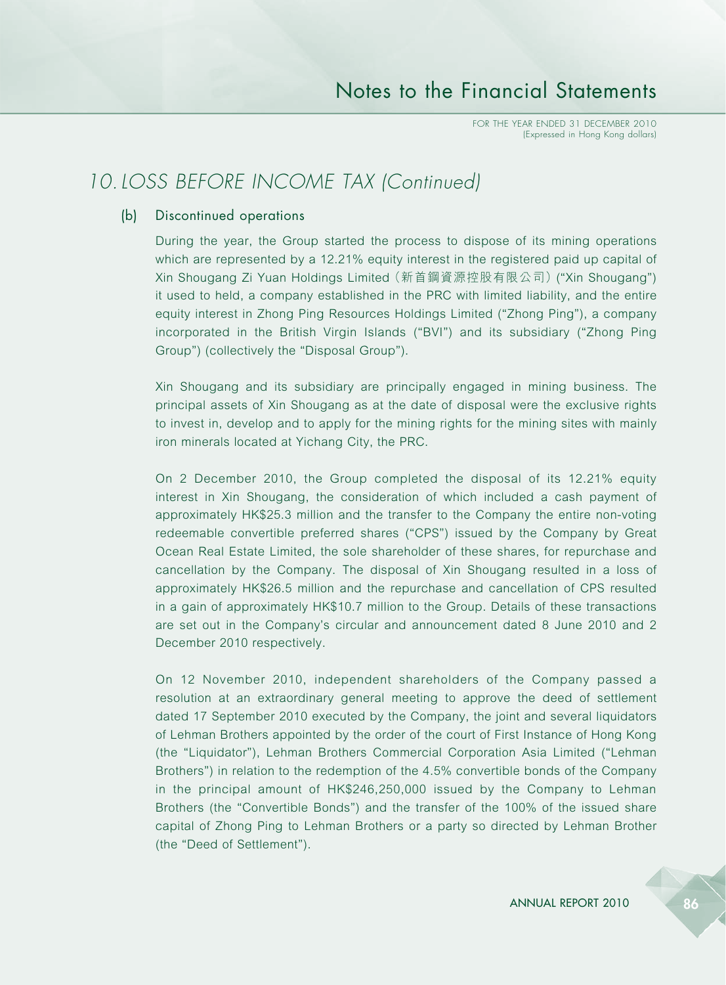## *10.LOSS BEFORE INCOME TAX (Continued)*

### (b) Discontinued operations

During the year, the Group started the process to dispose of its mining operations which are represented by a 12.21% equity interest in the registered paid up capital of Xin Shougang Zi Yuan Holdings Limited (新首鋼資源控股有限公司) ("Xin Shougang") it used to held, a company established in the PRC with limited liability, and the entire equity interest in Zhong Ping Resources Holdings Limited ("Zhong Ping"), a company incorporated in the British Virgin Islands ("BVI") and its subsidiary ("Zhong Ping Group") (collectively the "Disposal Group").

Xin Shougang and its subsidiary are principally engaged in mining business. The principal assets of Xin Shougang as at the date of disposal were the exclusive rights to invest in, develop and to apply for the mining rights for the mining sites with mainly iron minerals located at Yichang City, the PRC.

On 2 December 2010, the Group completed the disposal of its 12.21% equity interest in Xin Shougang, the consideration of which included a cash payment of approximately HK\$25.3 million and the transfer to the Company the entire non-voting redeemable convertible preferred shares ("CPS") issued by the Company by Great Ocean Real Estate Limited, the sole shareholder of these shares, for repurchase and cancellation by the Company. The disposal of Xin Shougang resulted in a loss of approximately HK\$26.5 million and the repurchase and cancellation of CPS resulted in a gain of approximately HK\$10.7 million to the Group. Details of these transactions are set out in the Company's circular and announcement dated 8 June 2010 and 2 December 2010 respectively.

On 12 November 2010, independent shareholders of the Company passed a resolution at an extraordinary general meeting to approve the deed of settlement dated 17 September 2010 executed by the Company, the joint and several liquidators of Lehman Brothers appointed by the order of the court of First Instance of Hong Kong (the "Liquidator"), Lehman Brothers Commercial Corporation Asia Limited ("Lehman Brothers") in relation to the redemption of the 4.5% convertible bonds of the Company in the principal amount of HK\$246,250,000 issued by the Company to Lehman Brothers (the "Convertible Bonds") and the transfer of the 100% of the issued share capital of Zhong Ping to Lehman Brothers or a party so directed by Lehman Brother (the "Deed of Settlement").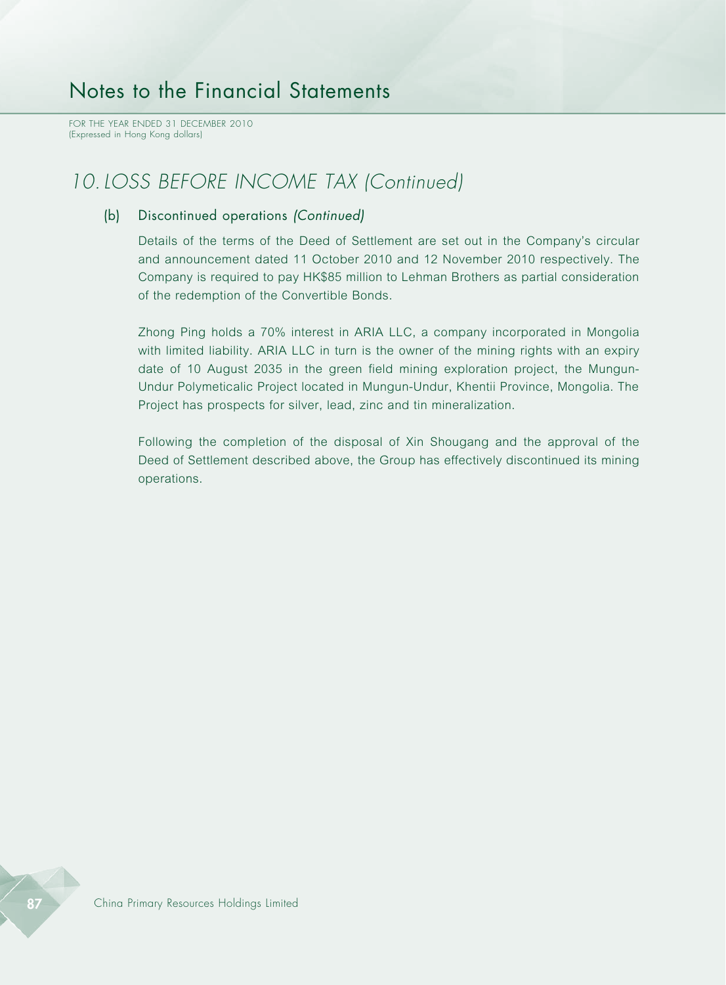FOR THE YEAR ENDED 31 DECEMBER 2010 (Expressed in Hong Kong dollars)

## *10.LOSS BEFORE INCOME TAX (Continued)*

#### (b) Discontinued operations *(Continued)*

Details of the terms of the Deed of Settlement are set out in the Company's circular and announcement dated 11 October 2010 and 12 November 2010 respectively. The Company is required to pay HK\$85 million to Lehman Brothers as partial consideration of the redemption of the Convertible Bonds.

Zhong Ping holds a 70% interest in ARIA LLC, a company incorporated in Mongolia with limited liability. ARIA LLC in turn is the owner of the mining rights with an expiry date of 10 August 2035 in the green field mining exploration project, the Mungun-Undur Polymeticalic Project located in Mungun-Undur, Khentii Province, Mongolia. The Project has prospects for silver, lead, zinc and tin mineralization.

Following the completion of the disposal of Xin Shougang and the approval of the Deed of Settlement described above, the Group has effectively discontinued its mining operations.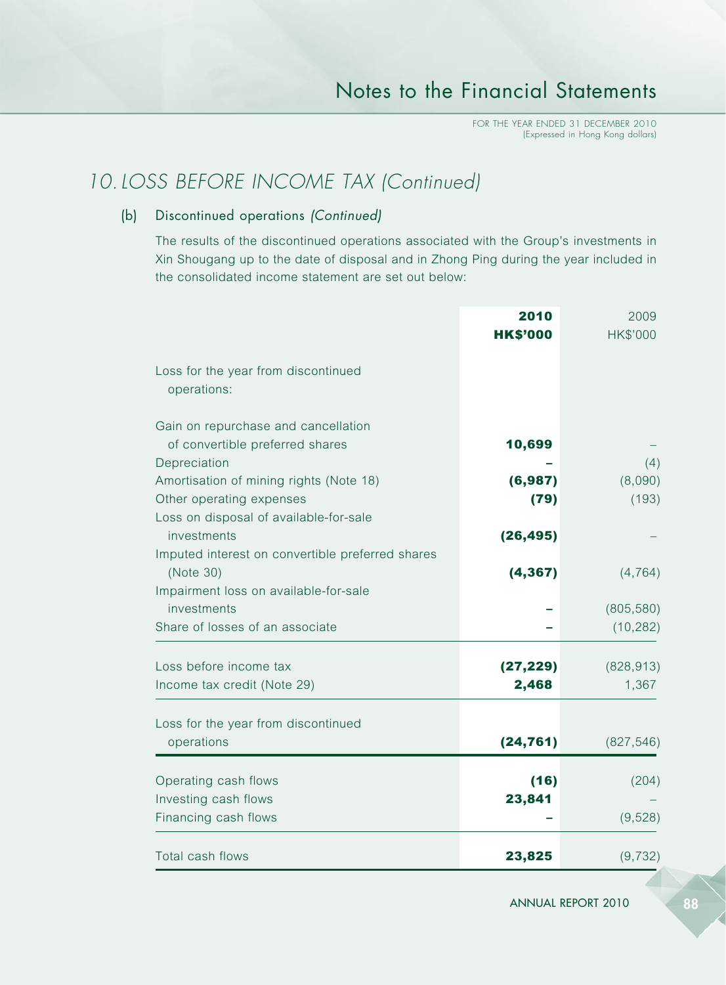# *10.LOSS BEFORE INCOME TAX (Continued)*

### (b) Discontinued operations *(Continued)*

The results of the discontinued operations associated with the Group's investments in Xin Shougang up to the date of disposal and in Zhong Ping during the year included in the consolidated income statement are set out below:

|                                                  | 2010            | 2009       |
|--------------------------------------------------|-----------------|------------|
|                                                  | <b>HK\$'000</b> | HK\$'000   |
| Loss for the year from discontinued              |                 |            |
| operations:                                      |                 |            |
| Gain on repurchase and cancellation              |                 |            |
| of convertible preferred shares                  | 10,699          |            |
| Depreciation                                     |                 |            |
| Amortisation of mining rights (Note 18)          | (6,987)         | (8,090)    |
| Other operating expenses                         | (79)            | (193)      |
| Loss on disposal of available-for-sale           |                 |            |
| investments                                      | (26, 495)       |            |
| Imputed interest on convertible preferred shares |                 |            |
| (Note 30)                                        | (4, 367)        | (4, 764)   |
| Impairment loss on available-for-sale            |                 |            |
| investments                                      |                 | (805, 580) |
| Share of losses of an associate                  |                 | (10, 282)  |
| Loss before income tax                           | (27, 229)       | (828, 913) |
| Income tax credit (Note 29)                      | 2,468           | 1,367      |
| Loss for the year from discontinued              |                 |            |
| operations                                       | (24, 761)       | (827, 546) |
| Operating cash flows                             | (16)            | (204)      |
| Investing cash flows                             | 23,841          |            |
| Financing cash flows                             |                 | (9,528)    |
| Total cash flows                                 | 23,825          | (9, 732)   |

ANNUAL REPORT 2010 88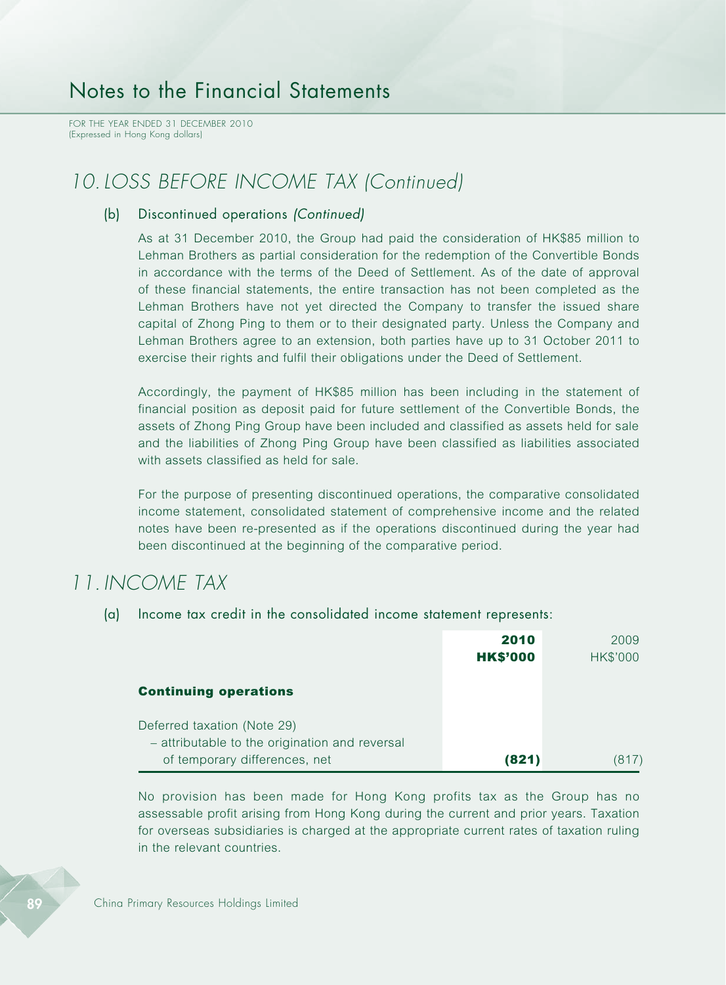FOR THE YEAR ENDED 31 DECEMBER 2010 (Expressed in Hong Kong dollars)

### *10.LOSS BEFORE INCOME TAX (Continued)*

#### (b) Discontinued operations *(Continued)*

As at 31 December 2010, the Group had paid the consideration of HK\$85 million to Lehman Brothers as partial consideration for the redemption of the Convertible Bonds in accordance with the terms of the Deed of Settlement. As of the date of approval of these financial statements, the entire transaction has not been completed as the Lehman Brothers have not yet directed the Company to transfer the issued share capital of Zhong Ping to them or to their designated party. Unless the Company and Lehman Brothers agree to an extension, both parties have up to 31 October 2011 to exercise their rights and fulfil their obligations under the Deed of Settlement.

Accordingly, the payment of HK\$85 million has been including in the statement of financial position as deposit paid for future settlement of the Convertible Bonds, the assets of Zhong Ping Group have been included and classified as assets held for sale and the liabilities of Zhong Ping Group have been classified as liabilities associated with assets classified as held for sale.

For the purpose of presenting discontinued operations, the comparative consolidated income statement, consolidated statement of comprehensive income and the related notes have been re-presented as if the operations discontinued during the year had been discontinued at the beginning of the comparative period.

### *11. INCOME TAX*

(a) Income tax credit in the consolidated income statement represents:

|                                                | 2010            | 2009     |
|------------------------------------------------|-----------------|----------|
|                                                | <b>HK\$'000</b> | HK\$'000 |
| <b>Continuing operations</b>                   |                 |          |
| Deferred taxation (Note 29)                    |                 |          |
| - attributable to the origination and reversal |                 |          |
| of temporary differences, net                  | (821)           |          |

No provision has been made for Hong Kong profits tax as the Group has no assessable profit arising from Hong Kong during the current and prior years. Taxation for overseas subsidiaries is charged at the appropriate current rates of taxation ruling in the relevant countries.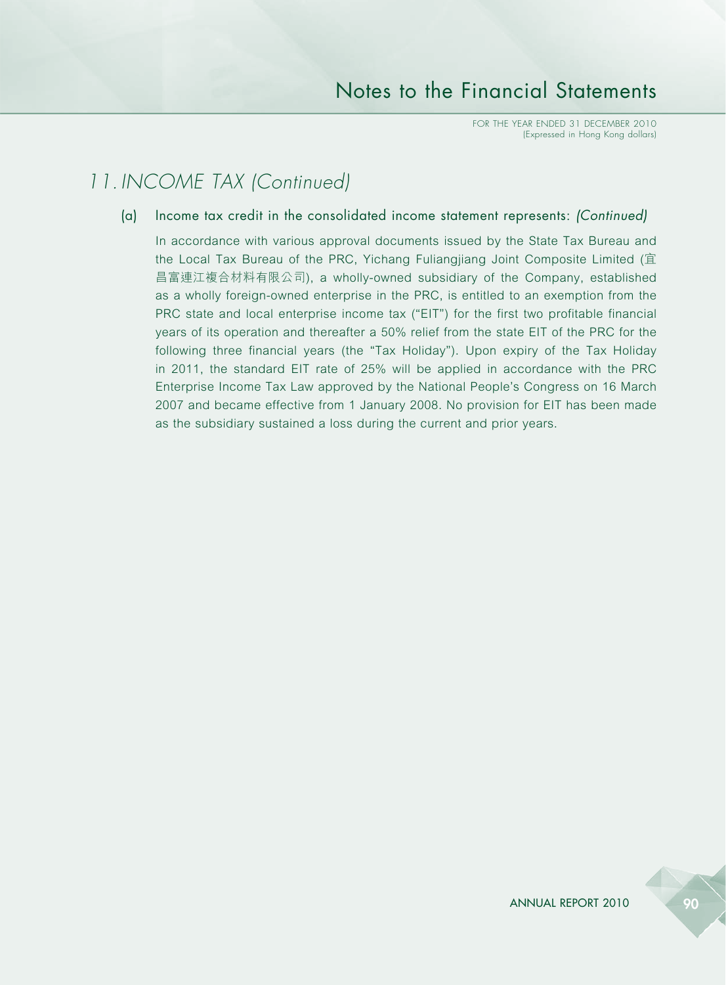## *11. INCOME TAX (Continued)*

(a) Income tax credit in the consolidated income statement represents: *(Continued)*

In accordance with various approval documents issued by the State Tax Bureau and the Local Tax Bureau of the PRC, Yichang Fuliangjiang Joint Composite Limited (宜 昌富連江複合材料有限公司), a wholly-owned subsidiary of the Company, established as a wholly foreign-owned enterprise in the PRC, is entitled to an exemption from the PRC state and local enterprise income tax ("EIT") for the first two profitable financial years of its operation and thereafter a 50% relief from the state EIT of the PRC for the following three financial years (the "Tax Holiday"). Upon expiry of the Tax Holiday in 2011, the standard EIT rate of 25% will be applied in accordance with the PRC Enterprise Income Tax Law approved by the National People's Congress on 16 March 2007 and became effective from 1 January 2008. No provision for EIT has been made as the subsidiary sustained a loss during the current and prior years.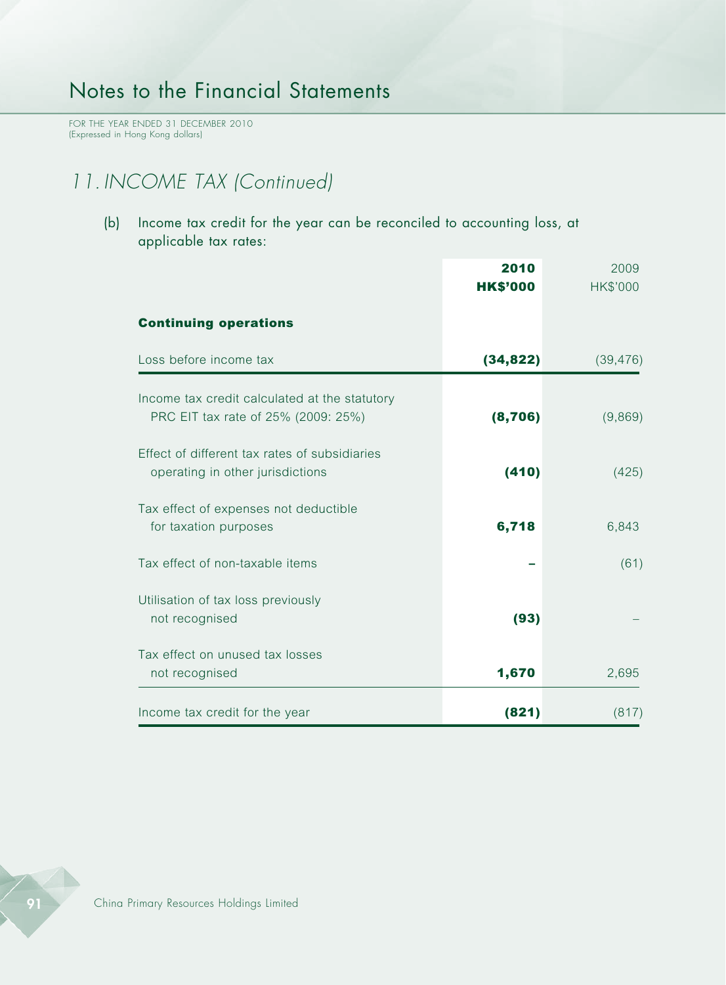FOR THE YEAR ENDED 31 DECEMBER 2010 (Expressed in Hong Kong dollars)

# *11. INCOME TAX (Continued)*

(b) Income tax credit for the year can be reconciled to accounting loss, at applicable tax rates:

|                                                                                      | 2010<br><b>HK\$'000</b> | 2009<br>HK\$'000 |
|--------------------------------------------------------------------------------------|-------------------------|------------------|
| <b>Continuing operations</b>                                                         |                         |                  |
| Loss before income tax                                                               | (34, 822)               | (39, 476)        |
| Income tax credit calculated at the statutory<br>PRC EIT tax rate of 25% (2009: 25%) | (8, 706)                | (9,869)          |
| Effect of different tax rates of subsidiaries<br>operating in other jurisdictions    | (410)                   | (425)            |
| Tax effect of expenses not deductible<br>for taxation purposes                       | 6,718                   | 6,843            |
| Tax effect of non-taxable items                                                      |                         | (61)             |
| Utilisation of tax loss previously<br>not recognised                                 | (93)                    |                  |
| Tax effect on unused tax losses<br>not recognised                                    | 1,670                   | 2,695            |
| Income tax credit for the year                                                       | (821)                   | (817)            |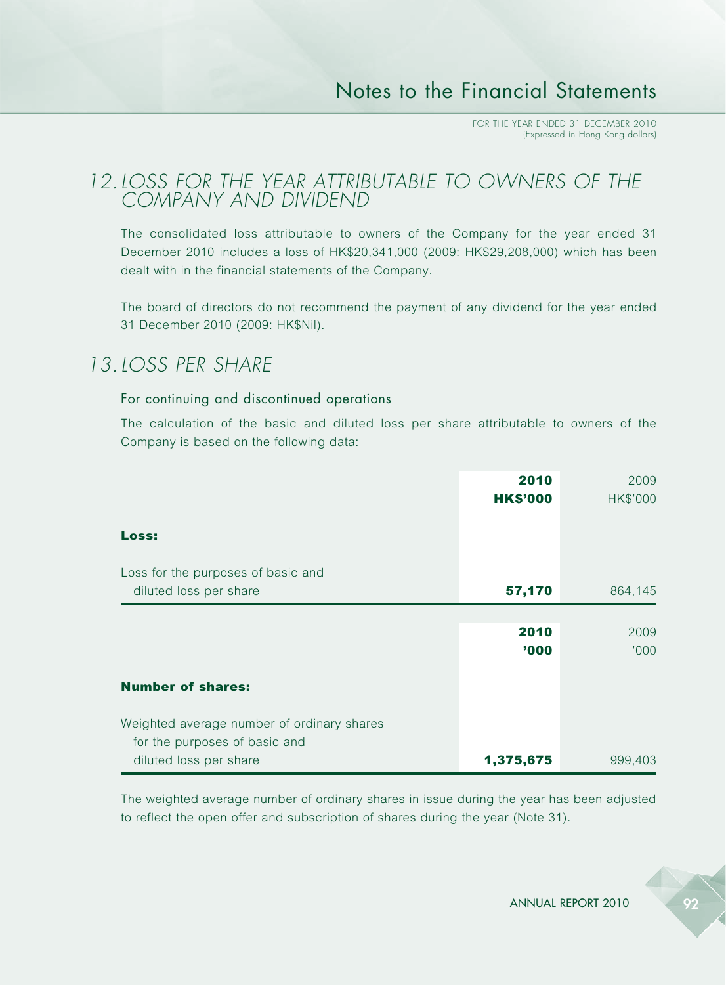### *12.LOSS FOR THE YEAR ATTRIBUTABLE TO OWNERS OF THE COMPANY AND DIVIDEND*

The consolidated loss attributable to owners of the Company for the year ended 31 December 2010 includes a loss of HK\$20,341,000 (2009: HK\$29,208,000) which has been dealt with in the financial statements of the Company.

The board of directors do not recommend the payment of any dividend for the year ended 31 December 2010 (2009: HK\$Nil).

## *13.LOSS PER SHARE*

### For continuing and discontinued operations

The calculation of the basic and diluted loss per share attributable to owners of the Company is based on the following data:

|                                            | 2010<br><b>HK\$'000</b> | 2009<br>HK\$'000 |
|--------------------------------------------|-------------------------|------------------|
| Loss:                                      |                         |                  |
| Loss for the purposes of basic and         |                         |                  |
| diluted loss per share                     | 57,170                  | 864,145          |
|                                            |                         |                  |
|                                            | 2010                    | 2009             |
|                                            | '000                    | '000             |
|                                            |                         |                  |
| <b>Number of shares:</b>                   |                         |                  |
| Weighted average number of ordinary shares |                         |                  |
| for the purposes of basic and              |                         |                  |
| diluted loss per share                     | 1,375,675               | 999,403          |

The weighted average number of ordinary shares in issue during the year has been adjusted to reflect the open offer and subscription of shares during the year (Note 31).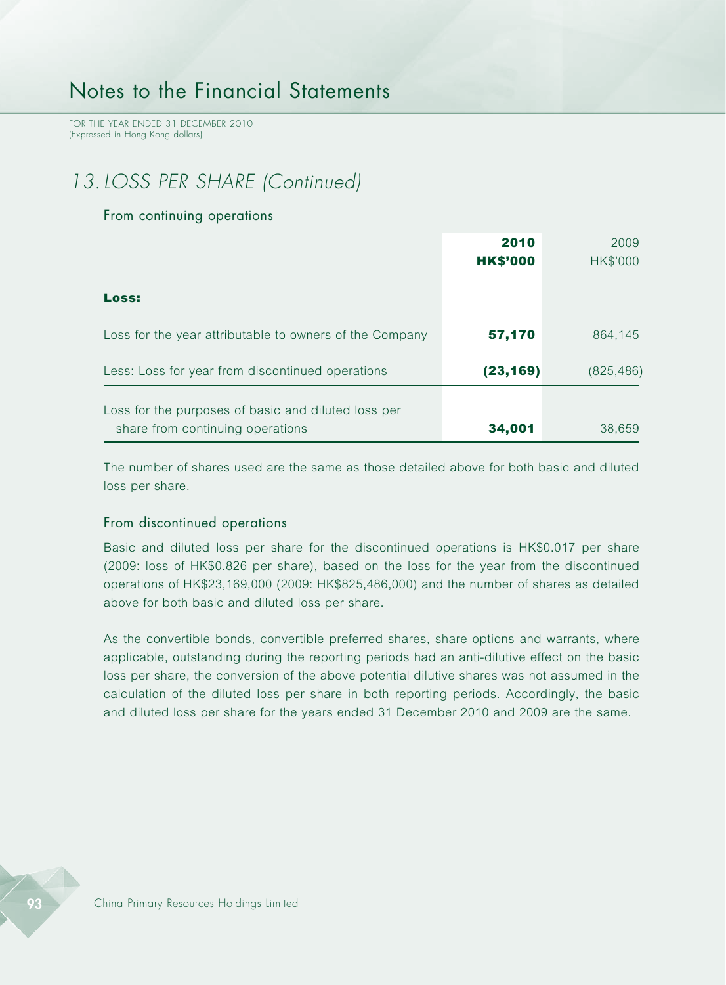FOR THE YEAR ENDED 31 DECEMBER 2010 (Expressed in Hong Kong dollars)

# *13.LOSS PER SHARE (Continued)*

#### From continuing operations

|                                                         | 2010            | 2009       |
|---------------------------------------------------------|-----------------|------------|
|                                                         | <b>HK\$'000</b> | HK\$'000   |
|                                                         |                 |            |
| Loss:                                                   |                 |            |
|                                                         |                 |            |
| Loss for the year attributable to owners of the Company | 57,170          | 864.145    |
|                                                         |                 |            |
| Less: Loss for year from discontinued operations        | (23, 169)       | (825, 486) |
|                                                         |                 |            |
| Loss for the purposes of basic and diluted loss per     |                 |            |
| share from continuing operations                        | 34,001          | 38.659     |

The number of shares used are the same as those detailed above for both basic and diluted loss per share.

#### From discontinued operations

Basic and diluted loss per share for the discontinued operations is HK\$0.017 per share (2009: loss of HK\$0.826 per share), based on the loss for the year from the discontinued operations of HK\$23,169,000 (2009: HK\$825,486,000) and the number of shares as detailed above for both basic and diluted loss per share.

As the convertible bonds, convertible preferred shares, share options and warrants, where applicable, outstanding during the reporting periods had an anti-dilutive effect on the basic loss per share, the conversion of the above potential dilutive shares was not assumed in the calculation of the diluted loss per share in both reporting periods. Accordingly, the basic and diluted loss per share for the years ended 31 December 2010 and 2009 are the same.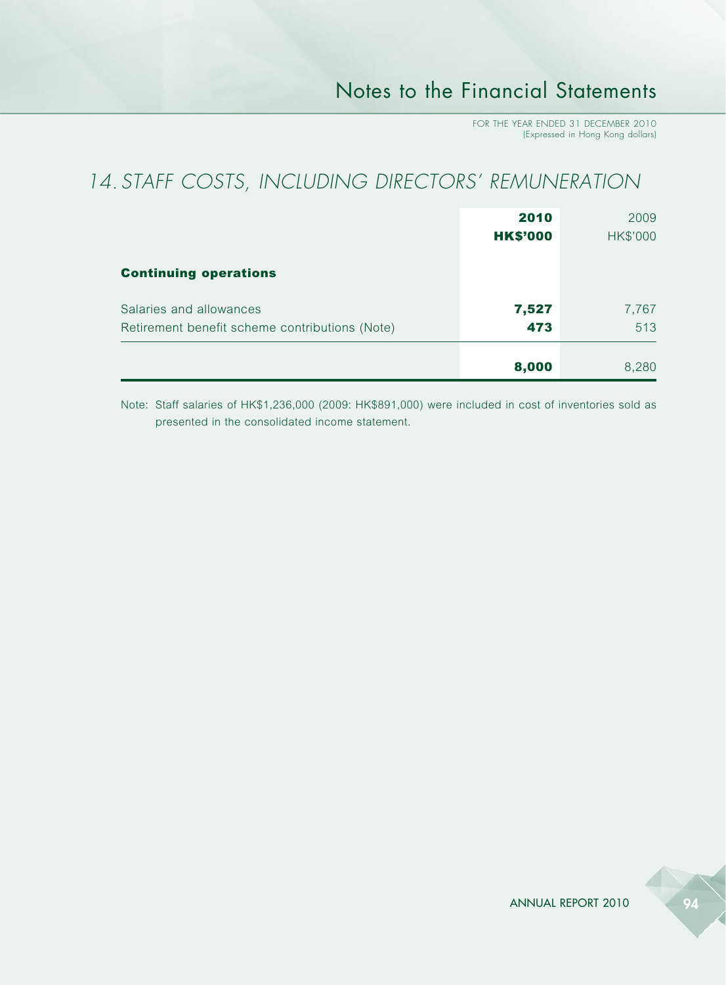# *14. STAFF COSTS, INCLUDING DIRECTORS' REMUNERATION*

|                                                                           | 2010<br><b>HK\$'000</b> | 2009<br><b>HK\$'000</b> |
|---------------------------------------------------------------------------|-------------------------|-------------------------|
| <b>Continuing operations</b>                                              |                         |                         |
| Salaries and allowances<br>Retirement benefit scheme contributions (Note) | 7,527<br>473            | 7,767<br>513            |
|                                                                           | 8,000                   | 8,280                   |

Note: Staff salaries of HK\$1,236,000 (2009: HK\$891,000) were included in cost of inventories sold as presented in the consolidated income statement.

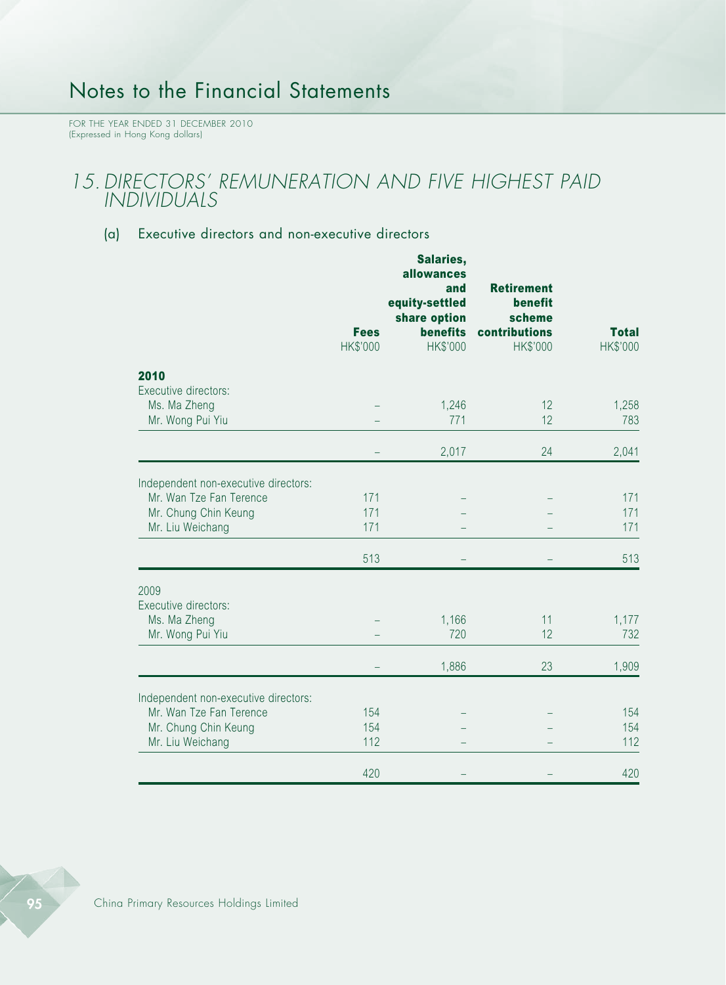FOR THE YEAR ENDED 31 DECEMBER 2010 (Expressed in Hong Kong dollars)

### *15.DIRECTORS' REMUNERATION AND FIVE HIGHEST PAID INDIVIDUALS*

### (a) Executive directors and non-executive directors

|                                      | <b>Fees</b><br>HK\$'000 | Salaries,<br>allowances<br>and<br>equity-settled<br>share option<br>benefits<br>HK\$'000 | <b>Retirement</b><br>benefit<br>scheme<br>contributions<br>HK\$'000 | <b>Total</b><br>HK\$'000 |
|--------------------------------------|-------------------------|------------------------------------------------------------------------------------------|---------------------------------------------------------------------|--------------------------|
| 2010                                 |                         |                                                                                          |                                                                     |                          |
| Executive directors:                 |                         |                                                                                          |                                                                     |                          |
| Ms. Ma Zheng<br>Mr. Wong Pui Yiu     |                         | 1,246<br>771                                                                             | 12<br>12                                                            | 1,258<br>783             |
|                                      |                         |                                                                                          |                                                                     |                          |
|                                      |                         | 2,017                                                                                    | 24                                                                  | 2,041                    |
| Independent non-executive directors: |                         |                                                                                          |                                                                     |                          |
| Mr. Wan Tze Fan Terence              | 171                     |                                                                                          |                                                                     | 171                      |
| Mr. Chung Chin Keung                 | 171                     |                                                                                          |                                                                     | 171                      |
| Mr. Liu Weichang                     | 171                     |                                                                                          |                                                                     | 171                      |
|                                      | 513                     |                                                                                          |                                                                     | 513                      |
| 2009                                 |                         |                                                                                          |                                                                     |                          |
| Executive directors:                 |                         |                                                                                          |                                                                     |                          |
| Ms. Ma Zheng                         |                         | 1,166                                                                                    | 11                                                                  | 1,177                    |
| Mr. Wong Pui Yiu                     |                         | 720                                                                                      | 12                                                                  | 732                      |
|                                      |                         | 1,886                                                                                    | 23                                                                  | 1,909                    |
| Independent non-executive directors: |                         |                                                                                          |                                                                     |                          |
| Mr. Wan Tze Fan Terence              | 154                     |                                                                                          |                                                                     | 154                      |
| Mr. Chung Chin Keung                 | 154                     |                                                                                          |                                                                     | 154                      |
| Mr. Liu Weichang                     | 112                     |                                                                                          |                                                                     | 112                      |
|                                      | 420                     |                                                                                          |                                                                     | 420                      |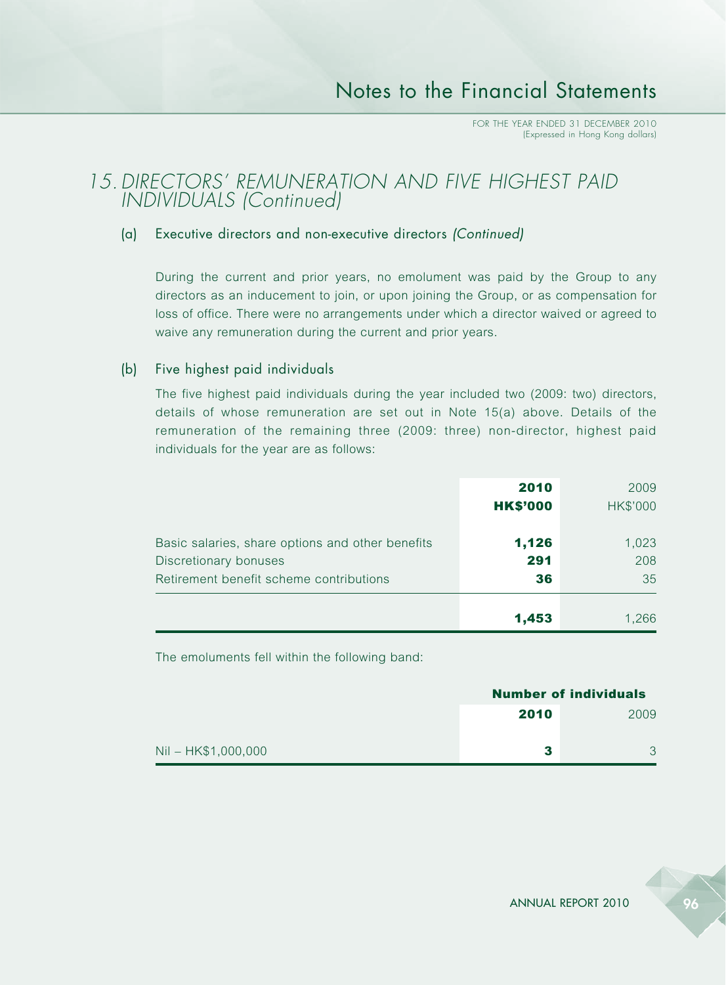### **15. DIRECTORS' REMUNERATION AND FIVE HIGHEST PAID** *INDIVIDUALS (Continued)*

### (a) Executive directors and non-executive directors *(Continued)*

During the current and prior years, no emolument was paid by the Group to any directors as an inducement to join, or upon joining the Group, or as compensation for loss of office. There were no arrangements under which a director waived or agreed to waive any remuneration during the current and prior years.

### (b) Five highest paid individuals

The five highest paid individuals during the year included two (2009: two) directors, details of whose remuneration are set out in Note 15(a) above. Details of the remuneration of the remaining three (2009: three) non-director, highest paid individuals for the year are as follows:

|                                                                                                                      | 2010<br><b>HK\$'000</b> | 2009<br>HK\$'000   |
|----------------------------------------------------------------------------------------------------------------------|-------------------------|--------------------|
| Basic salaries, share options and other benefits<br>Discretionary bonuses<br>Retirement benefit scheme contributions | 1,126<br>291<br>36      | 1,023<br>208<br>35 |
|                                                                                                                      | 1,453                   | 1,266              |

The emoluments fell within the following band:

| <b>Number of individuals</b> |              |  |
|------------------------------|--------------|--|
| 2010                         | 2009         |  |
|                              | $\mathbf{R}$ |  |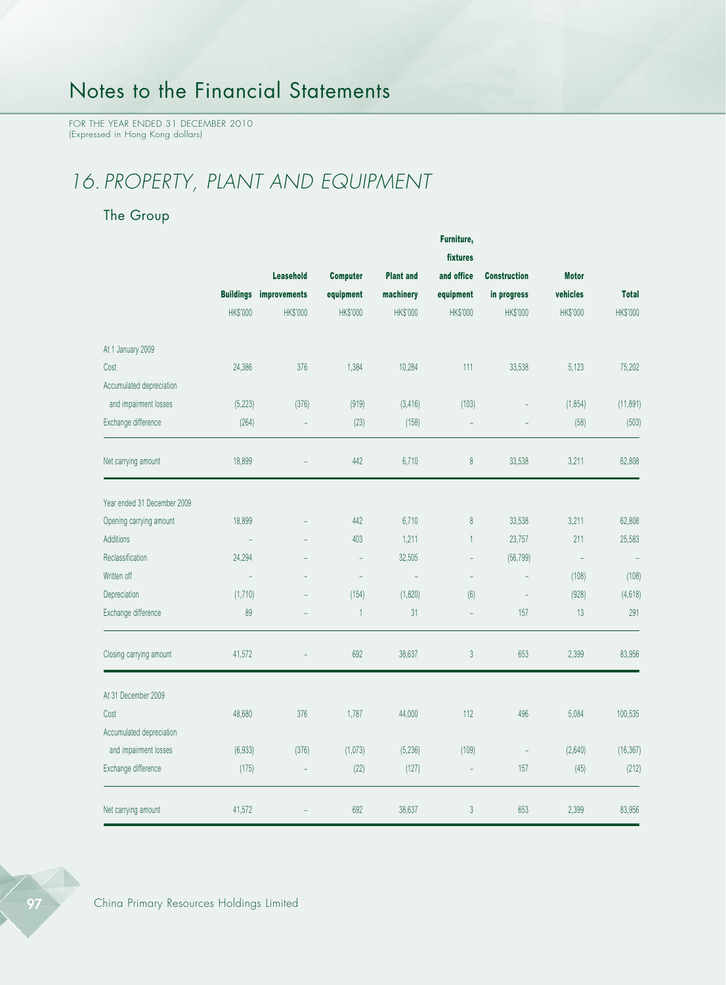FOR THE YEAR ENDED 31 DECEMBER 2010 (Expressed in Hong Kong dollars)

# *16. PROPERTY, PLANT AND EQUIPMENT*

### The Group

|                             |                  |                          |                          |                  | Furniture,     |                          |                          |              |
|-----------------------------|------------------|--------------------------|--------------------------|------------------|----------------|--------------------------|--------------------------|--------------|
|                             |                  |                          |                          |                  | fixtures       |                          |                          |              |
|                             |                  | Leasehold                | <b>Computer</b>          | <b>Plant and</b> | and office     | <b>Construction</b>      | <b>Motor</b>             |              |
|                             | <b>Buildings</b> | improvements             | equipment                | machinery        | equipment      | in progress              | vehicles                 | <b>Total</b> |
|                             | HK\$'000         | HK\$'000                 | HK\$'000                 | HK\$'000         | HK\$'000       | HK\$'000                 | HK\$'000                 | HK\$'000     |
| At 1 January 2009           |                  |                          |                          |                  |                |                          |                          |              |
| Cost                        | 24,386           | 376                      | 1,384                    | 10,284           | 111            | 33,538                   | 5,123                    | 75,202       |
| Accumulated depreciation    |                  |                          |                          |                  |                |                          |                          |              |
| and impairment losses       | (5, 223)         | (376)                    | (919)                    | (3, 416)         | (103)          | $\overline{\phantom{a}}$ | (1, 854)                 | (11, 891)    |
| Exchange difference         | (264)            | ÷,                       | (23)                     | (158)            |                |                          | (58)                     | (503)        |
| Net carrying amount         | 18,899           |                          | 442                      | 6,710            | $\,8\,$        | 33,538                   | 3,211                    | 62,808       |
| Year ended 31 December 2009 |                  |                          |                          |                  |                |                          |                          |              |
| Opening carrying amount     | 18,899           |                          | 442                      | 6,710            | 8              | 33,538                   | 3,211                    | 62,808       |
| <b>Additions</b>            |                  |                          | 403                      | 1,211            | $\mathbf{1}$   | 23,757                   | 211                      | 25,583       |
| Reclassification            | 24,294           |                          | $\sim$                   | 32,505           | $\overline{a}$ | (56, 799)                | $\overline{\phantom{a}}$ | $\equiv$     |
| Written off                 |                  |                          | $\overline{\phantom{a}}$ | ÷,               | ÷,             |                          | (108)                    | (108)        |
| Depreciation                | (1,710)          | $\overline{\phantom{a}}$ | (154)                    | (1,820)          | (6)            | ÷,                       | (928)                    | (4, 618)     |
| Exchange difference         | 89               | $\equiv$                 | $\mathbf{1}$             | 31               | $\equiv$       | 157                      | 13                       | 291          |
| Closing carrying amount     | 41,572           | L.                       | 692                      | 38,637           | $\sqrt{3}$     | 653                      | 2,399                    | 83,956       |
| At 31 December 2009         |                  |                          |                          |                  |                |                          |                          |              |
| Cost                        | 48,680           | 376                      | 1,787                    | 44,000           | 112            | 496                      | 5,084                    | 100,535      |
| Accumulated depreciation    |                  |                          |                          |                  |                |                          |                          |              |
| and impairment losses       | (6,933)          | (376)                    | (1,073)                  | (5, 236)         | (109)          | $\overline{\phantom{a}}$ | (2,640)                  | (16, 367)    |
| Exchange difference         | (175)            | $\equiv$                 | (22)                     | (127)            | ÷,             | 157                      | (45)                     | (212)        |
| Net carrying amount         | 41,572           |                          | 692                      | 38,637           | 3              | 653                      | 2,399                    | 83,956       |



97 China Primary Resources Holdings Limited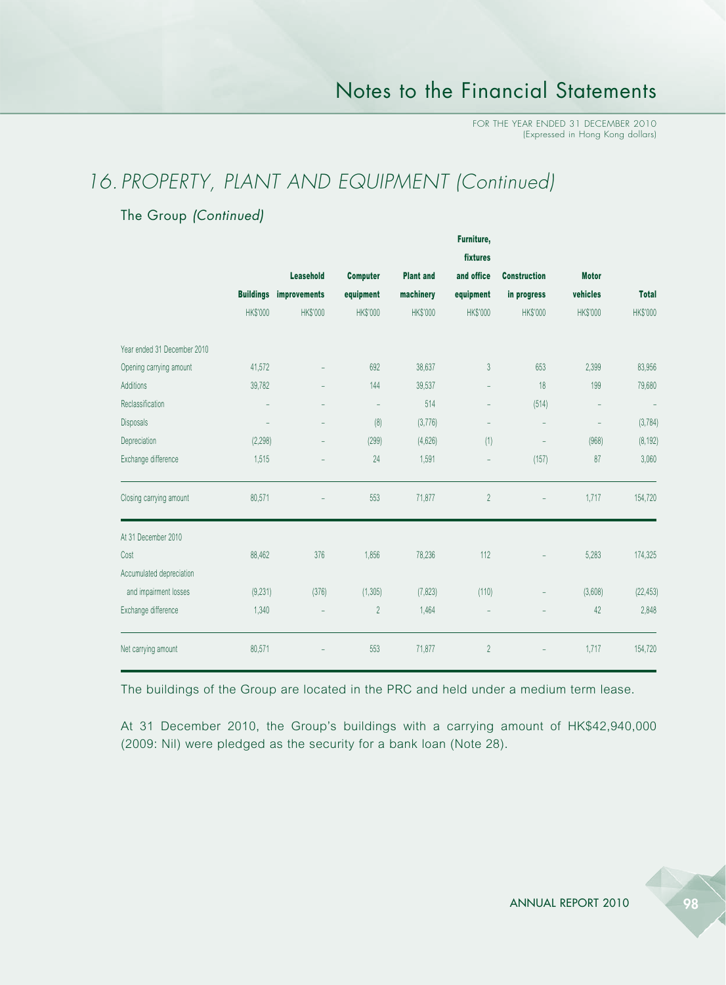## *16. PROPERTY, PLANT AND EQUIPMENT (Continued)*

### The Group *(Continued)*

|                             |                   |                               |                          |                  | rurniture,               |                          |                          |              |
|-----------------------------|-------------------|-------------------------------|--------------------------|------------------|--------------------------|--------------------------|--------------------------|--------------|
|                             |                   |                               |                          | fixtures         |                          |                          |                          |              |
|                             |                   | <b>Leasehold</b>              | <b>Computer</b>          | <b>Plant and</b> | and office               | <b>Construction</b>      | <b>Motor</b>             |              |
|                             |                   | <b>Buildings improvements</b> | equipment                | machinery        | equipment                | in progress              | vehicles                 | <b>Total</b> |
|                             | <b>HK\$'000</b>   | <b>HK\$'000</b>               | <b>HK\$'000</b>          | <b>HK\$'000</b>  | <b>HK\$'000</b>          | <b>HK\$'000</b>          | <b>HK\$'000</b>          | HK\$'000     |
| Year ended 31 December 2010 |                   |                               |                          |                  |                          |                          |                          |              |
| Opening carrying amount     | 41,572            |                               | 692                      | 38,637           | $\mathfrak{Z}$           | 653                      | 2,399                    | 83,956       |
| Additions                   | 39,782            |                               | 144                      | 39,537           | $\overline{\phantom{0}}$ | 18                       | 199                      | 79,680       |
| Reclassification            |                   |                               | $\overline{\phantom{a}}$ | 514              | $\overline{\phantom{0}}$ | (514)                    | $\overline{\phantom{a}}$ | L,           |
| Disposals                   | $\qquad \qquad -$ | $\overline{\phantom{a}}$      | (8)                      | (3,776)          | -                        | $\overline{\phantom{a}}$ | $\overline{\phantom{a}}$ | (3, 784)     |
| Depreciation                | (2, 298)          |                               | (299)                    | (4,626)          | (1)                      | $\overline{a}$           | (968)                    | (8, 192)     |
| Exchange difference         | 1,515             | $\qquad \qquad =$             | 24                       | 1,591            | $\equiv$                 | (157)                    | 87                       | 3,060        |
| Closing carrying amount     | 80,571            |                               | 553                      | 71,877           | $\overline{2}$           |                          | 1,717                    | 154,720      |
| At 31 December 2010         |                   |                               |                          |                  |                          |                          |                          |              |
| Cost                        | 88,462            | 376                           | 1,856                    | 78,236           | 112                      |                          | 5,283                    | 174,325      |
| Accumulated depreciation    |                   |                               |                          |                  |                          |                          |                          |              |
| and impairment losses       | (9,231)           | (376)                         | (1, 305)                 | (7, 823)         | (110)                    |                          | (3,608)                  | (22, 453)    |
| Exchange difference         | 1,340             | $\qquad \qquad -$             | $\overline{2}$           | 1,464            | $\qquad \qquad -$        |                          | 42                       | 2,848        |
| Net carrying amount         | 80,571            |                               | 553                      | 71,877           | $\overline{2}$           |                          | 1,717                    | 154,720      |

The buildings of the Group are located in the PRC and held under a medium term lease.

At 31 December 2010, the Group's buildings with a carrying amount of HK\$42,940,000 (2009: Nil) were pledged as the security for a bank loan (Note 28).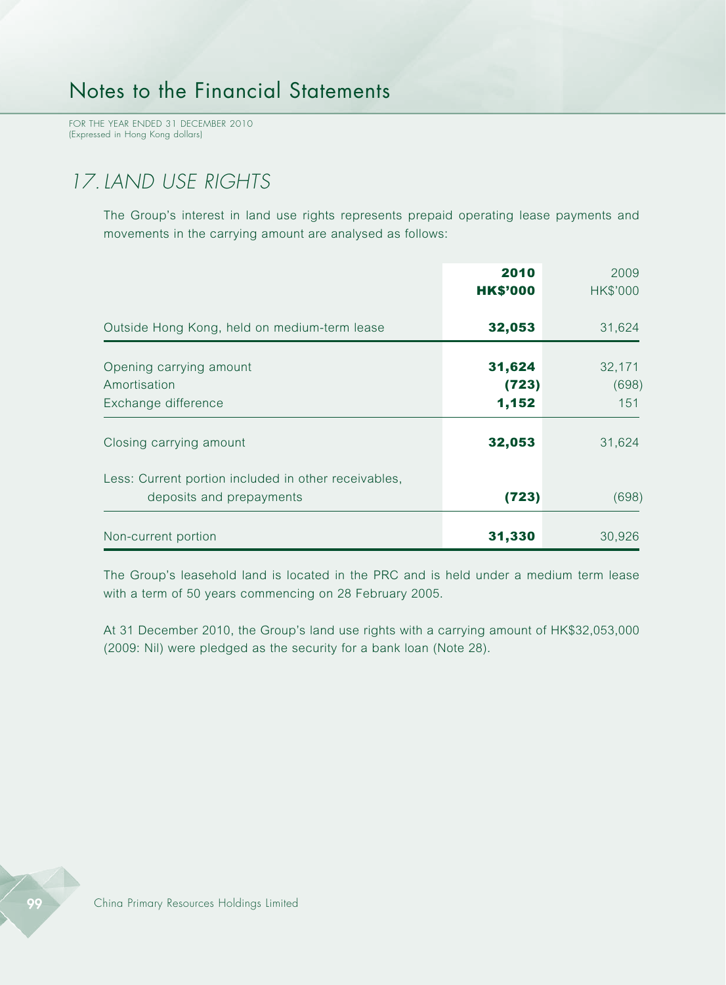FOR THE YEAR ENDED 31 DECEMBER 2010 (Expressed in Hong Kong dollars)

# *17.LAND USE RIGHTS*

The Group's interest in land use rights represents prepaid operating lease payments and movements in the carrying amount are analysed as follows:

|                                                                                  | 2010<br><b>HK\$'000</b>  | 2009<br>HK\$'000       |
|----------------------------------------------------------------------------------|--------------------------|------------------------|
| Outside Hong Kong, held on medium-term lease                                     | 32,053                   | 31,624                 |
| Opening carrying amount<br>Amortisation<br>Exchange difference                   | 31,624<br>(723)<br>1,152 | 32,171<br>(698)<br>151 |
| Closing carrying amount                                                          | 32,053                   | 31,624                 |
| Less: Current portion included in other receivables,<br>deposits and prepayments | (723)                    | (698)                  |
| Non-current portion                                                              | 31,330                   | 30,926                 |

The Group's leasehold land is located in the PRC and is held under a medium term lease with a term of 50 years commencing on 28 February 2005.

At 31 December 2010, the Group's land use rights with a carrying amount of HK\$32,053,000 (2009: Nil) were pledged as the security for a bank loan (Note 28).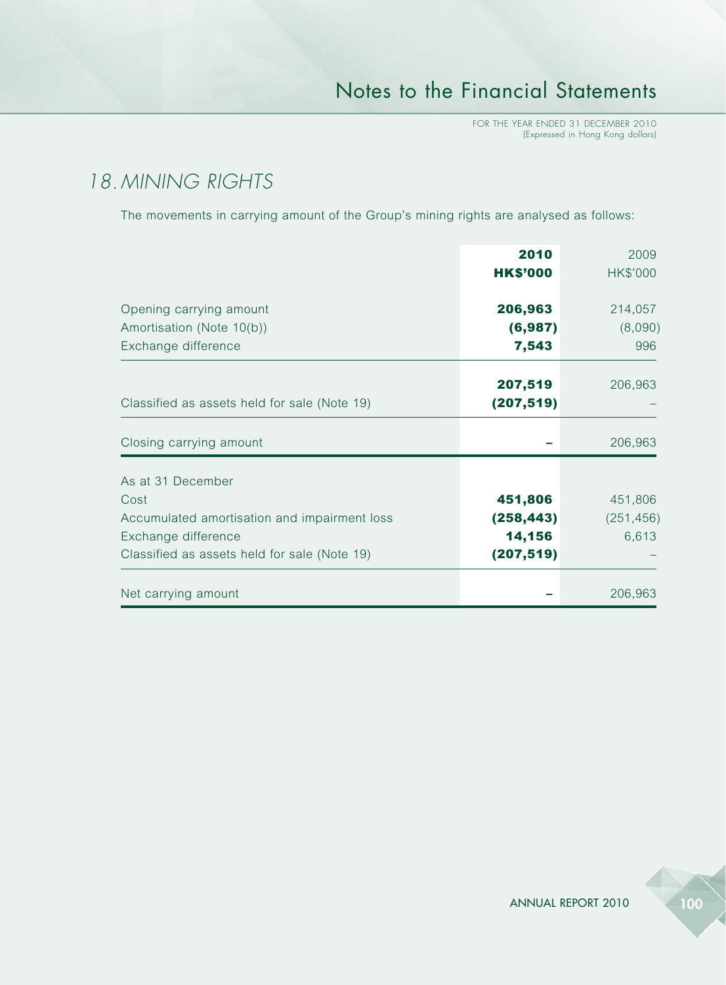# *18. MINING RIGHTS*

The movements in carrying amount of the Group's mining rights are analysed as follows:

|                                                                                                                                                  | 2010<br><b>HK\$'000</b>                       | 2009<br>HK\$'000               |
|--------------------------------------------------------------------------------------------------------------------------------------------------|-----------------------------------------------|--------------------------------|
| Opening carrying amount<br>Amortisation (Note 10(b))<br>Exchange difference                                                                      | 206,963<br>(6, 987)<br>7,543                  | 214,057<br>(8,090)<br>996      |
| Classified as assets held for sale (Note 19)                                                                                                     | 207,519<br>(207, 519)                         | 206,963                        |
| Closing carrying amount                                                                                                                          |                                               | 206,963                        |
| As at 31 December<br>Cost<br>Accumulated amortisation and impairment loss<br>Exchange difference<br>Classified as assets held for sale (Note 19) | 451,806<br>(258, 443)<br>14,156<br>(207, 519) | 451,806<br>(251, 456)<br>6,613 |
| Net carrying amount                                                                                                                              |                                               | 206,963                        |

ANNUAL REPORT 2010 100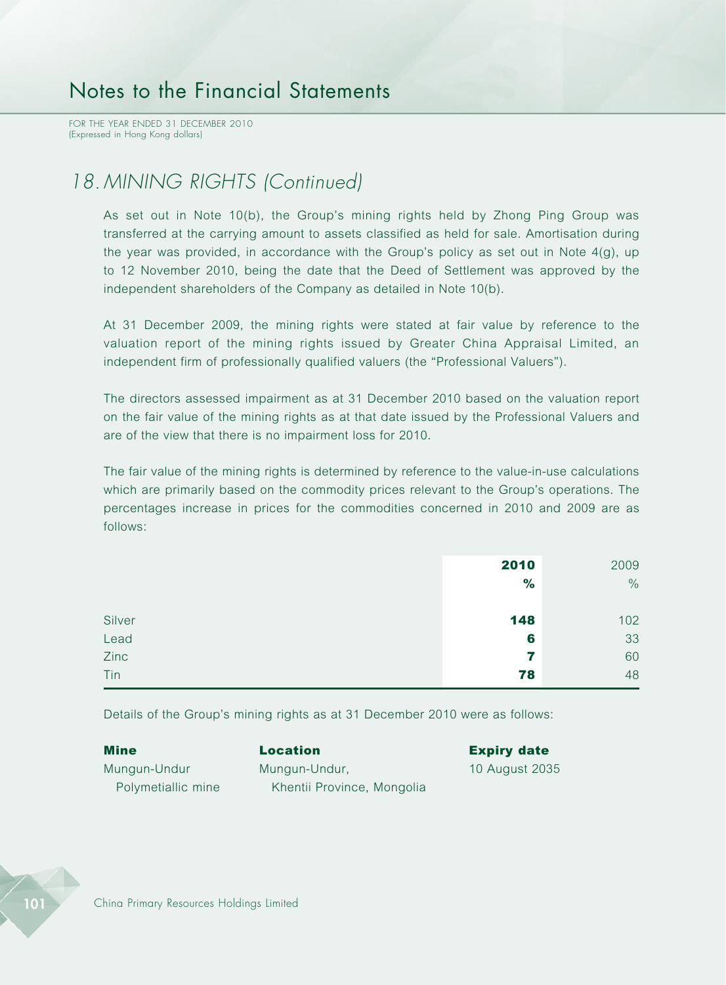FOR THE YEAR ENDED 31 DECEMBER 2010 (Expressed in Hong Kong dollars)

## *18. MINING RIGHTS (Continued)*

As set out in Note 10(b), the Group's mining rights held by Zhong Ping Group was transferred at the carrying amount to assets classified as held for sale. Amortisation during the year was provided, in accordance with the Group's policy as set out in Note 4(g), up to 12 November 2010, being the date that the Deed of Settlement was approved by the independent shareholders of the Company as detailed in Note 10(b).

At 31 December 2009, the mining rights were stated at fair value by reference to the valuation report of the mining rights issued by Greater China Appraisal Limited, an independent firm of professionally qualified valuers (the "Professional Valuers").

The directors assessed impairment as at 31 December 2010 based on the valuation report on the fair value of the mining rights as at that date issued by the Professional Valuers and are of the view that there is no impairment loss for 2010.

The fair value of the mining rights is determined by reference to the value-in-use calculations which are primarily based on the commodity prices relevant to the Group's operations. The percentages increase in prices for the commodities concerned in 2010 and 2009 are as follows:

|        | 2010 | 2009 |
|--------|------|------|
|        | $\%$ | $\%$ |
|        |      |      |
| Silver | 148  | 102  |
| Lead   | 6    | 33   |
| Zinc   | 7    | 60   |
| Tin    | 78   | 48   |

Details of the Group's mining rights as at 31 December 2010 were as follows:

| Mine               | <b>Location</b>            | <b>Expiry date</b> |
|--------------------|----------------------------|--------------------|
| Mungun-Undur       | Mungun-Undur,              | 10 August 2035     |
| Polymetiallic mine | Khentii Province, Mongolia |                    |

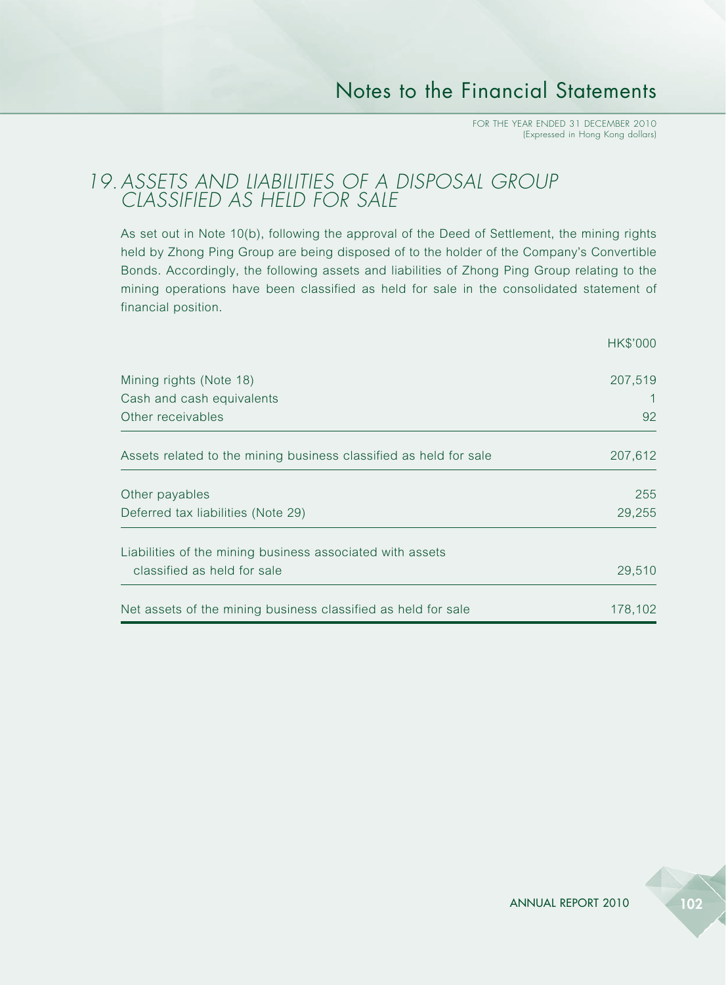### *19.ASSETS AND LIABILITIES OF A DISPOSAL GROUP CLASSIFIED AS HELD FOR SALE*

As set out in Note 10(b), following the approval of the Deed of Settlement, the mining rights held by Zhong Ping Group are being disposed of to the holder of the Company's Convertible Bonds. Accordingly, the following assets and liabilities of Zhong Ping Group relating to the mining operations have been classified as held for sale in the consolidated statement of financial position.

|                                                                   | HK\$'000 |
|-------------------------------------------------------------------|----------|
| Mining rights (Note 18)                                           | 207,519  |
| Cash and cash equivalents                                         |          |
| Other receivables                                                 | 92       |
| Assets related to the mining business classified as held for sale | 207,612  |
| Other payables                                                    | 255      |
| Deferred tax liabilities (Note 29)                                | 29,255   |
| Liabilities of the mining business associated with assets         |          |
| classified as held for sale                                       | 29,510   |
| Net assets of the mining business classified as held for sale     | 178,102  |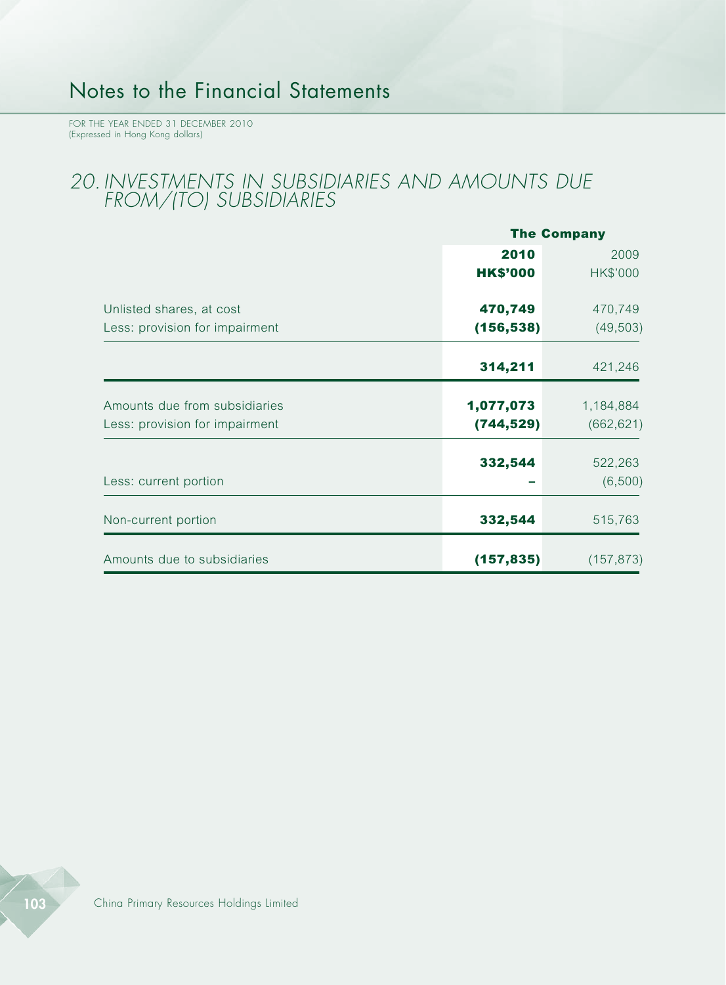FOR THE YEAR ENDED 31 DECEMBER 2010 (Expressed in Hong Kong dollars)

### *20. INVESTMENTS IN SUBSIDIARIES AND AMOUNTS DUE FROM/(TO) SUBSIDIARIES*

|                                |                 | <b>The Company</b> |  |  |
|--------------------------------|-----------------|--------------------|--|--|
|                                | 2010            | 2009               |  |  |
|                                | <b>HK\$'000</b> | HK\$'000           |  |  |
| Unlisted shares, at cost       | 470,749         | 470,749            |  |  |
| Less: provision for impairment | (156, 538)      | (49, 503)          |  |  |
|                                | 314,211         | 421,246            |  |  |
| Amounts due from subsidiaries  | 1,077,073       | 1,184,884          |  |  |
| Less: provision for impairment | (744, 529)      | (662, 621)         |  |  |
|                                | 332,544         | 522,263            |  |  |
| Less: current portion          |                 | (6,500)            |  |  |
| Non-current portion            | 332,544         | 515,763            |  |  |
| Amounts due to subsidiaries    | (157, 835)      | (157, 873)         |  |  |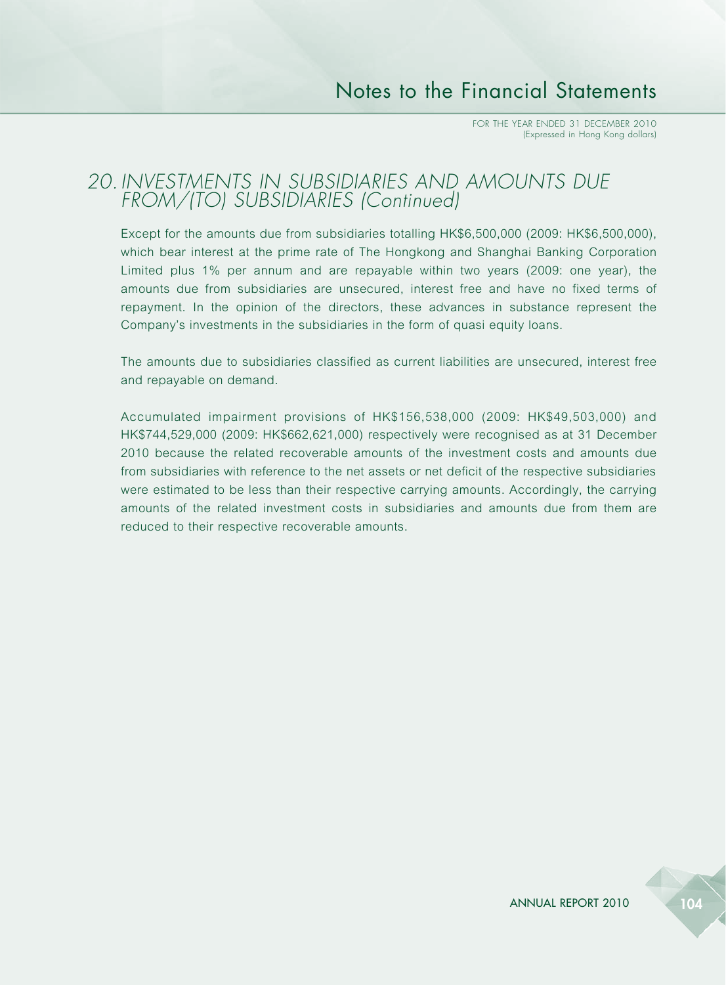### *20. INVESTMENTS IN SUBSIDIARIES AND AMOUNTS DUE FROM/(TO) SUBSIDIARIES (Continued)*

Except for the amounts due from subsidiaries totalling HK\$6,500,000 (2009: HK\$6,500,000), which bear interest at the prime rate of The Hongkong and Shanghai Banking Corporation Limited plus 1% per annum and are repayable within two years (2009: one year), the amounts due from subsidiaries are unsecured, interest free and have no fixed terms of repayment. In the opinion of the directors, these advances in substance represent the Company's investments in the subsidiaries in the form of quasi equity loans.

The amounts due to subsidiaries classified as current liabilities are unsecured, interest free and repayable on demand.

Accumulated impairment provisions of HK\$156,538,000 (2009: HK\$49,503,000) and HK\$744,529,000 (2009: HK\$662,621,000) respectively were recognised as at 31 December 2010 because the related recoverable amounts of the investment costs and amounts due from subsidiaries with reference to the net assets or net deficit of the respective subsidiaries were estimated to be less than their respective carrying amounts. Accordingly, the carrying amounts of the related investment costs in subsidiaries and amounts due from them are reduced to their respective recoverable amounts.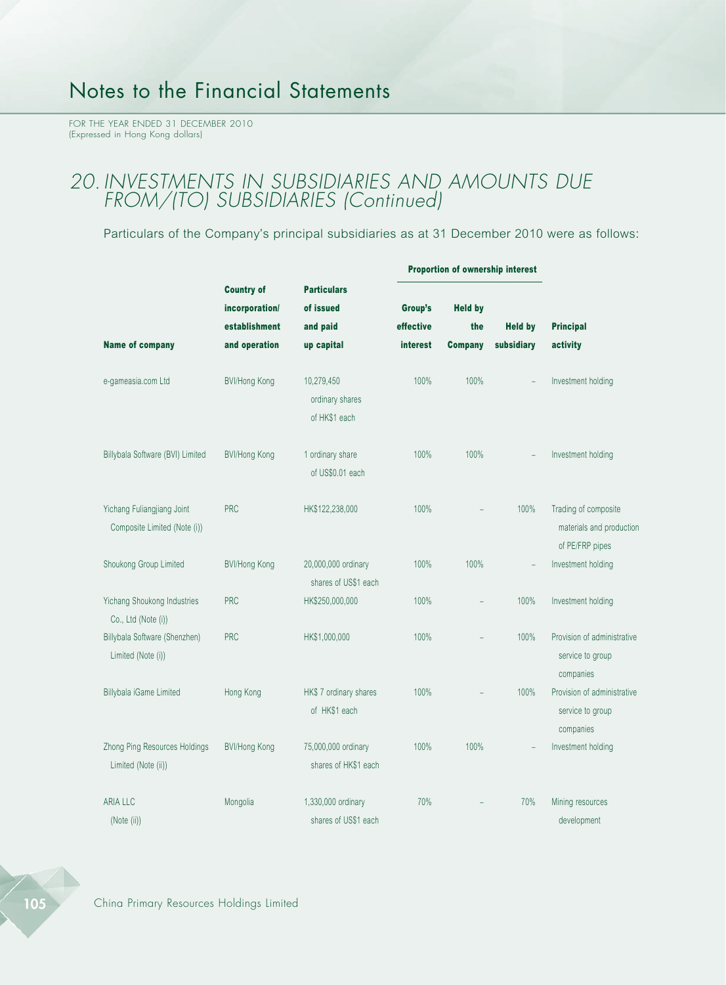### *20. INVESTMENTS IN SUBSIDIARIES AND AMOUNTS DUE FROM/(TO) SUBSIDIARIES (Continued)*

Particulars of the Company's principal subsidiaries as at 31 December 2010 were as follows:

|                                                            | <b>Country of</b><br><b>Particulars</b><br>incorporation/<br>of issued | Proportion of ownership interest               |                 |                |                |                                                                     |
|------------------------------------------------------------|------------------------------------------------------------------------|------------------------------------------------|-----------------|----------------|----------------|---------------------------------------------------------------------|
|                                                            |                                                                        |                                                |                 | Group's        | <b>Held by</b> |                                                                     |
|                                                            | establishment                                                          | and paid                                       | effective       | the            | <b>Held by</b> | <b>Principal</b>                                                    |
| <b>Name of company</b>                                     | and operation                                                          | up capital                                     | <b>interest</b> | <b>Company</b> | subsidiary     | activity                                                            |
| e-gameasia.com Ltd                                         | BVI/Hong Kong                                                          | 10,279,450<br>ordinary shares<br>of HK\$1 each | 100%            | 100%           | $\overline{a}$ | Investment holding                                                  |
|                                                            |                                                                        |                                                |                 |                |                |                                                                     |
| Billybala Software (BVI) Limited                           | <b>BVI/Hong Kong</b>                                                   | 1 ordinary share<br>of US\$0.01 each           | 100%            | 100%           |                | Investment holding                                                  |
| Yichang Fuliangjiang Joint<br>Composite Limited (Note (i)) | <b>PRC</b>                                                             | HK\$122,238,000                                | 100%            |                | 100%           | Trading of composite<br>materials and production<br>of PE/FRP pipes |
| Shoukong Group Limited                                     | <b>BVI/Hong Kong</b>                                                   | 20,000,000 ordinary<br>shares of US\$1 each    | 100%            | 100%           | ÷,             | Investment holding                                                  |
| Yichang Shoukong Industries<br>Co., Ltd (Note (i))         | <b>PRC</b>                                                             | HK\$250,000,000                                | 100%            | $\overline{a}$ | 100%           | Investment holding                                                  |
| Billybala Software (Shenzhen)<br>Limited (Note (i))        | <b>PRC</b>                                                             | HK\$1,000,000                                  | 100%            |                | 100%           | Provision of administrative<br>service to group<br>companies        |
| Billybala iGame Limited                                    | Hong Kong                                                              | HK\$7 ordinary shares<br>of HK\$1 each         | 100%            | L,             | 100%           | Provision of administrative<br>service to group<br>companies        |
| Zhong Ping Resources Holdings<br>Limited (Note (ii))       | <b>BVI/Hong Kong</b>                                                   | 75,000,000 ordinary<br>shares of HK\$1 each    | 100%            | 100%           |                | Investment holding                                                  |
| <b>ARIA LLC</b><br>(Note (ii))                             | Mongolia                                                               | 1,330,000 ordinary<br>shares of US\$1 each     | 70%             |                | 70%            | Mining resources<br>development                                     |



105 China Primary Resources Holdings Limited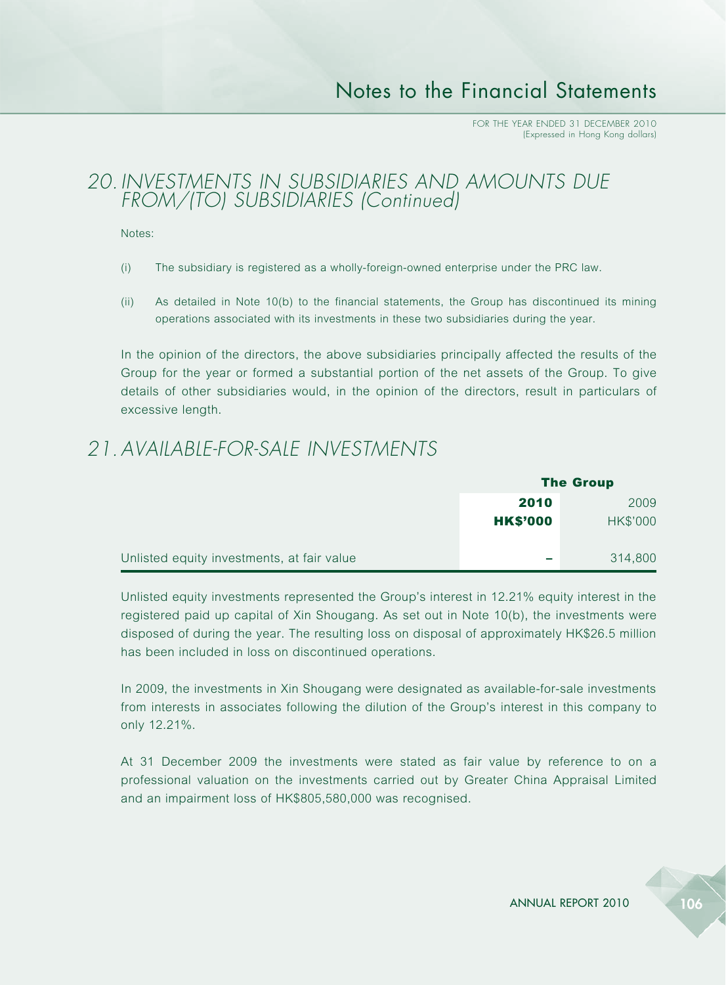### *20. INVESTMENTS IN SUBSIDIARIES AND AMOUNTS DUE FROM/(TO) SUBSIDIARIES (Continued)*

Notes:

- (i) The subsidiary is registered as a wholly-foreign-owned enterprise under the PRC law.
- (ii) As detailed in Note 10(b) to the financial statements, the Group has discontinued its mining operations associated with its investments in these two subsidiaries during the year.

In the opinion of the directors, the above subsidiaries principally affected the results of the Group for the year or formed a substantial portion of the net assets of the Group. To give details of other subsidiaries would, in the opinion of the directors, result in particulars of excessive length.

## *21.AVAILABLE-FOR-SALE INVESTMENTS*

|                                            | <b>The Group</b> |          |  |
|--------------------------------------------|------------------|----------|--|
|                                            | 2010             | 2009     |  |
|                                            | <b>HK\$'000</b>  | HK\$'000 |  |
| Unlisted equity investments, at fair value | ــ               | 314,800  |  |

Unlisted equity investments represented the Group's interest in 12.21% equity interest in the registered paid up capital of Xin Shougang. As set out in Note 10(b), the investments were disposed of during the year. The resulting loss on disposal of approximately HK\$26.5 million has been included in loss on discontinued operations.

In 2009, the investments in Xin Shougang were designated as available-for-sale investments from interests in associates following the dilution of the Group's interest in this company to only 12.21%.

At 31 December 2009 the investments were stated as fair value by reference to on a professional valuation on the investments carried out by Greater China Appraisal Limited and an impairment loss of HK\$805,580,000 was recognised.

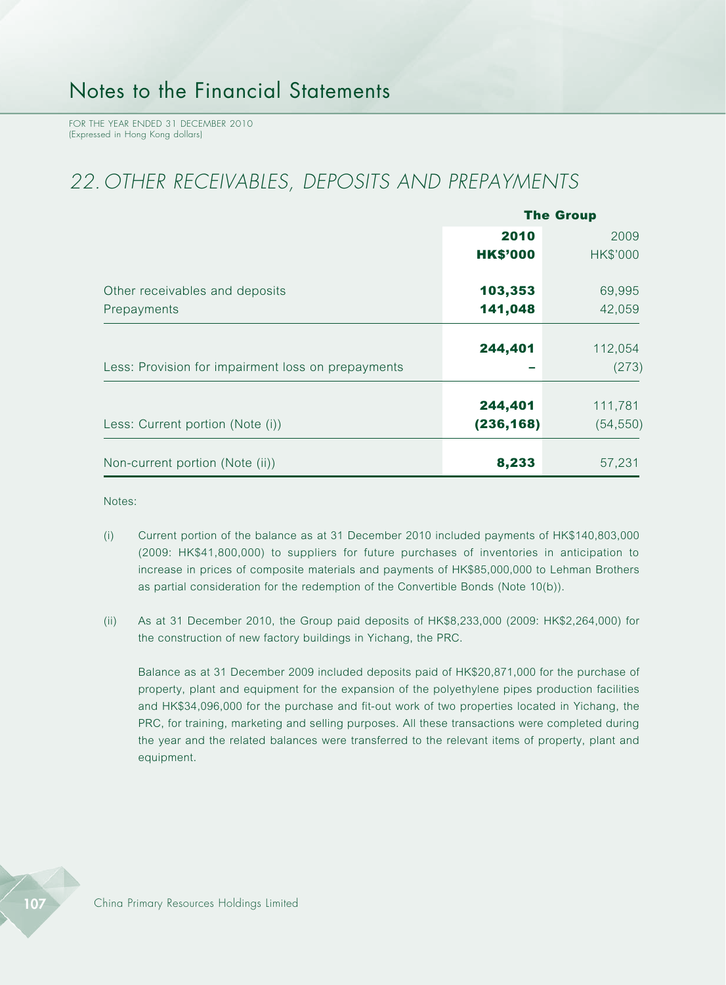## *22. OTHER RECEIVABLES, DEPOSITS AND PREPAYMENTS*

|                                                    | <b>The Group</b>      |                      |  |
|----------------------------------------------------|-----------------------|----------------------|--|
|                                                    | 2010                  | 2009                 |  |
|                                                    | <b>HK\$'000</b>       | HK\$'000             |  |
| Other receivables and deposits                     | 103,353               | 69,995               |  |
| Prepayments                                        | 141,048               | 42,059               |  |
| Less: Provision for impairment loss on prepayments | 244,401               | 112,054<br>(273)     |  |
| Less: Current portion (Note (i))                   | 244,401<br>(236, 168) | 111,781<br>(54, 550) |  |
| Non-current portion (Note (ii))                    | 8,233                 | 57,231               |  |

Notes:

- (i) Current portion of the balance as at 31 December 2010 included payments of HK\$140,803,000 (2009: HK\$41,800,000) to suppliers for future purchases of inventories in anticipation to increase in prices of composite materials and payments of HK\$85,000,000 to Lehman Brothers as partial consideration for the redemption of the Convertible Bonds (Note 10(b)).
- (ii) As at 31 December 2010, the Group paid deposits of HK\$8,233,000 (2009: HK\$2,264,000) for the construction of new factory buildings in Yichang, the PRC.

Balance as at 31 December 2009 included deposits paid of HK\$20,871,000 for the purchase of property, plant and equipment for the expansion of the polyethylene pipes production facilities and HK\$34,096,000 for the purchase and fit-out work of two properties located in Yichang, the PRC, for training, marketing and selling purposes. All these transactions were completed during the year and the related balances were transferred to the relevant items of property, plant and equipment.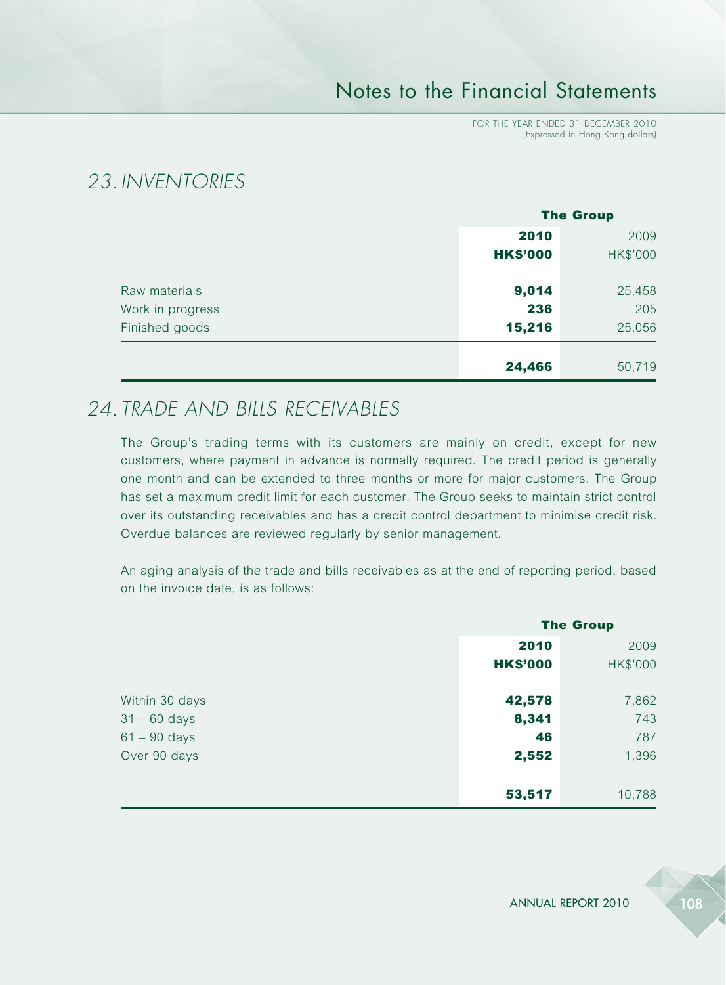FOR THE YEAR ENDED 31 DECEMBER 2010 (Expressed in Hong Kong dollars)

## *23. INVENTORIES*

|                  | <b>The Group</b> |          |
|------------------|------------------|----------|
|                  | 2010             | 2009     |
|                  | <b>HK\$'000</b>  | HK\$'000 |
| Raw materials    | 9,014            | 25,458   |
| Work in progress | 236              | 205      |
| Finished goods   | 15,216           | 25,056   |
|                  | 24,466           | 50,719   |

### *24. TRADE AND BILLS RECEIVABLES*

The Group's trading terms with its customers are mainly on credit, except for new customers, where payment in advance is normally required. The credit period is generally one month and can be extended to three months or more for major customers. The Group has set a maximum credit limit for each customer. The Group seeks to maintain strict control over its outstanding receivables and has a credit control department to minimise credit risk. Overdue balances are reviewed regularly by senior management.

An aging analysis of the trade and bills receivables as at the end of reporting period, based on the invoice date, is as follows:

|                | <b>The Group</b> |          |
|----------------|------------------|----------|
|                | 2010             |          |
|                | <b>HK\$'000</b>  | HK\$'000 |
| Within 30 days | 42,578           | 7,862    |
| $31 - 60$ days | 8,341            | 743      |
| $61 - 90$ days | 46               | 787      |
| Over 90 days   | 2,552            | 1,396    |
|                | 53,517           | 10,788   |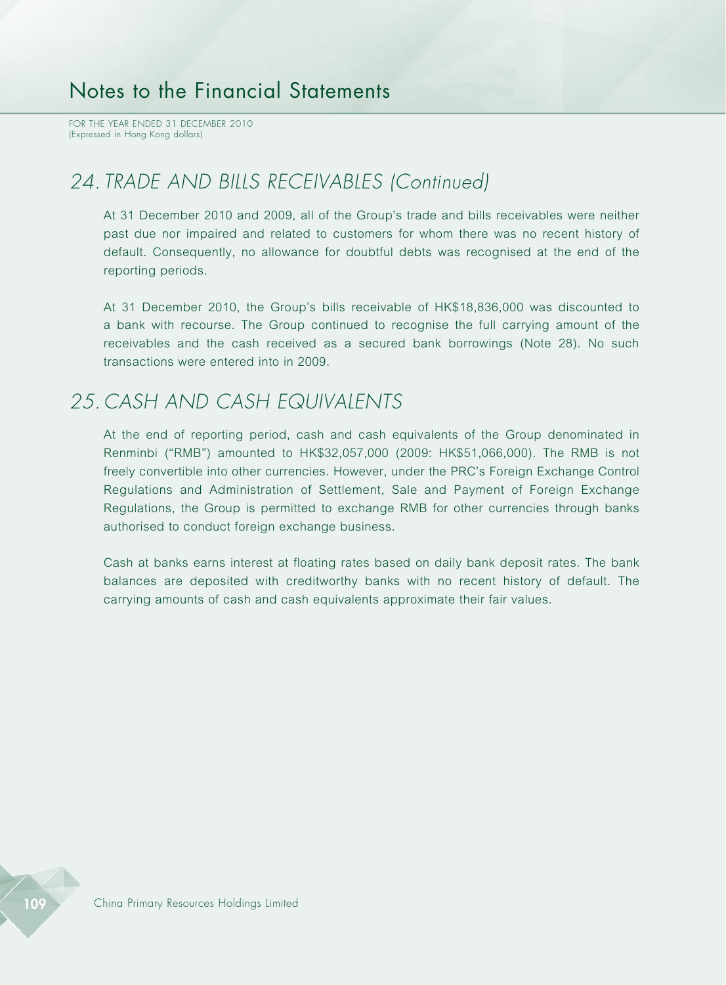FOR THE YEAR ENDED 31 DECEMBER 2010 (Expressed in Hong Kong dollars)

### *24. TRADE AND BILLS RECEIVABLES (Continued)*

At 31 December 2010 and 2009, all of the Group's trade and bills receivables were neither past due nor impaired and related to customers for whom there was no recent history of default. Consequently, no allowance for doubtful debts was recognised at the end of the reporting periods.

At 31 December 2010, the Group's bills receivable of HK\$18,836,000 was discounted to a bank with recourse. The Group continued to recognise the full carrying amount of the receivables and the cash received as a secured bank borrowings (Note 28). No such transactions were entered into in 2009.

#### *25. CASH AND CASH EQUIVALENTS*

At the end of reporting period, cash and cash equivalents of the Group denominated in Renminbi ("RMB") amounted to HK\$32,057,000 (2009: HK\$51,066,000). The RMB is not freely convertible into other currencies. However, under the PRC's Foreign Exchange Control Regulations and Administration of Settlement, Sale and Payment of Foreign Exchange Regulations, the Group is permitted to exchange RMB for other currencies through banks authorised to conduct foreign exchange business.

Cash at banks earns interest at floating rates based on daily bank deposit rates. The bank balances are deposited with creditworthy banks with no recent history of default. The carrying amounts of cash and cash equivalents approximate their fair values.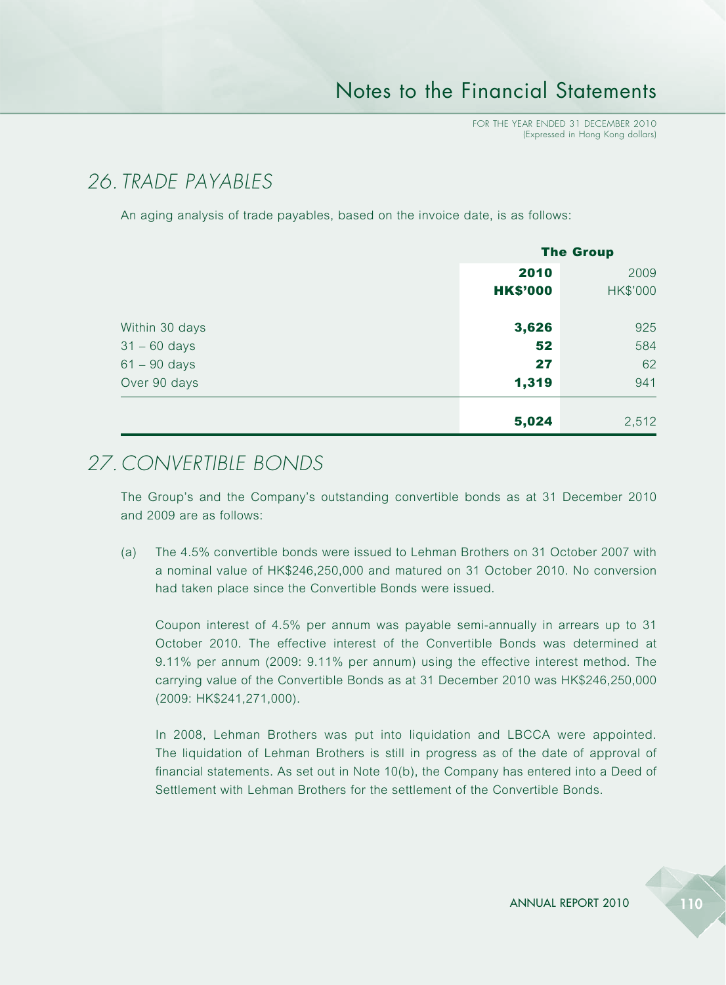## *26. TRADE PAYABLES*

An aging analysis of trade payables, based on the invoice date, is as follows:

|                | <b>The Group</b> |                 |
|----------------|------------------|-----------------|
|                | 2010             | 2009            |
|                | <b>HK\$'000</b>  | <b>HK\$'000</b> |
| Within 30 days | 3,626            | 925             |
| $31 - 60$ days | 52               | 584             |
| $61 - 90$ days | 27               | 62              |
| Over 90 days   | 1,319            | 941             |
|                | 5,024            | 2,512           |

## *27. CONVERTIBLE BONDS*

The Group's and the Company's outstanding convertible bonds as at 31 December 2010 and 2009 are as follows:

(a) The 4.5% convertible bonds were issued to Lehman Brothers on 31 October 2007 with a nominal value of HK\$246,250,000 and matured on 31 October 2010. No conversion had taken place since the Convertible Bonds were issued.

Coupon interest of 4.5% per annum was payable semi-annually in arrears up to 31 October 2010. The effective interest of the Convertible Bonds was determined at 9.11% per annum (2009: 9.11% per annum) using the effective interest method. The carrying value of the Convertible Bonds as at 31 December 2010 was HK\$246,250,000 (2009: HK\$241,271,000).

In 2008, Lehman Brothers was put into liquidation and LBCCA were appointed. The liquidation of Lehman Brothers is still in progress as of the date of approval of financial statements. As set out in Note 10(b), the Company has entered into a Deed of Settlement with Lehman Brothers for the settlement of the Convertible Bonds.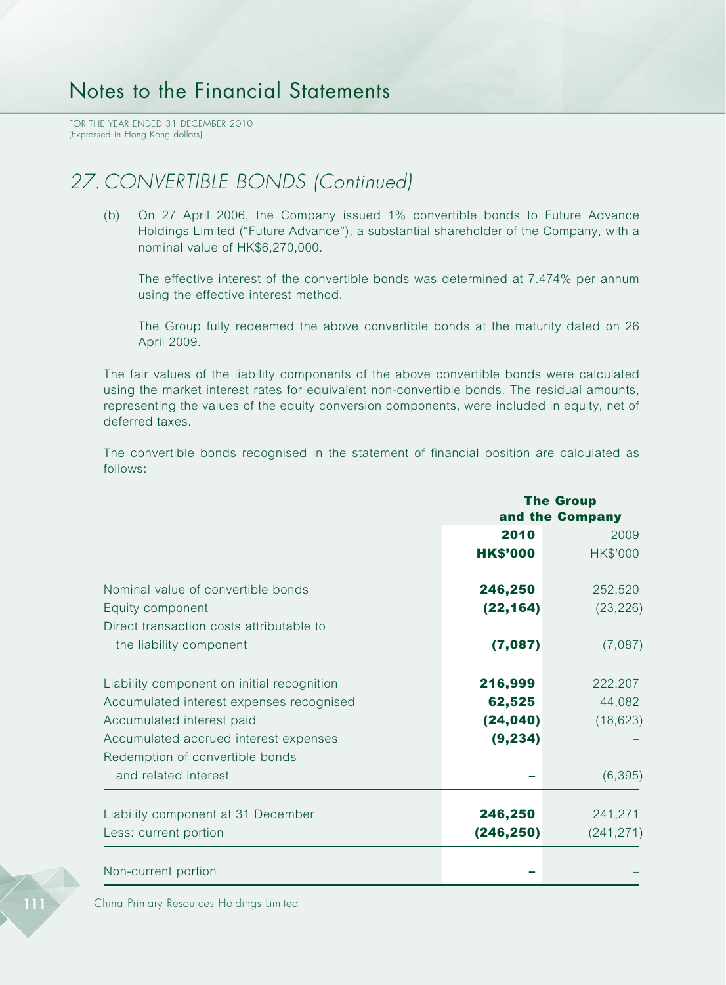FOR THE YEAR ENDED 31 DECEMBER 2010 (Expressed in Hong Kong dollars)

## *27. CONVERTIBLE BONDS (Continued)*

(b) On 27 April 2006, the Company issued 1% convertible bonds to Future Advance Holdings Limited ("Future Advance"), a substantial shareholder of the Company, with a nominal value of HK\$6,270,000.

The effective interest of the convertible bonds was determined at 7.474% per annum using the effective interest method.

The Group fully redeemed the above convertible bonds at the maturity dated on 26 April 2009.

The fair values of the liability components of the above convertible bonds were calculated using the market interest rates for equivalent non-convertible bonds. The residual amounts, representing the values of the equity conversion components, were included in equity, net of deferred taxes.

The convertible bonds recognised in the statement of financial position are calculated as follows:

|                                            |                 | <b>The Group</b> |  |  |
|--------------------------------------------|-----------------|------------------|--|--|
|                                            |                 | and the Company  |  |  |
|                                            | 2010            | 2009             |  |  |
|                                            | <b>HK\$'000</b> | HK\$'000         |  |  |
| Nominal value of convertible bonds         | 246,250         | 252,520          |  |  |
| Equity component                           | (22, 164)       | (23, 226)        |  |  |
| Direct transaction costs attributable to   |                 |                  |  |  |
| the liability component                    | (7,087)         | (7,087)          |  |  |
| Liability component on initial recognition | 216,999         | 222,207          |  |  |
| Accumulated interest expenses recognised   | 62,525          | 44,082           |  |  |
| Accumulated interest paid                  | (24, 040)       | (18, 623)        |  |  |
| Accumulated accrued interest expenses      | (9, 234)        |                  |  |  |
| Redemption of convertible bonds            |                 |                  |  |  |
| and related interest                       |                 | (6, 395)         |  |  |
| Liability component at 31 December         | 246,250         | 241,271          |  |  |
| Less: current portion                      | (246, 250)      | (241, 271)       |  |  |
| Non-current portion                        |                 |                  |  |  |

China Primary Resources Holdings Limited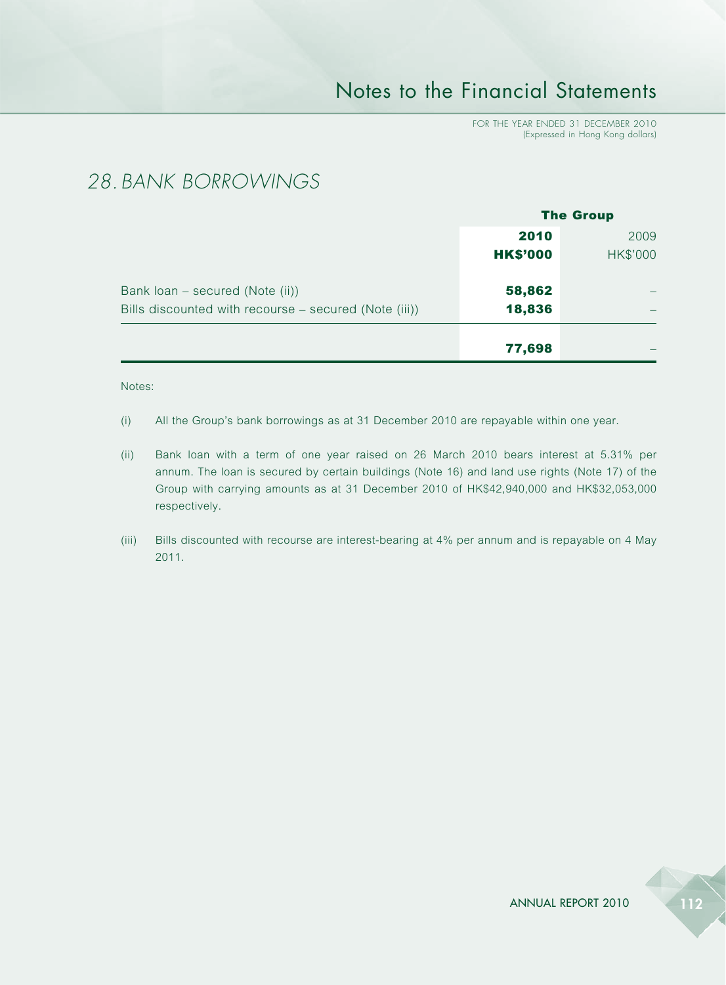FOR THE YEAR ENDED 31 DECEMBER 2010 (Expressed in Hong Kong dollars)

### *28. BANK BORROWINGS*

|                                                       | <b>The Group</b> |                 |
|-------------------------------------------------------|------------------|-----------------|
|                                                       | 2010             | 2009            |
|                                                       | <b>HK\$'000</b>  | <b>HK\$'000</b> |
| Bank loan – secured (Note (ii))                       | 58,862           |                 |
| Bills discounted with recourse – secured (Note (iii)) | 18,836           |                 |
|                                                       | 77,698           |                 |

#### Notes:

- (i) All the Group's bank borrowings as at 31 December 2010 are repayable within one year.
- (ii) Bank loan with a term of one year raised on 26 March 2010 bears interest at 5.31% per annum. The loan is secured by certain buildings (Note 16) and land use rights (Note 17) of the Group with carrying amounts as at 31 December 2010 of HK\$42,940,000 and HK\$32,053,000 respectively.
- (iii) Bills discounted with recourse are interest-bearing at 4% per annum and is repayable on 4 May 2011.

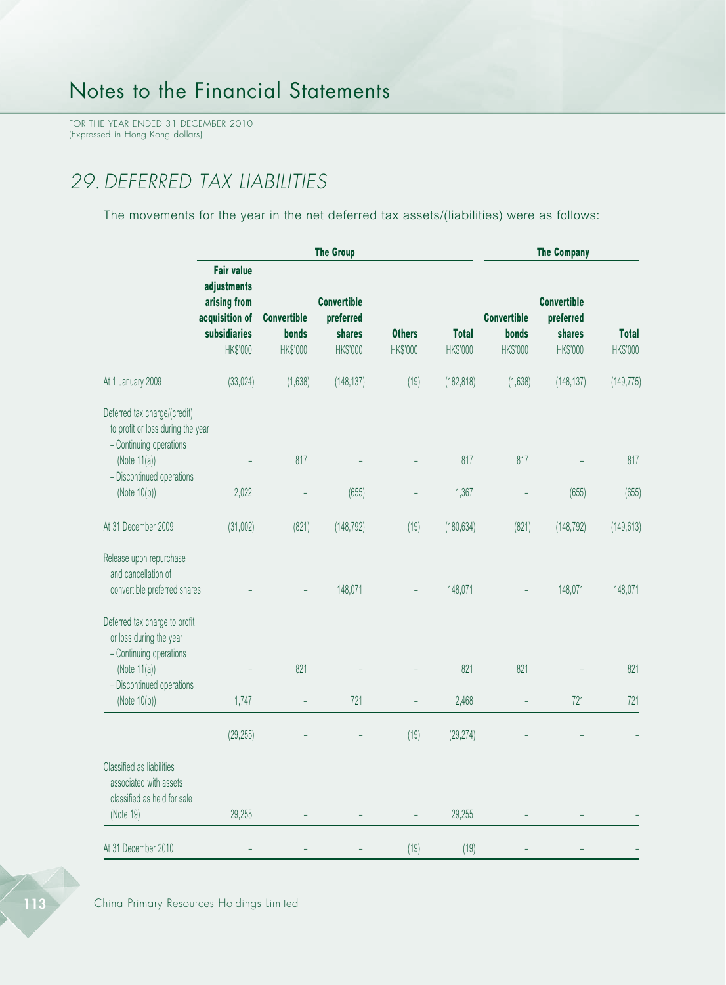FOR THE YEAR ENDED 31 DECEMBER 2010 (Expressed in Hong Kong dollars)

# *29.DEFERRED TAX LIABILITIES*

The movements for the year in the net deferred tax assets/(liabilities) were as follows:

|                                                                                                                                                              |                                                                                                |                                         | <b>The Company</b>                                    |                           |                          |                                         |                                                       |                          |
|--------------------------------------------------------------------------------------------------------------------------------------------------------------|------------------------------------------------------------------------------------------------|-----------------------------------------|-------------------------------------------------------|---------------------------|--------------------------|-----------------------------------------|-------------------------------------------------------|--------------------------|
|                                                                                                                                                              | <b>Fair value</b><br>adjustments<br>arising from<br>acquisition of<br>subsidiaries<br>HK\$'000 | <b>Convertible</b><br>bonds<br>HK\$'000 | <b>Convertible</b><br>preferred<br>shares<br>HK\$'000 | <b>Others</b><br>HK\$'000 | <b>Total</b><br>HK\$'000 | <b>Convertible</b><br>bonds<br>HK\$'000 | <b>Convertible</b><br>preferred<br>shares<br>HK\$'000 | <b>Total</b><br>HK\$'000 |
| At 1 January 2009                                                                                                                                            | (33, 024)                                                                                      | (1,638)                                 | (148, 137)                                            | (19)                      | (182, 818)               | (1,638)                                 | (148, 137)                                            | (149, 775)               |
| Deferred tax charge/(credit)<br>to profit or loss during the year<br>- Continuing operations<br>(Note $11(a)$ )<br>- Discontinued operations<br>(Note 10(b)) | 2,022                                                                                          | 817                                     | (655)                                                 | $\overline{a}$            | 817<br>1,367             | 817                                     | (655)                                                 | 817<br>(655)             |
|                                                                                                                                                              |                                                                                                | $\overline{\phantom{0}}$                |                                                       |                           |                          |                                         |                                                       |                          |
| At 31 December 2009                                                                                                                                          | (31,002)                                                                                       | (821)                                   | (148, 792)                                            | (19)                      | (180, 634)               | (821)                                   | (148, 792)                                            | (149, 613)               |
| Release upon repurchase<br>and cancellation of<br>convertible preferred shares                                                                               |                                                                                                |                                         | 148,071                                               |                           | 148,071                  |                                         | 148,071                                               | 148,071                  |
| Deferred tax charge to profit<br>or loss during the year<br>- Continuing operations<br>(Note $11(a)$ )<br>- Discontinued operations<br>(Note 10(b))          | 1,747                                                                                          | 821<br>$\overline{a}$                   | 721                                                   |                           | 821<br>2,468             | 821                                     | 721                                                   | 821<br>721               |
|                                                                                                                                                              | (29, 255)                                                                                      |                                         |                                                       | (19)                      | (29, 274)                |                                         |                                                       |                          |
| Classified as liabilities<br>associated with assets<br>classified as held for sale<br>(Note 19)                                                              | 29,255                                                                                         |                                         |                                                       |                           | 29,255                   |                                         |                                                       |                          |
| At 31 December 2010                                                                                                                                          |                                                                                                |                                         |                                                       | (19)                      | (19)                     |                                         |                                                       |                          |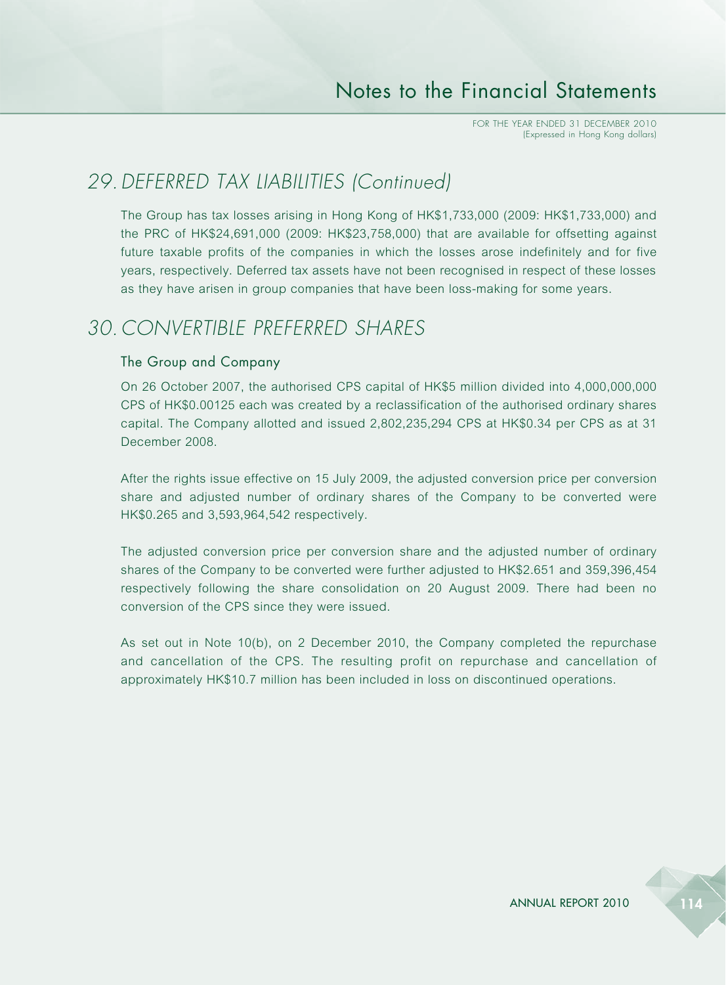## *29.DEFERRED TAX LIABILITIES (Continued)*

The Group has tax losses arising in Hong Kong of HK\$1,733,000 (2009: HK\$1,733,000) and the PRC of HK\$24,691,000 (2009: HK\$23,758,000) that are available for offsetting against future taxable profits of the companies in which the losses arose indefinitely and for five years, respectively. Deferred tax assets have not been recognised in respect of these losses as they have arisen in group companies that have been loss-making for some years.

### *30. CONVERTIBLE PREFERRED SHARES*

#### The Group and Company

On 26 October 2007, the authorised CPS capital of HK\$5 million divided into 4,000,000,000 CPS of HK\$0.00125 each was created by a reclassification of the authorised ordinary shares capital. The Company allotted and issued 2,802,235,294 CPS at HK\$0.34 per CPS as at 31 December 2008.

After the rights issue effective on 15 July 2009, the adjusted conversion price per conversion share and adjusted number of ordinary shares of the Company to be converted were HK\$0.265 and 3,593,964,542 respectively.

The adjusted conversion price per conversion share and the adjusted number of ordinary shares of the Company to be converted were further adjusted to HK\$2.651 and 359,396,454 respectively following the share consolidation on 20 August 2009. There had been no conversion of the CPS since they were issued.

As set out in Note 10(b), on 2 December 2010, the Company completed the repurchase and cancellation of the CPS. The resulting profit on repurchase and cancellation of approximately HK\$10.7 million has been included in loss on discontinued operations.

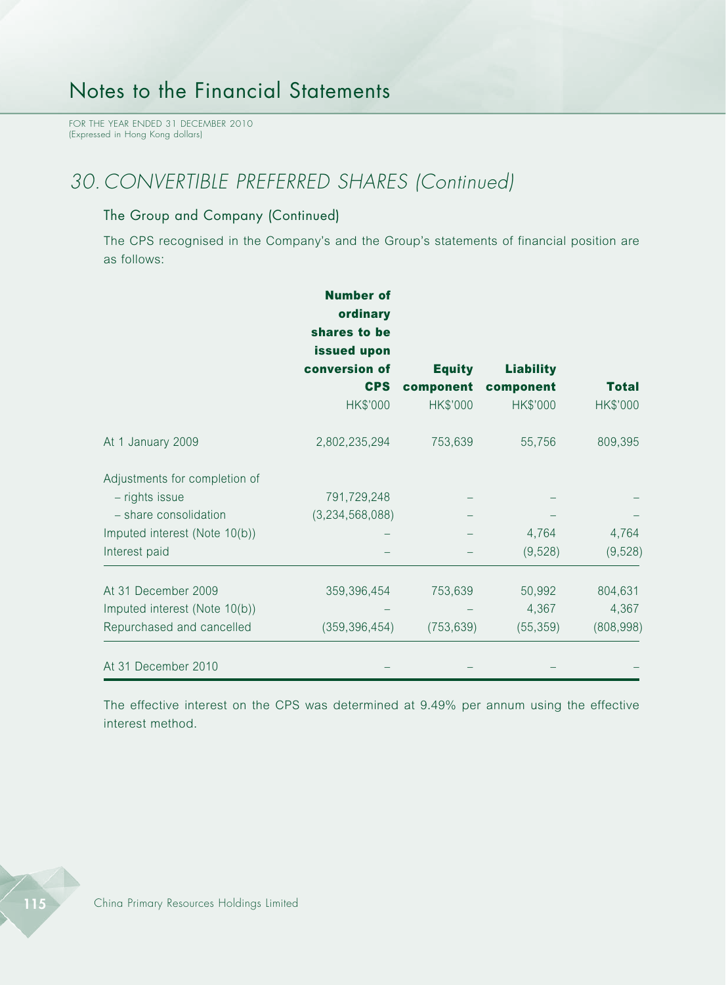FOR THE YEAR ENDED 31 DECEMBER 2010 (Expressed in Hong Kong dollars)

## *30. CONVERTIBLE PREFERRED SHARES (Continued)*

#### The Group and Company (Continued)

The CPS recognised in the Company's and the Group's statements of financial position are as follows:

|                               | <b>Number of</b><br>ordinary<br>shares to be<br>issued upon<br>conversion of<br><b>CPS</b> | <b>Equity</b><br>component | <b>Liability</b><br>component | <b>Total</b> |
|-------------------------------|--------------------------------------------------------------------------------------------|----------------------------|-------------------------------|--------------|
|                               | HK\$'000                                                                                   | HK\$'000                   | HK\$'000                      | HK\$'000     |
| At 1 January 2009             | 2,802,235,294                                                                              | 753,639                    | 55,756                        | 809,395      |
| Adjustments for completion of |                                                                                            |                            |                               |              |
| - rights issue                | 791,729,248                                                                                |                            |                               |              |
| - share consolidation         | (3,234,568,088)                                                                            |                            |                               |              |
| Imputed interest (Note 10(b)) |                                                                                            |                            | 4,764                         | 4,764        |
| Interest paid                 |                                                                                            |                            | (9, 528)                      | (9,528)      |
| At 31 December 2009           | 359,396,454                                                                                | 753,639                    | 50,992                        | 804,631      |
| Imputed interest (Note 10(b)) |                                                                                            |                            | 4,367                         | 4,367        |
| Repurchased and cancelled     | (359, 396, 454)                                                                            | (753, 639)                 | (55, 359)                     | (808, 998)   |
| At 31 December 2010           |                                                                                            |                            |                               |              |

The effective interest on the CPS was determined at 9.49% per annum using the effective interest method.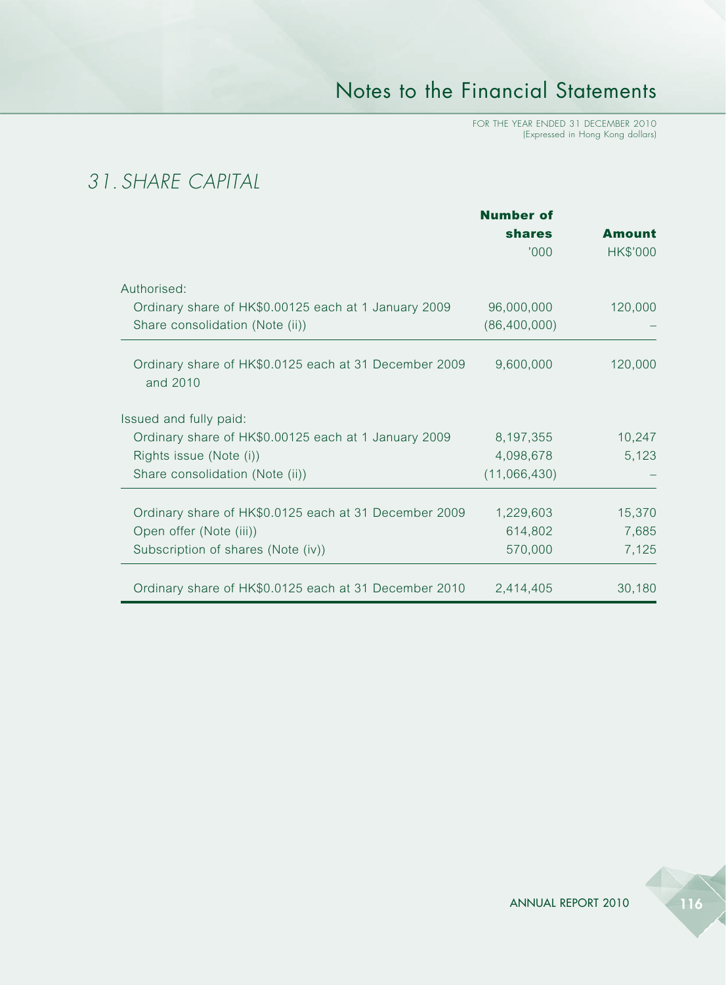FOR THE YEAR ENDED 31 DECEMBER 2010 (Expressed in Hong Kong dollars)

# *31. SHARE CAPITAL*

|                                                                   | <b>Number of</b> |               |
|-------------------------------------------------------------------|------------------|---------------|
|                                                                   | <b>shares</b>    | <b>Amount</b> |
|                                                                   | '000'            | HK\$'000      |
| Authorised:                                                       |                  |               |
| Ordinary share of HK\$0.00125 each at 1 January 2009              | 96,000,000       | 120,000       |
| Share consolidation (Note (ii))                                   | (86, 400, 000)   |               |
| Ordinary share of HK\$0.0125 each at 31 December 2009<br>and 2010 | 9,600,000        | 120,000       |
| Issued and fully paid:                                            |                  |               |
| Ordinary share of HK\$0.00125 each at 1 January 2009              | 8,197,355        | 10,247        |
| Rights issue (Note (i))                                           | 4,098,678        | 5,123         |
| Share consolidation (Note (ii))                                   | (11,066,430)     |               |
| Ordinary share of HK\$0.0125 each at 31 December 2009             | 1,229,603        | 15,370        |
| Open offer (Note (iii))                                           | 614,802          | 7,685         |
| Subscription of shares (Note (iv))                                | 570,000          | 7,125         |
| Ordinary share of HK\$0.0125 each at 31 December 2010             | 2,414,405        | 30,180        |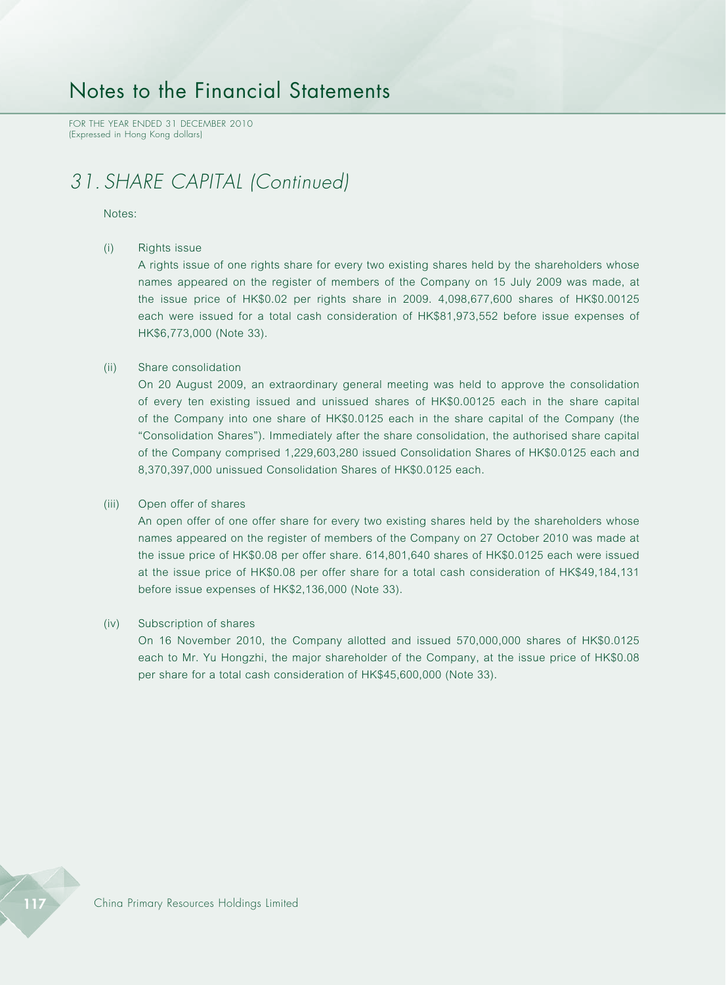FOR THE YEAR ENDED 31 DECEMBER 2010 (Expressed in Hong Kong dollars)

## *31. SHARE CAPITAL (Continued)*

#### Notes:

#### (i) Rights issue

A rights issue of one rights share for every two existing shares held by the shareholders whose names appeared on the register of members of the Company on 15 July 2009 was made, at the issue price of HK\$0.02 per rights share in 2009. 4,098,677,600 shares of HK\$0.00125 each were issued for a total cash consideration of HK\$81,973,552 before issue expenses of HK\$6,773,000 (Note 33).

#### (ii) Share consolidation

On 20 August 2009, an extraordinary general meeting was held to approve the consolidation of every ten existing issued and unissued shares of HK\$0.00125 each in the share capital of the Company into one share of HK\$0.0125 each in the share capital of the Company (the "Consolidation Shares"). Immediately after the share consolidation, the authorised share capital of the Company comprised 1,229,603,280 issued Consolidation Shares of HK\$0.0125 each and 8,370,397,000 unissued Consolidation Shares of HK\$0.0125 each.

#### (iii) Open offer of shares

An open offer of one offer share for every two existing shares held by the shareholders whose names appeared on the register of members of the Company on 27 October 2010 was made at the issue price of HK\$0.08 per offer share. 614,801,640 shares of HK\$0.0125 each were issued at the issue price of HK\$0.08 per offer share for a total cash consideration of HK\$49,184,131 before issue expenses of HK\$2,136,000 (Note 33).

#### (iv) Subscription of shares

On 16 November 2010, the Company allotted and issued 570,000,000 shares of HK\$0.0125 each to Mr. Yu Hongzhi, the major shareholder of the Company, at the issue price of HK\$0.08 per share for a total cash consideration of HK\$45,600,000 (Note 33).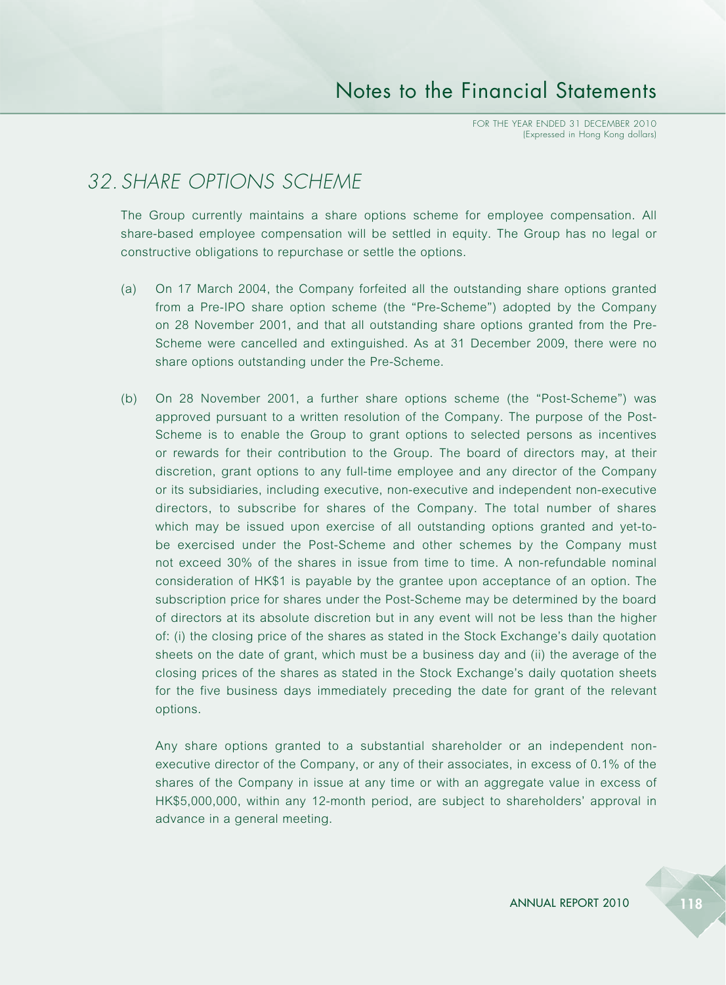## *32. SHARE OPTIONS SCHEME*

The Group currently maintains a share options scheme for employee compensation. All share-based employee compensation will be settled in equity. The Group has no legal or constructive obligations to repurchase or settle the options.

- (a) On 17 March 2004, the Company forfeited all the outstanding share options granted from a Pre-IPO share option scheme (the "Pre-Scheme") adopted by the Company on 28 November 2001, and that all outstanding share options granted from the Pre-Scheme were cancelled and extinguished. As at 31 December 2009, there were no share options outstanding under the Pre-Scheme.
- (b) On 28 November 2001, a further share options scheme (the "Post-Scheme") was approved pursuant to a written resolution of the Company. The purpose of the Post-Scheme is to enable the Group to grant options to selected persons as incentives or rewards for their contribution to the Group. The board of directors may, at their discretion, grant options to any full-time employee and any director of the Company or its subsidiaries, including executive, non-executive and independent non-executive directors, to subscribe for shares of the Company. The total number of shares which may be issued upon exercise of all outstanding options granted and yet-tobe exercised under the Post-Scheme and other schemes by the Company must not exceed 30% of the shares in issue from time to time. A non-refundable nominal consideration of HK\$1 is payable by the grantee upon acceptance of an option. The subscription price for shares under the Post-Scheme may be determined by the board of directors at its absolute discretion but in any event will not be less than the higher of: (i) the closing price of the shares as stated in the Stock Exchange's daily quotation sheets on the date of grant, which must be a business day and (ii) the average of the closing prices of the shares as stated in the Stock Exchange's daily quotation sheets for the five business days immediately preceding the date for grant of the relevant options.

Any share options granted to a substantial shareholder or an independent nonexecutive director of the Company, or any of their associates, in excess of 0.1% of the shares of the Company in issue at any time or with an aggregate value in excess of HK\$5,000,000, within any 12-month period, are subject to shareholders' approval in advance in a general meeting.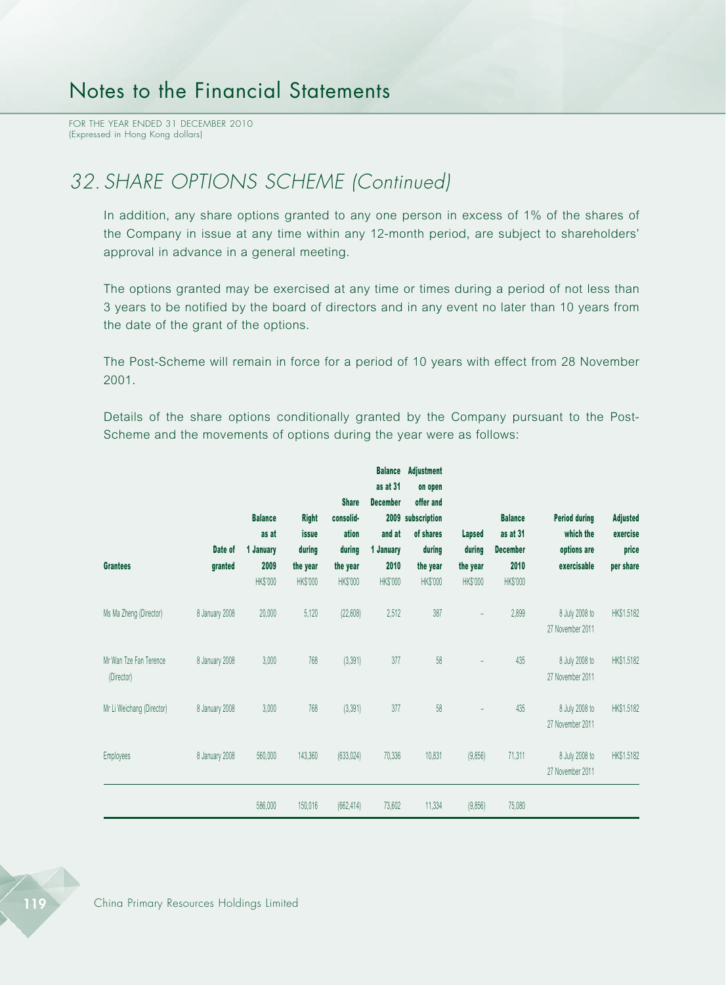FOR THE YEAR ENDED 31 DECEMBER 2010 (Expressed in Hong Kong dollars)

## *32. SHARE OPTIONS SCHEME (Continued)*

In addition, any share options granted to any one person in excess of 1% of the shares of the Company in issue at any time within any 12-month period, are subject to shareholders' approval in advance in a general meeting.

The options granted may be exercised at any time or times during a period of not less than 3 years to be notified by the board of directors and in any event no later than 10 years from the date of the grant of the options.

The Post-Scheme will remain in force for a period of 10 years with effect from 28 November 2001.

Details of the share options conditionally granted by the Company pursuant to the Post-Scheme and the movements of options during the year were as follows:

| <b>Grantees</b>                      | Date of<br>granted | <b>Balance</b><br>as at<br>1 January<br>2009 | <b>Right</b><br>issue<br>during<br>the year | <b>Share</b><br>consolid-<br>ation<br>during<br>the year | <b>Balance</b><br>as at 31<br><b>December</b><br>and at<br>1 January<br>2010 | <b>Adjustment</b><br>on open<br>offer and<br>2009 subscription<br>of shares<br>during<br>the year | <b>Lapsed</b><br>during<br>the year | <b>Balance</b><br>as at 31<br><b>December</b><br>2010 | <b>Period during</b><br>which the<br>options are<br>exercisable | <b>Adjusted</b><br>exercise<br>price<br>per share |
|--------------------------------------|--------------------|----------------------------------------------|---------------------------------------------|----------------------------------------------------------|------------------------------------------------------------------------------|---------------------------------------------------------------------------------------------------|-------------------------------------|-------------------------------------------------------|-----------------------------------------------------------------|---------------------------------------------------|
|                                      |                    | HK\$'000                                     | HK\$'000                                    | HK\$'000                                                 | HK\$'000                                                                     | HK\$'000                                                                                          | HK\$'000                            | HK\$'000                                              |                                                                 |                                                   |
| Ms Ma Zheng (Director)               | 8 January 2008     | 20,000                                       | 5,120                                       | (22, 608)                                                | 2,512                                                                        | 387                                                                                               | $\overline{a}$                      | 2,899                                                 | 8 July 2008 to<br>27 November 2011                              | HK\$1.5182                                        |
| Mr Wan Tze Fan Terence<br>(Director) | 8 January 2008     | 3,000                                        | 768                                         | (3, 391)                                                 | 377                                                                          | 58                                                                                                |                                     | 435                                                   | 8 July 2008 to<br>27 November 2011                              | HK\$1.5182                                        |
| Mr Li Weichang (Director)            | 8 January 2008     | 3,000                                        | 768                                         | (3, 391)                                                 | 377                                                                          | 58                                                                                                | $\overline{a}$                      | 435                                                   | 8 July 2008 to<br>27 November 2011                              | HK\$1.5182                                        |
| Employees                            | 8 January 2008     | 560,000                                      | 143,360                                     | (633, 024)                                               | 70,336                                                                       | 10,831                                                                                            | (9,856)                             | 71,311                                                | 8 July 2008 to<br>27 November 2011                              | HK\$1.5182                                        |
|                                      |                    | 586,000                                      | 150,016                                     | (662, 414)                                               | 73,602                                                                       | 11,334                                                                                            | (9,856)                             | 75,080                                                |                                                                 |                                                   |

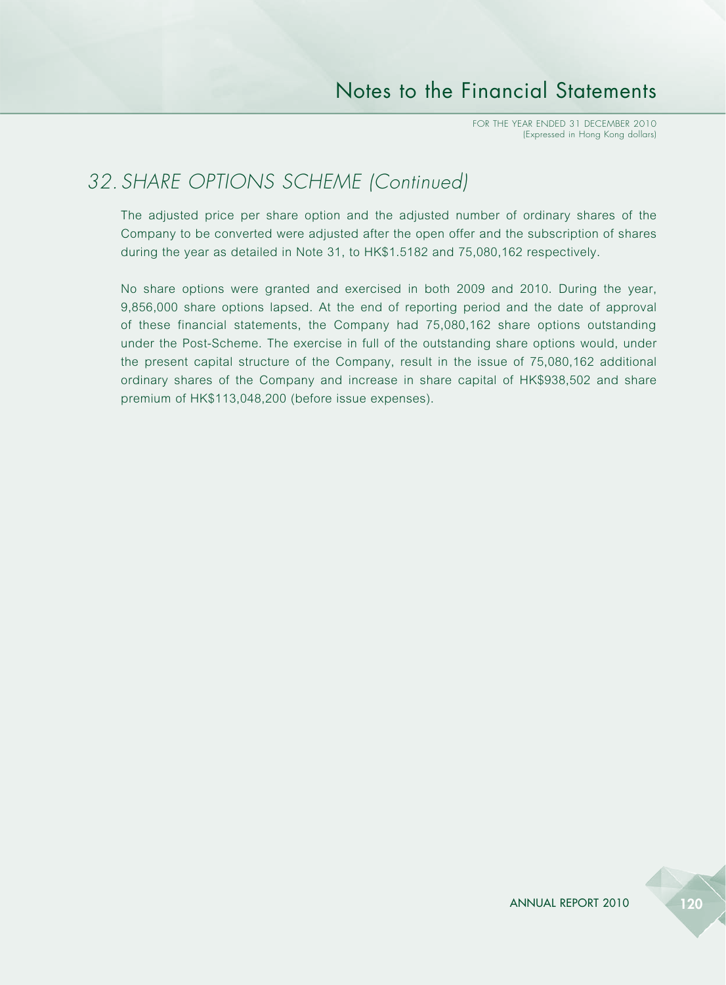## *32. SHARE OPTIONS SCHEME (Continued)*

The adjusted price per share option and the adjusted number of ordinary shares of the Company to be converted were adjusted after the open offer and the subscription of shares during the year as detailed in Note 31, to HK\$1.5182 and 75,080,162 respectively.

No share options were granted and exercised in both 2009 and 2010. During the year, 9,856,000 share options lapsed. At the end of reporting period and the date of approval of these financial statements, the Company had 75,080,162 share options outstanding under the Post-Scheme. The exercise in full of the outstanding share options would, under the present capital structure of the Company, result in the issue of 75,080,162 additional ordinary shares of the Company and increase in share capital of HK\$938,502 and share premium of HK\$113,048,200 (before issue expenses).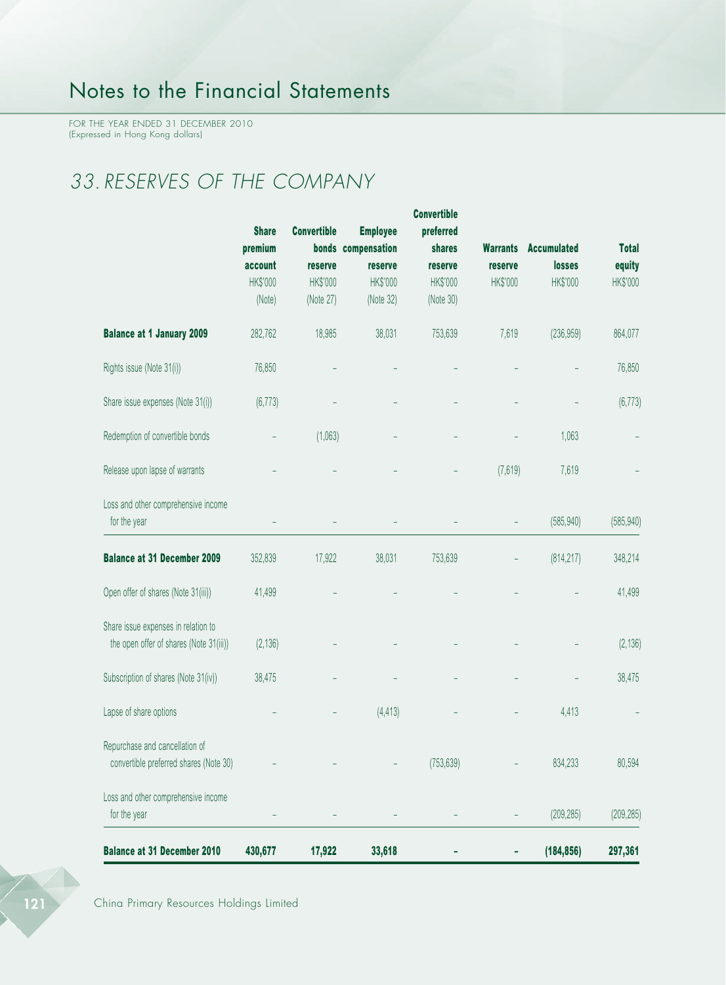FOR THE YEAR ENDED 31 DECEMBER 2010 (Expressed in Hong Kong dollars)

# *33. RESERVES OF THE COMPANY*

|                                         |              |                    |                    | <b>Convertible</b> |                 |                    |              |
|-----------------------------------------|--------------|--------------------|--------------------|--------------------|-----------------|--------------------|--------------|
|                                         | <b>Share</b> | <b>Convertible</b> | <b>Employee</b>    | preferred          |                 |                    |              |
|                                         | premium      |                    | bonds compensation | shares             | <b>Warrants</b> | <b>Accumulated</b> | <b>Total</b> |
|                                         | account      | reserve            | reserve            | reserve            | reserve         | losses             | equity       |
|                                         | HK\$'000     | HK\$'000           | HK\$'000           | HK\$'000           | HK\$'000        | HK\$'000           | HK\$'000     |
|                                         | (Note)       | (Note 27)          | (Note 32)          | (Note 30)          |                 |                    |              |
| <b>Balance at 1 January 2009</b>        | 282,762      | 18,985             | 38,031             | 753,639            | 7,619           | (236, 959)         | 864,077      |
| Rights issue (Note 31(i))               | 76,850       |                    |                    |                    |                 |                    | 76,850       |
| Share issue expenses (Note 31(i))       | (6, 773)     |                    |                    |                    |                 |                    | (6, 773)     |
| Redemption of convertible bonds         |              | (1,063)            |                    |                    |                 | 1,063              |              |
| Release upon lapse of warrants          |              |                    |                    |                    | (7,619)         | 7,619              |              |
| Loss and other comprehensive income     |              |                    |                    |                    |                 |                    |              |
| for the year                            |              |                    |                    |                    |                 | (585, 940)         | (585, 940)   |
| <b>Balance at 31 December 2009</b>      | 352,839      | 17,922             | 38,031             | 753,639            |                 | (814, 217)         | 348,214      |
| Open offer of shares (Note 31(iii))     | 41,499       |                    |                    |                    |                 |                    | 41,499       |
| Share issue expenses in relation to     |              |                    |                    |                    |                 |                    |              |
| the open offer of shares (Note 31(iii)) | (2, 136)     |                    |                    |                    |                 |                    | (2, 136)     |
| Subscription of shares (Note 31(iv))    | 38,475       |                    |                    |                    |                 |                    | 38,475       |
| Lapse of share options                  |              |                    | (4, 413)           |                    |                 | 4,413              |              |
| Repurchase and cancellation of          |              |                    |                    |                    |                 |                    |              |
| convertible preferred shares (Note 30)  |              |                    |                    | (753, 639)         |                 | 834,233            | 80,594       |
| Loss and other comprehensive income     |              |                    |                    |                    |                 |                    |              |
| for the year                            |              |                    |                    |                    |                 | (209, 285)         | (209, 285)   |
| <b>Balance at 31 December 2010</b>      | 430,677      | 17,922             | 33,618             |                    |                 | (184, 856)         | 297,361      |

121 China Primary Resources Holdings Limited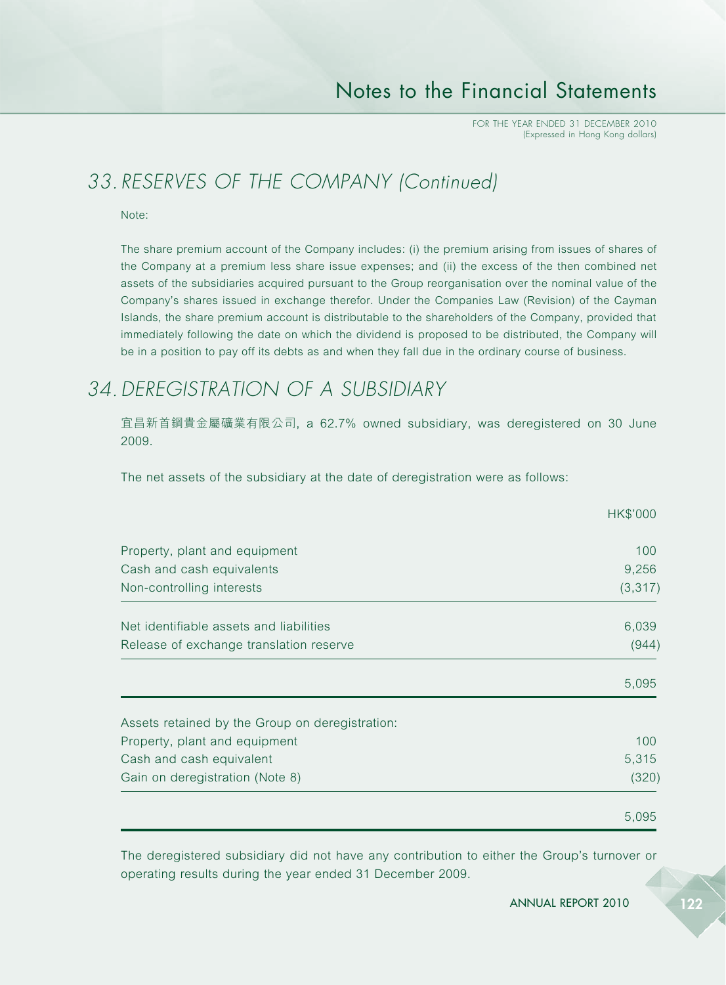## *33. RESERVES OF THE COMPANY (Continued)*

Note:

The share premium account of the Company includes: (i) the premium arising from issues of shares of the Company at a premium less share issue expenses; and (ii) the excess of the then combined net assets of the subsidiaries acquired pursuant to the Group reorganisation over the nominal value of the Company's shares issued in exchange therefor. Under the Companies Law (Revision) of the Cayman Islands, the share premium account is distributable to the shareholders of the Company, provided that immediately following the date on which the dividend is proposed to be distributed, the Company will be in a position to pay off its debts as and when they fall due in the ordinary course of business.

## *34.DEREGISTRATION OF A SUBSIDIARY*

宜昌新首鋼貴金屬礦業有限公司, a 62.7% owned subsidiary, was deregistered on 30 June 2009.

The net assets of the subsidiary at the date of deregistration were as follows:

|                                                 | HK\$'000 |
|-------------------------------------------------|----------|
| Property, plant and equipment                   | 100      |
| Cash and cash equivalents                       | 9,256    |
| Non-controlling interests                       | (3, 317) |
| Net identifiable assets and liabilities         | 6,039    |
| Release of exchange translation reserve         | (944)    |
|                                                 | 5,095    |
| Assets retained by the Group on deregistration: |          |
| Property, plant and equipment                   | 100      |
| Cash and cash equivalent                        | 5,315    |
| Gain on deregistration (Note 8)                 | (320)    |
|                                                 | 5,095    |

The deregistered subsidiary did not have any contribution to either the Group's turnover or operating results during the year ended 31 December 2009.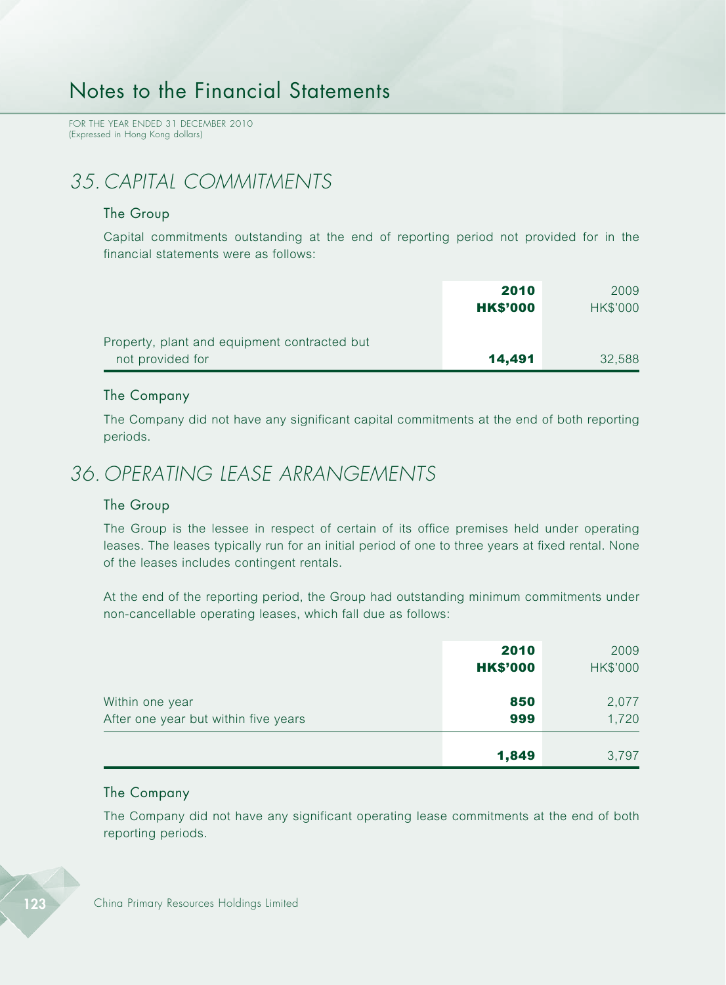FOR THE YEAR ENDED 31 DECEMBER 2010 (Expressed in Hong Kong dollars)

## *35. CAPITAL COMMITMENTS*

#### The Group

Capital commitments outstanding at the end of reporting period not provided for in the financial statements were as follows:

|                                              | 2010            | 2009            |
|----------------------------------------------|-----------------|-----------------|
|                                              | <b>HK\$'000</b> | <b>HK\$'000</b> |
| Property, plant and equipment contracted but |                 |                 |
| not provided for                             | 14,491          | 32,588          |

#### The Company

The Company did not have any significant capital commitments at the end of both reporting periods.

### *36. OPERATING LEASE ARRANGEMENTS*

#### The Group

The Group is the lessee in respect of certain of its office premises held under operating leases. The leases typically run for an initial period of one to three years at fixed rental. None of the leases includes contingent rentals.

At the end of the reporting period, the Group had outstanding minimum commitments under non-cancellable operating leases, which fall due as follows:

|                                                         | 2010<br><b>HK\$'000</b> | 2009<br><b>HK\$'000</b> |
|---------------------------------------------------------|-------------------------|-------------------------|
| Within one year<br>After one year but within five years | 850<br>999              | 2,077<br>1,720          |
|                                                         | 1,849                   | 3,797                   |

#### The Company

The Company did not have any significant operating lease commitments at the end of both reporting periods.

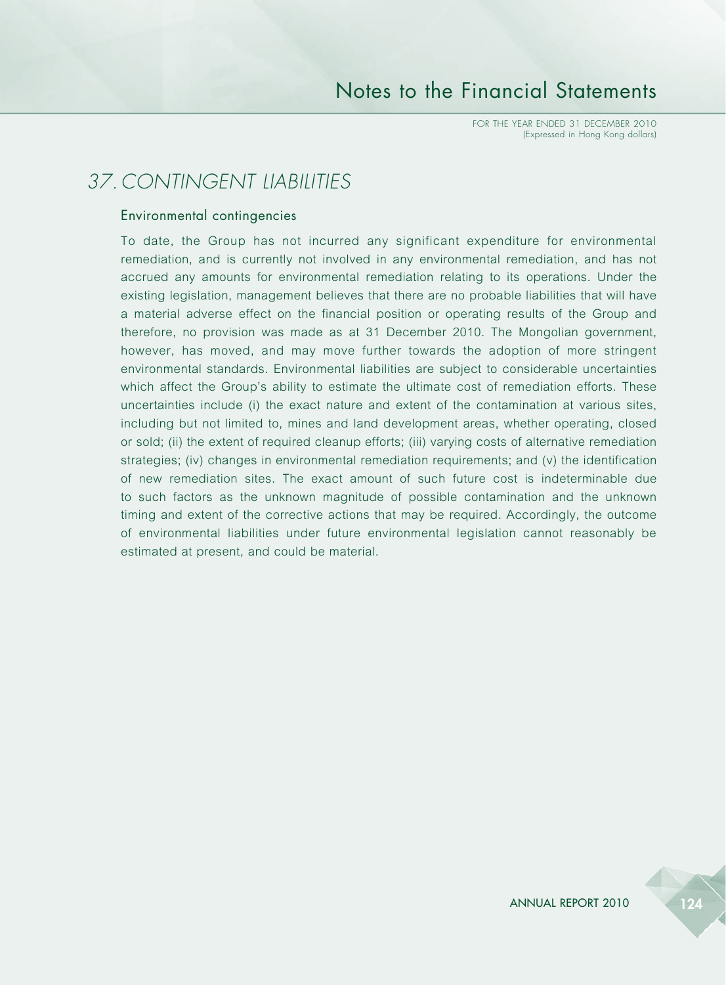FOR THE YEAR ENDED 31 DECEMBER 2010 (Expressed in Hong Kong dollars)

### *37. CONTINGENT LIABILITIES*

#### Environmental contingencies

To date, the Group has not incurred any significant expenditure for environmental remediation, and is currently not involved in any environmental remediation, and has not accrued any amounts for environmental remediation relating to its operations. Under the existing legislation, management believes that there are no probable liabilities that will have a material adverse effect on the financial position or operating results of the Group and therefore, no provision was made as at 31 December 2010. The Mongolian government, however, has moved, and may move further towards the adoption of more stringent environmental standards. Environmental liabilities are subject to considerable uncertainties which affect the Group's ability to estimate the ultimate cost of remediation efforts. These uncertainties include (i) the exact nature and extent of the contamination at various sites, including but not limited to, mines and land development areas, whether operating, closed or sold; (ii) the extent of required cleanup efforts; (iii) varying costs of alternative remediation strategies; (iv) changes in environmental remediation requirements; and (v) the identification of new remediation sites. The exact amount of such future cost is indeterminable due to such factors as the unknown magnitude of possible contamination and the unknown timing and extent of the corrective actions that may be required. Accordingly, the outcome of environmental liabilities under future environmental legislation cannot reasonably be estimated at present, and could be material.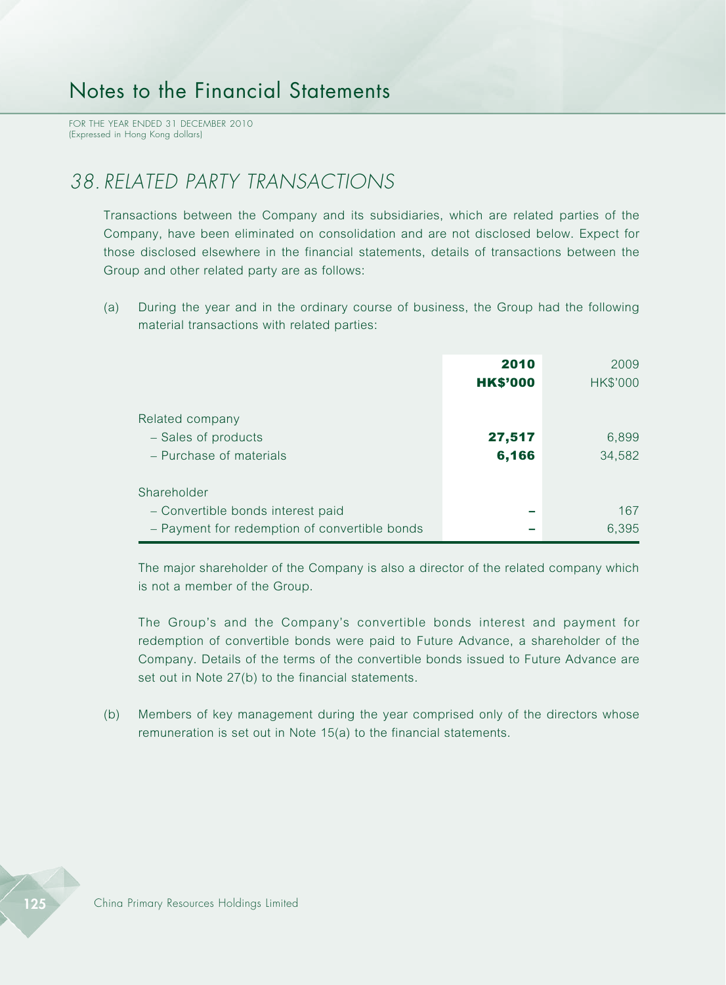FOR THE YEAR ENDED 31 DECEMBER 2010 (Expressed in Hong Kong dollars)

### *38. RELATED PARTY TRANSACTIONS*

Transactions between the Company and its subsidiaries, which are related parties of the Company, have been eliminated on consolidation and are not disclosed below. Expect for those disclosed elsewhere in the financial statements, details of transactions between the Group and other related party are as follows:

(a) During the year and in the ordinary course of business, the Group had the following material transactions with related parties:

|                                                                                                   | 2010<br><b>HK\$'000</b> | 2009<br>HK\$'000 |
|---------------------------------------------------------------------------------------------------|-------------------------|------------------|
| Related company<br>- Sales of products<br>- Purchase of materials                                 | 27,517<br>6,166         | 6,899<br>34,582  |
| Shareholder<br>- Convertible bonds interest paid<br>- Payment for redemption of convertible bonds |                         | 167<br>6,395     |

The major shareholder of the Company is also a director of the related company which is not a member of the Group.

The Group's and the Company's convertible bonds interest and payment for redemption of convertible bonds were paid to Future Advance, a shareholder of the Company. Details of the terms of the convertible bonds issued to Future Advance are set out in Note 27(b) to the financial statements.

(b) Members of key management during the year comprised only of the directors whose remuneration is set out in Note 15(a) to the financial statements.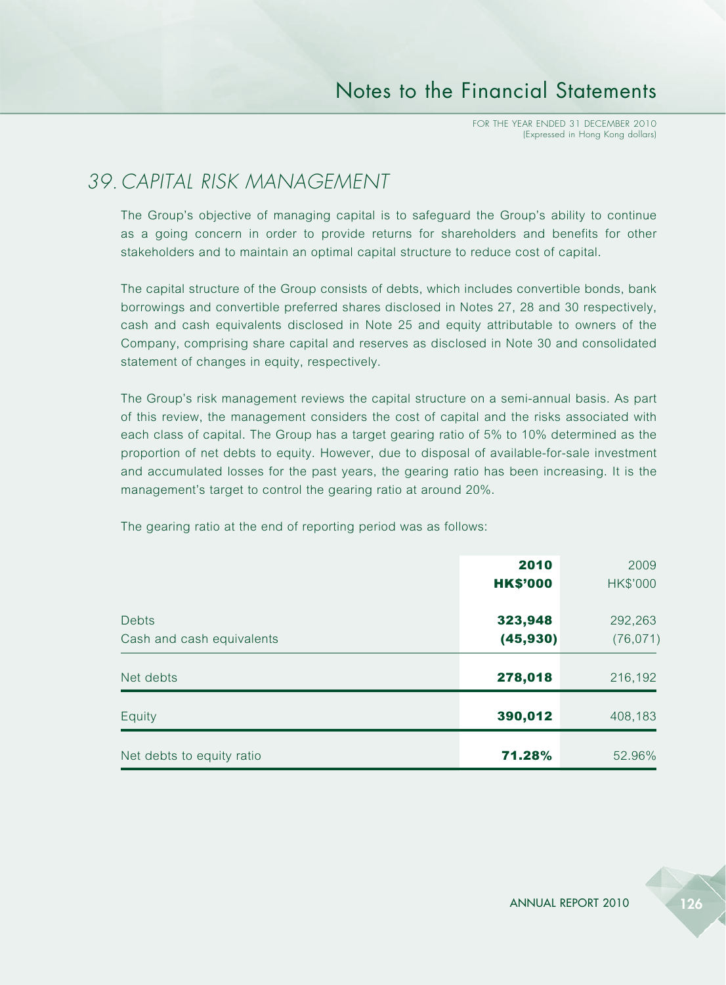## *39. CAPITAL RISK MANAGEMENT*

The Group's objective of managing capital is to safeguard the Group's ability to continue as a going concern in order to provide returns for shareholders and benefits for other stakeholders and to maintain an optimal capital structure to reduce cost of capital.

The capital structure of the Group consists of debts, which includes convertible bonds, bank borrowings and convertible preferred shares disclosed in Notes 27, 28 and 30 respectively, cash and cash equivalents disclosed in Note 25 and equity attributable to owners of the Company, comprising share capital and reserves as disclosed in Note 30 and consolidated statement of changes in equity, respectively.

The Group's risk management reviews the capital structure on a semi-annual basis. As part of this review, the management considers the cost of capital and the risks associated with each class of capital. The Group has a target gearing ratio of 5% to 10% determined as the proportion of net debts to equity. However, due to disposal of available-for-sale investment and accumulated losses for the past years, the gearing ratio has been increasing. It is the management's target to control the gearing ratio at around 20%.

The gearing ratio at the end of reporting period was as follows:

|                           | 2010            | 2009      |
|---------------------------|-----------------|-----------|
|                           | <b>HK\$'000</b> | HK\$'000  |
| <b>Debts</b>              | 323,948         | 292,263   |
| Cash and cash equivalents | (45, 930)       | (76, 071) |
|                           |                 |           |
| Net debts                 | 278,018         | 216,192   |
| Equity                    | 390,012         | 408,183   |
|                           |                 |           |
| Net debts to equity ratio | 71.28%          | 52.96%    |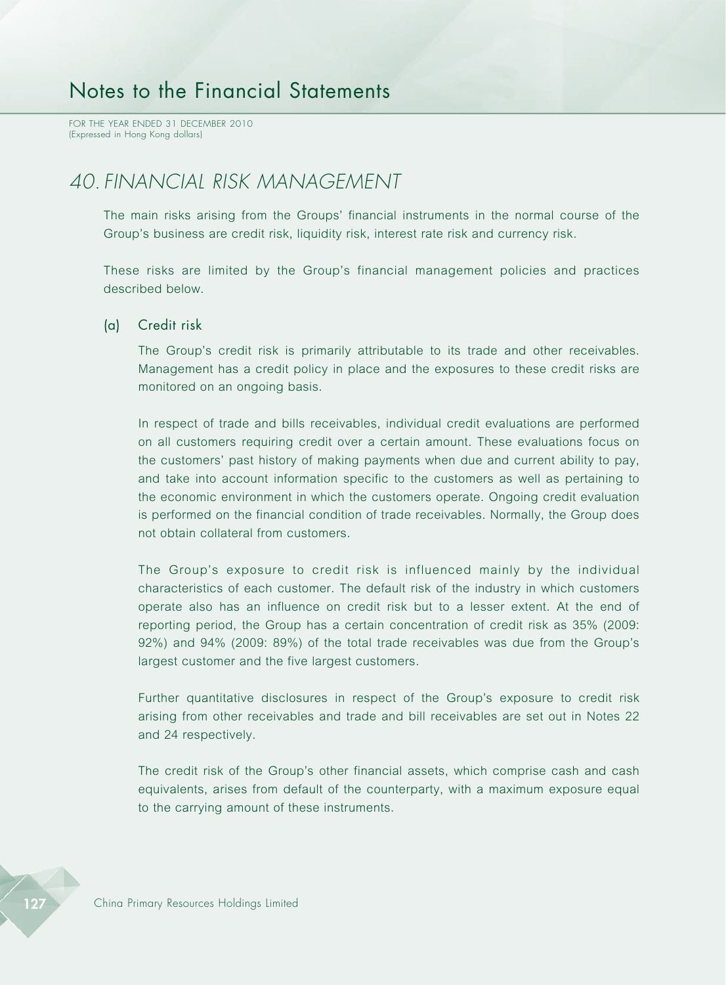FOR THE YEAR ENDED 31 DECEMBER 2010 (Expressed in Hong Kong dollars)

## *40. FINANCIAL RISK MANAGEMENT*

The main risks arising from the Groups' financial instruments in the normal course of the Group's business are credit risk, liquidity risk, interest rate risk and currency risk.

These risks are limited by the Group's financial management policies and practices described below.

#### (a) Credit risk

The Group's credit risk is primarily attributable to its trade and other receivables. Management has a credit policy in place and the exposures to these credit risks are monitored on an ongoing basis.

In respect of trade and bills receivables, individual credit evaluations are performed on all customers requiring credit over a certain amount. These evaluations focus on the customers' past history of making payments when due and current ability to pay, and take into account information specific to the customers as well as pertaining to the economic environment in which the customers operate. Ongoing credit evaluation is performed on the financial condition of trade receivables. Normally, the Group does not obtain collateral from customers.

The Group's exposure to credit risk is influenced mainly by the individual characteristics of each customer. The default risk of the industry in which customers operate also has an influence on credit risk but to a lesser extent. At the end of reporting period, the Group has a certain concentration of credit risk as 35% (2009: 92%) and 94% (2009: 89%) of the total trade receivables was due from the Group's largest customer and the five largest customers.

Further quantitative disclosures in respect of the Group's exposure to credit risk arising from other receivables and trade and bill receivables are set out in Notes 22 and 24 respectively.

The credit risk of the Group's other financial assets, which comprise cash and cash equivalents, arises from default of the counterparty, with a maximum exposure equal to the carrying amount of these instruments.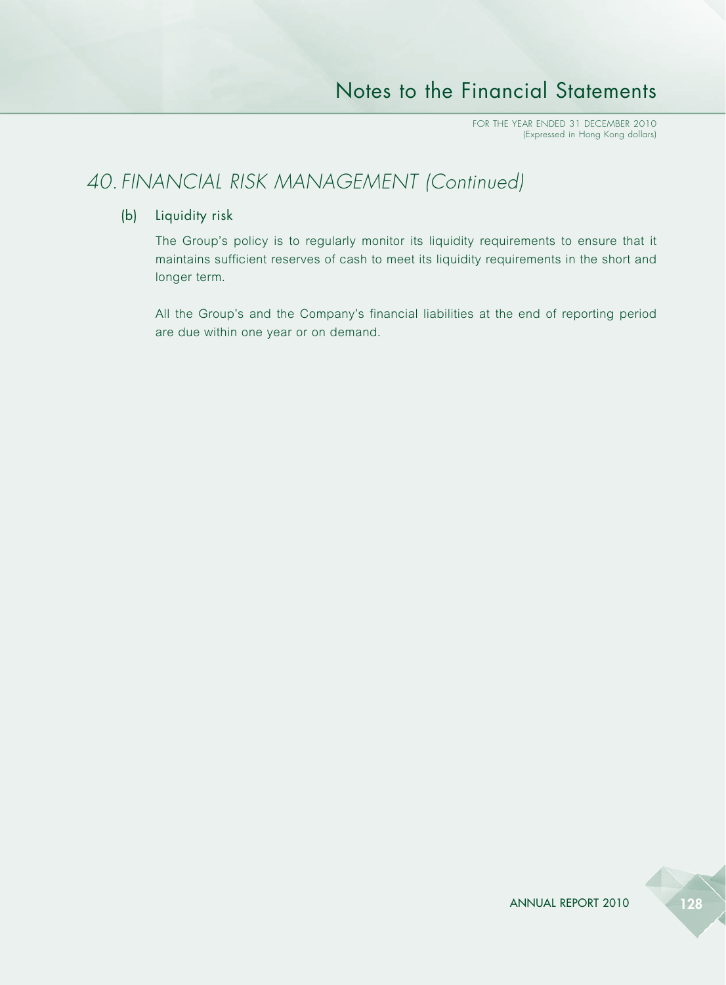## *40. FINANCIAL RISK MANAGEMENT (Continued)*

#### (b) Liquidity risk

The Group's policy is to regularly monitor its liquidity requirements to ensure that it maintains sufficient reserves of cash to meet its liquidity requirements in the short and longer term.

All the Group's and the Company's financial liabilities at the end of reporting period are due within one year or on demand.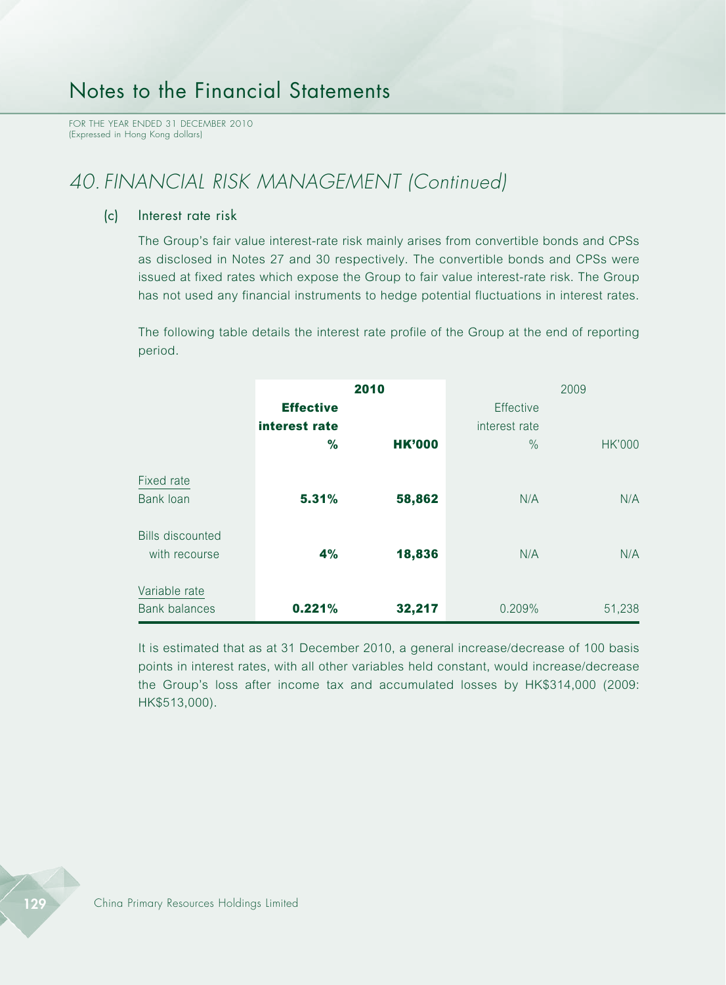FOR THE YEAR ENDED 31 DECEMBER 2010 (Expressed in Hong Kong dollars)

# *40. FINANCIAL RISK MANAGEMENT (Continued)*

(c) Interest rate risk

The Group's fair value interest-rate risk mainly arises from convertible bonds and CPSs as disclosed in Notes 27 and 30 respectively. The convertible bonds and CPSs were issued at fixed rates which expose the Group to fair value interest-rate risk. The Group has not used any financial instruments to hedge potential fluctuations in interest rates.

The following table details the interest rate profile of the Group at the end of reporting period.

|                                          | <b>Effective</b><br>interest rate | 2010          | Effective<br>interest rate | 2009          |
|------------------------------------------|-----------------------------------|---------------|----------------------------|---------------|
|                                          | %                                 | <b>HK'000</b> | $\frac{0}{0}$              | <b>HK'000</b> |
| Fixed rate<br>Bank loan                  | 5.31%                             | 58,862        | N/A                        | N/A           |
| <b>Bills discounted</b><br>with recourse | 4%                                | 18,836        | N/A                        | N/A           |
| Variable rate<br><b>Bank balances</b>    | 0.221%                            | 32,217        | 0.209%                     | 51,238        |

It is estimated that as at 31 December 2010, a general increase/decrease of 100 basis points in interest rates, with all other variables held constant, would increase/decrease the Group's loss after income tax and accumulated losses by HK\$314,000 (2009: HK\$513,000).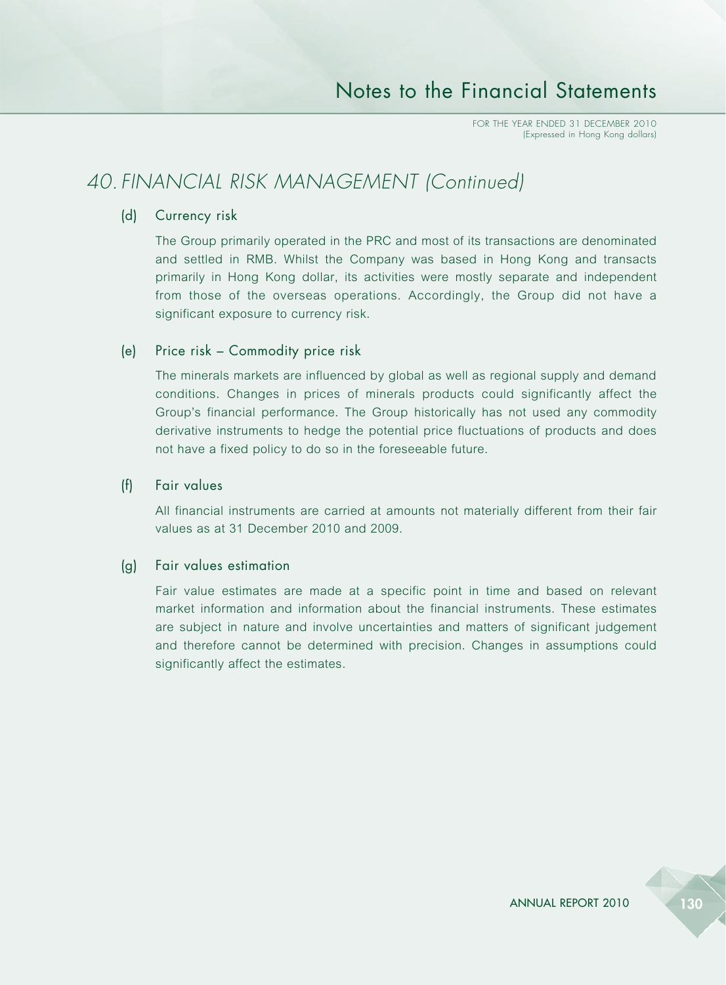## *40. FINANCIAL RISK MANAGEMENT (Continued)*

#### (d) Currency risk

The Group primarily operated in the PRC and most of its transactions are denominated and settled in RMB. Whilst the Company was based in Hong Kong and transacts primarily in Hong Kong dollar, its activities were mostly separate and independent from those of the overseas operations. Accordingly, the Group did not have a significant exposure to currency risk.

#### (e) Price risk – Commodity price risk

The minerals markets are influenced by global as well as regional supply and demand conditions. Changes in prices of minerals products could significantly affect the Group's financial performance. The Group historically has not used any commodity derivative instruments to hedge the potential price fluctuations of products and does not have a fixed policy to do so in the foreseeable future.

#### (f) Fair values

All financial instruments are carried at amounts not materially different from their fair values as at 31 December 2010 and 2009.

#### (g) Fair values estimation

Fair value estimates are made at a specific point in time and based on relevant market information and information about the financial instruments. These estimates are subject in nature and involve uncertainties and matters of significant judgement and therefore cannot be determined with precision. Changes in assumptions could significantly affect the estimates.

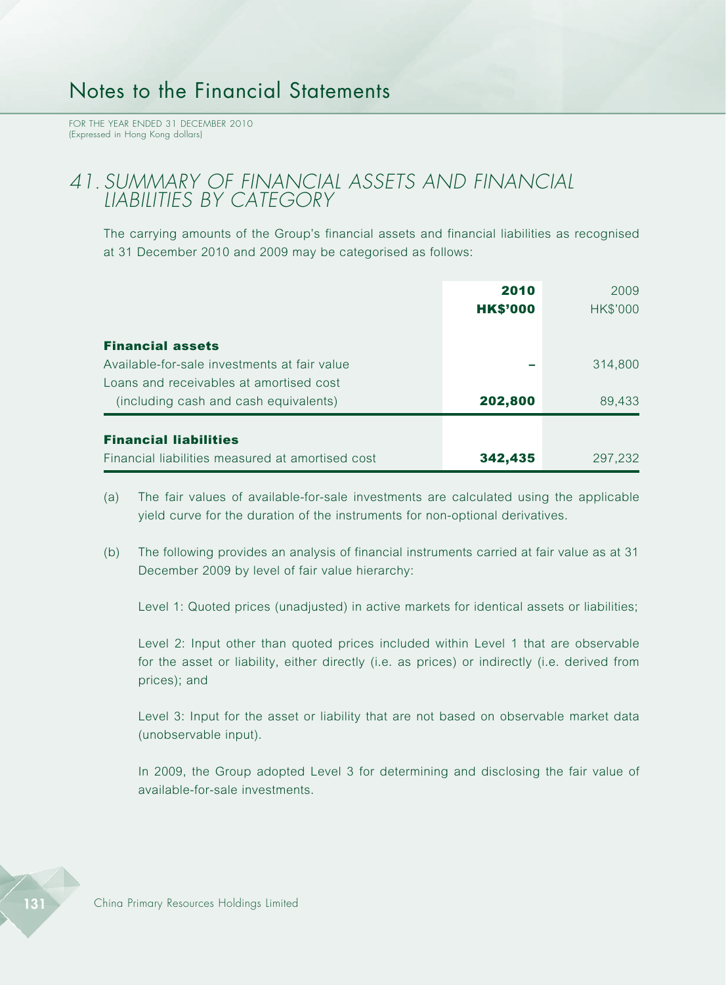FOR THE YEAR ENDED 31 DECEMBER 2010 (Expressed in Hong Kong dollars)

#### *41. SUMMARY OF FINANCIAL ASSETS AND FINANCIAL LIABILITIES BY CATEGORY*

The carrying amounts of the Group's financial assets and financial liabilities as recognised at 31 December 2010 and 2009 may be categorised as follows:

|                                                                                  | 2010<br><b>HK\$'000</b> | 2009<br>HK\$'000 |
|----------------------------------------------------------------------------------|-------------------------|------------------|
| <b>Financial assets</b><br>Available-for-sale investments at fair value          |                         | 314,800          |
| Loans and receivables at amortised cost<br>(including cash and cash equivalents) | 202,800                 | 89,433           |
| <b>Financial liabilities</b><br>Financial liabilities measured at amortised cost | 342,435                 | 297,232          |

- (a) The fair values of available-for-sale investments are calculated using the applicable yield curve for the duration of the instruments for non-optional derivatives.
- (b) The following provides an analysis of financial instruments carried at fair value as at 31 December 2009 by level of fair value hierarchy:

Level 1: Quoted prices (unadjusted) in active markets for identical assets or liabilities;

Level 2: Input other than quoted prices included within Level 1 that are observable for the asset or liability, either directly (i.e. as prices) or indirectly (i.e. derived from prices); and

Level 3: Input for the asset or liability that are not based on observable market data (unobservable input).

In 2009, the Group adopted Level 3 for determining and disclosing the fair value of available-for-sale investments.

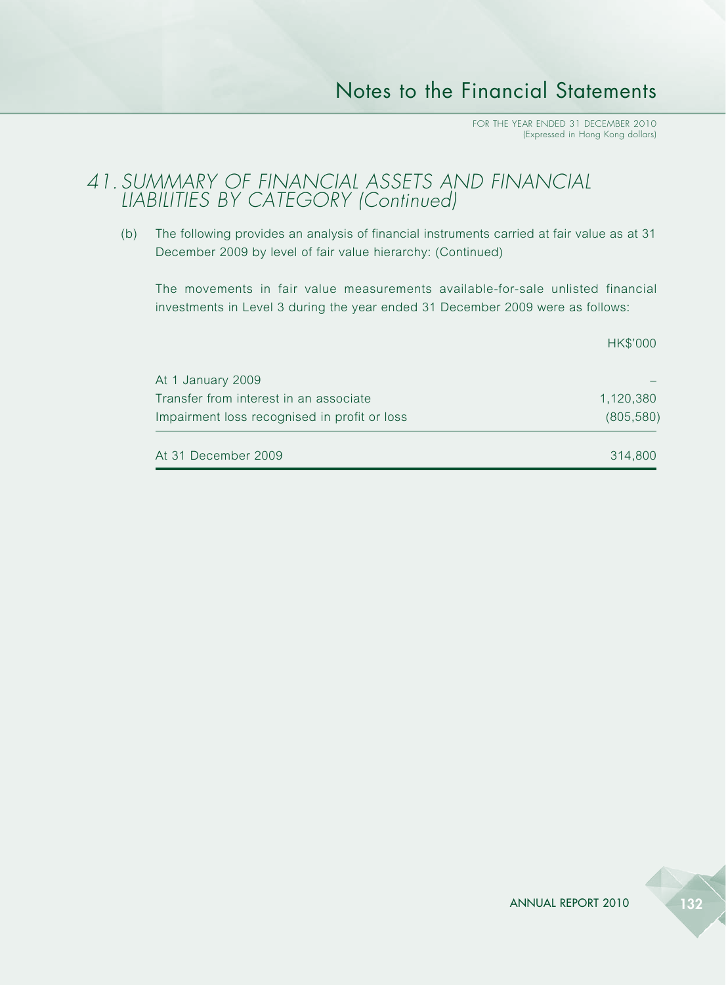#### *41. SUMMARY OF FINANCIAL ASSETS AND FINANCIAL LIABILITIES BY CATEGORY (Continued)*

(b) The following provides an analysis of financial instruments carried at fair value as at 31 December 2009 by level of fair value hierarchy: (Continued)

The movements in fair value measurements available-for-sale unlisted financial investments in Level 3 during the year ended 31 December 2009 were as follows:

| Impairment loss recognised in profit or loss | (805, 580) |
|----------------------------------------------|------------|
| Transfer from interest in an associate       | 1,120,380  |
| At 1 January 2009                            |            |
|                                              | HK\$'000   |